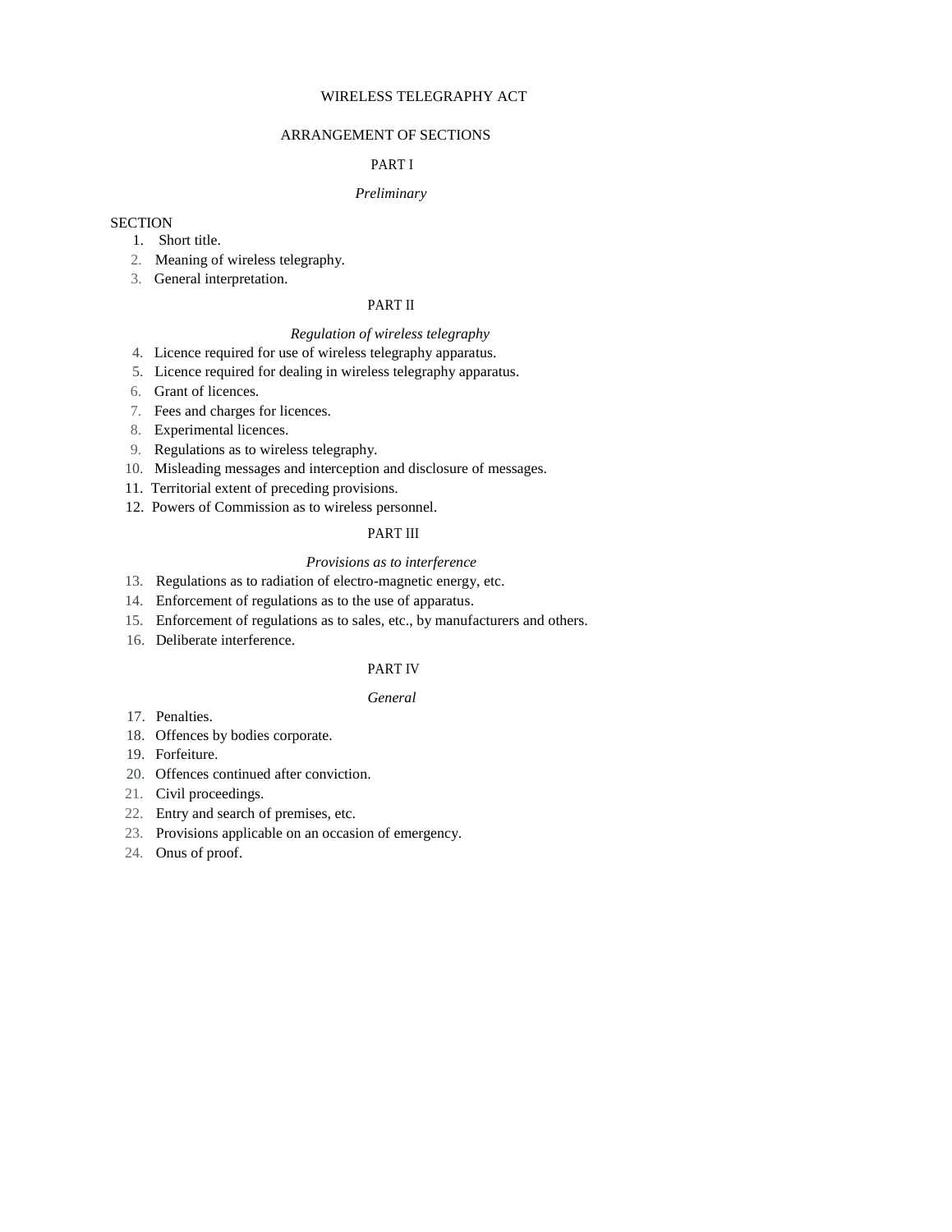# WIRELESS TELEGRAPHY ACT

# ARRANGEMENT OF SECTIONS

# PART I

# *Preliminary*

# **SECTION**

- 1. Short title.
- 2. Meaning of wireless telegraphy.
- 3. General interpretation.

# PART II

# *Regulation of wireless telegraphy*

- 4. Licence required for use of wireless telegraphy apparatus.
- 5. Licence required for dealing in wireless telegraphy apparatus.
- 6. Grant of licences.
- 7. Fees and charges for licences.
- 8. Experimental licences.
- 9. Regulations as to wireless telegraphy.
- 10. Misleading messages and interception and disclosure of messages.
- 11. Territorial extent of preceding provisions.
- 12. Powers of Commission as to wireless personnel.

# PART III

#### *Provisions as to interference*

- 13. Regulations as to radiation of electro-magnetic energy, etc.
- 14. Enforcement of regulations as to the use of apparatus.
- 15. Enforcement of regulations as to sales, etc., by manufacturers and others.
- 16. Deliberate interference.

# PART IV

# *General*

- 17. Penalties.
- 18. Offences by bodies corporate.
- 19. Forfeiture.
- 20. Offences continued after conviction.
- 21. Civil proceedings.
- 22. Entry and search of premises, etc.
- 23. Provisions applicable on an occasion of emergency.
- 24. Onus of proof.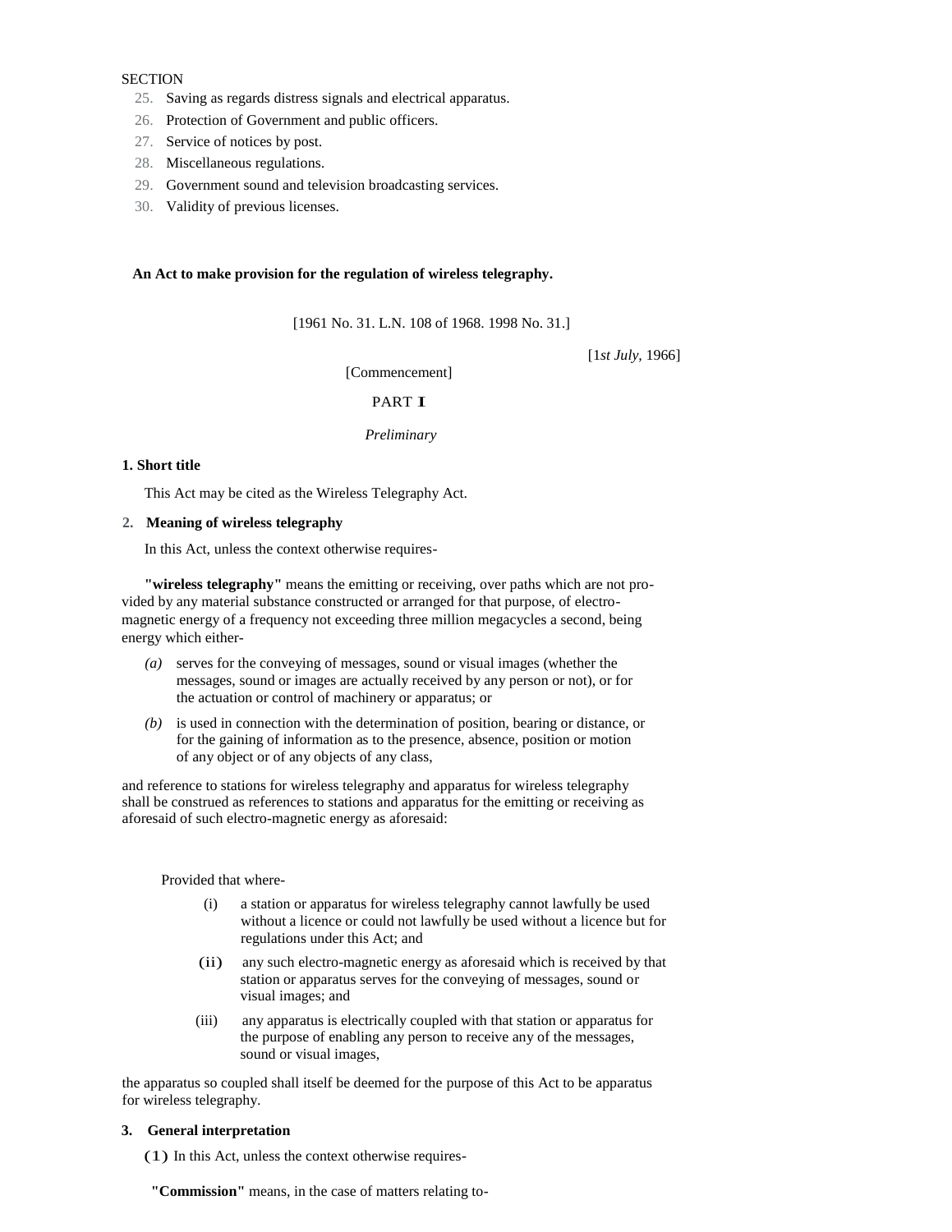# **SECTION**

- 25. Saving as regards distress signals and electrical apparatus.
- 26. Protection of Government and public officers.
- 27. Service of notices by post.
- 28. Miscellaneous regulations.
- 29. Government sound and television broadcasting services.
- 30. Validity of previous licenses.

# **An Act to make provision for the regulation of wireless telegraphy.**

[1961 No. 31. L.N. 108 of 1968. 1998 No. 31.]

[1*st July,* 1966]

[Commencement]

# PART I

#### *Preliminary*

# **1. Short title**

This Act may be cited as the Wireless Telegraphy Act.

# **2. Meaning of wireless telegraphy**

In this Act, unless the context otherwise requires-

**"wireless telegraphy"** means the emitting or receiving, over paths which are not provided by any material substance constructed or arranged for that purpose, of electromagnetic energy of a frequency not exceeding three million megacycles a second, being energy which either-

- *(a)* serves for the conveying of messages, sound or visual images (whether the messages, sound or images are actually received by any person or not), or for the actuation or control of machinery or apparatus; or
- *(b)* is used in connection with the determination of position, bearing or distance, or for the gaining of information as to the presence, absence, position or motion of any object or of any objects of any class,

and reference to stations for wireless telegraphy and apparatus for wireless telegraphy shall be construed as references to stations and apparatus for the emitting or receiving as aforesaid of such electro-magnetic energy as aforesaid:

Provided that where-

- (i) a station or apparatus for wireless telegraphy cannot lawfully be used without a licence or could not lawfully be used without a licence but for regulations under this Act; and
- (ii) any such electro-magnetic energy as aforesaid which is received by that station or apparatus serves for the conveying of messages, sound or visual images; and
- (iii) any apparatus is electrically coupled with that station or apparatus for the purpose of enabling any person to receive any of the messages, sound or visual images,

the apparatus so coupled shall itself be deemed for the purpose of this Act to be apparatus for wireless telegraphy.

# **3. General interpretation**

(1) In this Act, unless the context otherwise requires-

 **"Commission"** means, in the case of matters relating to-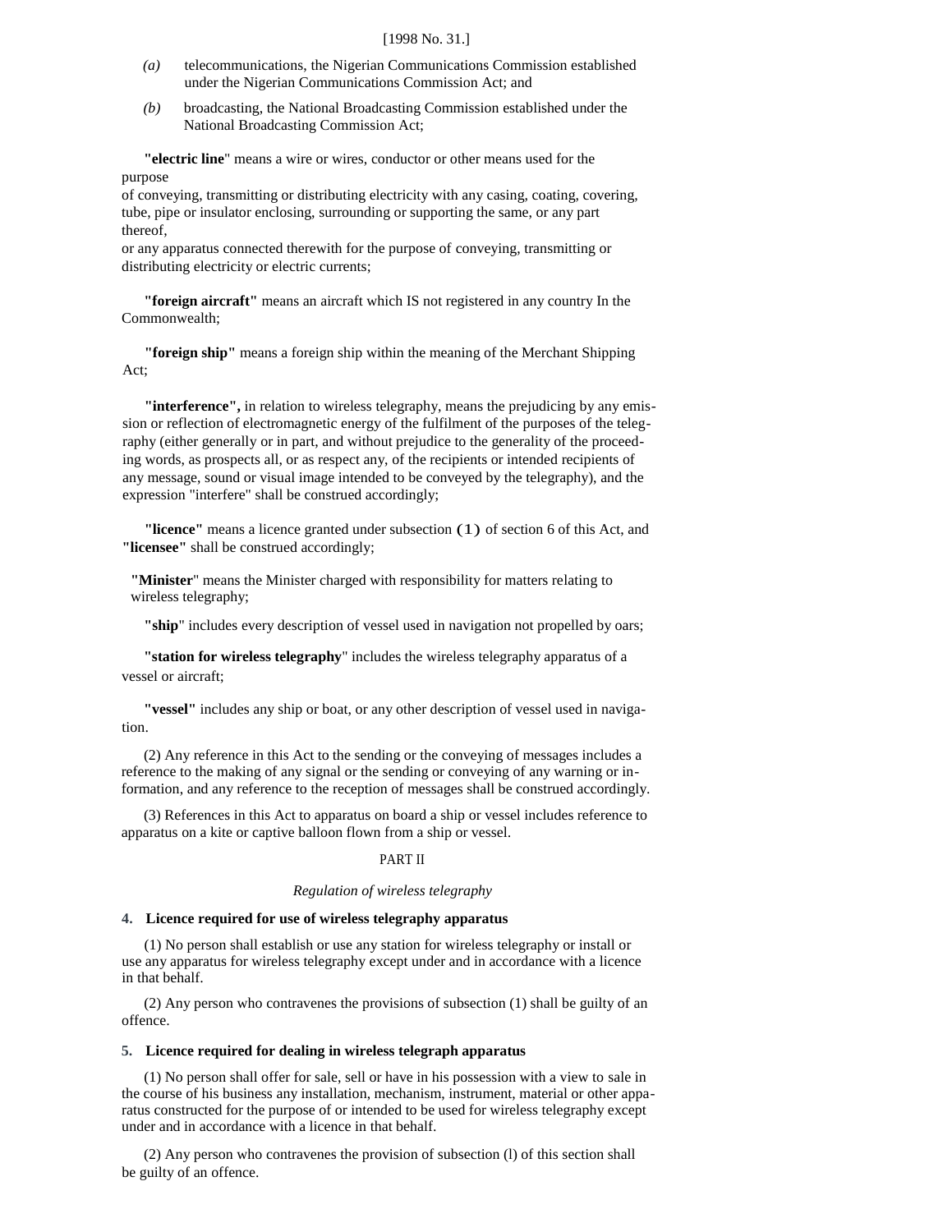#### [1998 No. 31.]

- *(a)* telecommunications, the Nigerian Communications Commission established under the Nigerian Communications Commission Act; and
- *(b)* broadcasting, the National Broadcasting Commission established under the National Broadcasting Commission Act;

**"electric line**" means a wire or wires, conductor or other means used for the purpose

of conveying, transmitting or distributing electricity with any casing, coating, covering, tube, pipe or insulator enclosing, surrounding or supporting the same, or any part thereof,

or any apparatus connected therewith for the purpose of conveying, transmitting or distributing electricity or electric currents;

**"foreign aircraft"** means an aircraft which IS not registered in any country In the Commonwealth;

**"foreign ship"** means a foreign ship within the meaning of the Merchant Shipping Act;

**"interference",** in relation to wireless telegraphy, means the prejudicing by any emission or reflection of electromagnetic energy of the fulfilment of the purposes of the telegraphy (either generally or in part, and without prejudice to the generality of the proceeding words, as prospects all, or as respect any, of the recipients or intended recipients of any message, sound or visual image intended to be conveyed by the telegraphy), and the expression "interfere" shall be construed accordingly;

**"licence"** means a licence granted under subsection (1) of section 6 of this Act, and **"licensee"** shall be construed accordingly;

**"Minister**" means the Minister charged with responsibility for matters relating to wireless telegraphy;

**"ship**" includes every description of vessel used in navigation not propelled by oars;

**"station for wireless telegraphy**" includes the wireless telegraphy apparatus of a vessel or aircraft;

**"vessel"** includes any ship or boat, or any other description of vessel used in navigation.

(2) Any reference in this Act to the sending or the conveying of messages includes a reference to the making of any signal or the sending or conveying of any warning or information, and any reference to the reception of messages shall be construed accordingly.

(3) References in this Act to apparatus on board a ship or vessel includes reference to apparatus on a kite or captive balloon flown from a ship or vessel.

# PART II

#### *Regulation of wireless telegraphy*

#### **4. Licence required for use of wireless telegraphy apparatus**

(1) No person shall establish or use any station for wireless telegraphy or install or use any apparatus for wireless telegraphy except under and in accordance with a licence in that behalf.

(2) Any person who contravenes the provisions of subsection (1) shall be guilty of an offence.

## **5. Licence required for dealing in wireless telegraph apparatus**

(1) No person shall offer for sale, sell or have in his possession with a view to sale in the course of his business any installation, mechanism, instrument, material or other apparatus constructed for the purpose of or intended to be used for wireless telegraphy except under and in accordance with a licence in that behalf.

(2) Any person who contravenes the provision of subsection (l) of this section shall be guilty of an offence.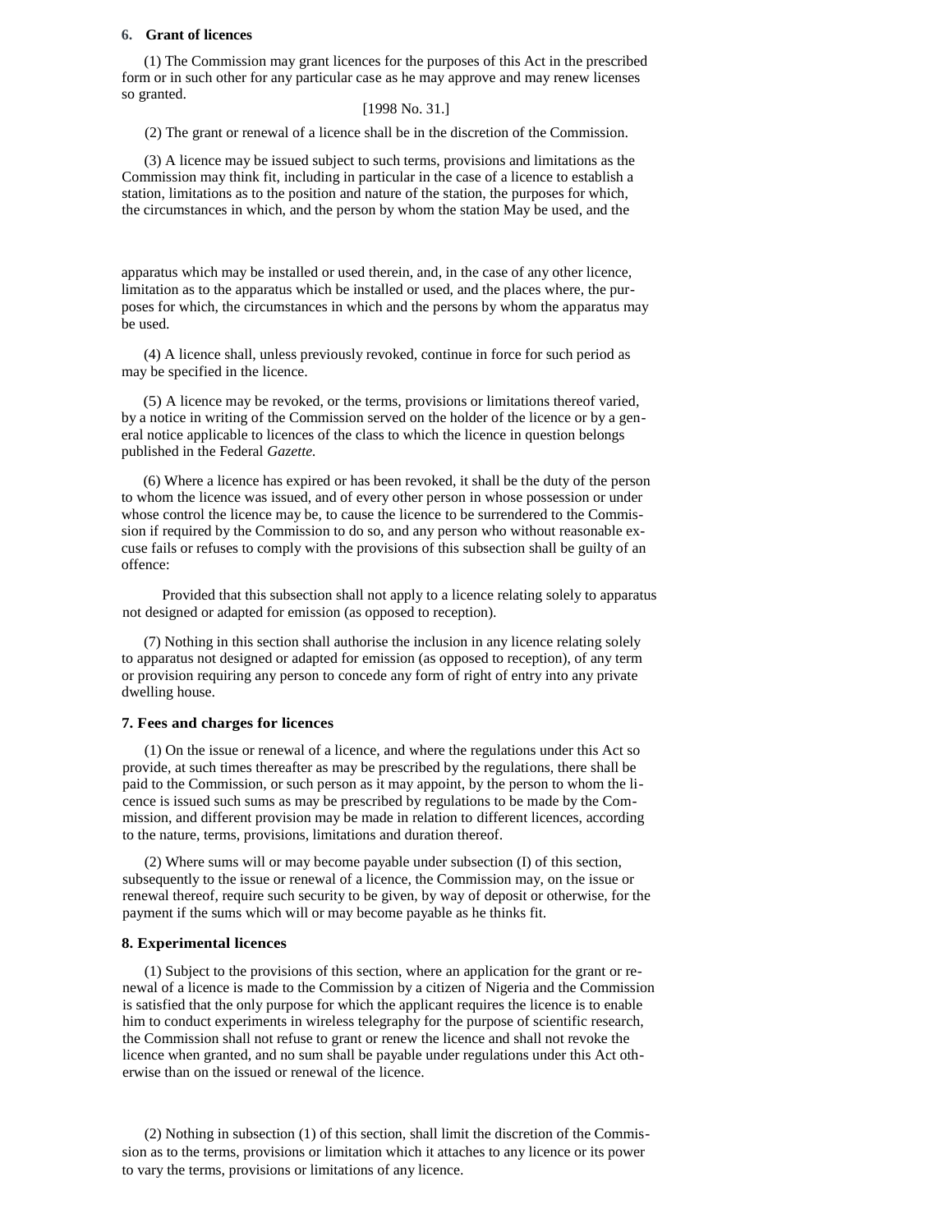## **6. Grant of licences**

(1) The Commission may grant licences for the purposes of this Act in the prescribed form or in such other for any particular case as he may approve and may renew licenses so granted.

# [1998 No. 31.]

(2) The grant or renewal of a licence shall be in the discretion of the Commission.

(3) A licence may be issued subject to such terms, provisions and limitations as the Commission may think fit, including in particular in the case of a licence to establish a station, limitations as to the position and nature of the station, the purposes for which, the circumstances in which, and the person by whom the station May be used, and the

apparatus which may be installed or used therein, and, in the case of any other licence, limitation as to the apparatus which be installed or used, and the places where, the purposes for which, the circumstances in which and the persons by whom the apparatus may be used.

(4) A licence shall, unless previously revoked, continue in force for such period as may be specified in the licence.

(5) A licence may be revoked, or the terms, provisions or limitations thereof varied, by a notice in writing of the Commission served on the holder of the licence or by a general notice applicable to licences of the class to which the licence in question belongs published in the Federal *Gazette.* 

(6) Where a licence has expired or has been revoked, it shall be the duty of the person to whom the licence was issued, and of every other person in whose possession or under whose control the licence may be, to cause the licence to be surrendered to the Commission if required by the Commission to do so, and any person who without reasonable excuse fails or refuses to comply with the provisions of this subsection shall be guilty of an offence:

Provided that this subsection shall not apply to a licence relating solely to apparatus not designed or adapted for emission (as opposed to reception).

(7) Nothing in this section shall authorise the inclusion in any licence relating solely to apparatus not designed or adapted for emission (as opposed to reception), of any term or provision requiring any person to concede any form of right of entry into any private dwelling house.

# **7. Fees and charges for licences**

(1) On the issue or renewal of a licence, and where the regulations under this Act so provide, at such times thereafter as may be prescribed by the regulations, there shall be paid to the Commission, or such person as it may appoint, by the person to whom the licence is issued such sums as may be prescribed by regulations to be made by the Commission, and different provision may be made in relation to different licences, according to the nature, terms, provisions, limitations and duration thereof.

(2) Where sums will or may become payable under subsection (I) of this section, subsequently to the issue or renewal of a licence, the Commission may, on the issue or renewal thereof, require such security to be given, by way of deposit or otherwise, for the payment if the sums which will or may become payable as he thinks fit.

#### **8. Experimental licences**

(1) Subject to the provisions of this section, where an application for the grant or renewal of a licence is made to the Commission by a citizen of Nigeria and the Commission is satisfied that the only purpose for which the applicant requires the licence is to enable him to conduct experiments in wireless telegraphy for the purpose of scientific research, the Commission shall not refuse to grant or renew the licence and shall not revoke the licence when granted, and no sum shall be payable under regulations under this Act otherwise than on the issued or renewal of the licence.

(2) Nothing in subsection (1) of this section, shall limit the discretion of the Commission as to the terms, provisions or limitation which it attaches to any licence or its power to vary the terms, provisions or limitations of any licence.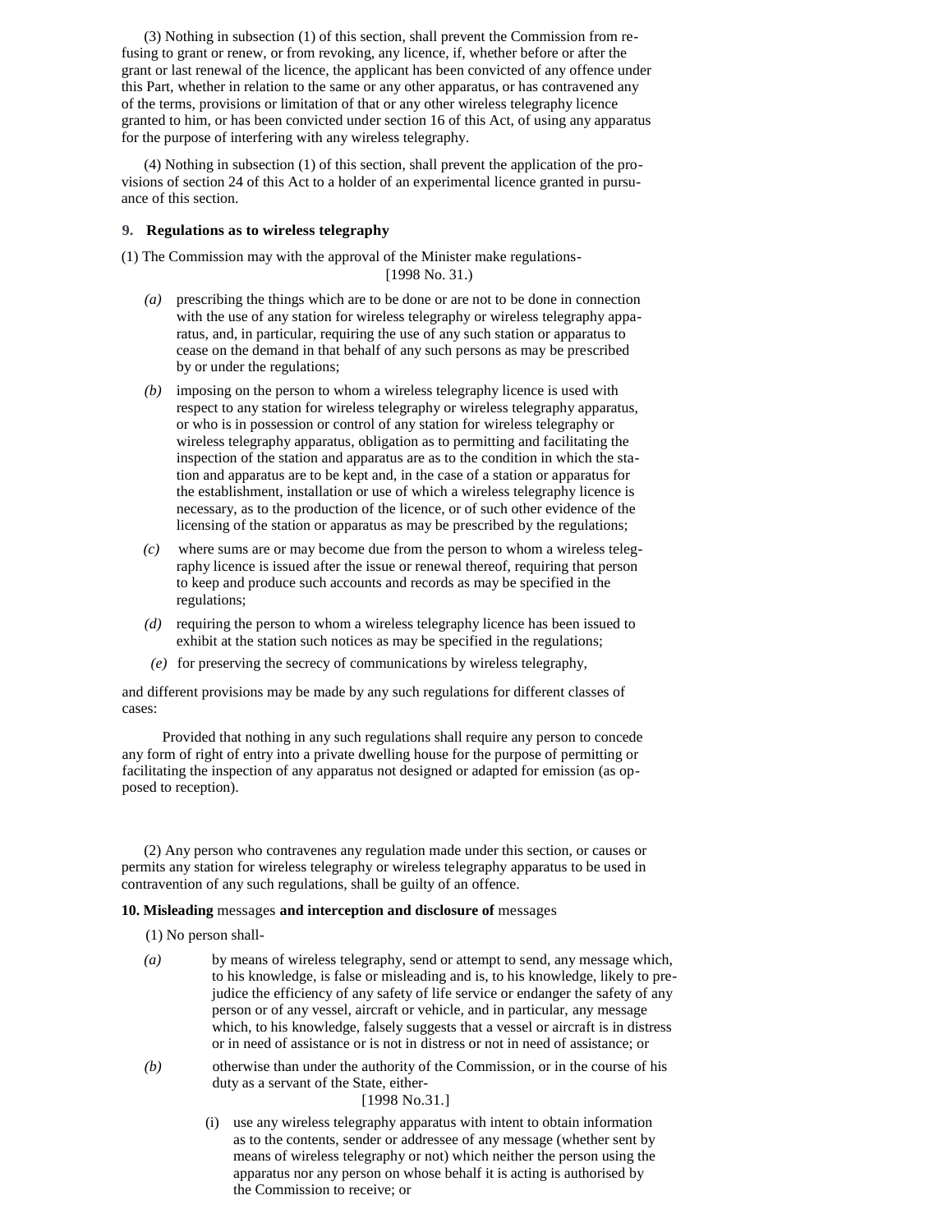(3) Nothing in subsection (1) of this section, shall prevent the Commission from refusing to grant or renew, or from revoking, any licence, if, whether before or after the grant or last renewal of the licence, the applicant has been convicted of any offence under this Part, whether in relation to the same or any other apparatus, or has contravened any of the terms, provisions or limitation of that or any other wireless telegraphy licence granted to him, or has been convicted under section 16 of this Act, of using any apparatus for the purpose of interfering with any wireless telegraphy.

(4) Nothing in subsection (1) of this section, shall prevent the application of the provisions of section 24 of this Act to a holder of an experimental licence granted in pursuance of this section.

# **9. Regulations as to wireless telegraphy**

(1) The Commission may with the approval of the Minister make regulations- [1998 No. 31.)

- *(a)* prescribing the things which are to be done or are not to be done in connection with the use of any station for wireless telegraphy or wireless telegraphy apparatus, and, in particular, requiring the use of any such station or apparatus to cease on the demand in that behalf of any such persons as may be prescribed by or under the regulations;
- *(b)* imposing on the person to whom a wireless telegraphy licence is used with respect to any station for wireless telegraphy or wireless telegraphy apparatus, or who is in possession or control of any station for wireless telegraphy or wireless telegraphy apparatus, obligation as to permitting and facilitating the inspection of the station and apparatus are as to the condition in which the station and apparatus are to be kept and, in the case of a station or apparatus for the establishment, installation or use of which a wireless telegraphy licence is necessary, as to the production of the licence, or of such other evidence of the licensing of the station or apparatus as may be prescribed by the regulations;
- *(c)* where sums are or may become due from the person to whom a wireless telegraphy licence is issued after the issue or renewal thereof, requiring that person to keep and produce such accounts and records as may be specified in the regulations;
- *(d)* requiring the person to whom a wireless telegraphy licence has been issued to exhibit at the station such notices as may be specified in the regulations;
- *(e)* for preserving the secrecy of communications by wireless telegraphy,

and different provisions may be made by any such regulations for different classes of cases:

Provided that nothing in any such regulations shall require any person to concede any form of right of entry into a private dwelling house for the purpose of permitting or facilitating the inspection of any apparatus not designed or adapted for emission (as opposed to reception).

(2) Any person who contravenes any regulation made under this section, or causes or permits any station for wireless telegraphy or wireless telegraphy apparatus to be used in contravention of any such regulations, shall be guilty of an offence.

# **10. Misleading** messages **and interception and disclosure of** messages

(1) No person shall-

- *(a)* by means of wireless telegraphy, send or attempt to send, any message which, to his knowledge, is false or misleading and is, to his knowledge, likely to prejudice the efficiency of any safety of life service or endanger the safety of any person or of any vessel, aircraft or vehicle, and in particular, any message which, to his knowledge, falsely suggests that a vessel or aircraft is in distress or in need of assistance or is not in distress or not in need of assistance; or
- *(b)* otherwise than under the authority of the Commission, or in the course of his duty as a servant of the State, either-

# [1998 No.31.]

(i) use any wireless telegraphy apparatus with intent to obtain information as to the contents, sender or addressee of any message (whether sent by means of wireless telegraphy or not) which neither the person using the apparatus nor any person on whose behalf it is acting is authorised by the Commission to receive; or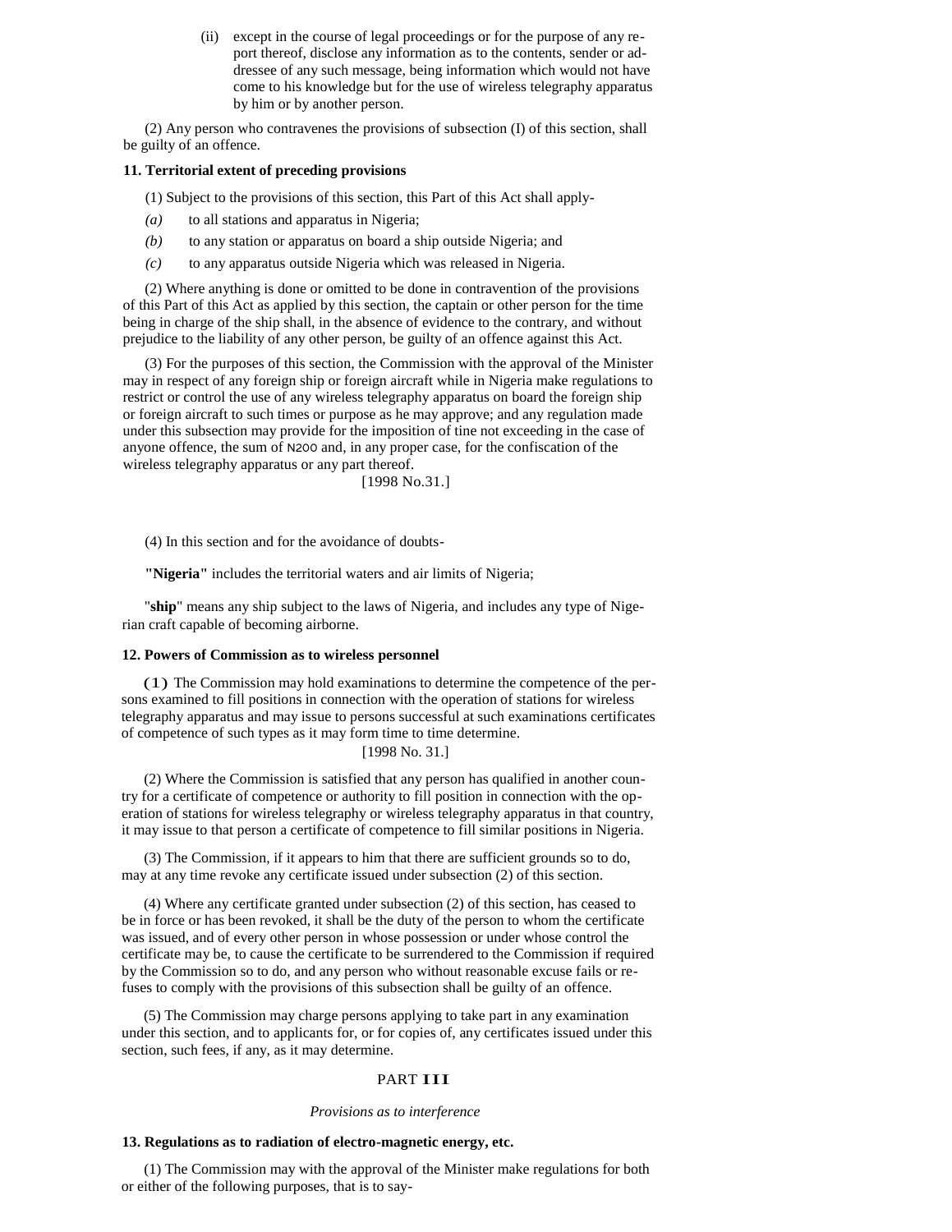(ii) except in the course of legal proceedings or for the purpose of any report thereof, disclose any information as to the contents, sender or addressee of any such message, being information which would not have come to his knowledge but for the use of wireless telegraphy apparatus by him or by another person.

(2) Any person who contravenes the provisions of subsection (I) of this section, shall be guilty of an offence.

# **11. Territorial extent of preceding provisions**

(1) Subject to the provisions of this section, this Part of this Act shall apply-

- *(a)* to all stations and apparatus in Nigeria;
- *(b)* to any station or apparatus on board a ship outside Nigeria; and
- *(c)* to any apparatus outside Nigeria which was released in Nigeria.

(2) Where anything is done or omitted to be done in contravention of the provisions of this Part of this Act as applied by this section, the captain or other person for the time being in charge of the ship shall, in the absence of evidence to the contrary, and without prejudice to the liability of any other person, be guilty of an offence against this Act.

(3) For the purposes of this section, the Commission with the approval of the Minister may in respect of any foreign ship or foreign aircraft while in Nigeria make regulations to restrict or control the use of any wireless telegraphy apparatus on board the foreign ship or foreign aircraft to such times or purpose as he may approve; and any regulation made under this subsection may provide for the imposition of tine not exceeding in the case of anyone offence, the sum of N200 and, in any proper case, for the confiscation of the wireless telegraphy apparatus or any part thereof.

[1998 No.31.]

(4) In this section and for the avoidance of doubts-

**"Nigeria"** includes the territorial waters and air limits of Nigeria;

"**ship**" means any ship subject to the laws of Nigeria, and includes any type of Nigerian craft capable of becoming airborne.

#### **12. Powers of Commission as to wireless personnel**

(1) The Commission may hold examinations to determine the competence of the persons examined to fill positions in connection with the operation of stations for wireless telegraphy apparatus and may issue to persons successful at such examinations certificates of competence of such types as it may form time to time determine.

# [1998 No. 31.]

(2) Where the Commission is satisfied that any person has qualified in another country for a certificate of competence or authority to fill position in connection with the operation of stations for wireless telegraphy or wireless telegraphy apparatus in that country, it may issue to that person a certificate of competence to fill similar positions in Nigeria.

(3) The Commission, if it appears to him that there are sufficient grounds so to do, may at any time revoke any certificate issued under subsection (2) of this section.

(4) Where any certificate granted under subsection (2) of this section, has ceased to be in force or has been revoked, it shall be the duty of the person to whom the certificate was issued, and of every other person in whose possession or under whose control the certificate may be, to cause the certificate to be surrendered to the Commission if required by the Commission so to do, and any person who without reasonable excuse fails or refuses to comply with the provisions of this subsection shall be guilty of an offence.

(5) The Commission may charge persons applying to take part in any examination under this section, and to applicants for, or for copies of, any certificates issued under this section, such fees, if any, as it may determine.

# PART **III**

#### *Provisions as to interference*

#### **13. Regulations as to radiation of electro-magnetic energy, etc.**

(1) The Commission may with the approval of the Minister make regulations for both or either of the following purposes, that is to say-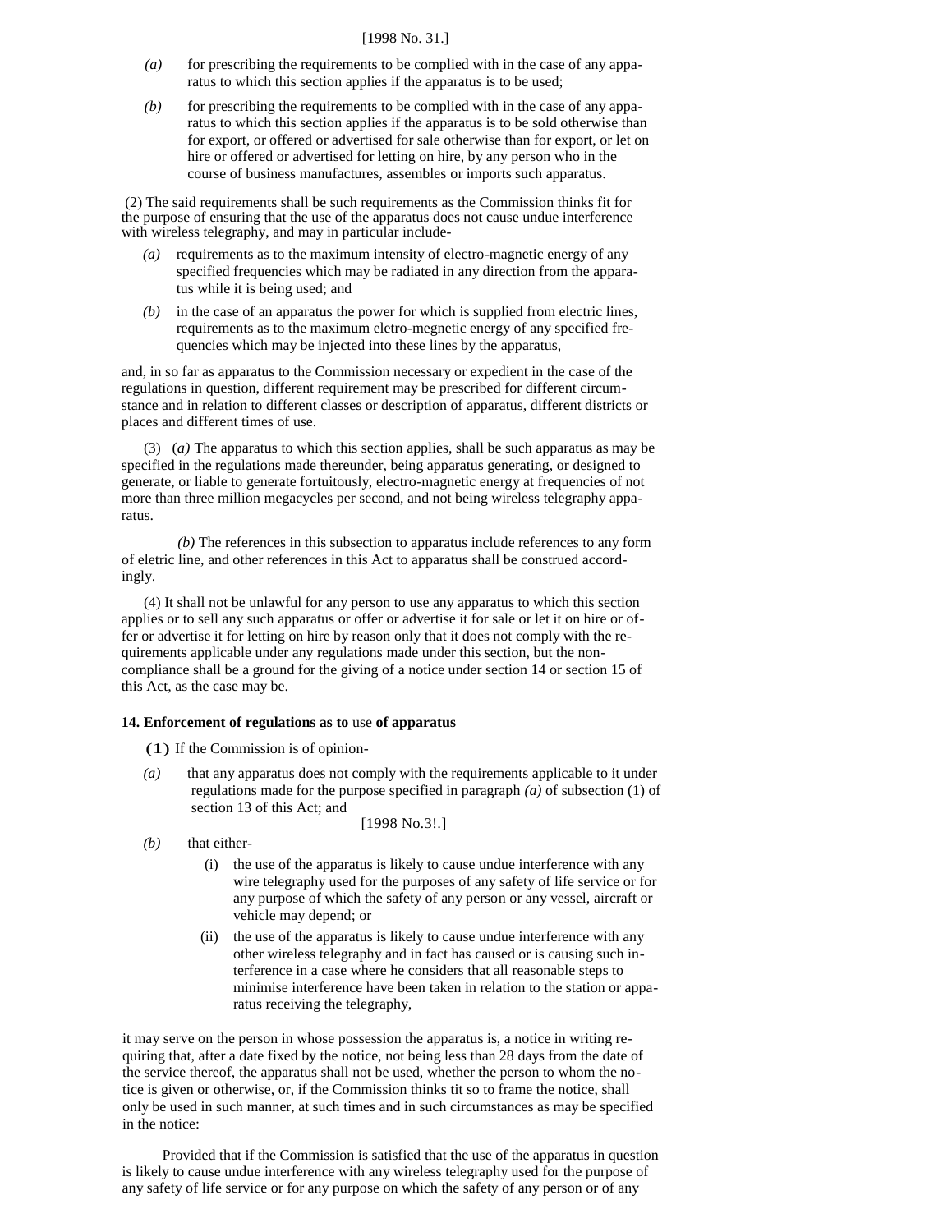#### [1998 No. 31.]

- *(a)* for prescribing the requirements to be complied with in the case of any apparatus to which this section applies if the apparatus is to be used;
- *(b)* for prescribing the requirements to be complied with in the case of any apparatus to which this section applies if the apparatus is to be sold otherwise than for export, or offered or advertised for sale otherwise than for export, or let on hire or offered or advertised for letting on hire, by any person who in the course of business manufactures, assembles or imports such apparatus.

(2) The said requirements shall be such requirements as the Commission thinks fit for the purpose of ensuring that the use of the apparatus does not cause undue interference with wireless telegraphy, and may in particular include-

- *(a)* requirements as to the maximum intensity of electro-magnetic energy of any specified frequencies which may be radiated in any direction from the apparatus while it is being used; and
- *(b)* in the case of an apparatus the power for which is supplied from electric lines, requirements as to the maximum eletro-megnetic energy of any specified frequencies which may be injected into these lines by the apparatus,

and, in so far as apparatus to the Commission necessary or expedient in the case of the regulations in question, different requirement may be prescribed for different circumstance and in relation to different classes or description of apparatus, different districts or places and different times of use.

(3) (*a)* The apparatus to which this section applies, shall be such apparatus as may be specified in the regulations made thereunder, being apparatus generating, or designed to generate, or liable to generate fortuitously, electro-magnetic energy at frequencies of not more than three million megacycles per second, and not being wireless telegraphy apparatus.

*(b)* The references in this subsection to apparatus include references to any form of eletric line, and other references in this Act to apparatus shall be construed accordingly.

(4) It shall not be unlawful for any person to use any apparatus to which this section applies or to sell any such apparatus or offer or advertise it for sale or let it on hire or offer or advertise it for letting on hire by reason only that it does not comply with the requirements applicable under any regulations made under this section, but the noncompliance shall be a ground for the giving of a notice under section 14 or section 15 of this Act, as the case may be.

#### **14. Enforcement of regulations as to** use **of apparatus**

- (1) If the Commission is of opinion-
- *(a)* that any apparatus does not comply with the requirements applicable to it under regulations made for the purpose specified in paragraph *(a)* of subsection (1) of section 13 of this Act; and

[1998 No.3!.]

- *(b)* that either-
	- (i) the use of the apparatus is likely to cause undue interference with any wire telegraphy used for the purposes of any safety of life service or for any purpose of which the safety of any person or any vessel, aircraft or vehicle may depend; or
	- (ii) the use of the apparatus is likely to cause undue interference with any other wireless telegraphy and in fact has caused or is causing such interference in a case where he considers that all reasonable steps to minimise interference have been taken in relation to the station or apparatus receiving the telegraphy,

it may serve on the person in whose possession the apparatus is, a notice in writing requiring that, after a date fixed by the notice, not being less than 28 days from the date of the service thereof, the apparatus shall not be used, whether the person to whom the notice is given or otherwise, or, if the Commission thinks tit so to frame the notice, shall only be used in such manner, at such times and in such circumstances as may be specified in the notice:

Provided that if the Commission is satisfied that the use of the apparatus in question is likely to cause undue interference with any wireless telegraphy used for the purpose of any safety of life service or for any purpose on which the safety of any person or of any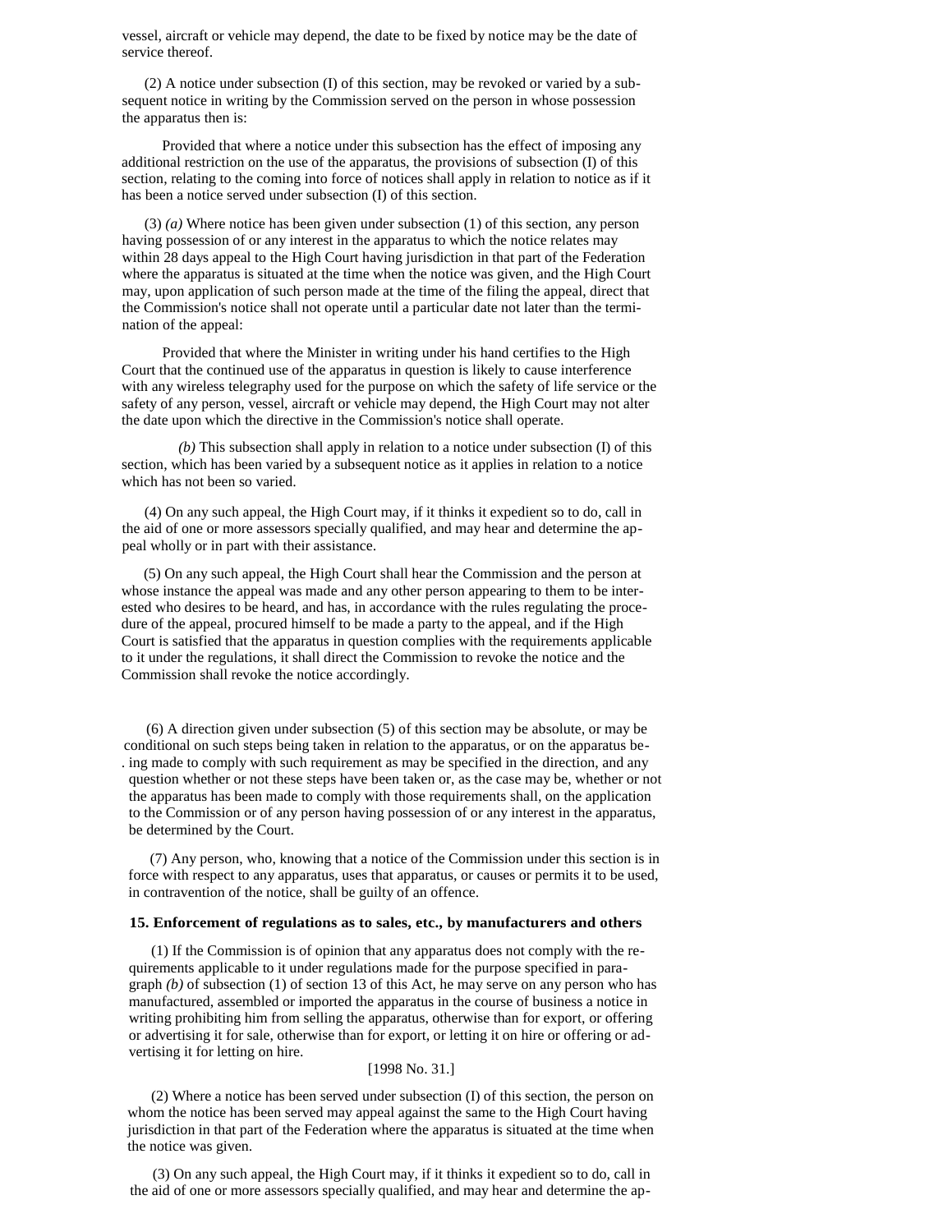vessel, aircraft or vehicle may depend, the date to be fixed by notice may be the date of service thereof.

(2) A notice under subsection (I) of this section, may be revoked or varied by a subsequent notice in writing by the Commission served on the person in whose possession the apparatus then is:

Provided that where a notice under this subsection has the effect of imposing any additional restriction on the use of the apparatus, the provisions of subsection (I) of this section, relating to the coming into force of notices shall apply in relation to notice as if it has been a notice served under subsection (I) of this section.

(3) *(a)* Where notice has been given under subsection (1) of this section, any person having possession of or any interest in the apparatus to which the notice relates may within 28 days appeal to the High Court having jurisdiction in that part of the Federation where the apparatus is situated at the time when the notice was given, and the High Court may, upon application of such person made at the time of the filing the appeal, direct that the Commission's notice shall not operate until a particular date not later than the termination of the appeal:

Provided that where the Minister in writing under his hand certifies to the High Court that the continued use of the apparatus in question is likely to cause interference with any wireless telegraphy used for the purpose on which the safety of life service or the safety of any person, vessel, aircraft or vehicle may depend, the High Court may not alter the date upon which the directive in the Commission's notice shall operate.

*(b)* This subsection shall apply in relation to a notice under subsection (I) of this section, which has been varied by a subsequent notice as it applies in relation to a notice which has not been so varied.

(4) On any such appeal, the High Court may, if it thinks it expedient so to do, call in the aid of one or more assessors specially qualified, and may hear and determine the appeal wholly or in part with their assistance.

(5) On any such appeal, the High Court shall hear the Commission and the person at whose instance the appeal was made and any other person appearing to them to be interested who desires to be heard, and has, in accordance with the rules regulating the procedure of the appeal, procured himself to be made a party to the appeal, and if the High Court is satisfied that the apparatus in question complies with the requirements applicable to it under the regulations, it shall direct the Commission to revoke the notice and the Commission shall revoke the notice accordingly.

(6) A direction given under subsection (5) of this section may be absolute, or may be conditional on such steps being taken in relation to the apparatus, or on the apparatus be- . ing made to comply with such requirement as may be specified in the direction, and any question whether or not these steps have been taken or, as the case may be, whether or not the apparatus has been made to comply with those requirements shall, on the application to the Commission or of any person having possession of or any interest in the apparatus, be determined by the Court.

(7) Any person, who, knowing that a notice of the Commission under this section is in force with respect to any apparatus, uses that apparatus, or causes or permits it to be used, in contravention of the notice, shall be guilty of an offence.

#### **15. Enforcement of regulations as to sales, etc., by manufacturers and others**

(1) If the Commission is of opinion that any apparatus does not comply with the requirements applicable to it under regulations made for the purpose specified in paragraph *(b)* of subsection (1) of section 13 of this Act, he may serve on any person who has manufactured, assembled or imported the apparatus in the course of business a notice in writing prohibiting him from selling the apparatus, otherwise than for export, or offering or advertising it for sale, otherwise than for export, or letting it on hire or offering or advertising it for letting on hire.

## [1998 No. 31.]

(2) Where a notice has been served under subsection (I) of this section, the person on whom the notice has been served may appeal against the same to the High Court having jurisdiction in that part of the Federation where the apparatus is situated at the time when the notice was given.

(3) On any such appeal, the High Court may, if it thinks it expedient so to do, call in the aid of one or more assessors specially qualified, and may hear and determine the ap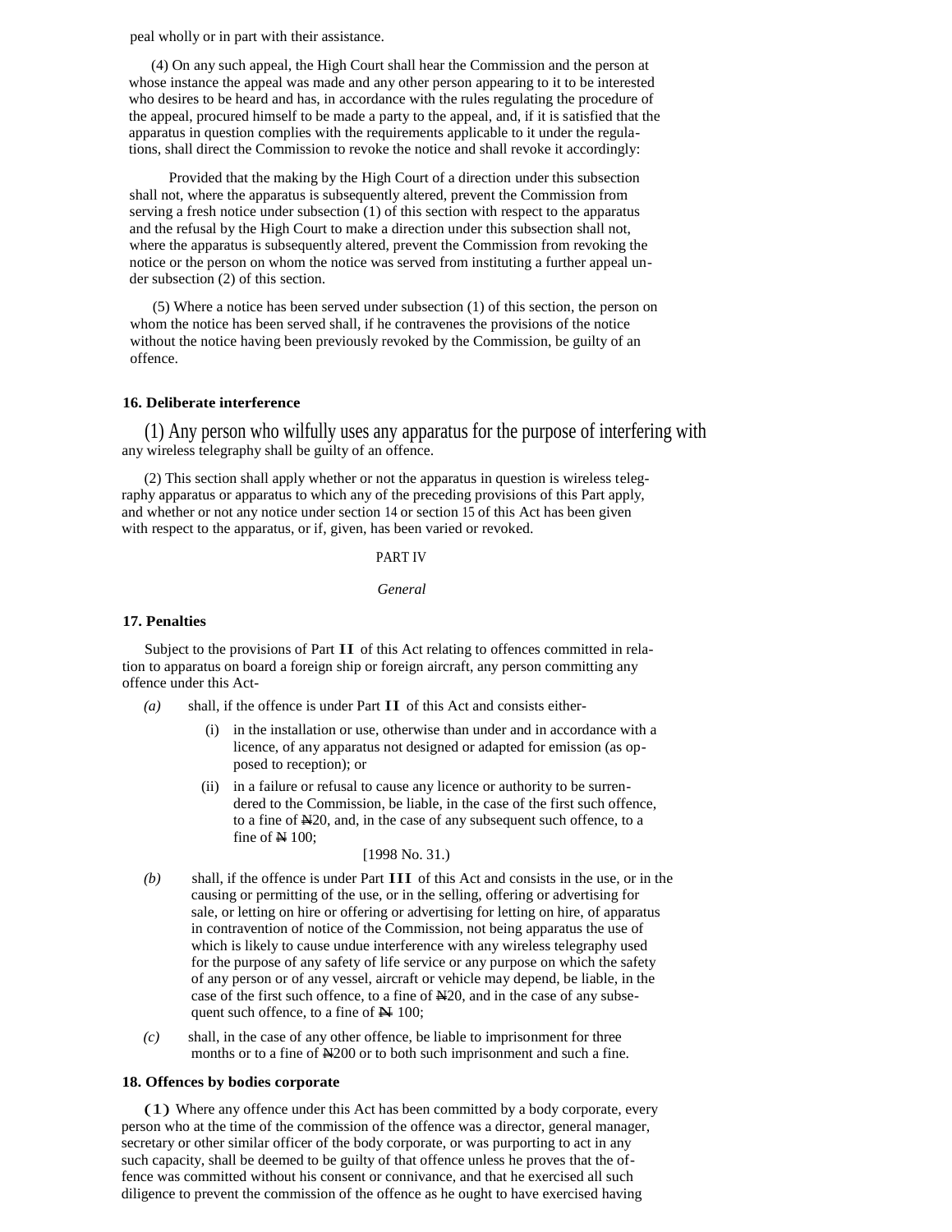peal wholly or in part with their assistance.

(4) On any such appeal, the High Court shall hear the Commission and the person at whose instance the appeal was made and any other person appearing to it to be interested who desires to be heard and has, in accordance with the rules regulating the procedure of the appeal, procured himself to be made a party to the appeal, and, if it is satisfied that the apparatus in question complies with the requirements applicable to it under the regulations, shall direct the Commission to revoke the notice and shall revoke it accordingly:

Provided that the making by the High Court of a direction under this subsection shall not, where the apparatus is subsequently altered, prevent the Commission from serving a fresh notice under subsection (1) of this section with respect to the apparatus and the refusal by the High Court to make a direction under this subsection shall not, where the apparatus is subsequently altered, prevent the Commission from revoking the notice or the person on whom the notice was served from instituting a further appeal under subsection (2) of this section.

(5) Where a notice has been served under subsection (1) of this section, the person on whom the notice has been served shall, if he contravenes the provisions of the notice without the notice having been previously revoked by the Commission, be guilty of an offence.

## **16. Deliberate interference**

(1) Any person who wilfully uses any apparatus for the purpose of interfering with any wireless telegraphy shall be guilty of an offence.

(2) This section shall apply whether or not the apparatus in question is wireless telegraphy apparatus or apparatus to which any of the preceding provisions of this Part apply, and whether or not any notice under section 14 or section 15 of this Act has been given with respect to the apparatus, or if, given, has been varied or revoked.

#### PART IV

#### *General*

## **17. Penalties**

Subject to the provisions of Part II of this Act relating to offences committed in relation to apparatus on board a foreign ship or foreign aircraft, any person committing any offence under this Act-

- *(a)* shall, if the offence is under Part II of this Act and consists either
	- in the installation or use, otherwise than under and in accordance with a licence, of any apparatus not designed or adapted for emission (as opposed to reception); or
	- (ii) in a failure or refusal to cause any licence or authority to be surrendered to the Commission, be liable, in the case of the first such offence, to a fine of N20, and, in the case of any subsequent such offence, to a fine of  $N$  100;

# [1998 No. 31.)

- *(b)* shall, if the offence is under Part III of this Act and consists in the use, or in the causing or permitting of the use, or in the selling, offering or advertising for sale, or letting on hire or offering or advertising for letting on hire, of apparatus in contravention of notice of the Commission, not being apparatus the use of which is likely to cause undue interference with any wireless telegraphy used for the purpose of any safety of life service or any purpose on which the safety of any person or of any vessel, aircraft or vehicle may depend, be liable, in the case of the first such offence, to a fine of  $\mathbb{H}20$ , and in the case of any subsequent such offence, to a fine of  $\mathbb{N}$  100;
- *(c)* shall, in the case of any other offence, be liable to imprisonment for three months or to a fine of N200 or to both such imprisonment and such a fine.

#### **18. Offences by bodies corporate**

(1) Where any offence under this Act has been committed by a body corporate, every person who at the time of the commission of the offence was a director, general manager, secretary or other similar officer of the body corporate, or was purporting to act in any such capacity, shall be deemed to be guilty of that offence unless he proves that the offence was committed without his consent or connivance, and that he exercised all such diligence to prevent the commission of the offence as he ought to have exercised having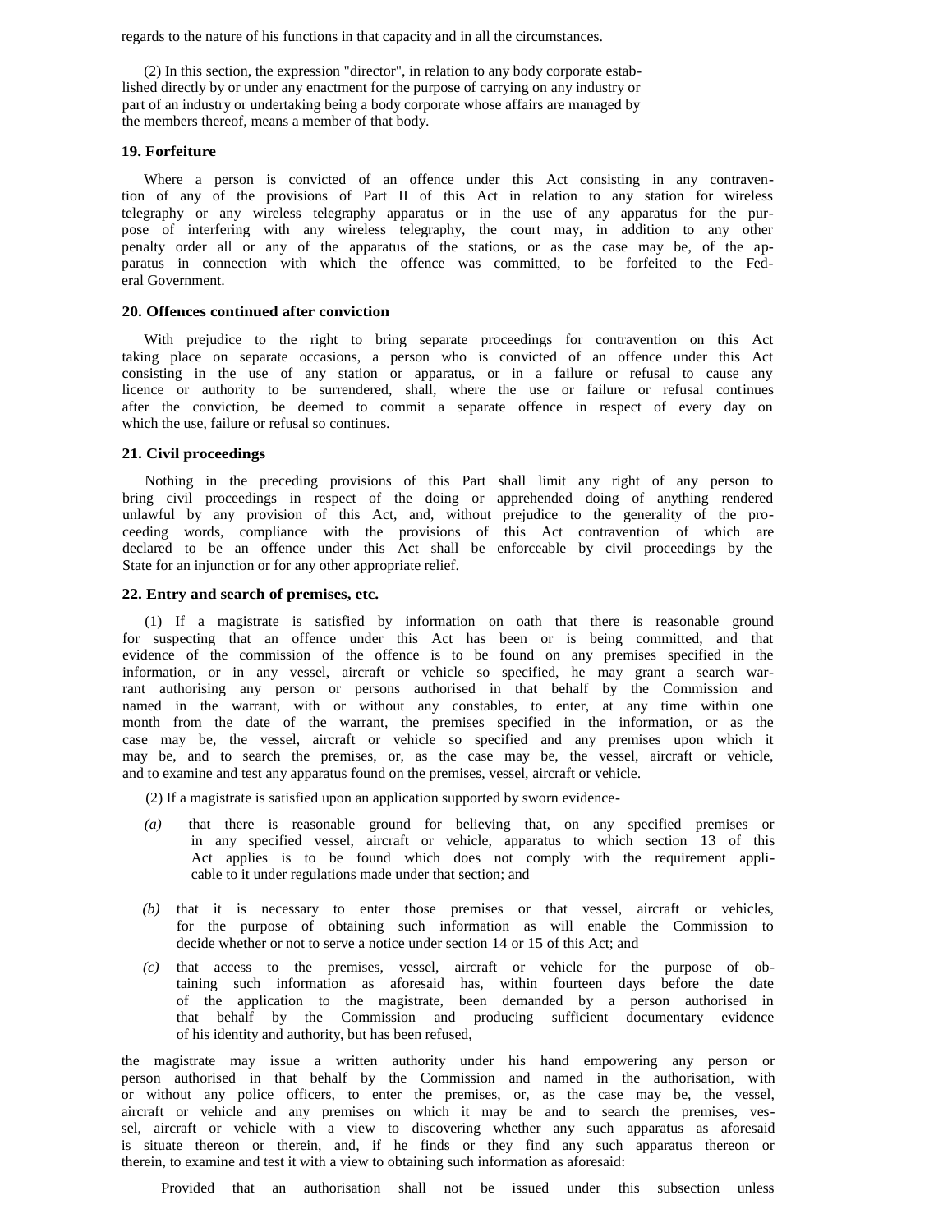regards to the nature of his functions in that capacity and in all the circumstances.

(2) In this section, the expression "director", in relation to any body corporate established directly by or under any enactment for the purpose of carrying on any industry or part of an industry or undertaking being a body corporate whose affairs are managed by the members thereof, means a member of that body.

#### **19. Forfeiture**

Where a person is convicted of an offence under this Act consisting in any contravention of any of the provisions of Part II of this Act in relation to any station for wireless telegraphy or any wireless telegraphy apparatus or in the use of any apparatus for the purpose of interfering with any wireless telegraphy, the court may, in addition to any other penalty order all or any of the apparatus of the stations, or as the case may be, of the apparatus in connection with which the offence was committed, to be forfeited to the Federal Government.

# **20. Offences continued after conviction**

With prejudice to the right to bring separate proceedings for contravention on this Act taking place on separate occasions, a person who is convicted of an offence under this Act consisting in the use of any station or apparatus, or in a failure or refusal to cause any licence or authority to be surrendered, shall, where the use or failure or refusal continues after the conviction, be deemed to commit a separate offence in respect of every day on which the use, failure or refusal so continues.

### **21. Civil proceedings**

Nothing in the preceding provisions of this Part shall limit any right of any person to bring civil proceedings in respect of the doing or apprehended doing of anything rendered unlawful by any provision of this Act, and, without prejudice to the generality of the proceeding words, compliance with the provisions of this Act contravention of which are declared to be an offence under this Act shall be enforceable by civil proceedings by the State for an injunction or for any other appropriate relief.

#### **22. Entry and search of premises, etc.**

(1) If a magistrate is satisfied by information on oath that there is reasonable ground for suspecting that an offence under this Act has been or is being committed, and that evidence of the commission of the offence is to be found on any premises specified in the information, or in any vessel, aircraft or vehicle so specified, he may grant a search warrant authorising any person or persons authorised in that behalf by the Commission and named in the warrant, with or without any constables, to enter, at any time within one month from the date of the warrant, the premises specified in the information, or as the case may be, the vessel, aircraft or vehicle so specified and any premises upon which it may be, and to search the premises, or, as the case may be, the vessel, aircraft or vehicle, and to examine and test any apparatus found on the premises, vessel, aircraft or vehicle.

(2) If a magistrate is satisfied upon an application supported by sworn evidence-

- *(a)* that there is reasonable ground for believing that, on any specified premises or in any specified vessel, aircraft or vehicle, apparatus to which section 13 of this Act applies is to be found which does not comply with the requirement applicable to it under regulations made under that section; and
- *(b)* that it is necessary to enter those premises or that vessel, aircraft or vehicles, for the purpose of obtaining such information as will enable the Commission to decide whether or not to serve a notice under section 14 or 15 of this Act; and
- *(c)* that access to the premises, vessel, aircraft or vehicle for the purpose of obtaining such information as aforesaid has, within fourteen days before the date of the application to the magistrate, been demanded by a person authorised in that behalf by the Commission and producing sufficient documentary evidence of his identity and authority, but has been refused,

the magistrate may issue a written authority under his hand empowering any person or person authorised in that behalf by the Commission and named in the authorisation, with or without any police officers, to enter the premises, or, as the case may be, the vessel, aircraft or vehicle and any premises on which it may be and to search the premises, vessel, aircraft or vehicle with a view to discovering whether any such apparatus as aforesaid is situate thereon or therein, and, if he finds or they find any such apparatus thereon or therein, to examine and test it with a view to obtaining such information as aforesaid:

Provided that an authorisation shall not be issued under this subsection unless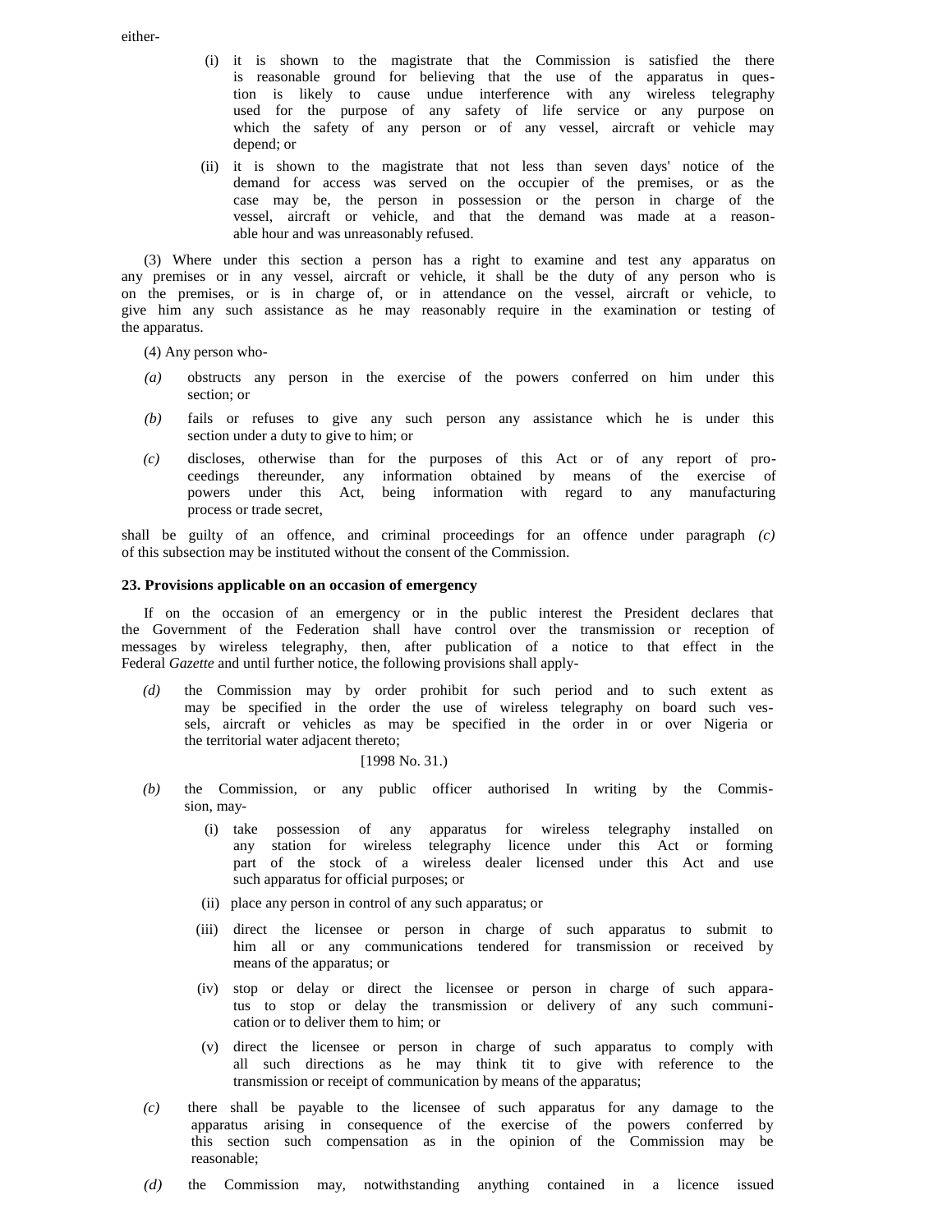either-

- (i) it is shown to the magistrate that the Commission is satisfied the there is reasonable ground for believing that the use of the apparatus in question is likely to cause undue interference with any wireless telegraphy used for the purpose of any safety of life service or any purpose on which the safety of any person or of any vessel, aircraft or vehicle may depend; or
- (ii) it is shown to the magistrate that not less than seven days' notice of the demand for access was served on the occupier of the premises, or as the case may be, the person in possession or the person in charge of the vessel, aircraft or vehicle, and that the demand was made at a reasonable hour and was unreasonably refused.

(3) Where under this section a person has a right to examine and test any apparatus on any premises or in any vessel, aircraft or vehicle, it shall be the duty of any person who is on the premises, or is in charge of, or in attendance on the vessel, aircraft or vehicle, to give him any such assistance as he may reasonably require in the examination or testing of the apparatus.

- (4) Any person who-
- *(a)* obstructs any person in the exercise of the powers conferred on him under this section; or
- *(b)* fails or refuses to give any such person any assistance which he is under this section under a duty to give to him; or
- *(c)* discloses, otherwise than for the purposes of this Act or of any report of proceedings thereunder, any information obtained by means of the exercise of powers under this Act, being information with regard to any manufacturing process or trade secret,

shall be guilty of an offence, and criminal proceedings for an offence under paragraph *(c)*  of this subsection may be instituted without the consent of the Commission.

### **23. Provisions applicable on an occasion of emergency**

If on the occasion of an emergency or in the public interest the President declares that the Government of the Federation shall have control over the transmission or reception of messages by wireless telegraphy, then, after publication of a notice to that effect in the Federal *Gazette* and until further notice, the following provisions shall apply-

*(d)* the Commission may by order prohibit for such period and to such extent as may be specified in the order the use of wireless telegraphy on board such vessels, aircraft or vehicles as may be specified in the order in or over Nigeria or the territorial water adjacent thereto;

# [1998 No. 31.)

- *(b)* the Commission, or any public officer authorised In writing by the Commission, may-
	- (i) take possession of any apparatus for wireless telegraphy installed on any station for wireless telegraphy licence under this Act or forming part of the stock of a wireless dealer licensed under this Act and use such apparatus for official purposes; or
	- (ii) place any person in control of any such apparatus; or
	- (iii) direct the licensee or person in charge of such apparatus to submit to him all or any communications tendered for transmission or received by means of the apparatus; or
	- (iv) stop or delay or direct the licensee or person in charge of such apparatus to stop or delay the transmission or delivery of any such communication or to deliver them to him; or
	- (v) direct the licensee or person in charge of such apparatus to comply with all such directions as he may think tit to give with reference to the transmission or receipt of communication by means of the apparatus;
- *(c)* there shall be payable to the licensee of such apparatus for any damage to the apparatus arising in consequence of the exercise of the powers conferred by this section such compensation as in the opinion of the Commission may be reasonable;
- *(d)* the Commission may, notwithstanding anything contained in a licence issued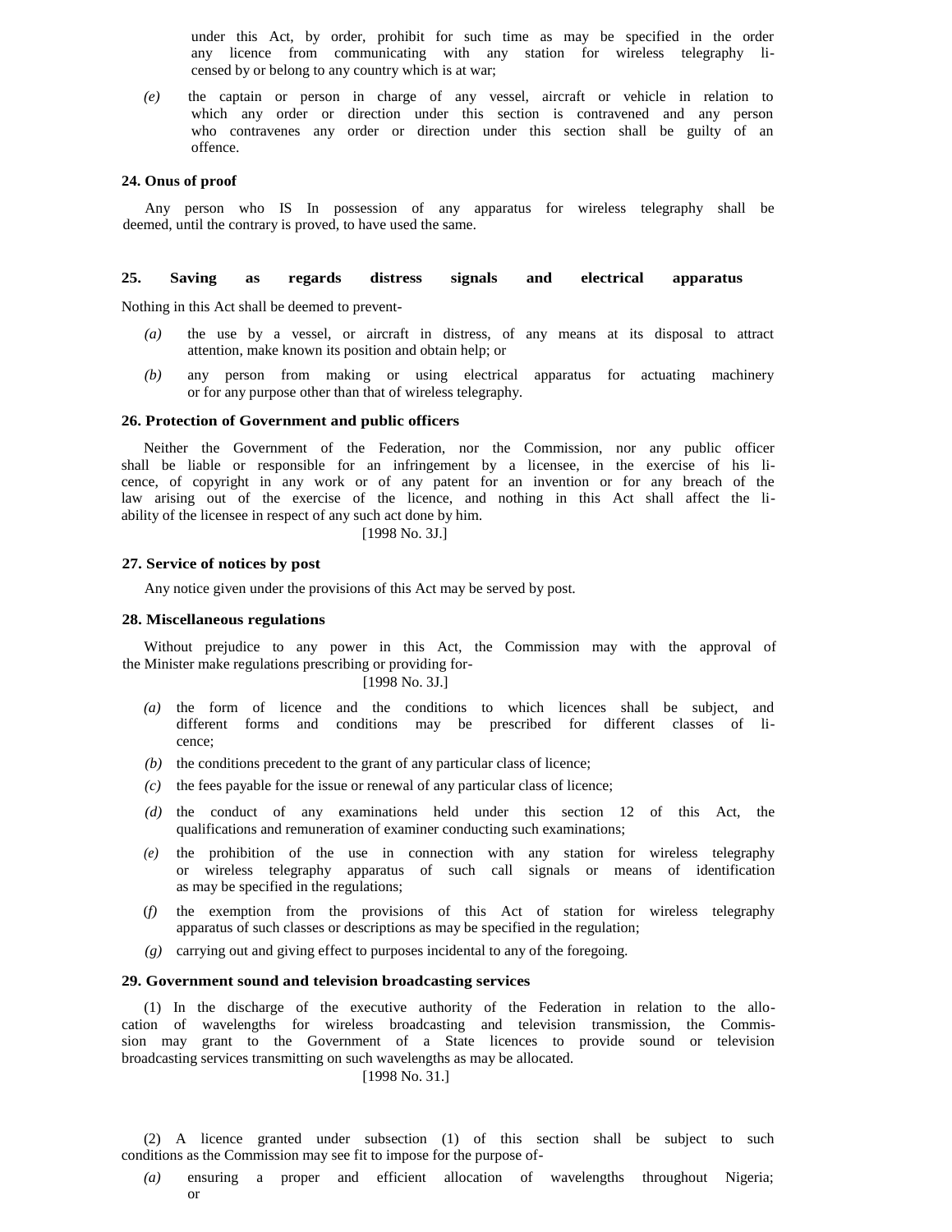under this Act, by order, prohibit for such time as may be specified in the order any licence from communicating with any station for wireless telegraphy licensed by or belong to any country which is at war;

*(e)* the captain or person in charge of any vessel, aircraft or vehicle in relation to which any order or direction under this section is contravened and any person who contravenes any order or direction under this section shall be guilty of an offence.

## **24. Onus of proof**

Any person who IS In possession of any apparatus for wireless telegraphy shall be deemed, until the contrary is proved, to have used the same.

# **25. Saving as regards distress signals and electrical apparatus**

Nothing in this Act shall be deemed to prevent-

- *(a)* the use by a vessel, or aircraft in distress, of any means at its disposal to attract attention, make known its position and obtain help; or
- *(b)* any person from making or using electrical apparatus for actuating machinery or for any purpose other than that of wireless telegraphy.

#### **26. Protection of Government and public officers**

Neither the Government of the Federation, nor the Commission, nor any public officer shall be liable or responsible for an infringement by a licensee, in the exercise of his licence, of copyright in any work or of any patent for an invention or for any breach of the law arising out of the exercise of the licence, and nothing in this Act shall affect the liability of the licensee in respect of any such act done by him.

[1998 No. 3J.]

# **27. Service of notices by post**

Any notice given under the provisions of this Act may be served by post.

# **28. Miscellaneous regulations**

Without prejudice to any power in this Act, the Commission may with the approval of the Minister make regulations prescribing or providing for-

# [1998 No. 3J.]

- *(a)* the form of licence and the conditions to which licences shall be subject, and different forms and conditions may be prescribed for different classes of licence;
- *(b)* the conditions precedent to the grant of any particular class of licence;
- *(c)* the fees payable for the issue or renewal of any particular class of licence;
- *(d)* the conduct of any examinations held under this section 12 of this Act, the qualifications and remuneration of examiner conducting such examinations;
- *(e)* the prohibition of the use in connection with any station for wireless telegraphy or wireless telegraphy apparatus of such call signals or means of identification as may be specified in the regulations;
- (*f)* the exemption from the provisions of this Act of station for wireless telegraphy apparatus of such classes or descriptions as may be specified in the regulation;
- *(g)* carrying out and giving effect to purposes incidental to any of the foregoing.

# **29. Government sound and television broadcasting services**

(1) In the discharge of the executive authority of the Federation in relation to the allocation of wavelengths for wireless broadcasting and television transmission, the Commission may grant to the Government of a State licences to provide sound or television broadcasting services transmitting on such wavelengths as may be allocated.

# [1998 No. 31.]

(2) A licence granted under subsection (1) of this section shall be subject to such conditions as the Commission may see fit to impose for the purpose of-

*(a)* ensuring a proper and efficient allocation of wavelengths throughout Nigeria; or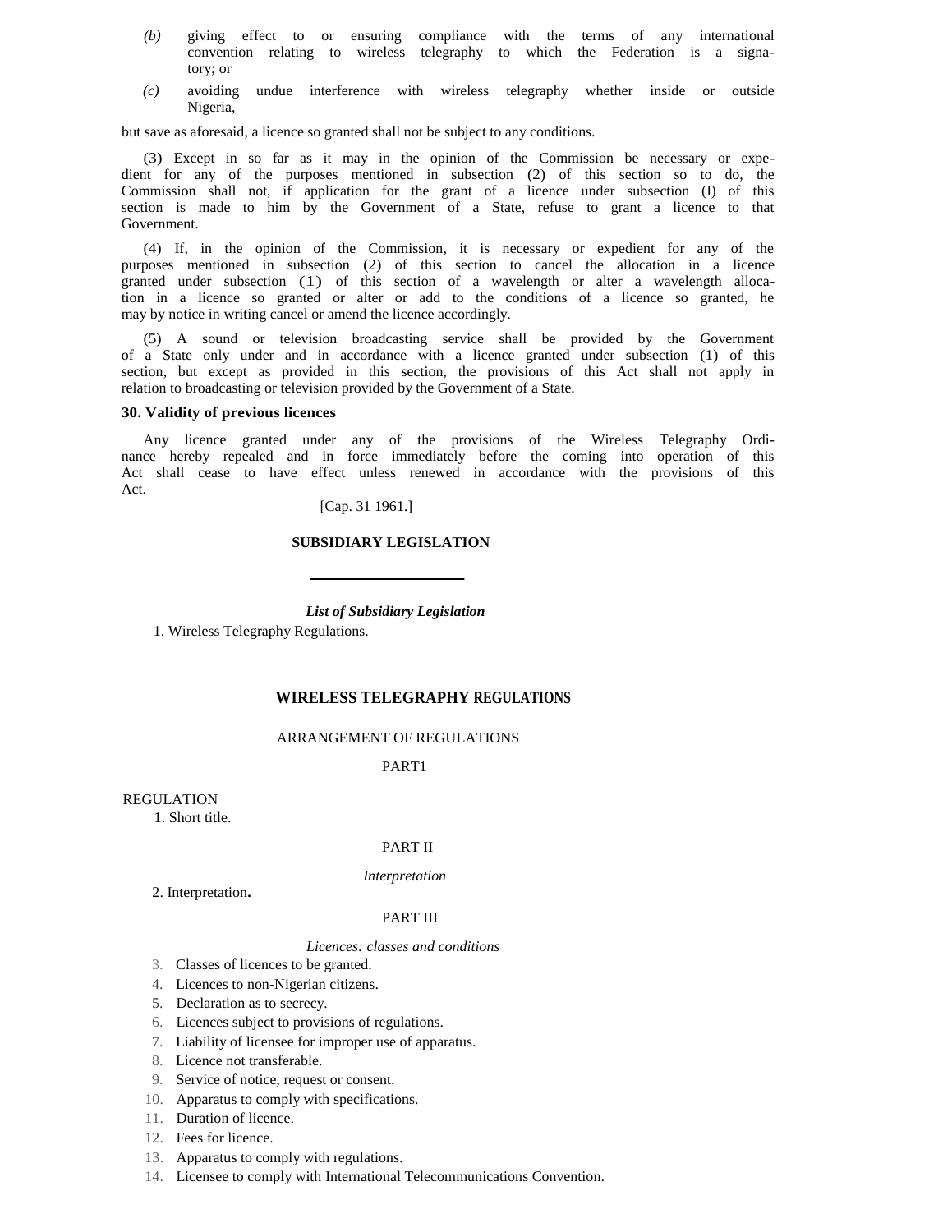- *(b)* giving effect to or ensuring compliance with the terms of any international convention relating to wireless telegraphy to which the Federation is a signatory; or
- *(c)* avoiding undue interference with wireless telegraphy whether inside or outside Nigeria,

but save as aforesaid, a licence so granted shall not be subject to any conditions.

(3) Except in so far as it may in the opinion of the Commission be necessary or expedient for any of the purposes mentioned in subsection (2) of this section so to do, the Commission shall not, if application for the grant of a licence under subsection (I) of this section is made to him by the Government of a State, refuse to grant a licence to that Government.

(4) If, in the opinion of the Commission, it is necessary or expedient for any of the purposes mentioned in subsection (2) of this section to cancel the allocation in a licence granted under subsection (1) of this section of a wavelength or alter a wavelength allocation in a licence so granted or alter or add to the conditions of a licence so granted, he may by notice in writing cancel or amend the licence accordingly.

(5) A sound or television broadcasting service shall be provided by the Government of a State only under and in accordance with a licence granted under subsection (1) of this section, but except as provided in this section, the provisions of this Act shall not apply in relation to broadcasting or television provided by the Government of a State.

# **30. Validity of previous licences**

Any licence granted under any of the provisions of the Wireless Telegraphy Ordinance hereby repealed and in force immediately before the coming into operation of this Act shall cease to have effect unless renewed in accordance with the provisions of this Act.

[Cap. 31 1961.]

# **SUBSIDIARY LEGISLATION**

*List of Subsidiary Legislation* 

1. Wireless Telegraphy Regulations.

# **WIRELESS TELEGRAPHY REGULATIONS**

# ARRANGEMENT OF REGULATIONS

PART1

**REGULATION** 

1. Short title.

# PART II

#### *Interpretation*

2. Interpretation**.** 

#### PART III

# *Licences: classes and conditions*

- 3. Classes of licences to be granted.
- 4. Licences to non-Nigerian citizens.
- 5. Declaration as to secrecy.
- 6. Licences subject to provisions of regulations.
- 7. Liability of licensee for improper use of apparatus.
- 8. Licence not transferable.
- 9. Service of notice, request or consent.
- 10. Apparatus to comply with specifications.
- 11. Duration of licence.
- 12. Fees for licence.
- 13. Apparatus to comply with regulations.
- 14. Licensee to comply with International Telecommunications Convention.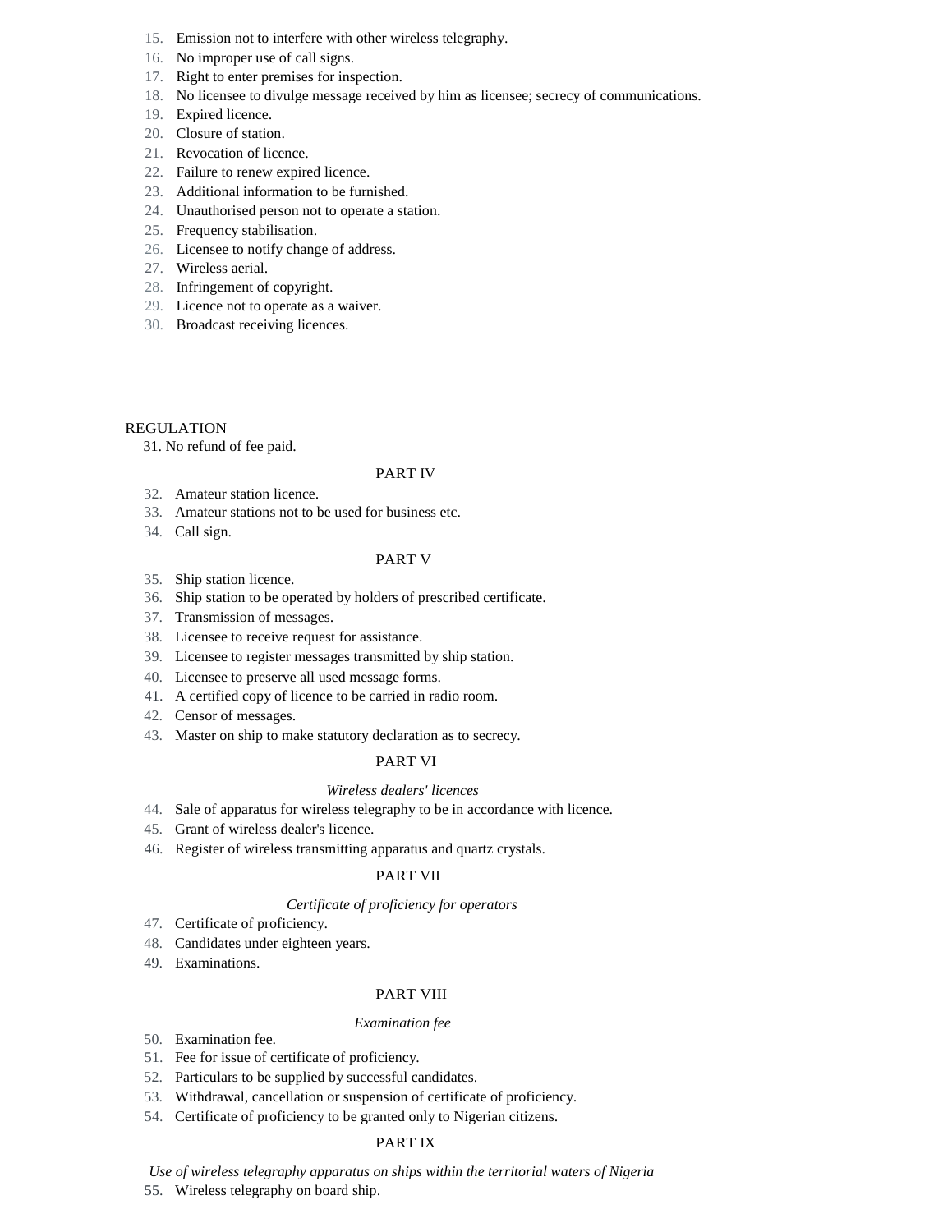- 15. Emission not to interfere with other wireless telegraphy.
- 16. No improper use of call signs.
- 17. Right to enter premises for inspection.
- 18. No licensee to divulge message received by him as licensee; secrecy of communications.
- 19. Expired licence.
- 20. Closure of station.
- 21. Revocation of licence.
- 22. Failure to renew expired licence.
- 23. Additional information to be furnished.
- 24. Unauthorised person not to operate a station.
- 25. Frequency stabilisation.
- 26. Licensee to notify change of address.
- 27. Wireless aerial.
- 28. Infringement of copyright.
- 29. Licence not to operate as a waiver.
- 30. Broadcast receiving licences.

# REGULATION

31. No refund of fee paid.

# PART IV

- 32. Amateur station licence.
- 33. Amateur stations not to be used for business etc.
- 34. Call sign.

# PART V

- 35. Ship station licence.
- 36. Ship station to be operated by holders of prescribed certificate.
- 37. Transmission of messages.
- 38. Licensee to receive request for assistance.
- 39. Licensee to register messages transmitted by ship station.
- 40. Licensee to preserve all used message forms.
- 41. A certified copy of licence to be carried in radio room.
- 42. Censor of messages.
- 43. Master on ship to make statutory declaration as to secrecy.

# PART VI

# *Wireless dealers' licences*

- 44. Sale of apparatus for wireless telegraphy to be in accordance with licence.
- 45. Grant of wireless dealer's licence.
- 46. Register of wireless transmitting apparatus and quartz crystals.

# PART VII

# *Certificate of proficiency for operators*

- 47. Certificate of proficiency.
- 48. Candidates under eighteen years.
- 49. Examinations.

# PART VIII

# *Examination fee*

- 50. Examination fee.
- 51. Fee for issue of certificate of proficiency.
- 52. Particulars to be supplied by successful candidates.
- 53. Withdrawal, cancellation or suspension of certificate of proficiency.
- 54. Certificate of proficiency to be granted only to Nigerian citizens.

# PART IX

*Use of wireless telegraphy apparatus on ships within the territorial waters of Nigeria* 

55. Wireless telegraphy on board ship.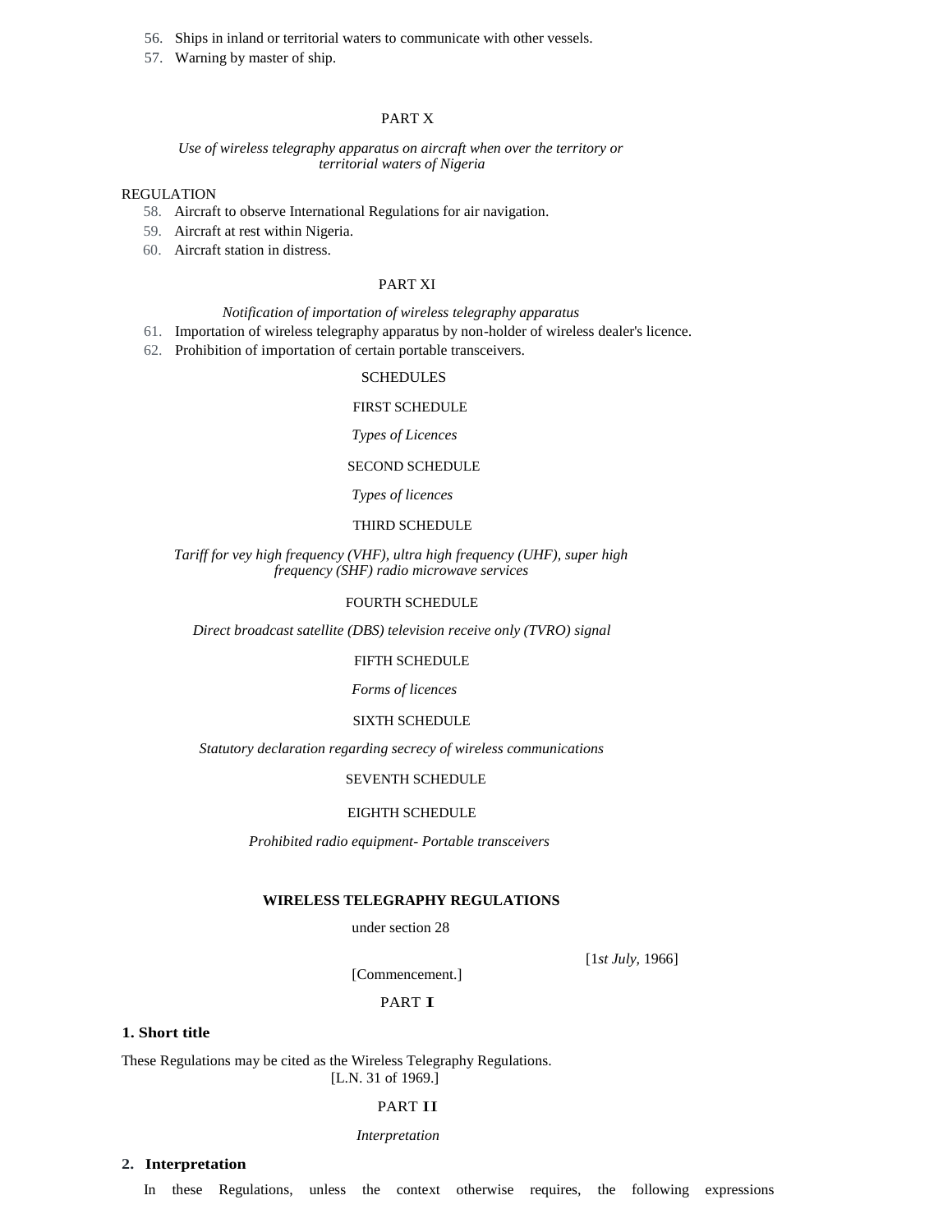- 56. Ships in inland or territorial waters to communicate with other vessels.
- 57. Warning by master of ship.

# PART X

# *Use of wireless telegraphy apparatus on aircraft when over the territory or territorial waters of Nigeria*

# REGULATION

- 58. Aircraft to observe International Regulations for air navigation.
- 59. Aircraft at rest within Nigeria.
- 60. Aircraft station in distress.

# PART XI

# *Notification of importation of wireless telegraphy apparatus*

- 61. Importation of wireless telegraphy apparatus by non-holder of wireless dealer's licence.
- 62. Prohibition of importation of certain portable transceivers.

#### **SCHEDULES**

#### FIRST SCHEDULE

### *Types of Licences*

# SECOND SCHEDULE

*Types of licences* 

# THIRD SCHEDULE

# *Tariff for vey high frequency (VHF), ultra high frequency (UHF), super high frequency (SHF) radio microwave services*

## FOURTH SCHEDULE

*Direct broadcast satellite (DBS) television receive only (TVRO) signal* 

# FIFTH SCHEDULE

*Forms of licences* 

# SIXTH SCHEDULE

*Statutory declaration regarding secrecy of wireless communications* 

#### SEVENTH SCHEDULE

#### EIGHTH SCHEDULE

*Prohibited radio equipment- Portable transceivers* 

## **WIRELESS TELEGRAPHY REGULATIONS**

under section 28

[1*st July*, 1966]

[Commencement.]

# PART I

# **1. Short title**

These Regulations may be cited as the Wireless Telegraphy Regulations. [L.N. 31 of 1969.]

#### PART II

#### *Interpretation*

# **2. Interpretation**

In these Regulations, unless the context otherwise requires, the following expressions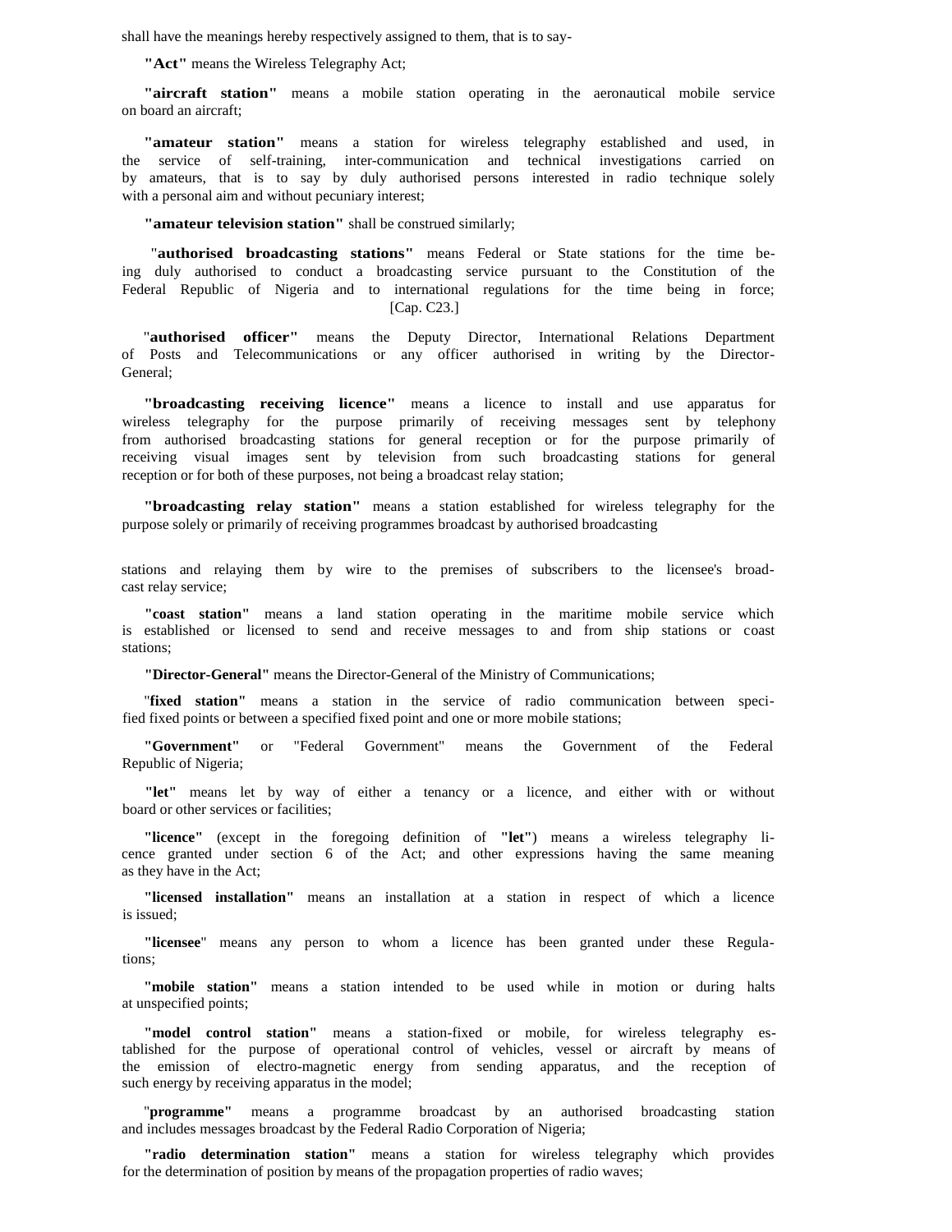shall have the meanings hereby respectively assigned to them, that is to say-

**"Act"** means the Wireless Telegraphy Act;

**"aircraft station"** means a mobile station operating in the aeronautical mobile service on board an aircraft;

**"amateur station"** means a station for wireless telegraphy established and used, in the service of self-training, inter-communication and technical investigations carried on by amateurs, that is to say by duly authorised persons interested in radio technique solely with a personal aim and without pecuniary interest;

**"amateur television station"** shall be construed similarly;

 "**authorised broadcasting stations"** means Federal or State stations for the time being duly authorised to conduct a broadcasting service pursuant to the Constitution of the Federal Republic of Nigeria and to international regulations for the time being in force; [Cap. C23.]

"**authorised officer"** means the Deputy Director, International Relations Department of Posts and Telecommunications or any officer authorised in writing by the Director-General;

**"broadcasting receiving licence"** means a licence to install and use apparatus for wireless telegraphy for the purpose primarily of receiving messages sent by telephony from authorised broadcasting stations for general reception or for the purpose primarily of receiving visual images sent by television from such broadcasting stations for general reception or for both of these purposes, not being a broadcast relay station;

**"broadcasting relay station"** means a station established for wireless telegraphy for the purpose solely or primarily of receiving programmes broadcast by authorised broadcasting

stations and relaying them by wire to the premises of subscribers to the licensee's broadcast relay service;

**"coast station"** means a land station operating in the maritime mobile service which is established or licensed to send and receive messages to and from ship stations or coast stations;

**"Director-General"** means the Director-General of the Ministry of Communications;

"**fixed station"** means a station in the service of radio communication between specified fixed points or between a specified fixed point and one or more mobile stations;

**"Government"** or "Federal Government" means the Government of the Federal Republic of Nigeria;

**"let"** means let by way of either a tenancy or a licence, and either with or without board or other services or facilities;

**"licence"** (except in the foregoing definition of **"let"**) means a wireless telegraphy licence granted under section 6 of the Act; and other expressions having the same meaning as they have in the Act;

**"licensed installation"** means an installation at a station in respect of which a licence is issued;

**"licensee**" means any person to whom a licence has been granted under these Regulations;

**"mobile station"** means a station intended to be used while in motion or during halts at unspecified points;

**"model control station"** means a station-fixed or mobile, for wireless telegraphy established for the purpose of operational control of vehicles, vessel or aircraft by means of the emission of electro-magnetic energy from sending apparatus, and the reception of such energy by receiving apparatus in the model;

"**programme"** means a programme broadcast by an authorised broadcasting station and includes messages broadcast by the Federal Radio Corporation of Nigeria;

**"radio determination station"** means a station for wireless telegraphy which provides for the determination of position by means of the propagation properties of radio waves;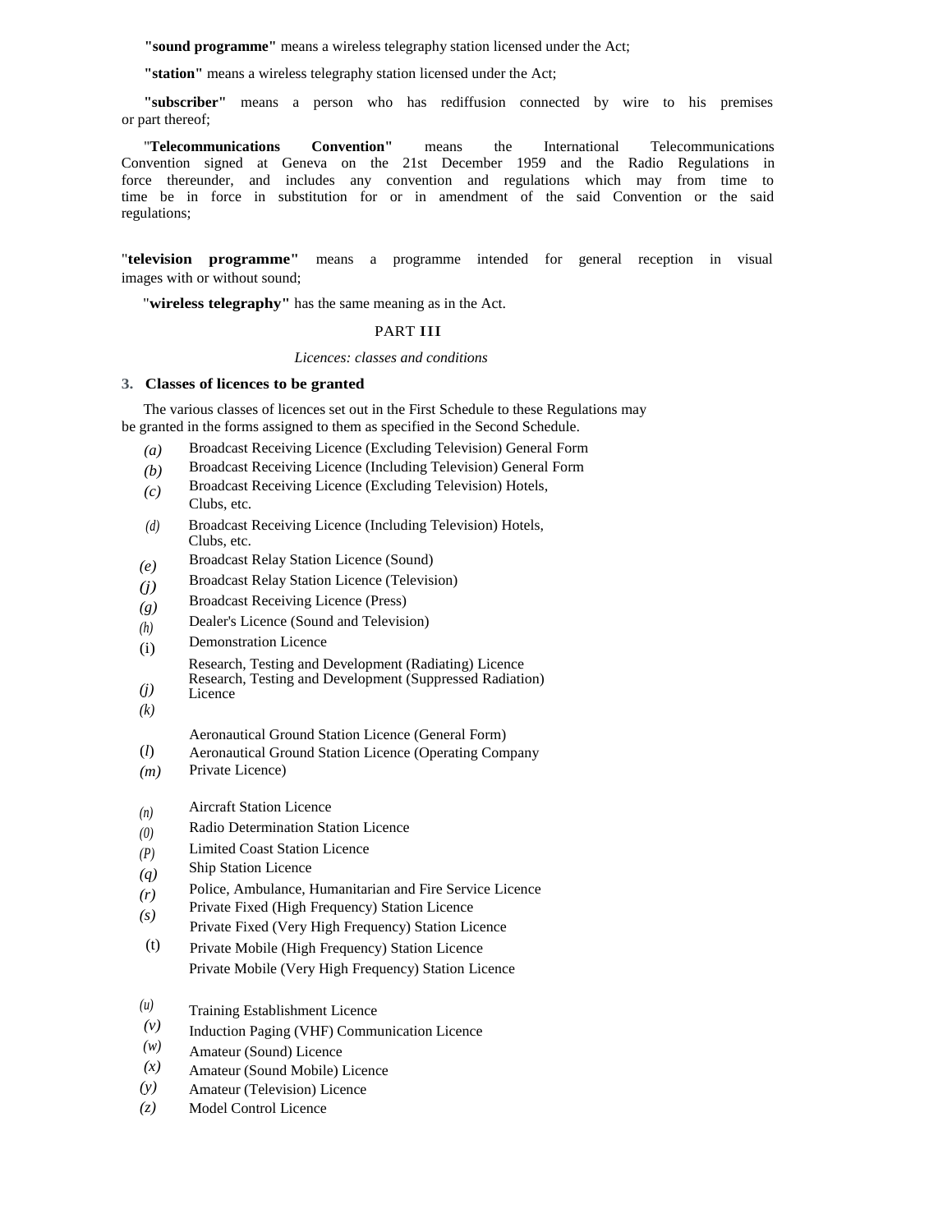**"sound programme"** means a wireless telegraphy station licensed under the Act;

**"station"** means a wireless telegraphy station licensed under the Act;

**"subscriber"** means a person who has rediffusion connected by wire to his premises or part thereof;

"**Telecommunications Convention"** means the International Telecommunications Convention signed at Geneva on the 21st December 1959 and the Radio Regulations in force thereunder, and includes any convention and regulations which may from time to time be in force in substitution for or in amendment of the said Convention or the said regulations;

"**television programme"** means a programme intended for general reception in visual images with or without sound;

"**wireless telegraphy"** has the same meaning as in the Act.

# PART III

*Licences: classes and conditions* 

# **3. Classes of licences to be granted**

The various classes of licences set out in the First Schedule to these Regulations may be granted in the forms assigned to them as specified in the Second Schedule.

- *(a)*  Broadcast Receiving Licence (Excluding Television) General Form
- *(b)*  Broadcast Receiving Licence (Including Television) General Form
- *(c)*  Broadcast Receiving Licence (Excluding Television) Hotels, Clubs, etc.
- *(d)*  Broadcast Receiving Licence (Including Television) Hotels, Clubs, etc.
- *(e)*  Broadcast Relay Station Licence (Sound)
- *(j)*  Broadcast Relay Station Licence (Television)
- *(g)*  Broadcast Receiving Licence (Press)
- *(h)*  Dealer's Licence (Sound and Television)
- (i) Demonstration Licence

Research, Testing and Development (Radiating) Licence

Research, Testing and Development (Suppressed Radiation) Licence

- *(j)*
- *(k)*

Aeronautical Ground Station Licence (General Form)

- (*l*) Aeronautical Ground Station Licence (Operating Company
- *(m)*  Private Licence)
- *(n)*  Aircraft Station Licence
- *(0)*  Radio Determination Station Licence
- *(P)*  Limited Coast Station Licence
- *(q)*  Ship Station Licence
- *(r)*  Police, Ambulance, Humanitarian and Fire Service Licence
- *(s)*  Private Fixed (High Frequency) Station Licence
- Private Fixed (Very High Frequency) Station Licence
- (t) Private Mobile (High Frequency) Station Licence Private Mobile (Very High Frequency) Station Licence
- *(u)*  Training Establishment Licence
- *(v)*  Induction Paging (VHF) Communication Licence
- *(w)*  Amateur (Sound) Licence
- *(x)*  Amateur (Sound Mobile) Licence
- *(y)*  Amateur (Television) Licence
- *(z)*  Model Control Licence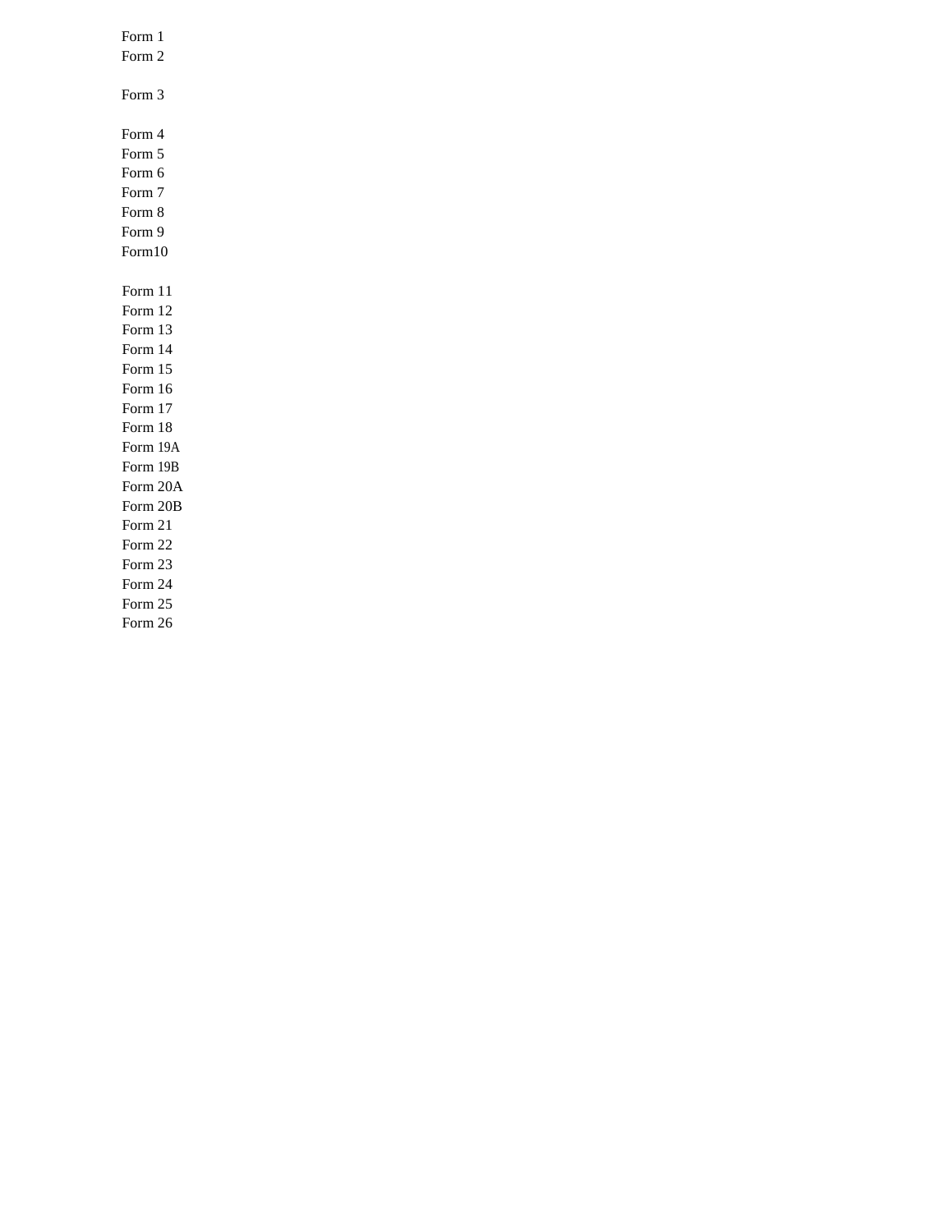| Form 1   |
|----------|
| Form 2   |
|          |
| Form 3   |
|          |
| Form 4   |
| Form 5   |
| Form 6   |
| Form 7   |
| Form 8   |
| Form 9   |
| Form10   |
|          |
| Form 11  |
| Form 12  |
| Form 13  |
| Form 14  |
| Form 15  |
| Form 16  |
| Form 17  |
| Form 18  |
| Form 19A |
| Form 19B |
| Form 20A |
| Form 20B |
| Form 21  |
| Form 22  |
| Form 23  |
| Form 24  |
| Form 25  |
| Form 26  |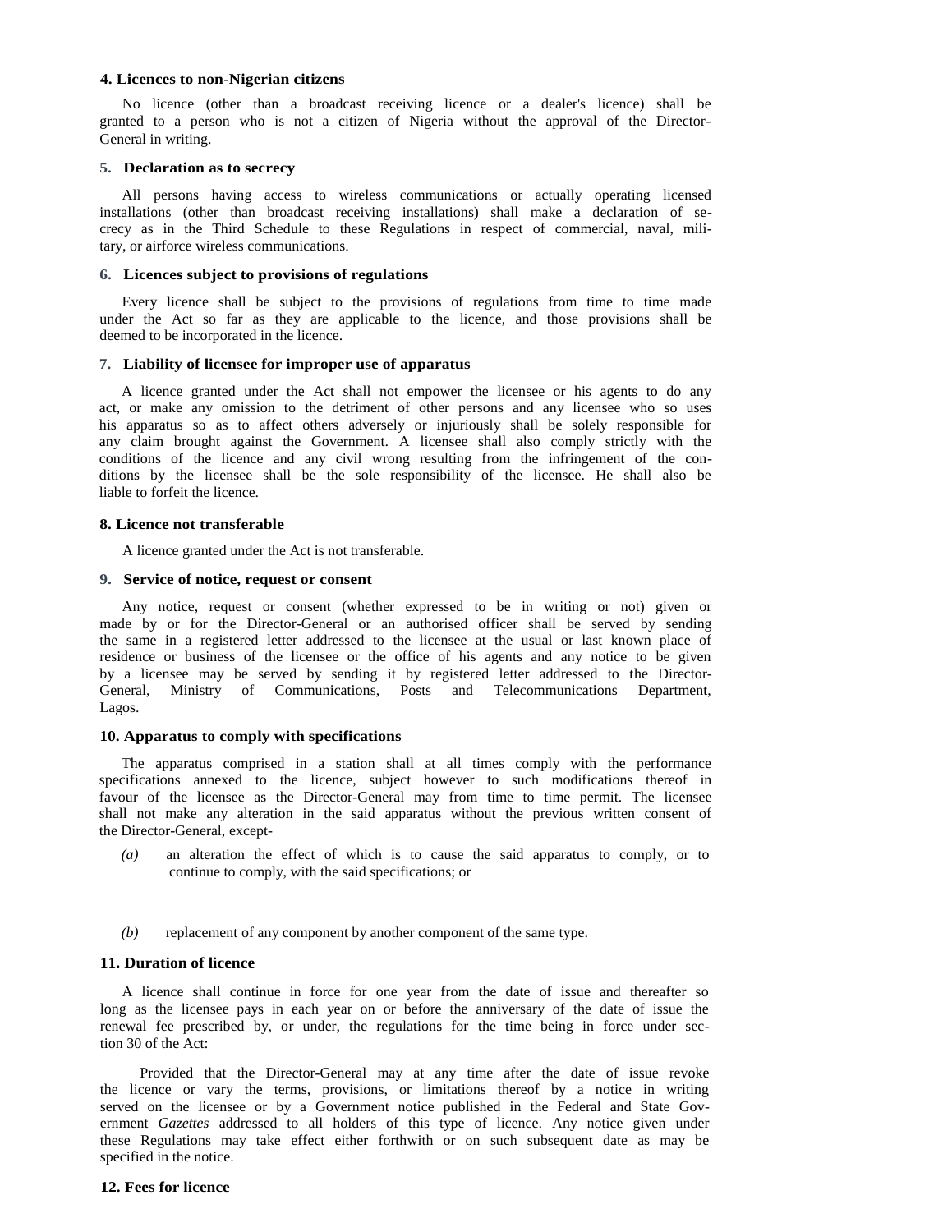#### **4. Licences to non-Nigerian citizens**

No licence (other than a broadcast receiving licence or a dealer's licence) shall be granted to a person who is not a citizen of Nigeria without the approval of the Director-General in writing.

#### **5. Declaration as to secrecy**

All persons having access to wireless communications or actually operating licensed installations (other than broadcast receiving installations) shall make a declaration of secrecy as in the Third Schedule to these Regulations in respect of commercial, naval, military, or airforce wireless communications.

#### **6. Licences subject to provisions of regulations**

Every licence shall be subject to the provisions of regulations from time to time made under the Act so far as they are applicable to the licence, and those provisions shall be deemed to be incorporated in the licence.

#### **7. Liability of licensee for improper use of apparatus**

A licence granted under the Act shall not empower the licensee or his agents to do any act, or make any omission to the detriment of other persons and any licensee who so uses his apparatus so as to affect others adversely or injuriously shall be solely responsible for any claim brought against the Government. A licensee shall also comply strictly with the conditions of the licence and any civil wrong resulting from the infringement of the conditions by the licensee shall be the sole responsibility of the licensee. He shall also be liable to forfeit the licence.

## **8. Licence not transferable**

A licence granted under the Act is not transferable.

## **9. Service of notice, request or consent**

Any notice, request or consent (whether expressed to be in writing or not) given or made by or for the Director-General or an authorised officer shall be served by sending the same in a registered letter addressed to the licensee at the usual or last known place of residence or business of the licensee or the office of his agents and any notice to be given by a licensee may be served by sending it by registered letter addressed to the Director-General, Ministry of Communications, Posts and Telecommunications Department, Lagos.

# **10. Apparatus to comply with specifications**

The apparatus comprised in a station shall at all times comply with the performance specifications annexed to the licence, subject however to such modifications thereof in favour of the licensee as the Director-General may from time to time permit. The licensee shall not make any alteration in the said apparatus without the previous written consent of the Director-General, except-

- *(a)* an alteration the effect of which is to cause the said apparatus to comply, or to continue to comply, with the said specifications; or
- *(b)* replacement of any component by another component of the same type.

# **11. Duration of licence**

A licence shall continue in force for one year from the date of issue and thereafter so long as the licensee pays in each year on or before the anniversary of the date of issue the renewal fee prescribed by, or under, the regulations for the time being in force under section 30 of the Act:

Provided that the Director-General may at any time after the date of issue revoke the licence or vary the terms, provisions, or limitations thereof by a notice in writing served on the licensee or by a Government notice published in the Federal and State Government *Gazettes* addressed to all holders of this type of licence. Any notice given under these Regulations may take effect either forthwith or on such subsequent date as may be specified in the notice.

#### **12. Fees for licence**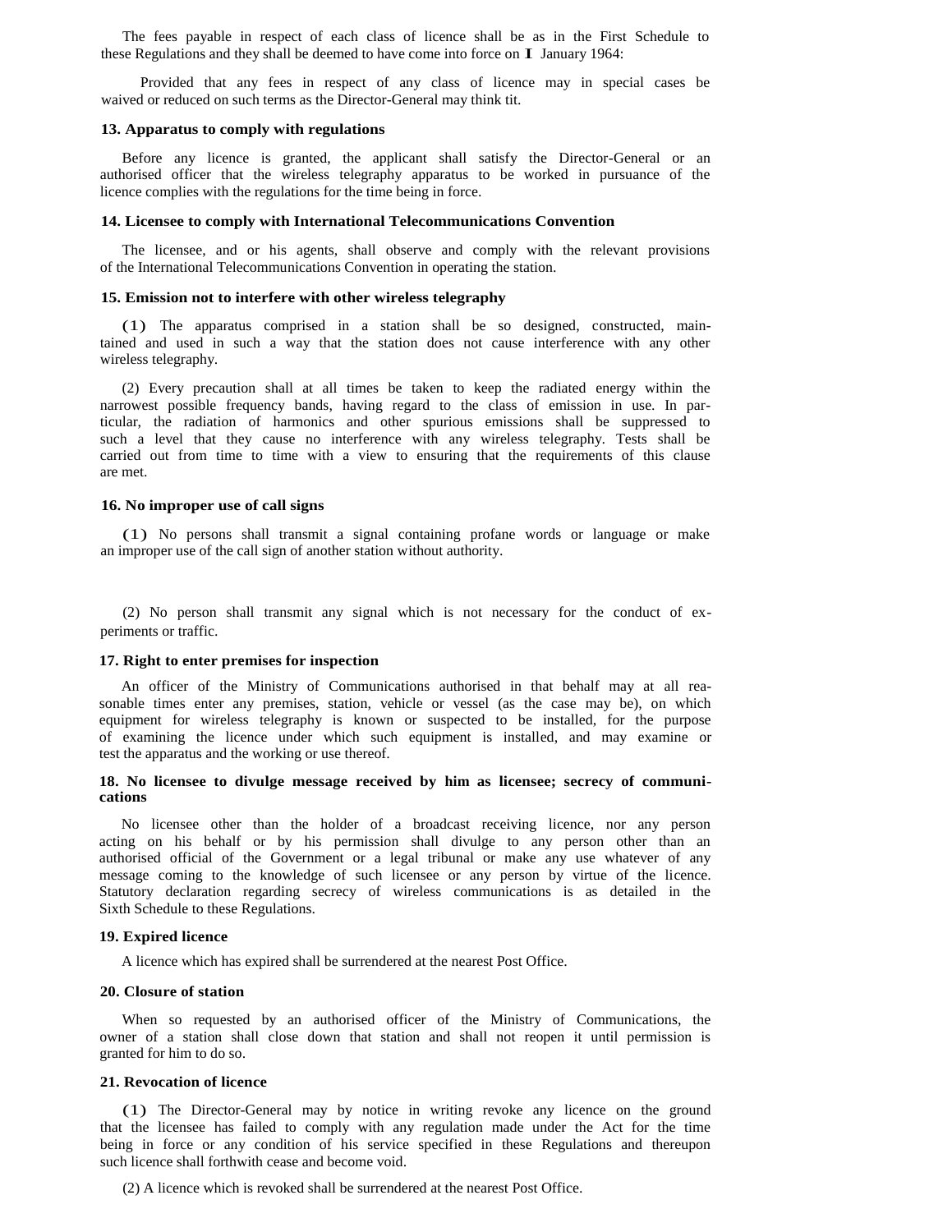The fees payable in respect of each class of licence shall be as in the First Schedule to these Regulations and they shall be deemed to have come into force on I January 1964:

Provided that any fees in respect of any class of licence may in special cases be waived or reduced on such terms as the Director-General may think tit.

## **13. Apparatus to comply with regulations**

Before any licence is granted, the applicant shall satisfy the Director-General or an authorised officer that the wireless telegraphy apparatus to be worked in pursuance of the licence complies with the regulations for the time being in force.

#### **14. Licensee to comply with International Telecommunications Convention**

The licensee, and or his agents, shall observe and comply with the relevant provisions of the International Telecommunications Convention in operating the station.

#### **15. Emission not to interfere with other wireless telegraphy**

(1) The apparatus comprised in a station shall be so designed, constructed, maintained and used in such a way that the station does not cause interference with any other wireless telegraphy.

(2) Every precaution shall at all times be taken to keep the radiated energy within the narrowest possible frequency bands, having regard to the class of emission in use. In particular, the radiation of harmonics and other spurious emissions shall be suppressed to such a level that they cause no interference with any wireless telegraphy. Tests shall be carried out from time to time with a view to ensuring that the requirements of this clause are met.

# **16. No improper use of call signs**

(1) No persons shall transmit a signal containing profane words or language or make an improper use of the call sign of another station without authority.

(2) No person shall transmit any signal which is not necessary for the conduct of experiments or traffic.

# **17. Right to enter premises for inspection**

An officer of the Ministry of Communications authorised in that behalf may at all reasonable times enter any premises, station, vehicle or vessel (as the case may be), on which equipment for wireless telegraphy is known or suspected to be installed, for the purpose of examining the licence under which such equipment is installed, and may examine or test the apparatus and the working or use thereof.

# **18. No licensee to divulge message received by him as licensee; secrecy of communications**

No licensee other than the holder of a broadcast receiving licence, nor any person acting on his behalf or by his permission shall divulge to any person other than an authorised official of the Government or a legal tribunal or make any use whatever of any message coming to the knowledge of such licensee or any person by virtue of the licence. Statutory declaration regarding secrecy of wireless communications is as detailed in the Sixth Schedule to these Regulations.

# **19. Expired licence**

A licence which has expired shall be surrendered at the nearest Post Office.

## **20. Closure of station**

When so requested by an authorised officer of the Ministry of Communications, the owner of a station shall close down that station and shall not reopen it until permission is granted for him to do so.

# **21. Revocation of licence**

(1) The Director-General may by notice in writing revoke any licence on the ground that the licensee has failed to comply with any regulation made under the Act for the time being in force or any condition of his service specified in these Regulations and thereupon such licence shall forthwith cease and become void.

(2) A licence which is revoked shall be surrendered at the nearest Post Office.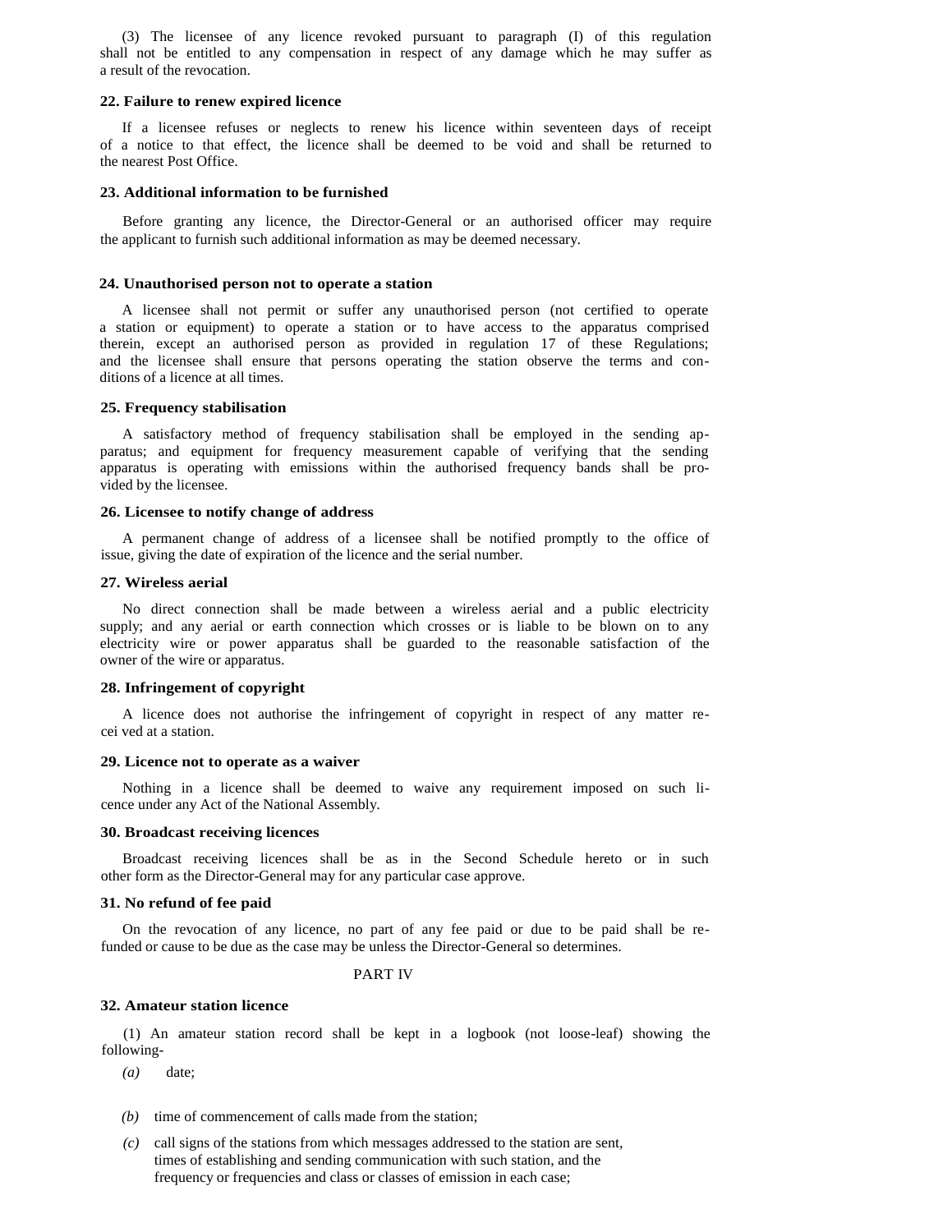(3) The licensee of any licence revoked pursuant to paragraph (I) of this regulation shall not be entitled to any compensation in respect of any damage which he may suffer as a result of the revocation.

# **22. Failure to renew expired licence**

If a licensee refuses or neglects to renew his licence within seventeen days of receipt of a notice to that effect, the licence shall be deemed to be void and shall be returned to the nearest Post Office.

#### **23. Additional information to be furnished**

Before granting any licence, the Director-General or an authorised officer may require the applicant to furnish such additional information as may be deemed necessary.

#### **24. Unauthorised person not to operate a station**

A licensee shall not permit or suffer any unauthorised person (not certified to operate a station or equipment) to operate a station or to have access to the apparatus comprised therein, except an authorised person as provided in regulation 17 of these Regulations; and the licensee shall ensure that persons operating the station observe the terms and conditions of a licence at all times.

# **25. Frequency stabilisation**

A satisfactory method of frequency stabilisation shall be employed in the sending apparatus; and equipment for frequency measurement capable of verifying that the sending apparatus is operating with emissions within the authorised frequency bands shall be provided by the licensee.

#### **26. Licensee to notify change of address**

A permanent change of address of a licensee shall be notified promptly to the office of issue, giving the date of expiration of the licence and the serial number.

#### **27. Wireless aerial**

No direct connection shall be made between a wireless aerial and a public electricity supply; and any aerial or earth connection which crosses or is liable to be blown on to any electricity wire or power apparatus shall be guarded to the reasonable satisfaction of the owner of the wire or apparatus.

#### **28. Infringement of copyright**

A licence does not authorise the infringement of copyright in respect of any matter recei ved at a station.

#### **29. Licence not to operate as a waiver**

Nothing in a licence shall be deemed to waive any requirement imposed on such licence under any Act of the National Assembly.

# **30. Broadcast receiving licences**

Broadcast receiving licences shall be as in the Second Schedule hereto or in such other form as the Director-General may for any particular case approve.

# **31. No refund of fee paid**

On the revocation of any licence, no part of any fee paid or due to be paid shall be refunded or cause to be due as the case may be unless the Director-General so determines.

# PART IV

## **32. Amateur station licence**

(1) An amateur station record shall be kept in a logbook (not loose-leaf) showing the following-

- *(a)* date;
- *(b)* time of commencement of calls made from the station;
- *(c)* call signs of the stations from which messages addressed to the station are sent, times of establishing and sending communication with such station, and the frequency or frequencies and class or classes of emission in each case;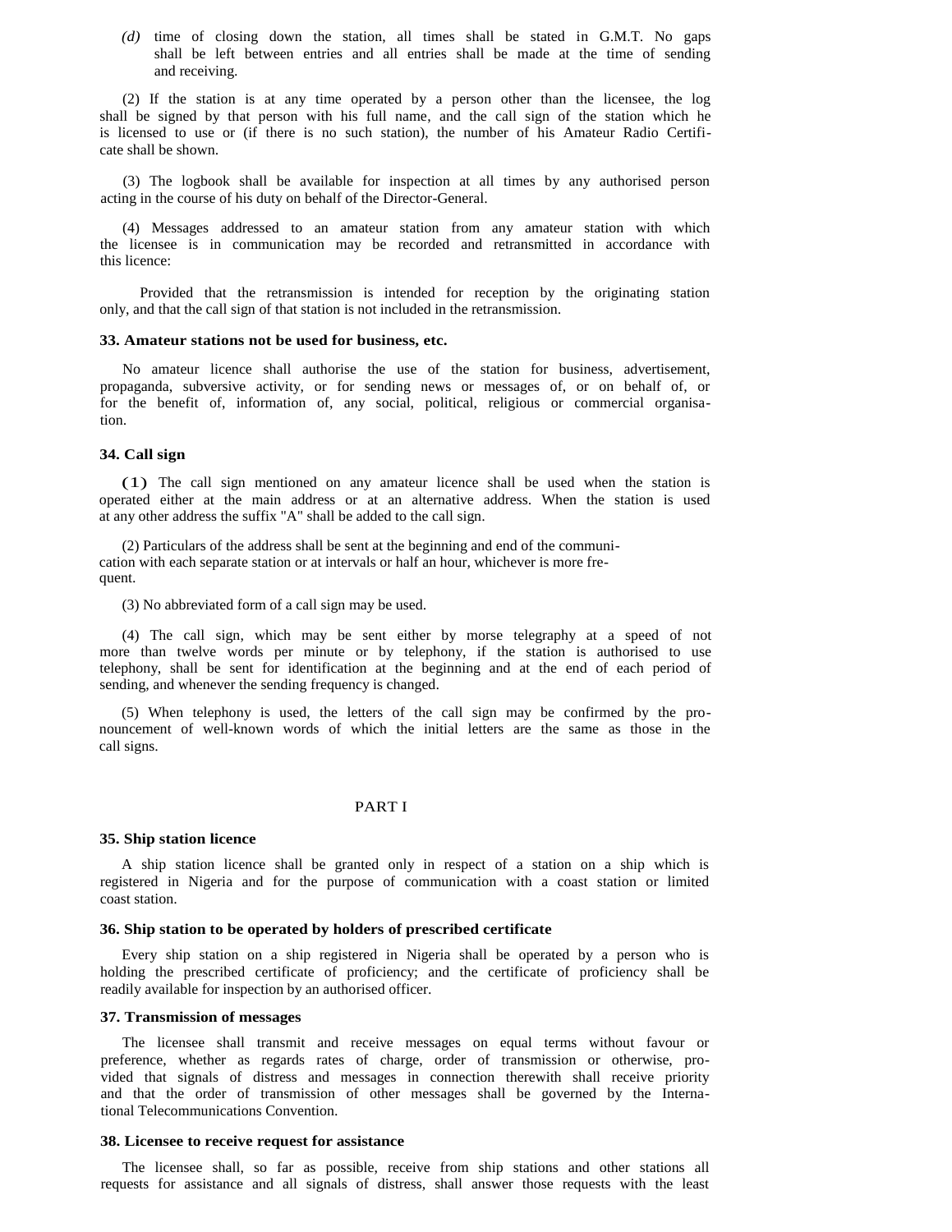*(d)* time of closing down the station, all times shall be stated in G.M.T. No gaps shall be left between entries and all entries shall be made at the time of sending and receiving.

(2) If the station is at any time operated by a person other than the licensee, the log shall be signed by that person with his full name, and the call sign of the station which he is licensed to use or (if there is no such station), the number of his Amateur Radio Certificate shall be shown.

(3) The logbook shall be available for inspection at all times by any authorised person acting in the course of his duty on behalf of the Director-General.

(4) Messages addressed to an amateur station from any amateur station with which the licensee is in communication may be recorded and retransmitted in accordance with this licence:

Provided that the retransmission is intended for reception by the originating station only, and that the call sign of that station is not included in the retransmission.

#### **33. Amateur stations not be used for business, etc.**

No amateur licence shall authorise the use of the station for business, advertisement, propaganda, subversive activity, or for sending news or messages of, or on behalf of, or for the benefit of, information of, any social, political, religious or commercial organisation.

#### **34. Call sign**

(1) The call sign mentioned on any amateur licence shall be used when the station is operated either at the main address or at an alternative address. When the station is used at any other address the suffix "A" shall be added to the call sign.

(2) Particulars of the address shall be sent at the beginning and end of the communication with each separate station or at intervals or half an hour, whichever is more frequent.

(3) No abbreviated form of a call sign may be used.

(4) The call sign, which may be sent either by morse telegraphy at a speed of not more than twelve words per minute or by telephony, if the station is authorised to use telephony, shall be sent for identification at the beginning and at the end of each period of sending, and whenever the sending frequency is changed.

(5) When telephony is used, the letters of the call sign may be confirmed by the pronouncement of well-known words of which the initial letters are the same as those in the call signs.

# PART I

#### **35. Ship station licence**

A ship station licence shall be granted only in respect of a station on a ship which is registered in Nigeria and for the purpose of communication with a coast station or limited coast station.

#### **36. Ship station to be operated by holders of prescribed certificate**

Every ship station on a ship registered in Nigeria shall be operated by a person who is holding the prescribed certificate of proficiency; and the certificate of proficiency shall be readily available for inspection by an authorised officer.

#### **37. Transmission of messages**

The licensee shall transmit and receive messages on equal terms without favour or preference, whether as regards rates of charge, order of transmission or otherwise, provided that signals of distress and messages in connection therewith shall receive priority and that the order of transmission of other messages shall be governed by the International Telecommunications Convention.

#### **38. Licensee to receive request for assistance**

The licensee shall, so far as possible, receive from ship stations and other stations all requests for assistance and all signals of distress, shall answer those requests with the least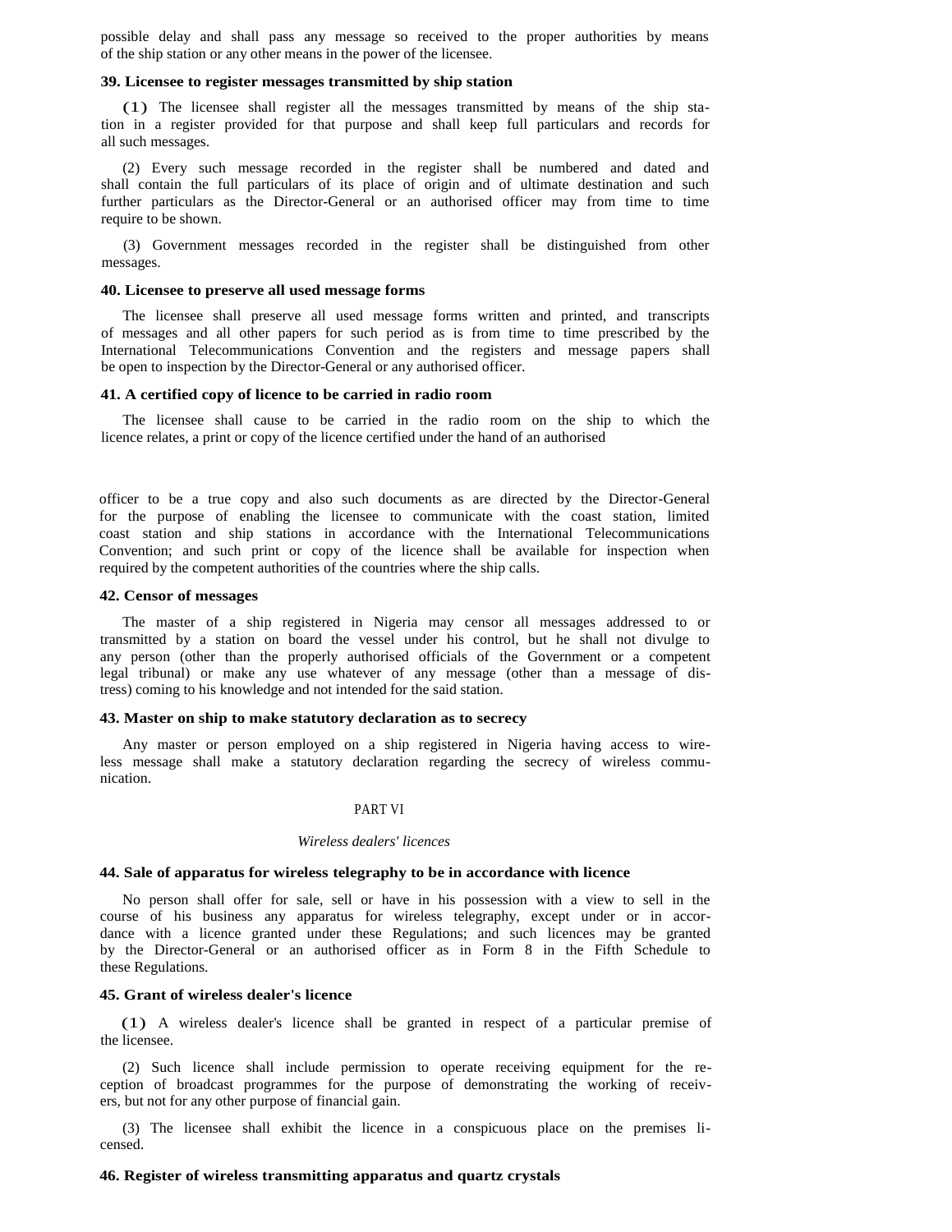possible delay and shall pass any message so received to the proper authorities by means of the ship station or any other means in the power of the licensee.

#### **39. Licensee to register messages transmitted by ship station**

(1) The licensee shall register all the messages transmitted by means of the ship station in a register provided for that purpose and shall keep full particulars and records for all such messages.

(2) Every such message recorded in the register shall be numbered and dated and shall contain the full particulars of its place of origin and of ultimate destination and such further particulars as the Director-General or an authorised officer may from time to time require to be shown.

(3) Government messages recorded in the register shall be distinguished from other messages.

#### **40. Licensee to preserve all used message forms**

The licensee shall preserve all used message forms written and printed, and transcripts of messages and all other papers for such period as is from time to time prescribed by the International Telecommunications Convention and the registers and message papers shall be open to inspection by the Director-General or any authorised officer.

## **41. A certified copy of licence to be carried in radio room**

The licensee shall cause to be carried in the radio room on the ship to which the licence relates, a print or copy of the licence certified under the hand of an authorised

officer to be a true copy and also such documents as are directed by the Director-General for the purpose of enabling the licensee to communicate with the coast station, limited coast station and ship stations in accordance with the International Telecommunications Convention; and such print or copy of the licence shall be available for inspection when required by the competent authorities of the countries where the ship calls.

#### **42. Censor of messages**

The master of a ship registered in Nigeria may censor all messages addressed to or transmitted by a station on board the vessel under his control, but he shall not divulge to any person (other than the properly authorised officials of the Government or a competent legal tribunal) or make any use whatever of any message (other than a message of distress) coming to his knowledge and not intended for the said station.

# **43. Master on ship to make statutory declaration as to secrecy**

Any master or person employed on a ship registered in Nigeria having access to wireless message shall make a statutory declaration regarding the secrecy of wireless communication.

# PART VI

## *Wireless dealers' licences*

#### **44. Sale of apparatus for wireless telegraphy to be in accordance with licence**

No person shall offer for sale, sell or have in his possession with a view to sell in the course of his business any apparatus for wireless telegraphy, except under or in accordance with a licence granted under these Regulations; and such licences may be granted by the Director-General or an authorised officer as in Form 8 in the Fifth Schedule to these Regulations.

## **45. Grant of wireless dealer's licence**

(1) A wireless dealer's licence shall be granted in respect of a particular premise of the licensee.

(2) Such licence shall include permission to operate receiving equipment for the reception of broadcast programmes for the purpose of demonstrating the working of receivers, but not for any other purpose of financial gain.

(3) The licensee shall exhibit the licence in a conspicuous place on the premises licensed.

#### **46. Register of wireless transmitting apparatus and quartz crystals**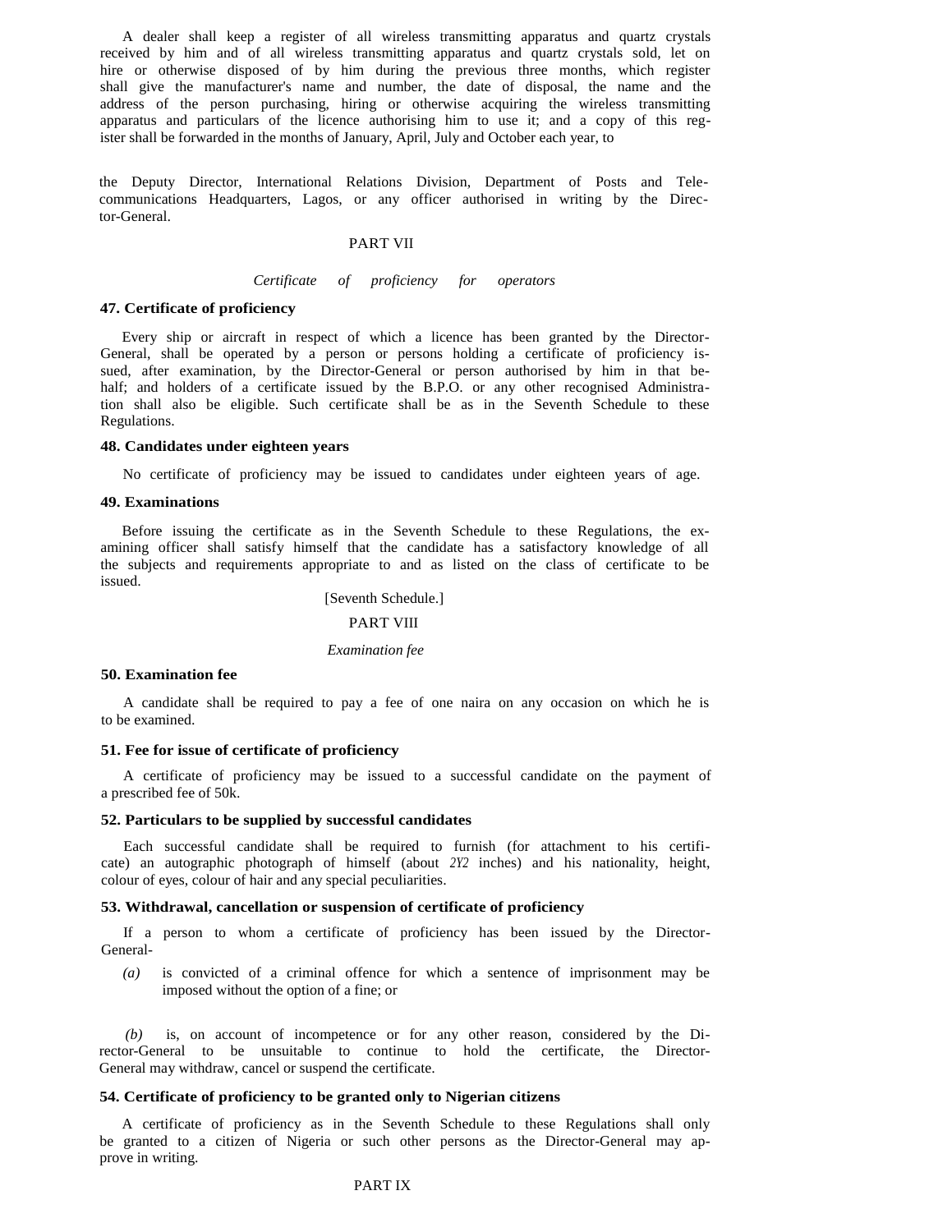A dealer shall keep a register of all wireless transmitting apparatus and quartz crystals received by him and of all wireless transmitting apparatus and quartz crystals sold, let on hire or otherwise disposed of by him during the previous three months, which register shall give the manufacturer's name and number, the date of disposal, the name and the address of the person purchasing, hiring or otherwise acquiring the wireless transmitting apparatus and particulars of the licence authorising him to use it; and a copy of this register shall be forwarded in the months of January, April, July and October each year, to

the Deputy Director, International Relations Division, Department of Posts and Telecommunications Headquarters, Lagos, or any officer authorised in writing by the Director-General.

# PART VII

## *Certificate of proficiency for operators*

# **47. Certificate of proficiency**

Every ship or aircraft in respect of which a licence has been granted by the Director-General, shall be operated by a person or persons holding a certificate of proficiency issued, after examination, by the Director-General or person authorised by him in that behalf; and holders of a certificate issued by the B.P.O. or any other recognised Administration shall also be eligible. Such certificate shall be as in the Seventh Schedule to these Regulations.

#### **48. Candidates under eighteen years**

No certificate of proficiency may be issued to candidates under eighteen years of age.

# **49. Examinations**

Before issuing the certificate as in the Seventh Schedule to these Regulations, the examining officer shall satisfy himself that the candidate has a satisfactory knowledge of all the subjects and requirements appropriate to and as listed on the class of certificate to be issued.

[Seventh Schedule.]

# PART VIII

#### *Examination fee*

# **50. Examination fee**

A candidate shall be required to pay a fee of one naira on any occasion on which he is to be examined.

## **51. Fee for issue of certificate of proficiency**

A certificate of proficiency may be issued to a successful candidate on the payment of a prescribed fee of 50k.

## **52. Particulars to be supplied by successful candidates**

Each successful candidate shall be required to furnish (for attachment to his certificate) an autographic photograph of himself (about *2Y2* inches) and his nationality, height, colour of eyes, colour of hair and any special peculiarities.

# **53. Withdrawal, cancellation or suspension of certificate of proficiency**

If a person to whom a certificate of proficiency has been issued by the Director-General-

*(a)* is convicted of a criminal offence for which a sentence of imprisonment may be imposed without the option of a fine; or

 *(b)* is, on account of incompetence or for any other reason, considered by the Director-General to be unsuitable to continue to hold the certificate, the Director-General may withdraw, cancel or suspend the certificate.

#### **54. Certificate of proficiency to be granted only to Nigerian citizens**

A certificate of proficiency as in the Seventh Schedule to these Regulations shall only be granted to a citizen of Nigeria or such other persons as the Director-General may approve in writing.

# PART IX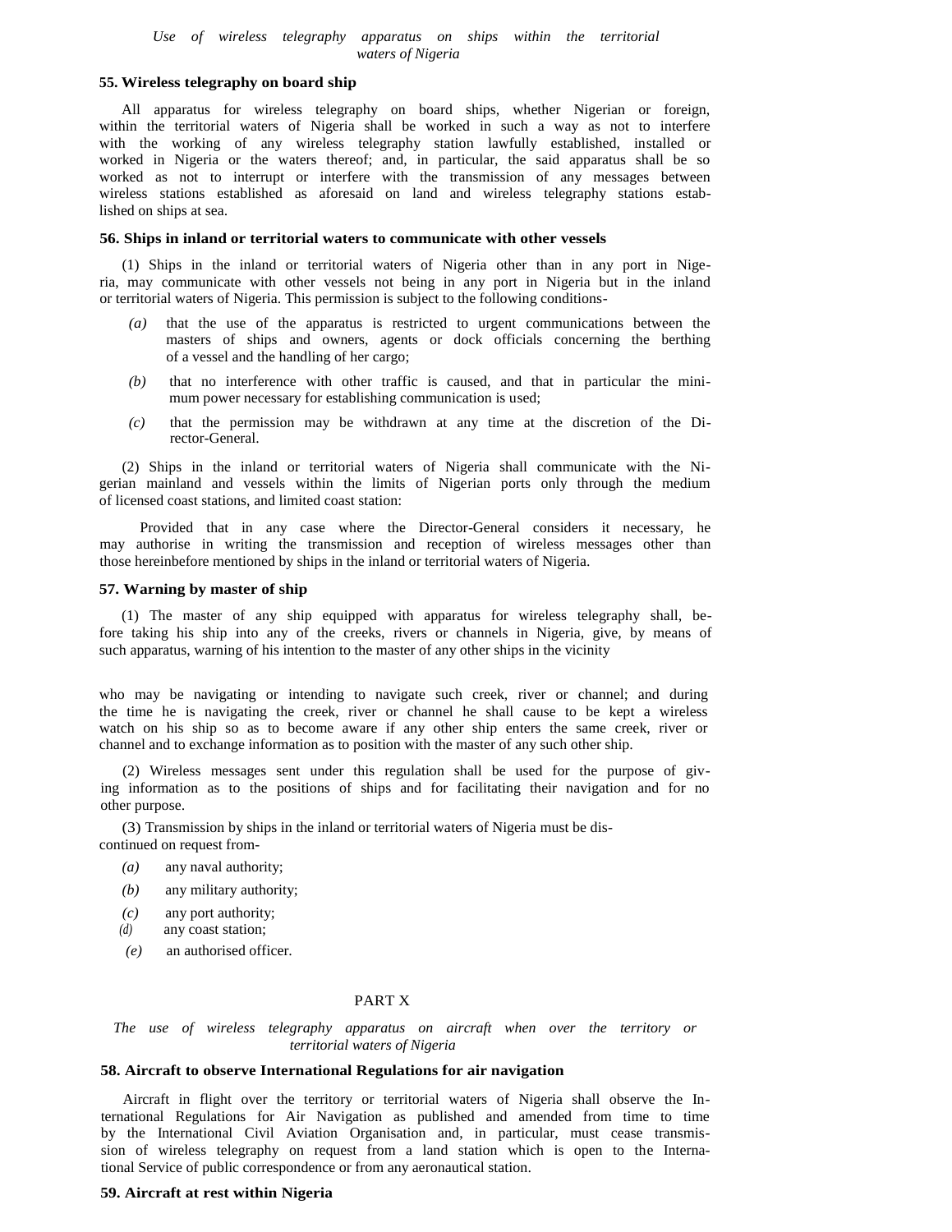#### *Use of wireless telegraphy apparatus on ships within the territorial waters of Nigeria*

# **55. Wireless telegraphy on board ship**

All apparatus for wireless telegraphy on board ships, whether Nigerian or foreign, within the territorial waters of Nigeria shall be worked in such a way as not to interfere with the working of any wireless telegraphy station lawfully established, installed or worked in Nigeria or the waters thereof; and, in particular, the said apparatus shall be so worked as not to interrupt or interfere with the transmission of any messages between wireless stations established as aforesaid on land and wireless telegraphy stations established on ships at sea.

#### **56. Ships in inland or territorial waters to communicate with other vessels**

(1) Ships in the inland or territorial waters of Nigeria other than in any port in Nigeria, may communicate with other vessels not being in any port in Nigeria but in the inland or territorial waters of Nigeria. This permission is subject to the following conditions-

- that the use of the apparatus is restricted to urgent communications between the masters of ships and owners, agents or dock officials concerning the berthing of a vessel and the handling of her cargo;
- *(b)* that no interference with other traffic is caused, and that in particular the minimum power necessary for establishing communication is used;
- *(c)* that the permission may be withdrawn at any time at the discretion of the Di rector-General.

(2) Ships in the inland or territorial waters of Nigeria shall communicate with the Nigerian mainland and vessels within the limits of Nigerian ports only through the medium of licensed coast stations, and limited coast station:

Provided that in any case where the Director-General considers it necessary, he may authorise in writing the transmission and reception of wireless messages other than those hereinbefore mentioned by ships in the inland or territorial waters of Nigeria.

#### **57. Warning by master of ship**

(1) The master of any ship equipped with apparatus for wireless telegraphy shall, before taking his ship into any of the creeks, rivers or channels in Nigeria, give, by means of such apparatus, warning of his intention to the master of any other ships in the vicinity

who may be navigating or intending to navigate such creek, river or channel; and during the time he is navigating the creek, river or channel he shall cause to be kept a wireless watch on his ship so as to become aware if any other ship enters the same creek, river or channel and to exchange information as to position with the master of any such other ship.

(2) Wireless messages sent under this regulation shall be used for the purpose of giving information as to the positions of ships and for facilitating their navigation and for no other purpose.

(3) Transmission by ships in the inland or territorial waters of Nigeria must be discontinued on request from-

- *(a)* any naval authority;
- *(b)* any military authority;
- *(c)* any port authority;
- *(d)* any coast station;
- *(e)* an authorised officer.

# PART X

*The use of wireless telegraphy apparatus on aircraft when over the territory or territorial waters of Nigeria* 

# **58. Aircraft to observe International Regulations for air navigation**

Aircraft in flight over the territory or territorial waters of Nigeria shall observe the International Regulations for Air Navigation as published and amended from time to time by the International Civil Aviation Organisation and, in particular, must cease transmission of wireless telegraphy on request from a land station which is open to the International Service of public correspondence or from any aeronautical station.

# **59. Aircraft at rest within Nigeria**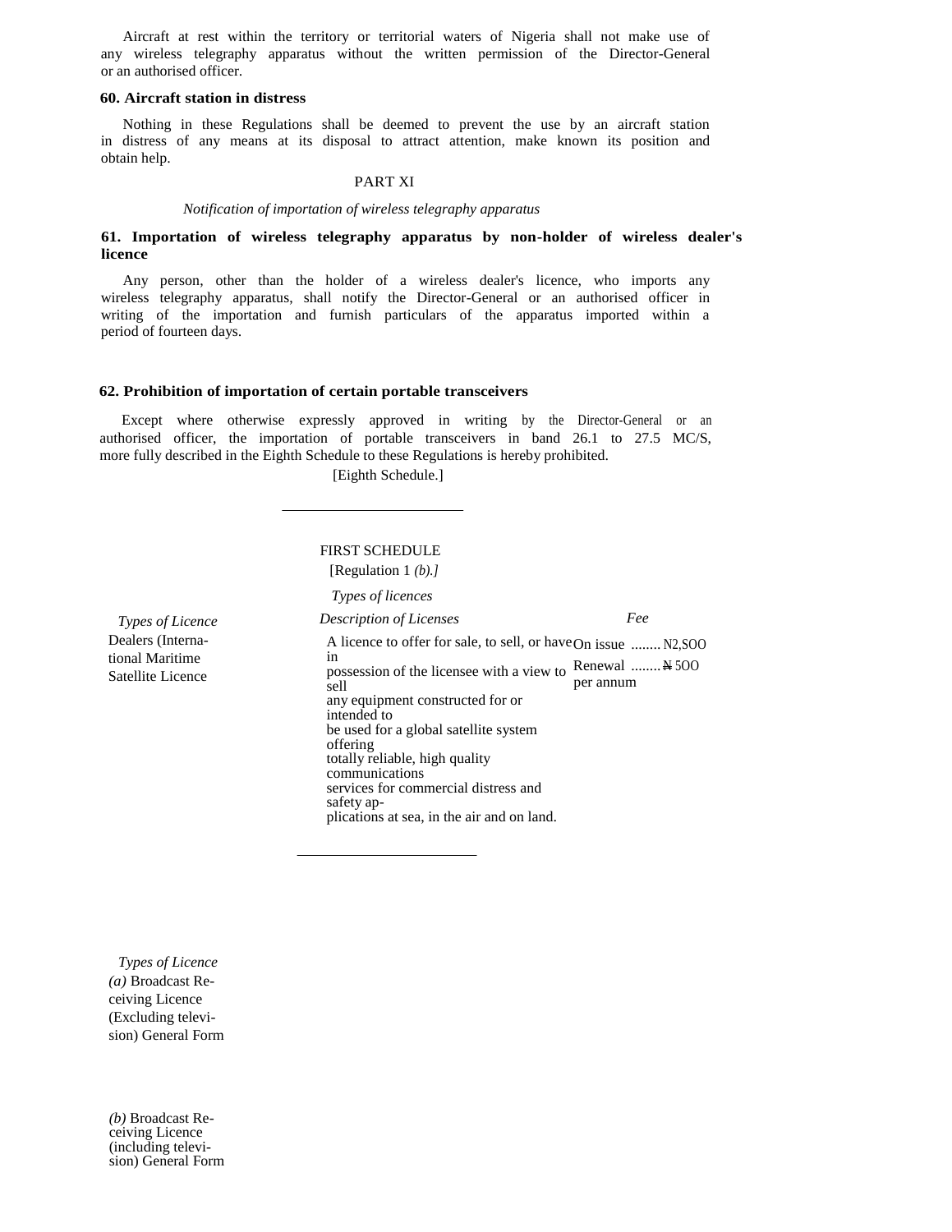Aircraft at rest within the territory or territorial waters of Nigeria shall not make use of any wireless telegraphy apparatus without the written permission of the Director-General or an authorised officer.

# **60. Aircraft station in distress**

Nothing in these Regulations shall be deemed to prevent the use by an aircraft station in distress of any means at its disposal to attract attention, make known its position and obtain help.

# PART XI

*Notification of importation of wireless telegraphy apparatus* 

# **61. Importation of wireless telegraphy apparatus by non-holder of wireless dealer's licence**

Any person, other than the holder of a wireless dealer's licence, who imports any wireless telegraphy apparatus, shall notify the Director-General or an authorised officer in writing of the importation and furnish particulars of the apparatus imported within a period of fourteen days.

#### **62. Prohibition of importation of certain portable transceivers**

Except where otherwise expressly approved in writing by the Director-General or an authorised officer, the importation of portable transceivers in band 26.1 to 27.5 MC/S, more fully described in the Eighth Schedule to these Regulations is hereby prohibited.

[Eighth Schedule.]

# FIRST SCHEDULE [Regulation 1 *(b).]*

*Types of licences* 

*Types of Licence*  Dealers (International Maritime Satellite Licence

*Description of Licenses*  A licence to offer for sale, to sell, or have On issue ........ N2,SOO in m<br>possession of the licensee with a view to Renewal ........ N 500 sell any equipment constructed for or intended to be used for a global satellite system offering totally reliable, high quality communications services for commercial distress and safety applications at sea, in the air and on land. *Fee*  per annum

*Types of Licence (a)* Broadcast Receiving Licence (Excluding television) General Form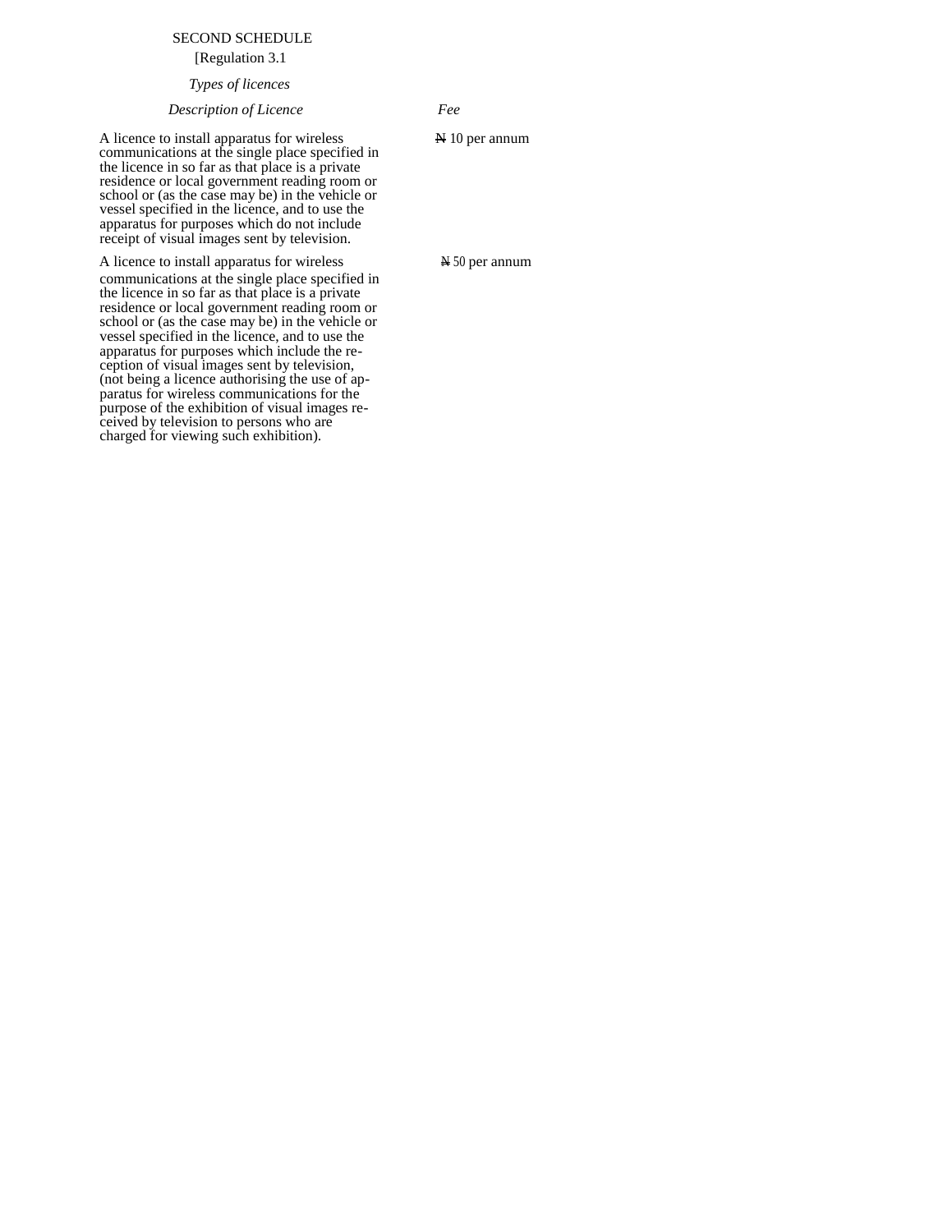# SECOND SCHEDULE

[Regulation 3.1

# *Types of licences*

*Description of Licence Fee* 

A licence to install apparatus for wireless  $\mathbb{A}$  10 per annum communications at the single place specified in the licence in so far as that place is a private residence or local government reading room or school or (as the case may be) in the vehicle or vessel specified in the licence, and to use the apparatus for purposes which do not include receipt of visual images sent by television.

A licence to install apparatus for wireless  $\qquad \qquad \text{450}$  per annum communications at the single place specified in the licence in so far as that place is a private residence or local government reading room or school or (as the case may be) in the vehicle or vessel specified in the licence, and to use the apparatus for purposes which include the reception of visual images sent by television, (not being a licence authorising the use of apparatus for wireless communications for the purpose of the exhibition of visual images received by television to persons who are charged for viewing such exhibition).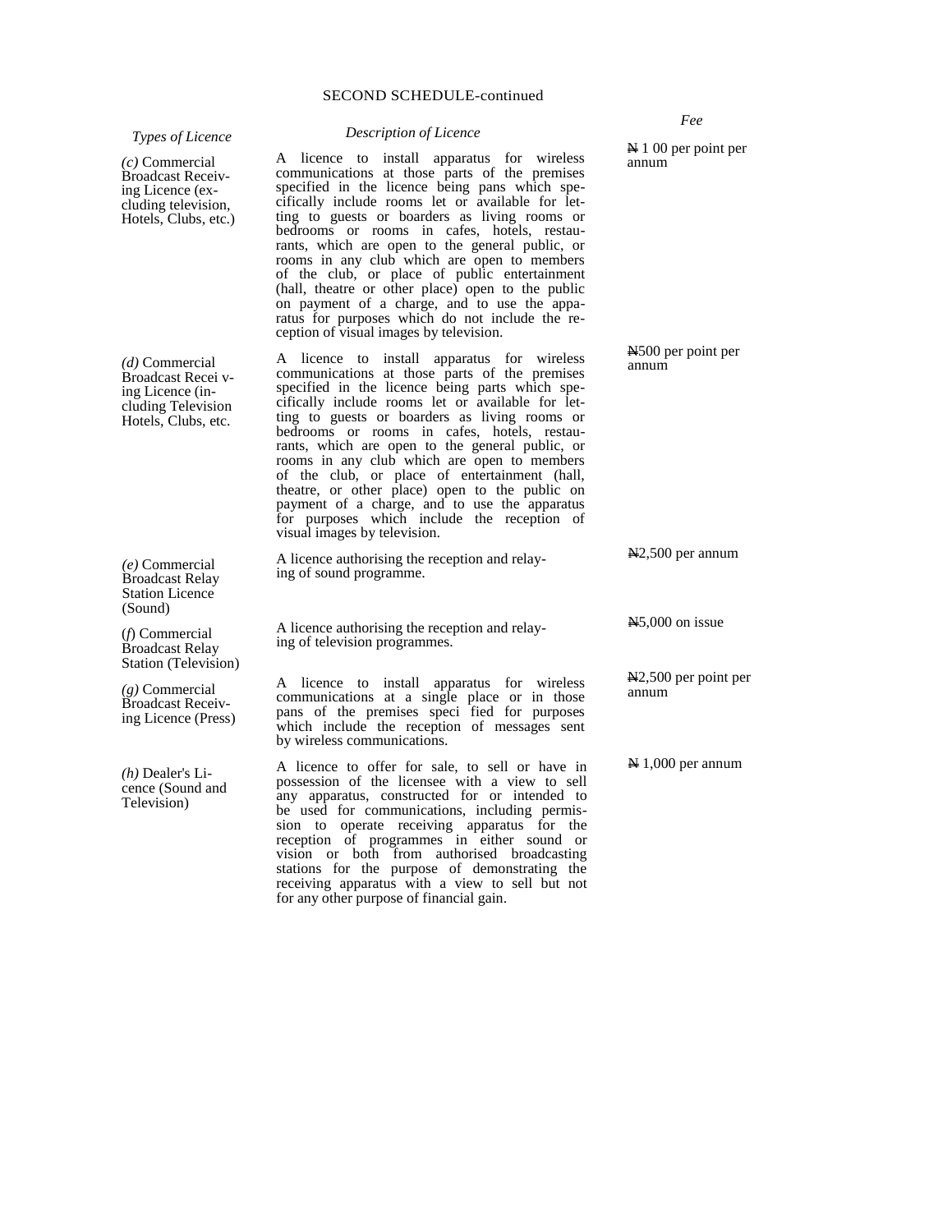*Types of Licence* 

#### *Description of Licence*

A licence to install apparatus for wireless communications at those parts of the premises specified in the licence being pans which specifically include rooms let or available for letting to guests or boarders as living rooms or bedrooms or rooms in cafes, hotels, restaurants, which are open to the general public, or rooms in any club which are open to members of the club, or place of public entertainment (hall, theatre or other place) open to the public on payment of a charge, and to use the apparatus for purposes which do not include the reception of visual images by television.

A licence to install apparatus for wireless communications at those parts of the premises specified in the licence being parts which specifically include rooms let or available for letting to guests or boarders as living rooms or bedrooms or rooms in cafes, hotels, restaurants, which are open to the general public, or rooms in any club which are open to members of the club, or place of entertainment (hall, theatre, or other place) open to the public on payment of a charge, and to use the apparatus for purposes which include the reception of visual images by television.

A licence authorising the reception and relaying of sound programme.

A licence authorising the reception and relaying of television programmes.

A licence to install apparatus for wireless communications at a single place or in those pans of the premises speci fied for purposes which include the reception of messages sent by wireless communications.

A licence to offer for sale, to sell or have in possession of the licensee with a view to sell any apparatus, constructed for or intended to be used for communications, including permission to operate receiving apparatus for the reception of programmes in either sound or vision or both from authorised broadcasting stations for the purpose of demonstrating the receiving apparatus with a view to sell but not for any other purpose of financial gain.

N 1 00 per point per annum

*Fee* 

N500 per point per annum

N2,500 per annum

N5,000 on issue

N2,500 per point per annum

N 1,000 per annum

*(c)* Commercial Broadcast Receiving Licence (excluding television, Hotels, Clubs, etc.)

*(d)* Commercial Broadcast Recei ving Licence (including Television Hotels, Clubs, etc.

*(e)* Commercial Broadcast Relay Station Licence (Sound)

(*f*) Commercial Broadcast Relay Station (Television)

*(g)* Commercial Broadcast Receiving Licence (Press)

*(h)* Dealer's Licence (Sound and Television)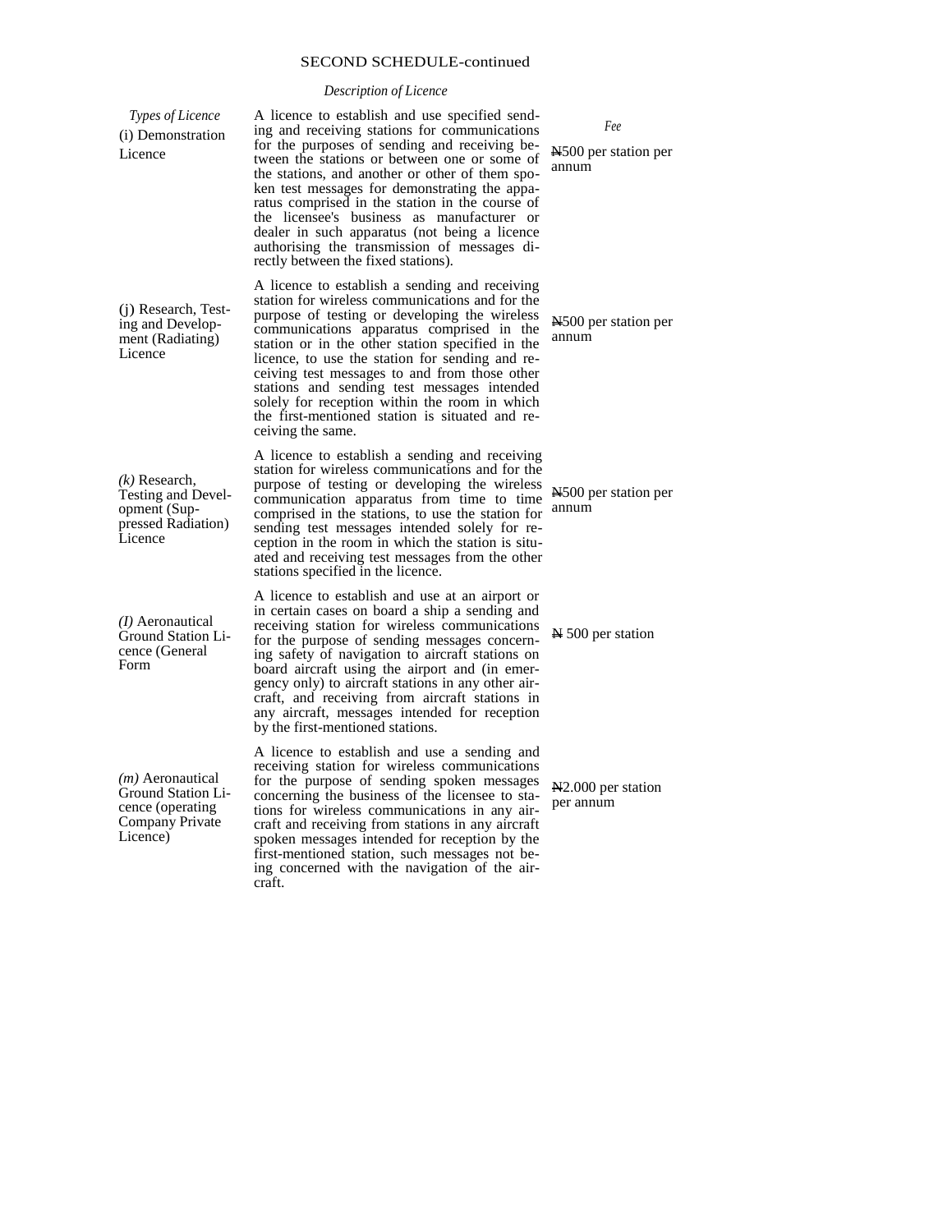# *Description of Licence*

| Types of Licence<br>(i) Demonstration<br>Licence                                                          | A licence to establish and use specified send-<br>ing and receiving stations for communications<br>for the purposes of sending and receiving be-<br>tween the stations or between one or some of<br>the stations, and another or other of them spo-<br>ken test messages for demonstrating the appa-<br>ratus comprised in the station in the course of<br>the licensee's business as manufacturer or<br>dealer in such apparatus (not being a licence<br>authorising the transmission of messages di-<br>rectly between the fixed stations). |
|-----------------------------------------------------------------------------------------------------------|-----------------------------------------------------------------------------------------------------------------------------------------------------------------------------------------------------------------------------------------------------------------------------------------------------------------------------------------------------------------------------------------------------------------------------------------------------------------------------------------------------------------------------------------------|
| (j) Research, Test-<br>ing and Develop-<br>ment (Radiating)<br>Licence                                    | A licence to establish a sending and receiving<br>station for wireless communications and for the<br>purpose of testing or developing the wireless<br>communications apparatus comprised in the<br>station or in the other station specified in the<br>licence, to use the station for sending and re-<br>ceiving test messages to and from those other<br>stations and sending test messages intended<br>solely for reception within the room in which<br>the first-mentioned station is situated and re-<br>ceiving the same.               |
| $(k)$ Research,<br>Testing and Devel-<br>opment (Sup-<br>pressed Radiation)<br>Licence                    | A licence to establish a sending and receiving<br>station for wireless communications and for the<br>purpose of testing or developing the wireless<br>communication apparatus from time to time<br>comprised in the stations, to use the station for<br>sending test messages intended solely for re-<br>ception in the room in which the station is situ-<br>ated and receiving test messages from the other<br>stations specified in the licence.                                                                                           |
| (I) Aeronautical<br>Ground Station Li-<br>cence (General<br>Form                                          | A licence to establish and use at an airport or<br>in certain cases on board a ship a sending and<br>receiving station for wireless communications<br>for the purpose of sending messages concern-<br>ing safety of navigation to aircraft stations on<br>board aircraft using the airport and (in emer-<br>gency only) to aircraft stations in any other air-<br>craft, and receiving from aircraft stations in<br>any aircraft, messages intended for reception<br>by the first-mentioned stations.                                         |
| ( <i>m</i> ) Aeronautical<br><b>Ground Station Li-</b><br>cence (operating<br>Company Private<br>Licence) | A licence to establish and use a sending and<br>receiving station for wireless communications<br>for the purpose of sending spoken messages<br>concerning the business of the licensee to sta-<br>tions for wireless communications in any air-<br>craft and receiving from stations in any aircraft<br>spoken messages intended for reception by the<br>first-mentioned station, such messages not be-<br>ing concerned with the navigation of the air-<br>craft.                                                                            |

*Fee* 

N500 per station per annum

N500 per station per annum

N500 per station per annum

N 500 per station

N2.000 per station per annum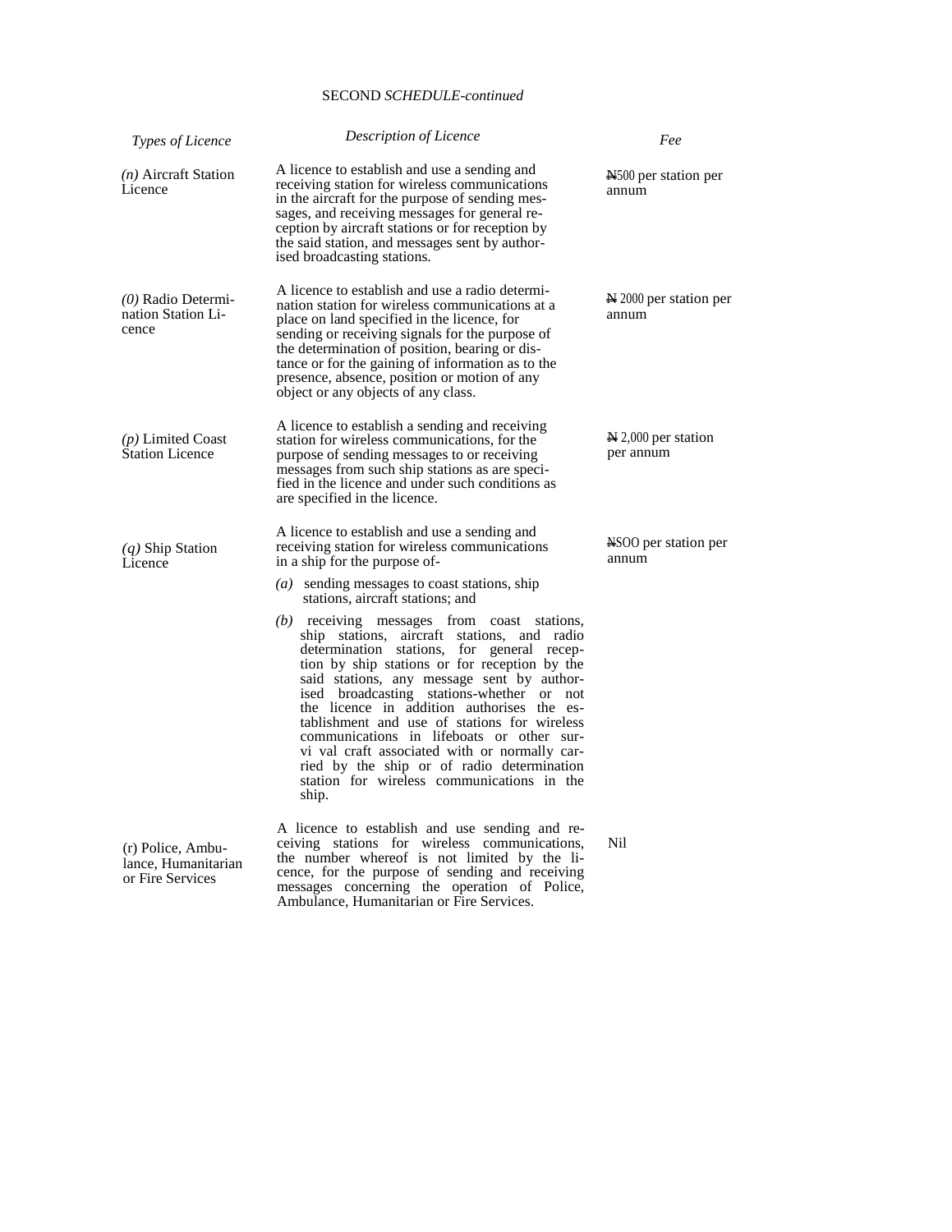| Types of Licence                                             | <b>Description of Licence</b>                                                                                                                                                                                                                                                                                                                                                                                                                                                                                                                                                           | Fee                                        |
|--------------------------------------------------------------|-----------------------------------------------------------------------------------------------------------------------------------------------------------------------------------------------------------------------------------------------------------------------------------------------------------------------------------------------------------------------------------------------------------------------------------------------------------------------------------------------------------------------------------------------------------------------------------------|--------------------------------------------|
| $(n)$ Aircraft Station<br>Licence                            | A licence to establish and use a sending and<br>receiving station for wireless communications<br>in the aircraft for the purpose of sending mes-<br>sages, and receiving messages for general re-<br>ception by aircraft stations or for reception by<br>the said station, and messages sent by author-<br>ised broadcasting stations.                                                                                                                                                                                                                                                  | N <sub>1500</sub> per station per<br>annum |
| $(0)$ Radio Determi-<br>nation Station Li-<br>cence          | A licence to establish and use a radio determi-<br>nation station for wireless communications at a<br>place on land specified in the licence, for<br>sending or receiving signals for the purpose of<br>the determination of position, bearing or dis-<br>tance or for the gaining of information as to the<br>presence, absence, position or motion of any<br>object or any objects of any class.                                                                                                                                                                                      | $\approx$ 2000 per station per<br>annum    |
| (p) Limited Coast<br><b>Station Licence</b>                  | A licence to establish a sending and receiving<br>station for wireless communications, for the<br>purpose of sending messages to or receiving<br>messages from such ship stations as are speci-<br>fied in the licence and under such conditions as<br>are specified in the licence.                                                                                                                                                                                                                                                                                                    | $\geq 2,000$ per station<br>per annum      |
| $(q)$ Ship Station<br>Licence                                | A licence to establish and use a sending and<br>receiving station for wireless communications<br>in a ship for the purpose of-<br>$(a)$ sending messages to coast stations, ship<br>stations, aircraft stations; and                                                                                                                                                                                                                                                                                                                                                                    | NSOO per station per<br>annum              |
|                                                              | $(b)$ receiving messages from coast stations,<br>ship stations, aircraft stations, and radio<br>determination stations, for general recep-<br>tion by ship stations or for reception by the<br>said stations, any message sent by author-<br>ised broadcasting stations-whether or not<br>the licence in addition authorises the es-<br>tablishment and use of stations for wireless<br>communications in lifeboats or other sur-<br>vi val craft associated with or normally car-<br>ried by the ship or of radio determination<br>station for wireless communications in the<br>ship. |                                            |
| (r) Police, Ambu-<br>lance, Humanitarian<br>or Fire Services | A licence to establish and use sending and re-<br>ceiving stations for wireless communications,<br>the number whereof is not limited by the li-<br>cence, for the purpose of sending and receiving<br>messages concerning the operation of Police,                                                                                                                                                                                                                                                                                                                                      | <b>Nil</b>                                 |

Ambulance, Humanitarian or Fire Services.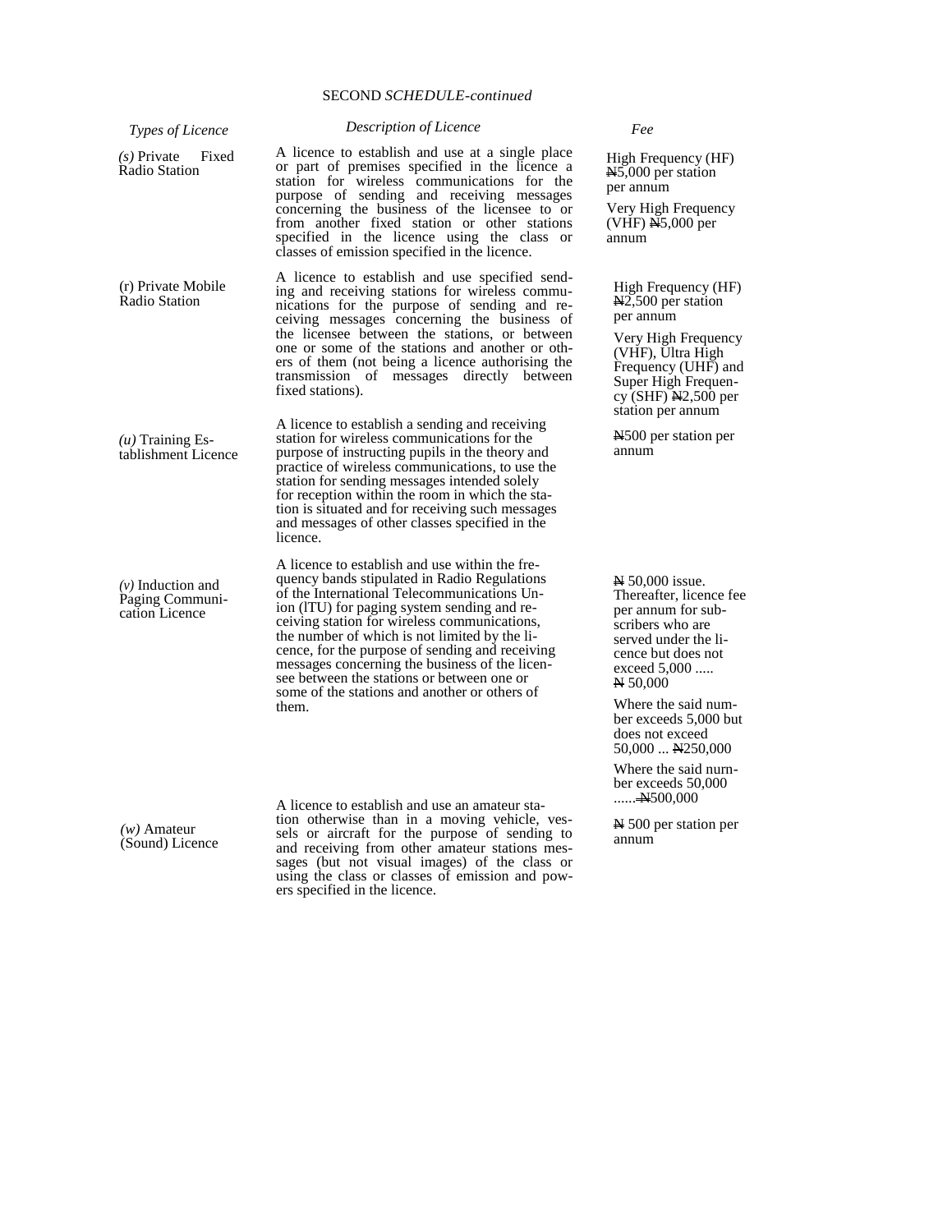| Types of Licence                                         | Description of Licence                                                                                                                                                                                                                                                                                                                                                                                                                                                                            | Fee                                                                                                                                                              |
|----------------------------------------------------------|---------------------------------------------------------------------------------------------------------------------------------------------------------------------------------------------------------------------------------------------------------------------------------------------------------------------------------------------------------------------------------------------------------------------------------------------------------------------------------------------------|------------------------------------------------------------------------------------------------------------------------------------------------------------------|
| $(s)$ Private<br>Fixed<br>Radio Station                  | A licence to establish and use at a single place<br>or part of premises specified in the licence a<br>station for wireless communications for the<br>purpose of sending and receiving messages<br>concerning the business of the licensee to or<br>from another fixed station or other stations                                                                                                                                                                                                   | High Frequency (HF)<br>$N5,000$ per station<br>per annum<br>Very High Frequency<br>$(VHF)$ $N5,000$ per                                                          |
|                                                          | specified in the licence using the class or<br>classes of emission specified in the licence.                                                                                                                                                                                                                                                                                                                                                                                                      | annum                                                                                                                                                            |
| (r) Private Mobile<br>Radio Station                      | A licence to establish and use specified send-<br>ing and receiving stations for wireless commu-<br>nications for the purpose of sending and re-<br>ceiving messages concerning the business of                                                                                                                                                                                                                                                                                                   | High Frequency (HF)<br>$\text{N2,500}$ per station<br>per annum                                                                                                  |
|                                                          | the licensee between the stations, or between<br>one or some of the stations and another or oth-<br>ers of them (not being a licence authorising the<br>transmission of messages directly between<br>fixed stations).                                                                                                                                                                                                                                                                             | Very High Frequency<br>(VHF), Ultra High<br>Frequency (UHF) and<br>Super High Frequen-<br>cy (SHF) $N2,500$ per<br>station per annum                             |
| $(u)$ Training Es-<br>tablishment Licence                | A licence to establish a sending and receiving<br>station for wireless communications for the<br>purpose of instructing pupils in the theory and<br>practice of wireless communications, to use the<br>station for sending messages intended solely<br>for reception within the room in which the sta-<br>tion is situated and for receiving such messages<br>and messages of other classes specified in the<br>licence.                                                                          | N <sub>1500</sub> per station per<br>annum                                                                                                                       |
| $(v)$ Induction and<br>Paging Communi-<br>cation Licence | A licence to establish and use within the fre-<br>quency bands stipulated in Radio Regulations<br>of the International Telecommunications Un-<br>ion (ITU) for paging system sending and re-<br>ceiving station for wireless communications,<br>the number of which is not limited by the li-<br>cence, for the purpose of sending and receiving<br>messages concerning the business of the licen-<br>see between the stations or between one or<br>some of the stations and another or others of | N 50,000 issue.<br>Thereafter, licence fee<br>per annum for sub-<br>scribers who are<br>served under the li-<br>cence but does not<br>exceed $5,000$<br>N 50,000 |
|                                                          | them.                                                                                                                                                                                                                                                                                                                                                                                                                                                                                             | Where the said num-<br>ber exceeds 5,000 but<br>does not exceed<br>$50,000$ N250,000                                                                             |
|                                                          | A licence to establish and use an amateur sta-                                                                                                                                                                                                                                                                                                                                                                                                                                                    | Where the said nurn-<br>ber exceeds 50,000<br><del>N</del> 500,000                                                                                               |
| $(w)$ Amateur<br>(Sound) Licence                         | tion otherwise than in a moving vehicle, ves-<br>sels or aircraft for the purpose of sending to<br>and receiving from other amateur stations mes-<br>sages (but not visual images) of the class or<br>using the class or classes of emission and pow-<br>ers specified in the licence.                                                                                                                                                                                                            | $\approx$ 500 per station per<br>annum                                                                                                                           |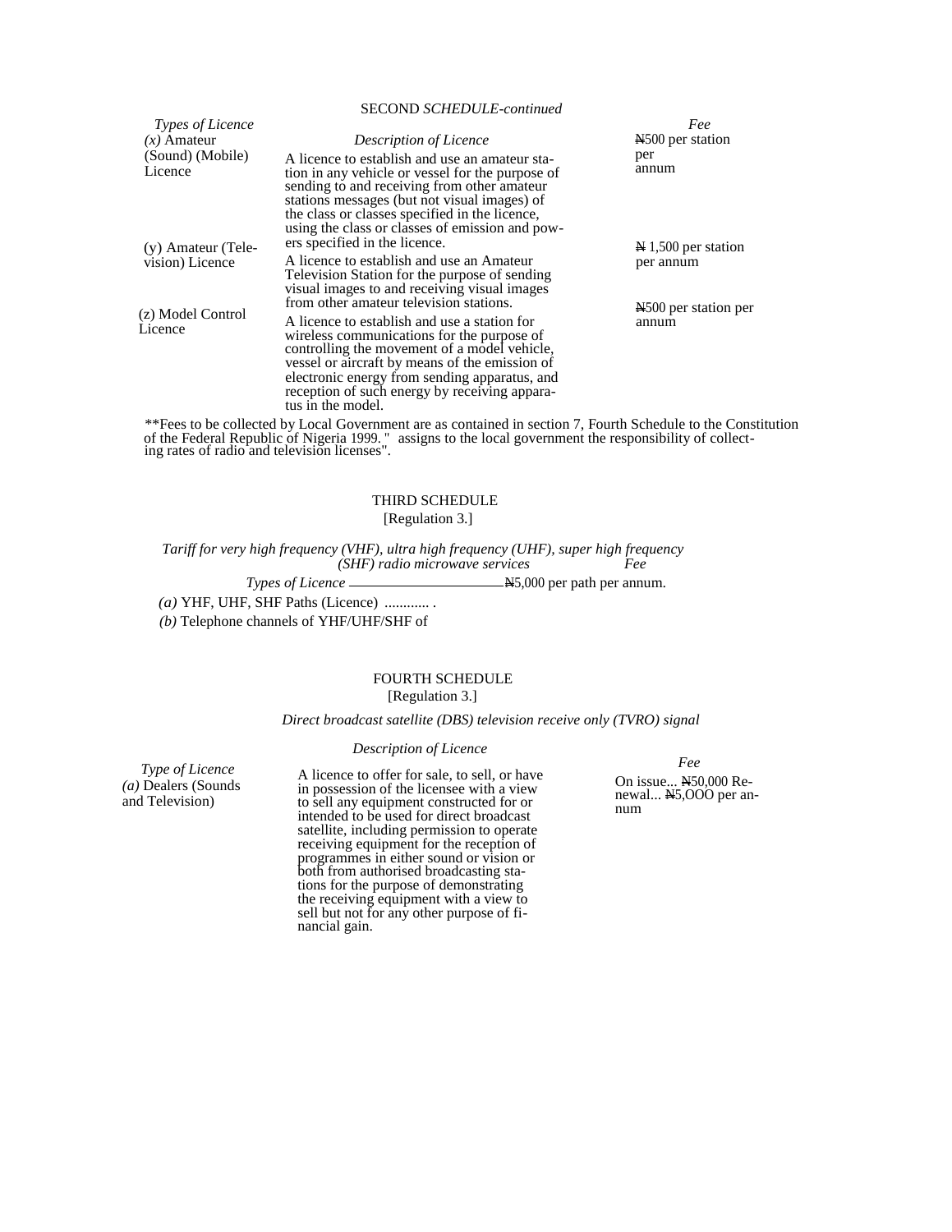|                                       | SECOND SCHEDULE-continued                                                                                                                                                                                                                                                                                                                                      |                                           |
|---------------------------------------|----------------------------------------------------------------------------------------------------------------------------------------------------------------------------------------------------------------------------------------------------------------------------------------------------------------------------------------------------------------|-------------------------------------------|
| <i>Types of Licence</i>               |                                                                                                                                                                                                                                                                                                                                                                | Fee                                       |
| $(x)$ Amateur                         | Description of Licence                                                                                                                                                                                                                                                                                                                                         | N <sub>500</sub> per station              |
| (Sound) (Mobile)<br>Licence           | A licence to establish and use an amateur sta-<br>tion in any vehicle or vessel for the purpose of<br>sending to and receiving from other amateur<br>stations messages (but not visual images) of<br>the class or classes specified in the licence,<br>using the class or classes of emission and pow-                                                         | per<br>annum                              |
| (y) Amateur (Tele-<br>vision) Licence | ers specified in the licence.<br>A licence to establish and use an Amateur<br>Television Station for the purpose of sending<br>visual images to and receiving visual images                                                                                                                                                                                    | $N$ 1,500 per station<br>per annum        |
| (z) Model Control<br>Licence          | from other amateur television stations.<br>A licence to establish and use a station for<br>wireless communications for the purpose of<br>controlling the movement of a model vehicle,<br>vessel or aircraft by means of the emission of<br>electronic energy from sending apparatus, and<br>reception of such energy by receiving appara-<br>tus in the model. | N <sub>500</sub> per station per<br>annum |

\*\*Fees to be collected by Local Government are as contained in section 7, Fourth Schedule to the Constitution of the Federal Republic of Nigeria 1999. " assigns to the local government the responsibility of collecting rates of radio and television licenses".

# THIRD SCHEDULE

[Regulation 3.]

*Tariff for very high frequency (VHF), ultra high frequency (UHF), super high frequency (SHF) radio microwave services Fee* 

> *Types of Licence*   $N5,000$  per path per annum.

*(a)* YHF, UHF, SHF Paths (Licence) ............ .

*(b)* Telephone channels of YHF/UHF/SHF of

# FOURTH SCHEDULE

# [Regulation 3.]

*Direct broadcast satellite (DBS) television receive only (TVRO) signal* 

# *Description of Licence*

*Type of Licence (a)* Dealers (Sounds and Television)

A licence to offer for sale, to sell, or have in possession of the licensee with a view to sell any equipment constructed for or intended to be used for direct broadcast satellite, including permission to operate receiving equipment for the reception of programmes in either sound or vision or both from authorised broadcasting stations for the purpose of demonstrating the receiving equipment with a view to sell but not for any other purpose of financial gain.

*Fee*  On issue... N50,000 Renewal... N5,000 per annum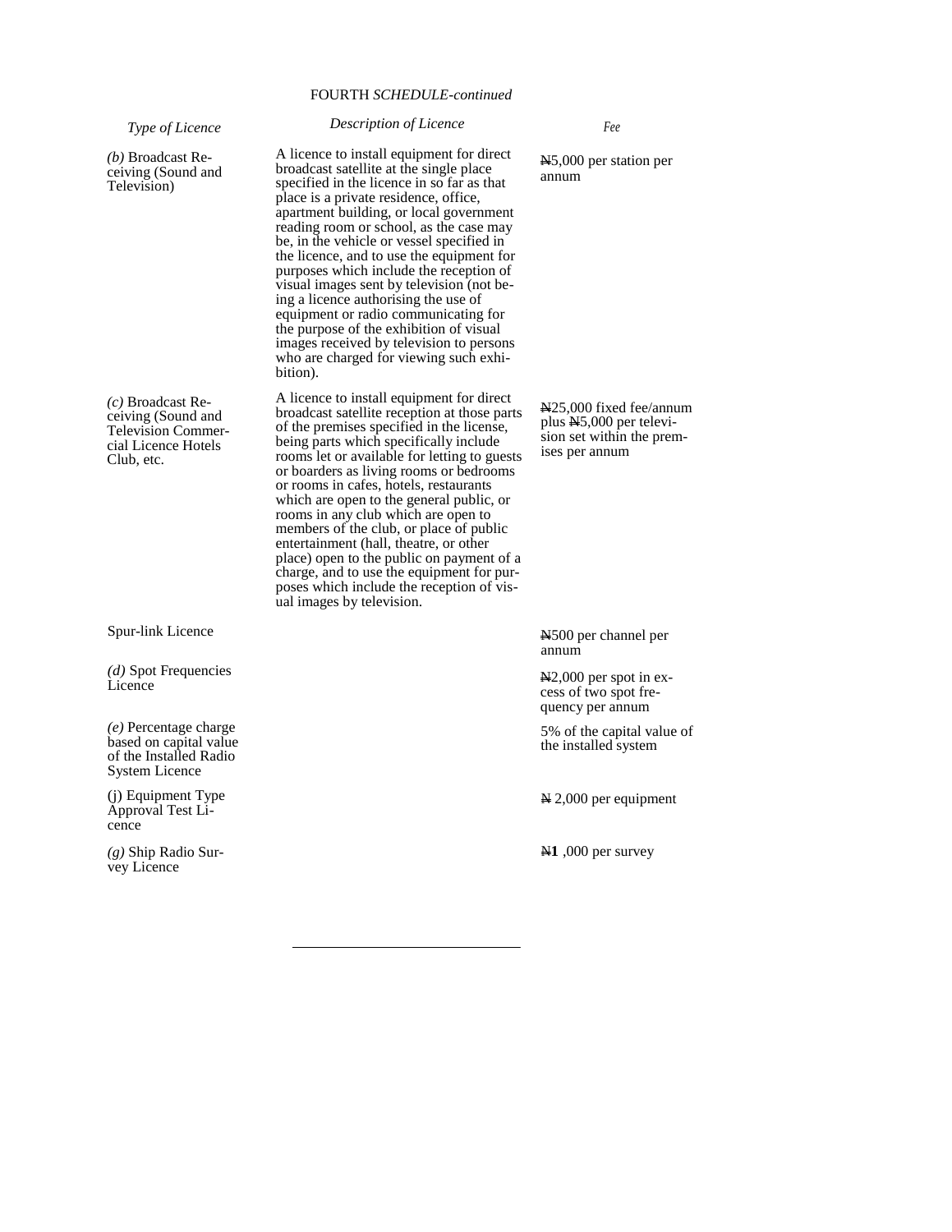# FOURTH *SCHEDULE-continued*

*Type of Licence (b)* Broadcast Receiving (Sound and Television) *(c)* Broadcast Receiving (Sound and Television Commercial Licence Hotels Club, etc. Spur-link Licence *(d)* Spot Frequencies **Licence** *(e)* Percentage charge based on capital value of the Installed Radio System Licence *Description of Licence*  A licence to install equipment for direct broadcast satellite at the single place specified in the licence in so far as that place is a private residence, office, apartment building, or local government reading room or school, as the case may be, in the vehicle or vessel specified in the licence, and to use the equipment for purposes which include the reception of visual images sent by television (not being a licence authorising the use of equipment or radio communicating for the purpose of the exhibition of visual images received by television to persons who are charged for viewing such exhibition). A licence to install equipment for direct broadcast satellite reception at those parts of the premises specified in the license, being parts which specifically include rooms let or available for letting to guests or boarders as living rooms or bedrooms or rooms in cafes, hotels, restaurants which are open to the general public, or rooms in any club which are open to members of the club, or place of public entertainment (hall, theatre, or other place) open to the public on payment of a charge, and to use the equipment for purposes which include the reception of visual images by television. *Fee*  N5,000 per station per annum N25,000 fixed fee/annum plus N5,000 per television set within the premises per annum N500 per channel per annum N2,000 per spot in excess of two spot frequency per annum 5% of the capital value of the installed system

(j) Equipment Type Approval Test Licence

*(g)* Ship Radio Survey Licence

N 2,000 per equipment

N**1** ,000 per survey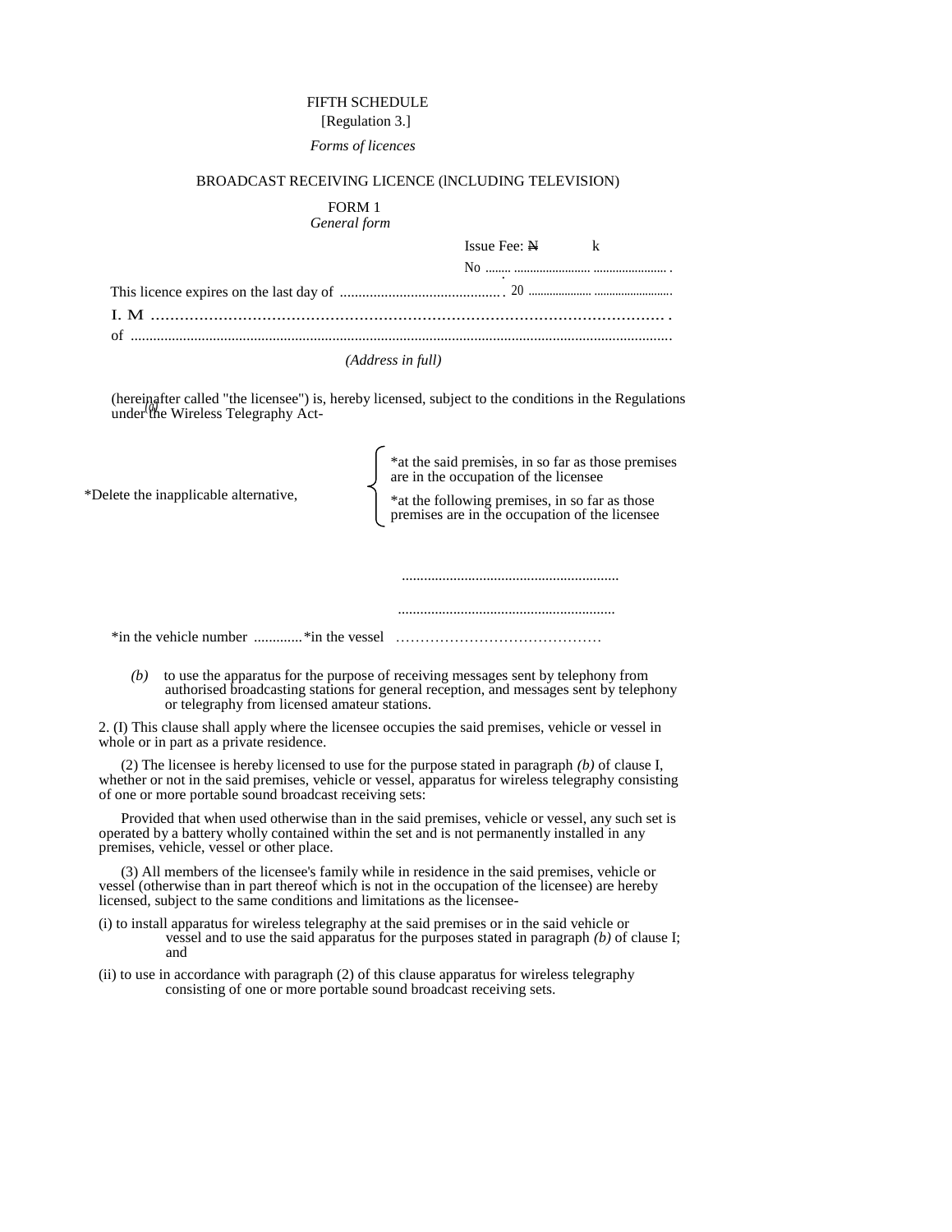# FIFTH SCHEDULE

# [Regulation 3.] *Forms of licences*

# BROADCAST RECEIVING LICENCE (lNCLUDING TELEVISION)

# FORM 1 *General form*

| Issue Fee: $N \t k$ |  |
|---------------------|--|
|                     |  |
|                     |  |
|                     |  |
|                     |  |

#### *(Address in full)*

(hereinafter called "the licensee") is, hereby licensed, subject to the conditions in the Regulations under the Wireless Telegraphy Act- *(a)* 

| *Delete the inapplicable alternative, | *at the said premises, in so far as those premises<br>are in the occupation of the licensee<br>*at the following premises, in so far as those<br>premises are in the occupation of the licensee |
|---------------------------------------|-------------------------------------------------------------------------------------------------------------------------------------------------------------------------------------------------|
|                                       |                                                                                                                                                                                                 |
|                                       |                                                                                                                                                                                                 |
| *in the vehicle number *in the vessel |                                                                                                                                                                                                 |

*(b)* to use the apparatus for the purpose of receiving messages sent by telephony from authorised broadcasting stations for general reception, and messages sent by telephony or telegraphy from licensed amateur stations.

2. (I) This clause shall apply where the licensee occupies the said premises, vehicle or vessel in whole or in part as a private residence.

(2) The licensee is hereby licensed to use for the purpose stated in paragraph *(b)* of clause I, whether or not in the said premises, vehicle or vessel, apparatus for wireless telegraphy consisting of one or more portable sound broadcast receiving sets:

Provided that when used otherwise than in the said premises, vehicle or vessel, any such set is operated by a battery wholly contained within the set and is not permanently installed in any premises, vehicle, vessel or other place.

(3) All members of the licensee's family while in residence in the said premises, vehicle or vessel (otherwise than in part thereof which is not in the occupation of the licensee) are hereby licensed, subject to the same conditions and limitations as the licensee-

- (i) to install apparatus for wireless telegraphy at the said premises or in the said vehicle or vessel and to use the said apparatus for the purposes stated in paragraph *(b)* of clause I; and
- (ii) to use in accordance with paragraph (2) of this clause apparatus for wireless telegraphy consisting of one or more portable sound broadcast receiving sets.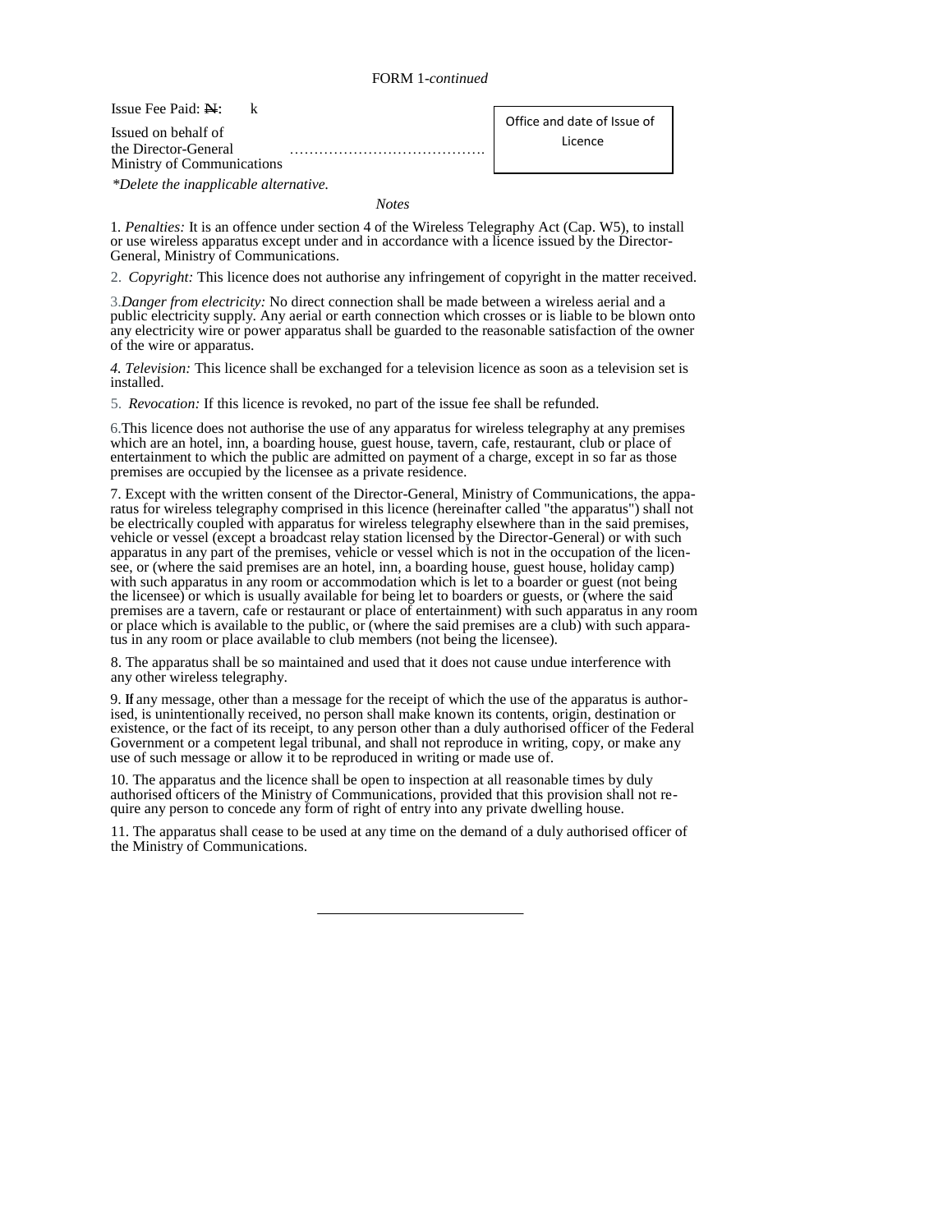# FORM 1*-continued*

Issue Fee Paid:  $N$ : k

Issued on behalf of the Director-General Ministry of Communications Office and date of Issue of Licence

*\*Delete the inapplicable alternative.* 

*Notes* 

1*. Penalties:* It is an offence under section 4 of the Wireless Telegraphy Act (Cap. W5), to install or use wireless apparatus except under and in accordance with a licence issued by the Director-General, Ministry of Communications.

2. *Copyright:* This licence does not authorise any infringement of copyright in the matter received.

3.*Danger from electricity:* No direct connection shall be made between a wireless aerial and a public electricity supply. Any aerial or earth connection which crosses or is liable to be blown onto any electricity wire or power apparatus shall be guarded to the reasonable satisfaction of the owner of the wire or apparatus.

*4. Television:* This licence shall be exchanged for a television licence as soon as a television set is installed.

5. *Revocation:* If this licence is revoked, no part of the issue fee shall be refunded.

6.This licence does not authorise the use of any apparatus for wireless telegraphy at any premises which are an hotel, inn, a boarding house, guest house, tavern, cafe, restaurant, club or place of entertainment to which the public are admitted on payment of a charge, except in so far as those premises are occupied by the licensee as a private residence.

7. Except with the written consent of the Director-General, Ministry of Communications, the apparatus for wireless telegraphy comprised in this licence (hereinafter called "the apparatus") shall not be electrically coupled with apparatus for wireless telegraphy elsewhere than in the said premises, vehicle or vessel (except a broadcast relay station licensed by the Director-General) or with such apparatus in any part of the premises, vehicle or vessel which is not in the occupation of the licensee, or (where the said premises are an hotel, inn, a boarding house, guest house, holiday camp) with such apparatus in any room or accommodation which is let to a boarder or guest (not being the licensee) or which is usually available for being let to boarders or guests, or (where the said premises are a tavern, cafe or restaurant or place of entertainment) with such apparatus in any room or place which is available to the public, or (where the said premises are a club) with such apparatus in any room or place available to club members (not being the licensee).

8. The apparatus shall be so maintained and used that it does not cause undue interference with any other wireless telegraphy.

9. **If** any message, other than a message for the receipt of which the use of the apparatus is authorised, is unintentionally received, no person shall make known its contents, origin, destination or existence, or the fact of its receipt, to any person other than a duly authorised officer of the Federal Government or a competent legal tribunal, and shall not reproduce in writing, copy, or make any use of such message or allow it to be reproduced in writing or made use of.

10. The apparatus and the licence shall be open to inspection at all reasonable times by duly authorised ofticers of the Ministry of Communications, provided that this provision shall not require any person to concede any form of right of entry into any private dwelling house.

11. The apparatus shall cease to be used at any time on the demand of a duly authorised officer of the Ministry of Communications.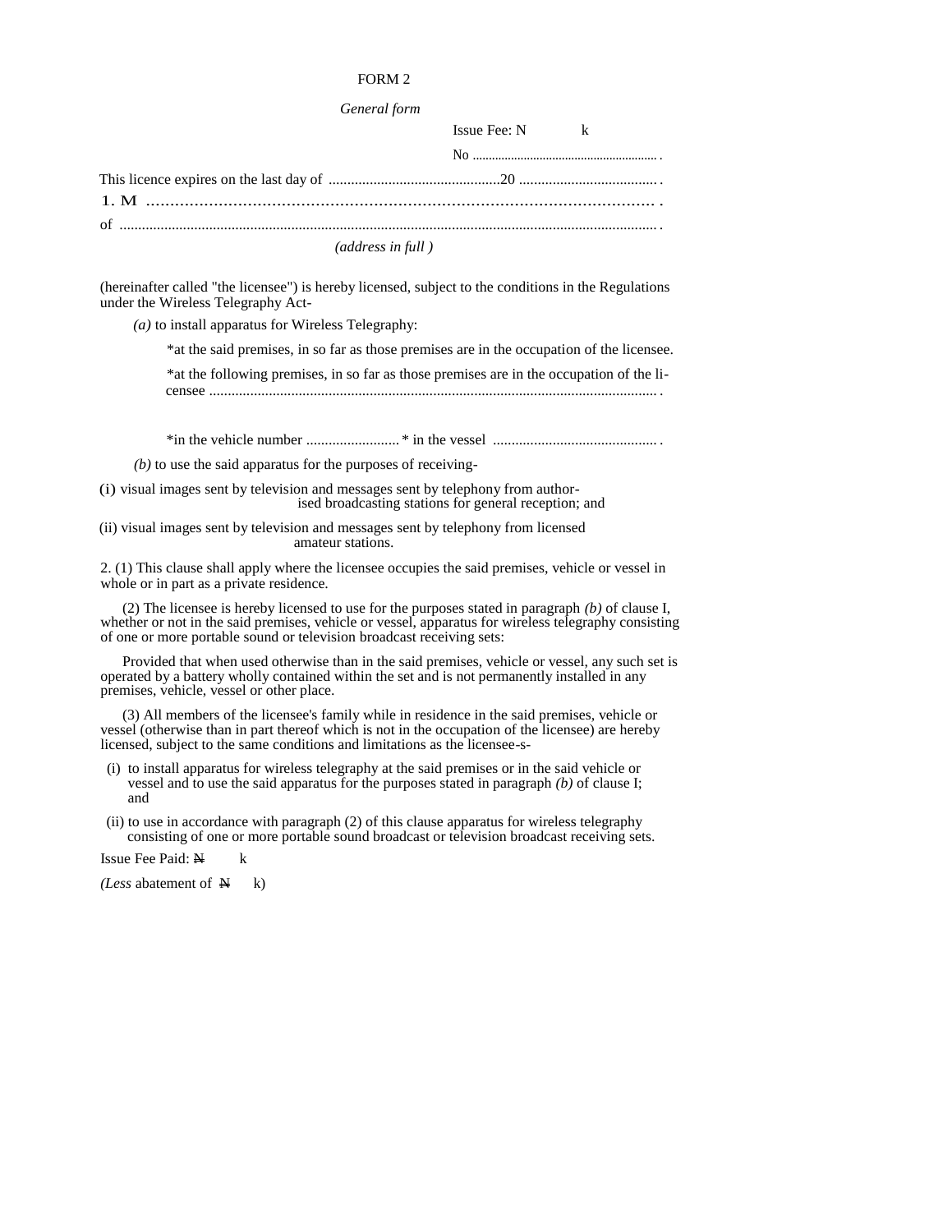#### *General form*

| $Issue \nFee: N$ k |  |
|--------------------|--|
|                    |  |
|                    |  |
|                    |  |
|                    |  |

### *(address in full )*

(hereinafter called "the licensee") is hereby licensed, subject to the conditions in the Regulations under the Wireless Telegraphy Act-

*(a)* to install apparatus for Wireless Telegraphy:

\*at the said premises, in so far as those premises are in the occupation of the licensee.

\*at the following premises, in so far as those premises are in the occupation of the li-

censee ........................................................................................................................ .

\*in the vehicle number ......................... \* in the vessel ............................................ .

*(b)* to use the said apparatus for the purposes of receiving-

(i) visual images sent by television and messages sent by telephony from authorised broadcasting stations for general reception; and

(ii) visual images sent by television and messages sent by telephony from licensed amateur stations.

2. (1) This clause shall apply where the licensee occupies the said premises, vehicle or vessel in whole or in part as a private residence.

(2) The licensee is hereby licensed to use for the purposes stated in paragraph *(b)* of clause I, whether or not in the said premises, vehicle or vessel, apparatus for wireless telegraphy consisting of one or more portable sound or television broadcast receiving sets:

Provided that when used otherwise than in the said premises, vehicle or vessel, any such set is operated by a battery wholly contained within the set and is not permanently installed in any premises, vehicle, vessel or other place.

(3) All members of the licensee's family while in residence in the said premises, vehicle or vessel (otherwise than in part thereof which is not in the occupation of the licensee) are hereby licensed, subject to the same conditions and limitations as the licensee-s-

- (i) to install apparatus for wireless telegraphy at the said premises or in the said vehicle or vessel and to use the said apparatus for the purposes stated in paragraph *(b)* of clause I; and
- (ii) to use in accordance with paragraph (2) of this clause apparatus for wireless telegraphy consisting of one or more portable sound broadcast or television broadcast receiving sets.

Issue Fee Paid:  $N$  k

*(Less abatement of*  $\mathbb{N}$  k)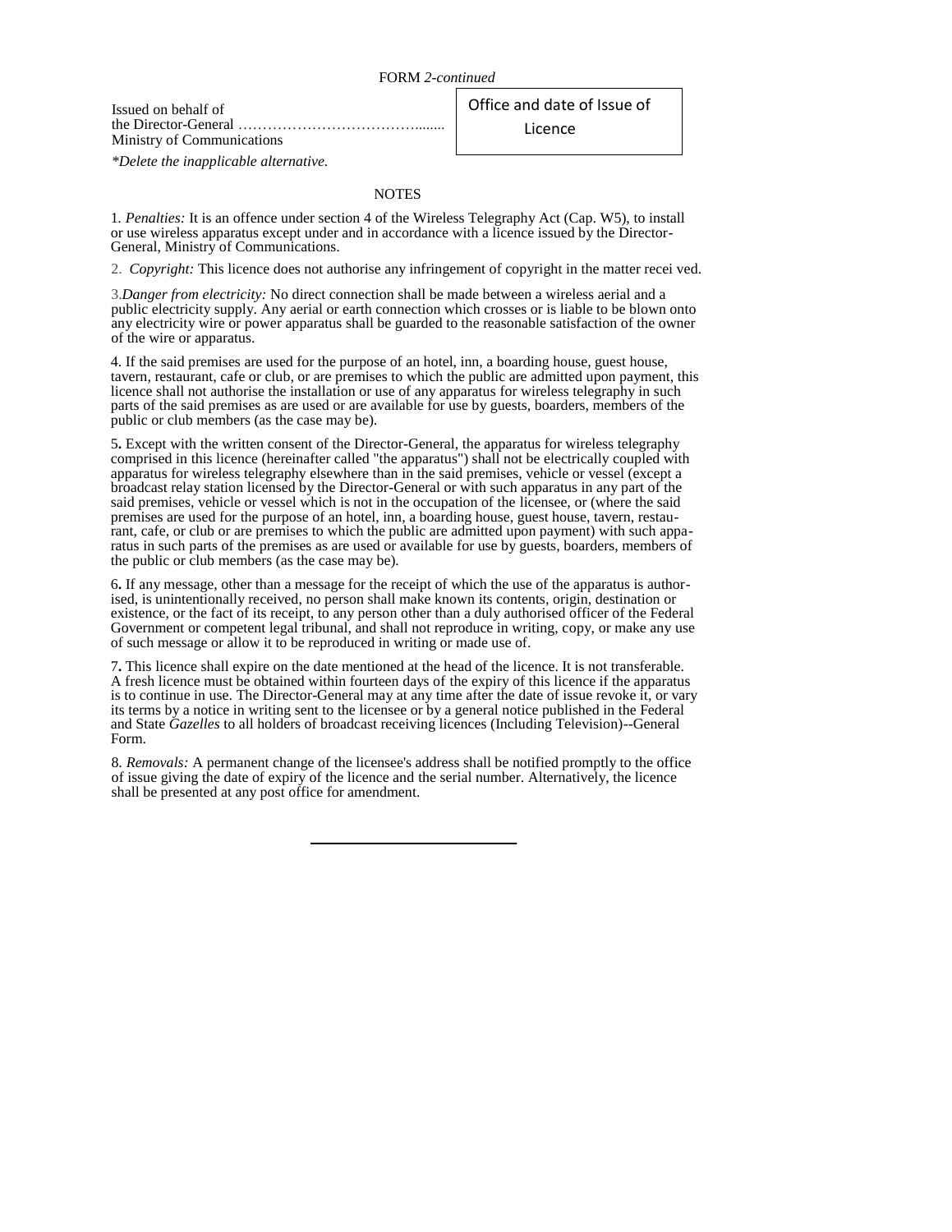Issued on behalf of the Director-General ………………………………........ Ministry of Communications

Office and date of Issue of Licence

*\*Delete the inapplicable alternative.* 

### **NOTES**

1*. Penalties:* It is an offence under section 4 of the Wireless Telegraphy Act (Cap. W5), to install or use wireless apparatus except under and in accordance with a licence issued by the Director-General, Ministry of Communications.

2. *Copyright:* This licence does not authorise any infringement of copyright in the matter recei ved.

3.*Danger from electricity:* No direct connection shall be made between a wireless aerial and a public electricity supply. Any aerial or earth connection which crosses or is liable to be blown onto any electricity wire or power apparatus shall be guarded to the reasonable satisfaction of the owner of the wire or apparatus.

4. If the said premises are used for the purpose of an hotel, inn, a boarding house, guest house, tavern, restaurant, cafe or club, or are premises to which the public are admitted upon payment, this licence shall not authorise the installation or use of any apparatus for wireless telegraphy in such parts of the said premises as are used or are available for use by guests, boarders, members of the public or club members (as the case may be).

5**.** Except with the written consent of the Director-General, the apparatus for wireless telegraphy comprised in this licence (hereinafter called "the apparatus") shall not be electrically coupled with apparatus for wireless telegraphy elsewhere than in the said premises, vehicle or vessel (except a broadcast relay station licensed by the Director-General or with such apparatus in any part of the said premises, vehicle or vessel which is not in the occupation of the licensee, or (where the said premises are used for the purpose of an hotel, inn, a boarding house, guest house, tavern, restaurant, cafe, or club or are premises to which the public are admitted upon payment) with such apparatus in such parts of the premises as are used or available for use by guests, boarders, members of the public or club members (as the case may be).

6**.** If any message, other than a message for the receipt of which the use of the apparatus is authorised, is unintentionally received, no person shall make known its contents, origin, destination or existence, or the fact of its receipt, to any person other than a duly authorised officer of the Federal Government or competent legal tribunal, and shall not reproduce in writing, copy, or make any use of such message or allow it to be reproduced in writing or made use of.

7**.** This licence shall expire on the date mentioned at the head of the licence. It is not transferable. A fresh licence must be obtained within fourteen days of the expiry of this licence if the apparatus is to continue in use. The Director-General may at any time after the date of issue revoke it, or vary its terms by a notice in writing sent to the licensee or by a general notice published in the Federal and State *Gazelles* to all holders of broadcast receiving licences (Including Television)--General Form.

8*. Removals:* A permanent change of the licensee's address shall be notified promptly to the office of issue giving the date of expiry of the licence and the serial number. Alternatively, the licence shall be presented at any post office for amendment.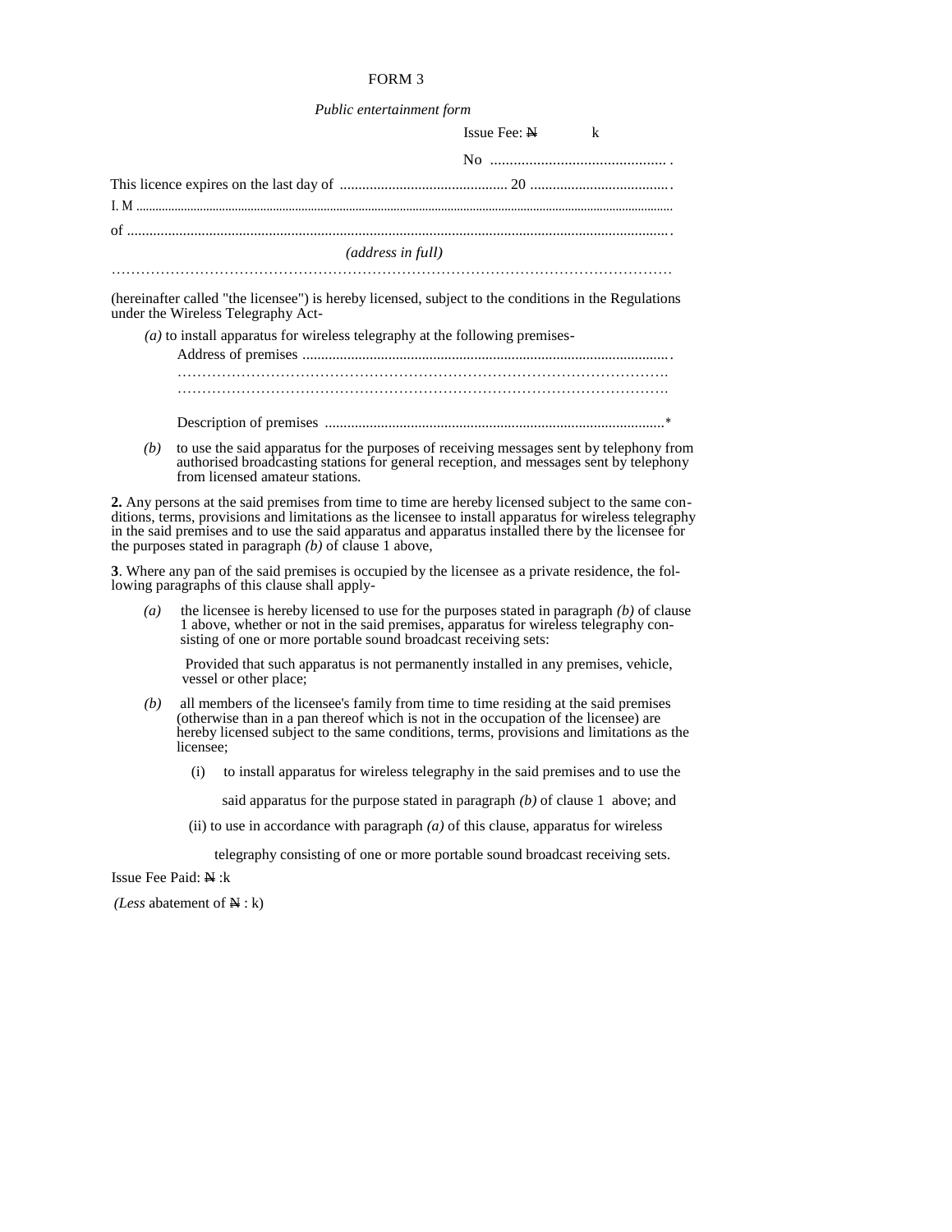### *Public entertainment form*

|                                                                                                                                            | $Issue \nFee: N$ k |  |
|--------------------------------------------------------------------------------------------------------------------------------------------|--------------------|--|
|                                                                                                                                            |                    |  |
|                                                                                                                                            |                    |  |
|                                                                                                                                            |                    |  |
| <i>(address in full)</i>                                                                                                                   |                    |  |
| (hereinafter called "the licensee") is hereby licensed, subject to the conditions in the Regulations<br>under the Wireless Telegraphy Act- |                    |  |
| $(a)$ to install apparatus for wireless telegraphy at the following premises-                                                              |                    |  |
|                                                                                                                                            |                    |  |

……………………………………………………………………………………….

Description of premises ...........................................................................................\*

*(b)* to use the said apparatus for the purposes of receiving messages sent by telephony from authorised broadcasting stations for general reception, and messages sent by telephony from licensed amateur stations.

**2.** Any persons at the said premises from time to time are hereby licensed subject to the same conditions, terms, provisions and limitations as the licensee to install apparatus for wireless telegraphy in the said premises and to use the said apparatus and apparatus installed there by the licensee for the purposes stated in paragraph *(b)* of clause 1 above,

**3**. Where any pan of the said premises is occupied by the licensee as a private residence, the following paragraphs of this clause shall apply-

*(a)* the licensee is hereby licensed to use for the purposes stated in paragraph *(b)* of clause 1 above, whether or not in the said premises, apparatus for wireless telegraphy consisting of one or more portable sound broadcast receiving sets:

Provided that such apparatus is not permanently installed in any premises, vehicle, vessel or other place;

- *(b)* all members of the licensee's family from time to time residing at the said premises (otherwise than in a pan thereof which is not in the occupation of the licensee) are hereby licensed subject to the same conditions, terms, provisions and limitations as the licensee;
	- (i) to install apparatus for wireless telegraphy in the said premises and to use the

said apparatus for the purpose stated in paragraph *(b)* of clause 1 above; and

(ii) to use in accordance with paragraph *(a)* of this clause, apparatus for wireless

telegraphy consisting of one or more portable sound broadcast receiving sets.

Issue Fee Paid: N :k

*(Less* abatement of N : k)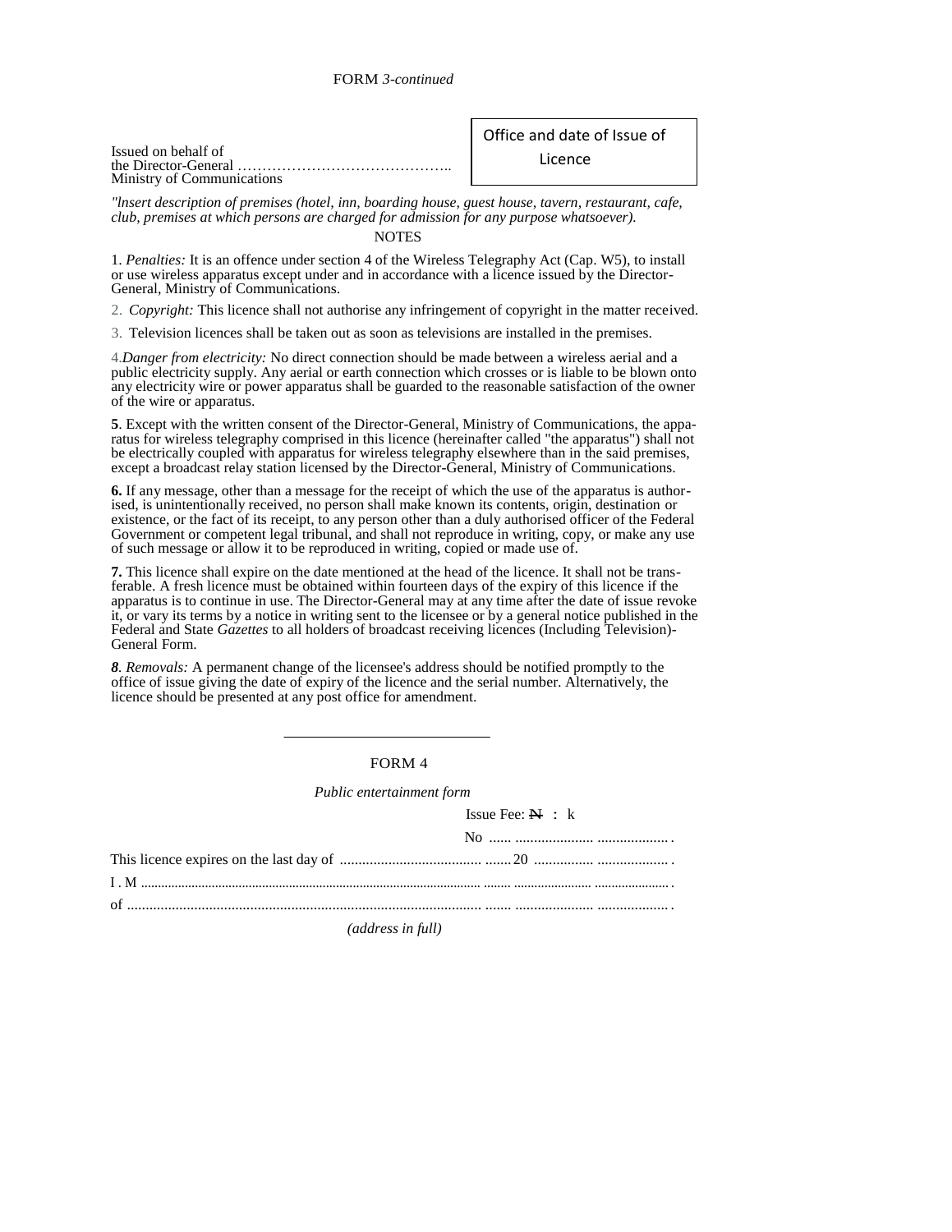| Issued on behalf of        |  |
|----------------------------|--|
|                            |  |
| Ministry of Communications |  |

# Office and date of Issue of

Licence

*"lnsert description of premises (hotel, inn, boarding house, guest house, tavern, restaurant, cafe, club, premises at which persons are charged for admission for any purpose whatsoever).* 

### NOTES

1. *Penalties:* It is an offence under section 4 of the Wireless Telegraphy Act (Cap. W5), to install or use wireless apparatus except under and in accordance with a licence issued by the Director-General, Ministry of Communications.

2. *Copyright:* This licence shall not authorise any infringement of copyright in the matter received.

3. Television licences shall be taken out as soon as televisions are installed in the premises.

4.*Danger from electricity:* No direct connection should be made between a wireless aerial and a public electricity supply. Any aerial or earth connection which crosses or is liable to be blown onto any electricity wire or power apparatus shall be guarded to the reasonable satisfaction of the owner of the wire or apparatus.

**5**. Except with the written consent of the Director-General, Ministry of Communications, the apparatus for wireless telegraphy comprised in this licence (hereinafter called "the apparatus") shall not be electrically coupled with apparatus for wireless telegraphy elsewhere than in the said premises, except a broadcast relay station licensed by the Director-General, Ministry of Communications.

**6.** If any message, other than a message for the receipt of which the use of the apparatus is authorised, is unintentionally received, no person shall make known its contents, origin, destination or existence, or the fact of its receipt, to any person other than a duly authorised officer of the Federal Government or competent legal tribunal, and shall not reproduce in writing, copy, or make any use of such message or allow it to be reproduced in writing, copied or made use of.

**7.** This licence shall expire on the date mentioned at the head of the licence. It shall not be transferable. A fresh licence must be obtained within fourteen days of the expiry of this licence if the apparatus is to continue in use. The Director-General may at any time after the date of issue revoke it, or vary its terms by a notice in writing sent to the licensee or by a general notice published in the Federal and State *Gazettes* to all holders of broadcast receiving licences (Including Television)- General Form.

*8. Removals:* A permanent change of the licensee's address should be notified promptly to the office of issue giving the date of expiry of the licence and the serial number. Alternatively, the licence should be presented at any post office for amendment.

### FORM 4

*Public entertainment form* 

Issue Fee:  $N : k$ 

| No $\ldots$ $\ldots$ $\ldots$ $\ldots$ $\ldots$ $\ldots$ $\ldots$ $\ldots$ |
|----------------------------------------------------------------------------|
|                                                                            |
|                                                                            |
|                                                                            |
|                                                                            |

*(address in full)*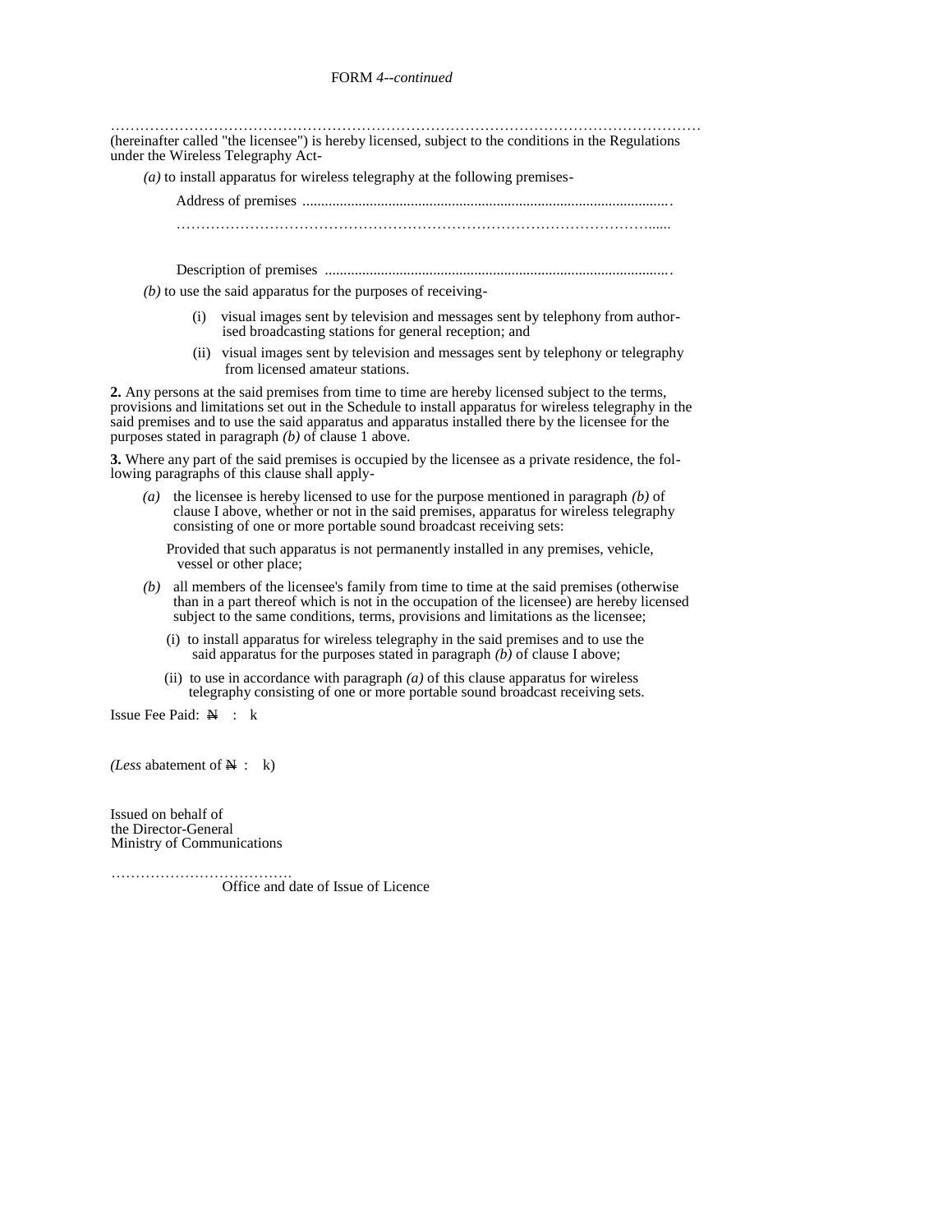………………………………………………………………………………………………………… (hereinafter called "the licensee") is hereby licensed, subject to the conditions in the Regulations under the Wireless Telegraphy Act-

*(a)* to install apparatus for wireless telegraphy at the following premises-

Address of premises ................................................................................................... ……………………………………………………………………………………......

Description of premises .............................................................................................

 $(b)$  to use the said apparatus for the purposes of receiving-

- (i) visual images sent by television and messages sent by telephony from authorised broadcasting stations for general reception; and
- (ii) visual images sent by television and messages sent by telephony or telegraphy from licensed amateur stations.

**2.** Any persons at the said premises from time to time are hereby licensed subject to the terms, provisions and limitations set out in the Schedule to install apparatus for wireless telegraphy in the said premises and to use the said apparatus and apparatus installed there by the licensee for the purposes stated in paragraph *(b)* of clause 1 above.

**3.** Where any part of the said premises is occupied by the licensee as a private residence, the following paragraphs of this clause shall apply-

*(a)* the licensee is hereby licensed to use for the purpose mentioned in paragraph *(b)* of clause I above, whether or not in the said premises, apparatus for wireless telegraphy consisting of one or more portable sound broadcast receiving sets:

Provided that such apparatus is not permanently installed in any premises, vehicle, vessel or other place;

- *(b)* all members of the licensee's family from time to time at the said premises (otherwise than in a part thereof which is not in the occupation of the licensee) are hereby licensed subject to the same conditions, terms, provisions and limitations as the licensee;
	- (i) to install apparatus for wireless telegraphy in the said premises and to use the said apparatus for the purposes stated in paragraph  $(b)$  of clause I above;
	- (ii) to use in accordance with paragraph  $(a)$  of this clause apparatus for wireless telegraphy consisting of one or more portable sound broadcast receiving sets.

Issue Fee Paid:  $\mathbf{N}$  : k

*(Less abatement of*  $\mathbf{A}$  : k)

Issued on behalf of the Director-General Ministry of Communications

……………………………….

Office and date of Issue of Licence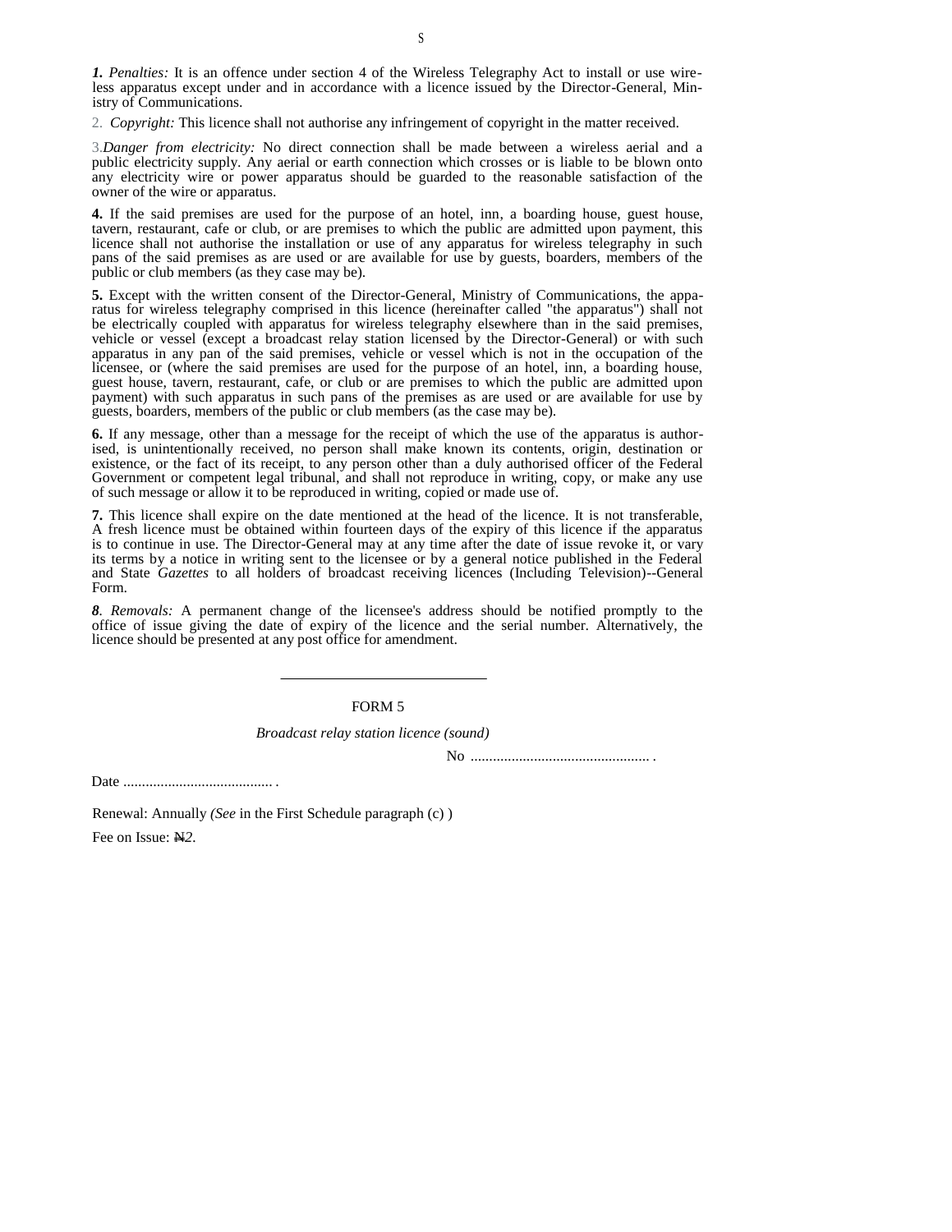*1. Penalties:* It is an offence under section 4 of the Wireless Telegraphy Act to install or use wireless apparatus except under and in accordance with a licence issued by the Director-General, Ministry of Communications.

2. *Copyright:* This licence shall not authorise any infringement of copyright in the matter received.

3.*Danger from electricity:* No direct connection shall be made between a wireless aerial and a public electricity supply. Any aerial or earth connection which crosses or is liable to be blown onto any electricity wire or power apparatus should be guarded to the reasonable satisfaction of the owner of the wire or apparatus.

**4.** If the said premises are used for the purpose of an hotel, inn, a boarding house, guest house, tavern, restaurant, cafe or club, or are premises to which the public are admitted upon payment, this licence shall not authorise the installation or use of any apparatus for wireless telegraphy in such pans of the said premises as are used or are available for use by guests, boarders, members of the public or club members (as they case may be).

**5.** Except with the written consent of the Director-General, Ministry of Communications, the apparatus for wireless telegraphy comprised in this licence (hereinafter called "the apparatus") shall not be electrically coupled with apparatus for wireless telegraphy elsewhere than in the said premises, vehicle or vessel (except a broadcast relay station licensed by the Director-General) or with such apparatus in any pan of the said premises, vehicle or vessel which is not in the occupation of the licensee, or (where the said premises are used for the purpose of an hotel, inn, a boarding house, guest house, tavern, restaurant, cafe, or club or are premises to which the public are admitted upon payment) with such apparatus in such pans of the premises as are used or are available for use by guests, boarders, members of the public or club members (as the case may be).

**6.** If any message, other than a message for the receipt of which the use of the apparatus is authorised, is unintentionally received, no person shall make known its contents, origin, destination or existence, or the fact of its receipt, to any person other than a duly authorised officer of the Federal Government or competent legal tribunal, and shall not reproduce in writing, copy, or make any use of such message or allow it to be reproduced in writing, copied or made use of.

**7.** This licence shall expire on the date mentioned at the head of the licence. It is not transferable, A fresh licence must be obtained within fourteen days of the expiry of this licence if the apparatus is to continue in use. The Director-General may at any time after the date of issue revoke it, or vary its terms by a notice in writing sent to the licensee or by a general notice published in the Federal and State *Gazettes* to all holders of broadcast receiving licences (Including Television)--General Form.

*8. Removals:* A permanent change of the licensee's address should be notified promptly to the office of issue giving the date of expiry of the licence and the serial number. Alternatively, the licence should be presented at any post office for amendment.

#### FORM 5

#### *Broadcast relay station licence (sound)*

No ................................................ .

Date ........................................ .

Renewal: Annually *(See* in the First Schedule paragraph (c) )

Fee on Issue: N*2.*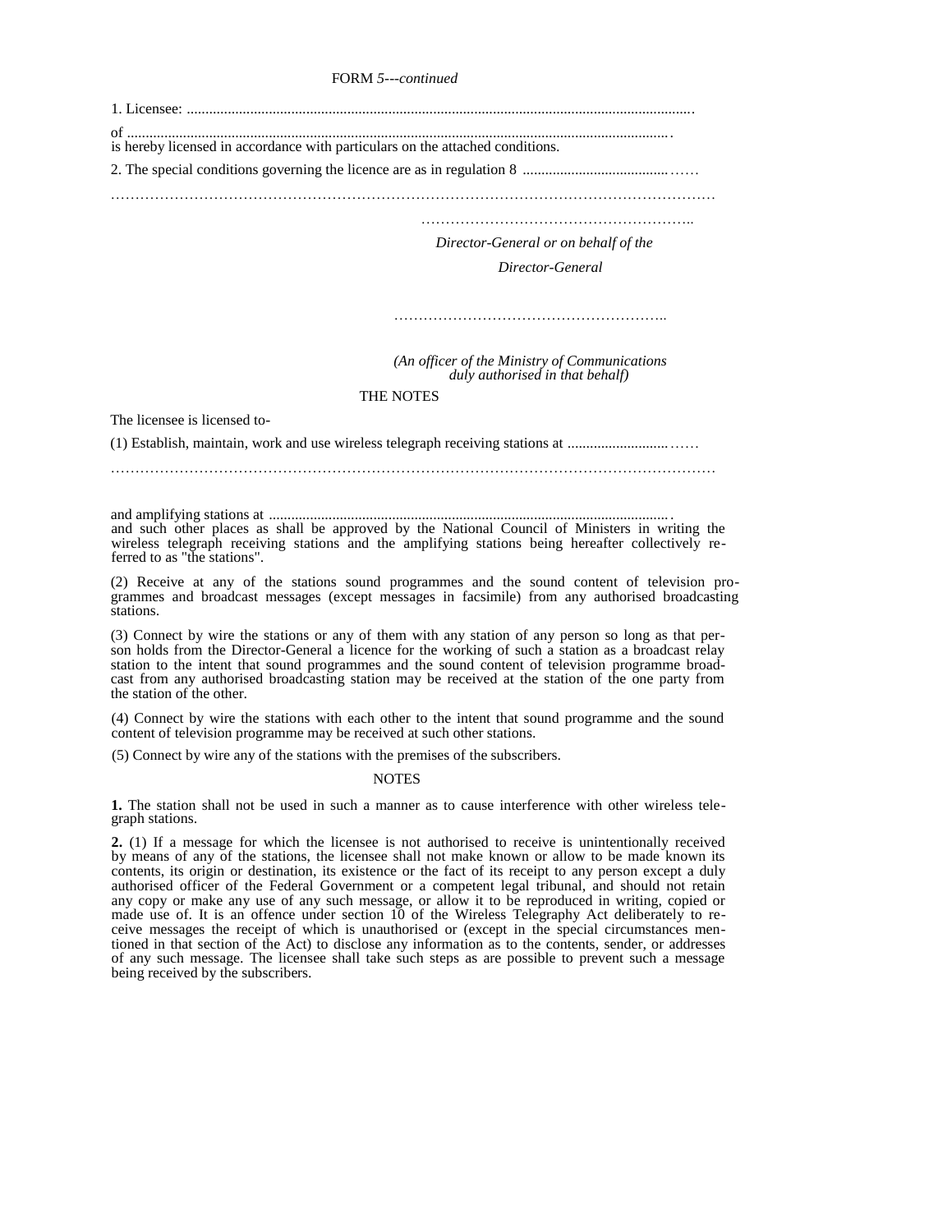FORM *5---continued* 

| is hereby licensed in accordance with particulars on the attached conditions.                                                                                                                                                        |
|--------------------------------------------------------------------------------------------------------------------------------------------------------------------------------------------------------------------------------------|
|                                                                                                                                                                                                                                      |
|                                                                                                                                                                                                                                      |
| Director-General or on behalf of the                                                                                                                                                                                                 |
| Director-General                                                                                                                                                                                                                     |
|                                                                                                                                                                                                                                      |
| (An officer of the Ministry of Communications<br>duly authorised in that behalf)                                                                                                                                                     |
| <b>THE NOTES</b>                                                                                                                                                                                                                     |
| The licensee is licensed to-                                                                                                                                                                                                         |
|                                                                                                                                                                                                                                      |
|                                                                                                                                                                                                                                      |
| and such other places as shall be approved by the National Council of Ministers in writing the<br>wireless telegraph receiving stations and the amplifying stations being hereafter collectively re-<br>ferred to as "the stations". |

(2) Receive at any of the stations sound programmes and the sound content of television programmes and broadcast messages (except messages in facsimile) from any authorised broadcasting stations.

(3) Connect by wire the stations or any of them with any station of any person so long as that person holds from the Director-General a licence for the working of such a station as a broadcast relay station to the intent that sound programmes and the sound content of television programme broadcast from any authorised broadcasting station may be received at the station of the one party from the station of the other.

(4) Connect by wire the stations with each other to the intent that sound programme and the sound content of television programme may be received at such other stations.

(5) Connect by wire any of the stations with the premises of the subscribers.

#### NOTES

**1.** The station shall not be used in such a manner as to cause interference with other wireless telegraph stations.

**2.** (1) If a message for which the licensee is not authorised to receive is unintentionally received by means of any of the stations, the licensee shall not make known or allow to be made known its contents, its origin or destination, its existence or the fact of its receipt to any person except a duly authorised officer of the Federal Government or a competent legal tribunal, and should not retain any copy or make any use of any such message, or allow it to be reproduced in writing, copied or made use of. It is an offence under section 10 of the Wireless Telegraphy Act deliberately to receive messages the receipt of which is unauthorised or (except in the special circumstances mentioned in that section of the Act) to disclose any information as to the contents, sender, or addresses of any such message. The licensee shall take such steps as are possible to prevent such a message being received by the subscribers.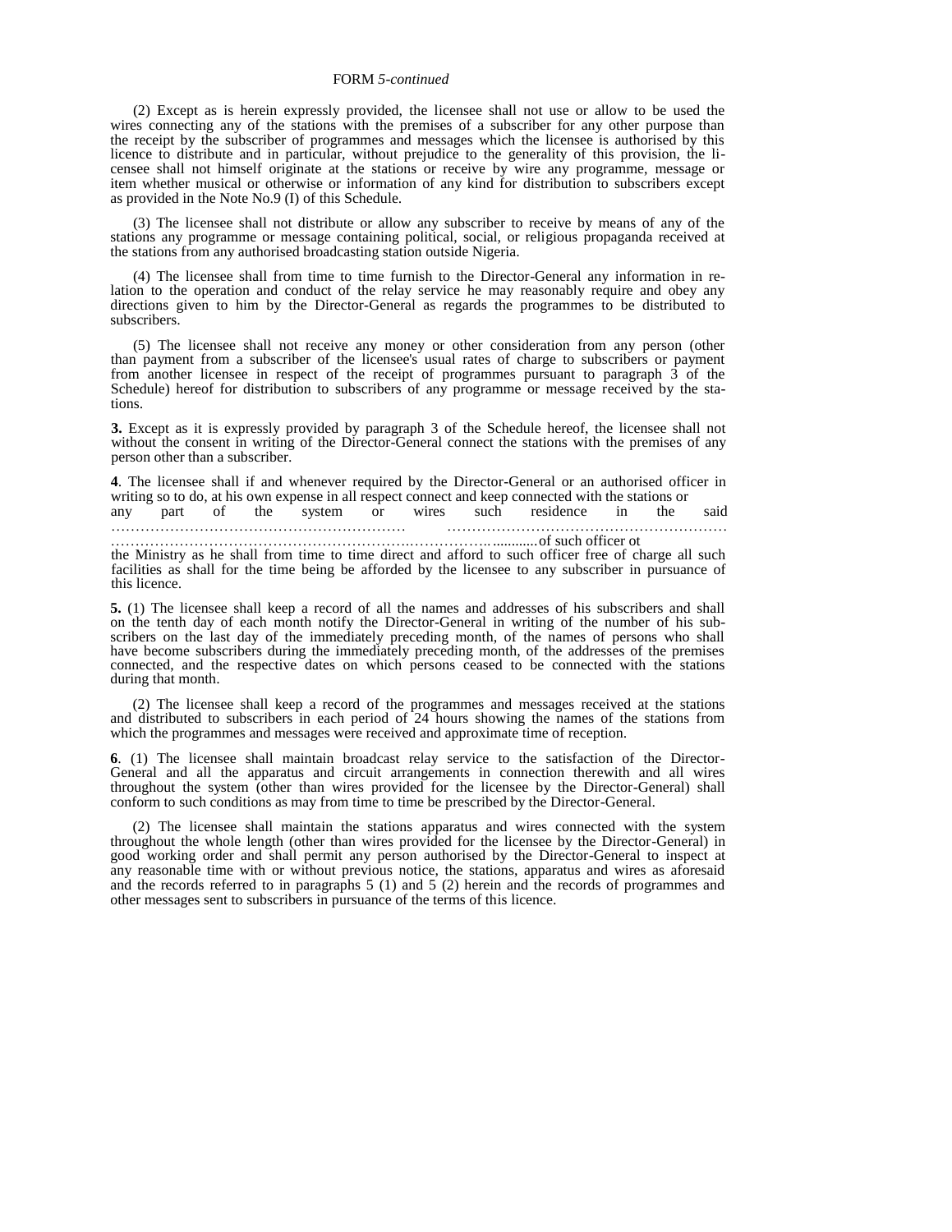#### FORM *5-continued*

(2) Except as is herein expressly provided, the licensee shall not use or allow to be used the wires connecting any of the stations with the premises of a subscriber for any other purpose than the receipt by the subscriber of programmes and messages which the licensee is authorised by this licence to distribute and in particular, without prejudice to the generality of this provision, the licensee shall not himself originate at the stations or receive by wire any programme, message or item whether musical or otherwise or information of any kind for distribution to subscribers except as provided in the Note No.9 (I) of this Schedule.

(3) The licensee shall not distribute or allow any subscriber to receive by means of any of the stations any programme or message containing political, social, or religious propaganda received at the stations from any authorised broadcasting station outside Nigeria.

(4) The licensee shall from time to time furnish to the Director-General any information in relation to the operation and conduct of the relay service he may reasonably require and obey any directions given to him by the Director-General as regards the programmes to be distributed to subscribers.

(5) The licensee shall not receive any money or other consideration from any person (other than payment from a subscriber of the licensee's usual rates of charge to subscribers or payment from another licensee in respect of the receipt of programmes pursuant to paragraph 3 of the Schedule) hereof for distribution to subscribers of any programme or message received by the stations.

**3.** Except as it is expressly provided by paragraph 3 of the Schedule hereof, the licensee shall not without the consent in writing of the Director-General connect the stations with the premises of any person other than a subscriber.

**4**. The licensee shall if and whenever required by the Director-General or an authorised officer in writing so to do, at his own expense in all respect connect and keep connected with the stations or<br>any part of the system or wires such residence in the any part of the system or wires such residence in the said

…………………………………………………… ………………………………………………… …………………………………………………….…………….. ............of such officer ot

the Ministry as he shall from time to time direct and afford to such officer free of charge all such facilities as shall for the time being be afforded by the licensee to any subscriber in pursuance of this licence.

**5.** (1) The licensee shall keep a record of all the names and addresses of his subscribers and shall on the tenth day of each month notify the Director-General in writing of the number of his subscribers on the last day of the immediately preceding month, of the names of persons who shall have become subscribers during the immediately preceding month, of the addresses of the premises connected, and the respective dates on which persons ceased to be connected with the stations during that month.

(2) The licensee shall keep a record of the programmes and messages received at the stations and distributed to subscribers in each period of 24 hours showing the names of the stations from which the programmes and messages were received and approximate time of reception.

**6**. (1) The licensee shall maintain broadcast relay service to the satisfaction of the Director-General and all the apparatus and circuit arrangements in connection therewith and all wires throughout the system (other than wires provided for the licensee by the Director-General) shall conform to such conditions as may from time to time be prescribed by the Director-General.

(2) The licensee shall maintain the stations apparatus and wires connected with the system throughout the whole length (other than wires provided for the licensee by the Director-General) in good working order and shall permit any person authorised by the Director-General to inspect at any reasonable time with or without previous notice, the stations, apparatus and wires as aforesaid and the records referred to in paragraphs 5 (1) and 5 (2) herein and the records of programmes and other messages sent to subscribers in pursuance of the terms of this licence.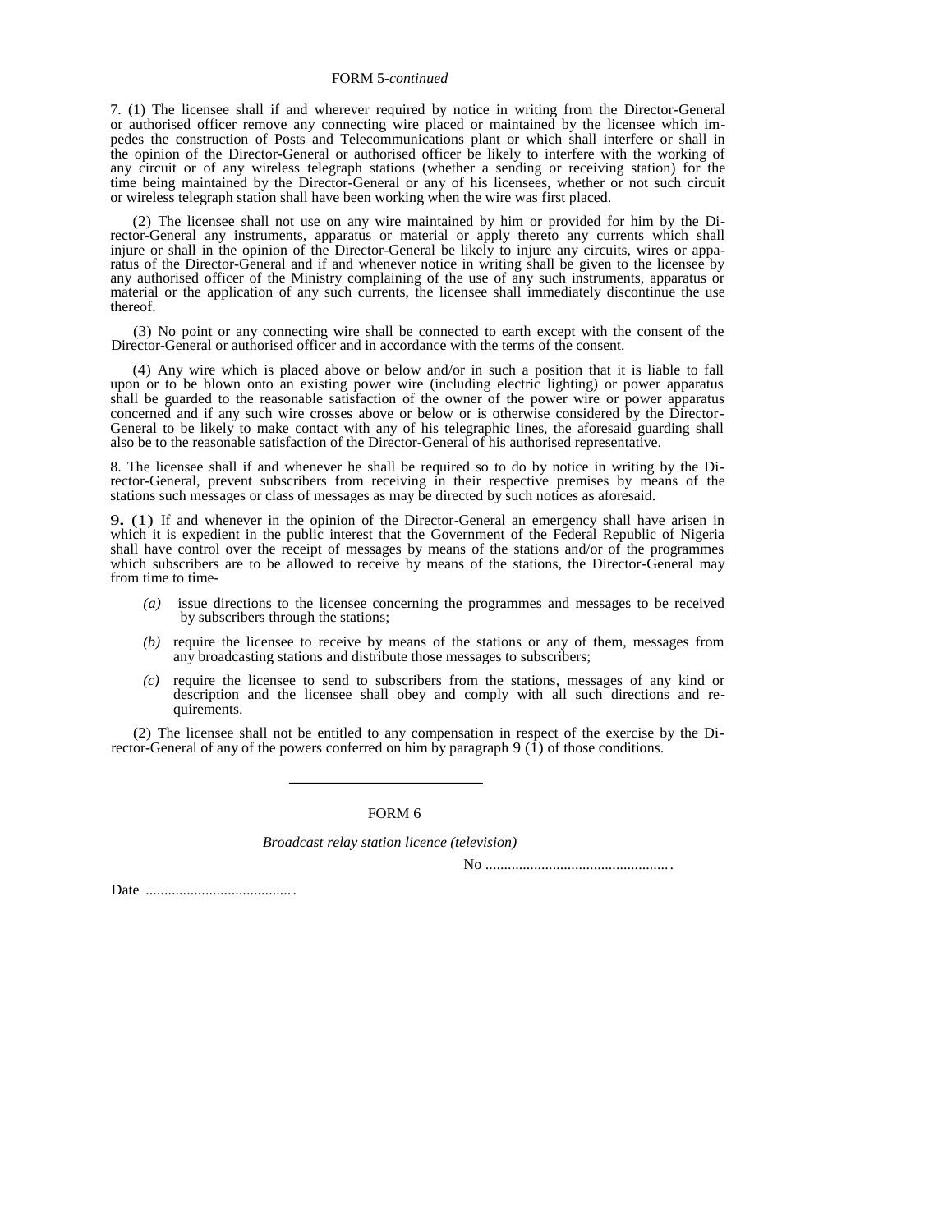#### FORM 5*-continued*

7. (1) The licensee shall if and wherever required by notice in writing from the Director-General or authorised officer remove any connecting wire placed or maintained by the licensee which impedes the construction of Posts and Telecommunications plant or which shall interfere or shall in the opinion of the Director-General or authorised officer be likely to interfere with the working of any circuit or of any wireless telegraph stations (whether a sending or receiving station) for the time being maintained by the Director-General or any of his licensees, whether or not such circuit or wireless telegraph station shall have been working when the wire was first placed.

(2) The licensee shall not use on any wire maintained by him or provided for him by the Director-General any instruments, apparatus or material or apply thereto any currents which shall injure or shall in the opinion of the Director-General be likely to injure any circuits, wires or apparatus of the Director-General and if and whenever notice in writing shall be given to the licensee by any authorised officer of the Ministry complaining of the use of any such instruments, apparatus or material or the application of any such currents, the licensee shall immediately discontinue the use thereof.

(3) No point or any connecting wire shall be connected to earth except with the consent of the Director-General or authorised officer and in accordance with the terms of the consent.

(4) Any wire which is placed above or below and/or in such a position that it is liable to fall upon or to be blown onto an existing power wire (including electric lighting) or power apparatus shall be guarded to the reasonable satisfaction of the owner of the power wire or power apparatus concerned and if any such wire crosses above or below or is otherwise considered by the Director-General to be likely to make contact with any of his telegraphic lines, the aforesaid guarding shall also be to the reasonable satisfaction of the Director-General of his authorised representative.

8. The licensee shall if and whenever he shall be required so to do by notice in writing by the Director-General, prevent subscribers from receiving in their respective premises by means of the stations such messages or class of messages as may be directed by such notices as aforesaid.

9**.** (1) If and whenever in the opinion of the Director-General an emergency shall have arisen in which it is expedient in the public interest that the Government of the Federal Republic of Nigeria shall have control over the receipt of messages by means of the stations and/or of the programmes which subscribers are to be allowed to receive by means of the stations, the Director-General may from time to time-

- *(a)* issue directions to the licensee concerning the programmes and messages to be received by subscribers through the stations;
- *(b)* require the licensee to receive by means of the stations or any of them, messages from any broadcasting stations and distribute those messages to subscribers;
- *(c)* require the licensee to send to subscribers from the stations, messages of any kind or description and the licensee shall obey and comply with all such directions and requirements.

(2) The licensee shall not be entitled to any compensation in respect of the exercise by the Director-General of any of the powers conferred on him by paragraph  $9(1)$  of those conditions.

FORM 6

*Broadcast relay station licence (television)* 

No ..................................................

Date ........................................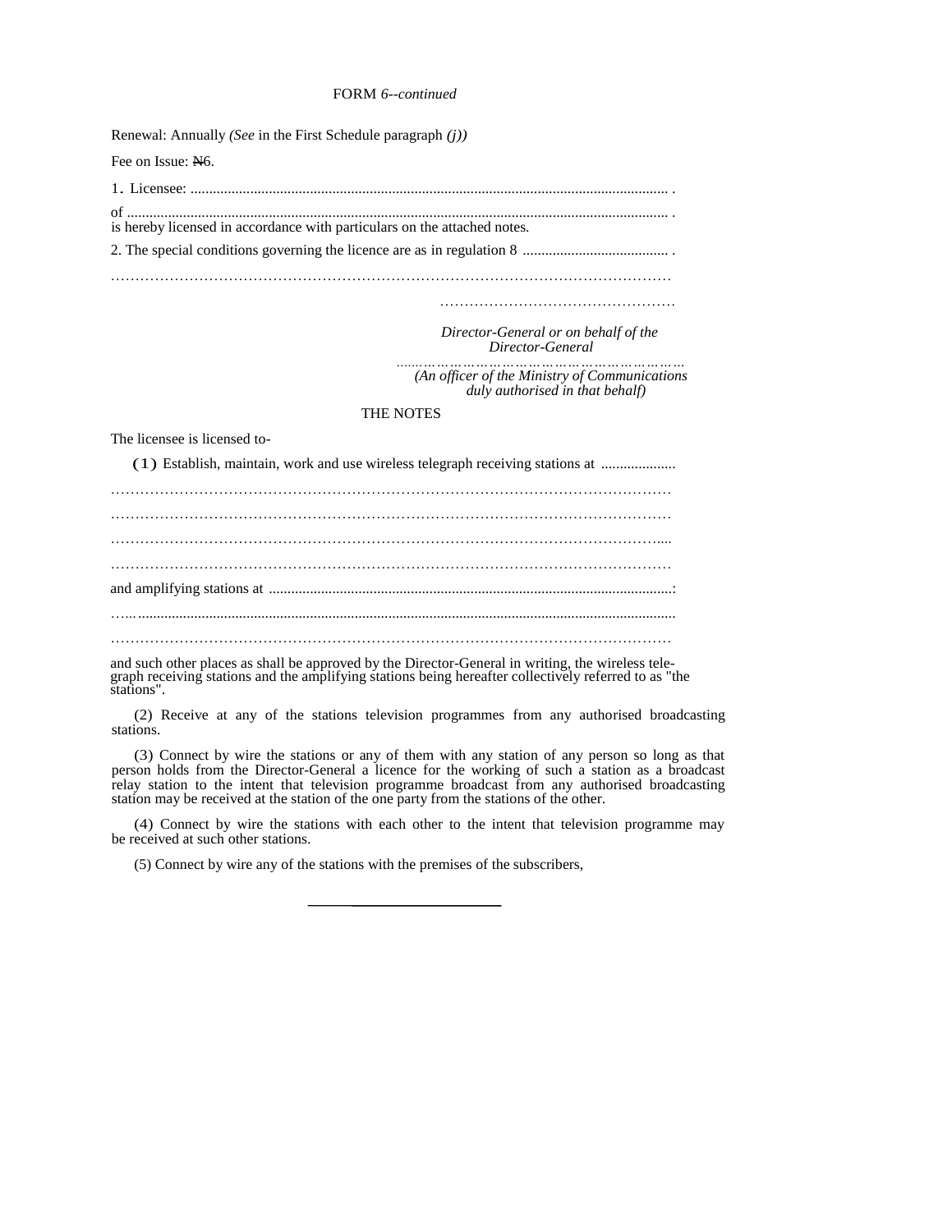#### FORM *6--continued*

Renewal: Annually *(See* in the First Schedule paragraph *(j))*  Fee on Issue: N6. 1. Licensee: ................................................................................................................................ . of ................................................................................................................................................. . is hereby licensed in accordance with particulars on the attached notes. 2. The special conditions governing the licence are as in regulation 8 ....................................... . …………………………………………………………………………………………………… …………………………………………  *Director-General or on behalf of the Director-General .......…………………………………………………… (An officer of the Ministry of Communications duly authorised in that behalf)*  THE NOTES The licensee is licensed to- (1) Establish, maintain, work and use wireless telegraph receiving stations at .................... …………………………………………………………………………………………………… …………………………………………………………………………………………………… and amplifying stations at ............................................................................................................: …... ................................................................................................................................................ …………………………………………………………………………………………………… and such other places as shall be approved by the Director-General in writing, the wireless telegraph receiving stations and the amplifying stations being hereafter collectively referred to as "the

stations". (2) Receive at any of the stations television programmes from any authorised broadcasting

stations.

(3) Connect by wire the stations or any of them with any station of any person so long as that person holds from the Director-General a licence for the working of such a station as a broadcast relay station to the intent that television programme broadcast from any authorised broadcasting station may be received at the station of the one party from the stations of the other.

(4) Connect by wire the stations with each other to the intent that television programme may be received at such other stations.

(5) Connect by wire any of the stations with the premises of the subscribers,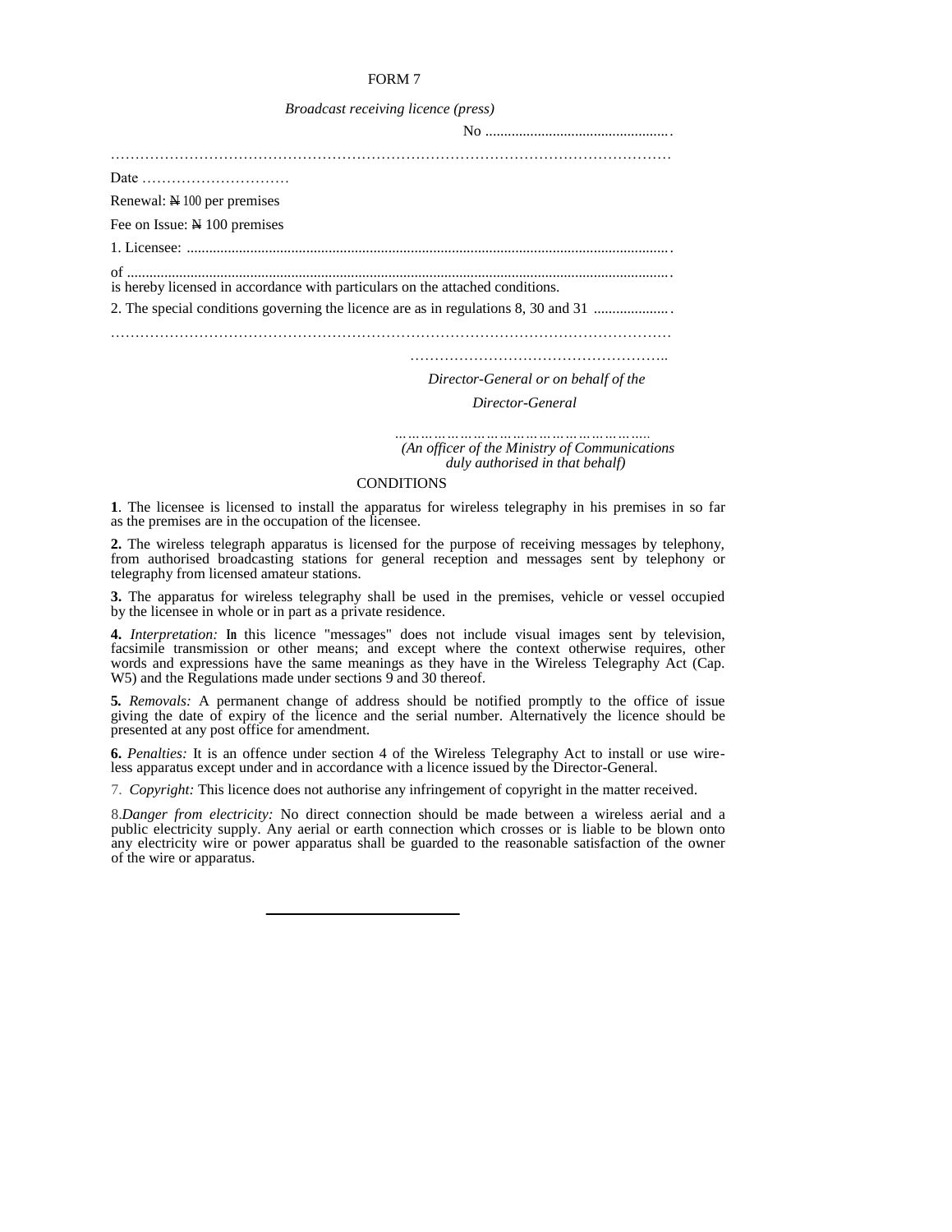|  | Broadcast receiving licence (press) |  |  |
|--|-------------------------------------|--|--|
|--|-------------------------------------|--|--|

| Renewal: $\cancel{\text{N}}$ 100 per premises                                      |  |
|------------------------------------------------------------------------------------|--|
| Fee on Issue: N 100 premises                                                       |  |
|                                                                                    |  |
| is hereby licensed in accordance with particulars on the attached conditions.      |  |
| 2. The special conditions governing the licence are as in regulations 8, 30 and 31 |  |
|                                                                                    |  |
|                                                                                    |  |

*Director-General or on behalf of the* 

 *Director-General* 

*………………………………………………….. (An officer of the Ministry of Communications duly authorised in that behalf)* 

#### CONDITIONS

**1**. The licensee is licensed to install the apparatus for wireless telegraphy in his premises in so far as the premises are in the occupation of the licensee.

**2.** The wireless telegraph apparatus is licensed for the purpose of receiving messages by telephony, from authorised broadcasting stations for general reception and messages sent by telephony or telegraphy from licensed amateur stations.

**3.** The apparatus for wireless telegraphy shall be used in the premises, vehicle or vessel occupied by the licensee in whole or in part as a private residence.

**4.** *Interpretation:* **In** this licence "messages" does not include visual images sent by television, facsimile transmission or other means; and except where the context otherwise requires, other words and expressions have the same meanings as they have in the Wireless Telegraphy Act (Cap. W5) and the Regulations made under sections 9 and 30 thereof.

**5***. Removals:* A permanent change of address should be notified promptly to the office of issue giving the date of expiry of the licence and the serial number. Alternatively the licence should be presented at any post office for amendment.

**6.** *Penalties:* It is an offence under section 4 of the Wireless Telegraphy Act to install or use wireless apparatus except under and in accordance with a licence issued by the Director-General.

7. *Copyright:* This licence does not authorise any infringement of copyright in the matter received.

8.*Danger from electricity:* No direct connection should be made between a wireless aerial and a public electricity supply. Any aerial or earth connection which crosses or is liable to be blown onto any electricity wire or power apparatus shall be guarded to the reasonable satisfaction of the owner of the wire or apparatus.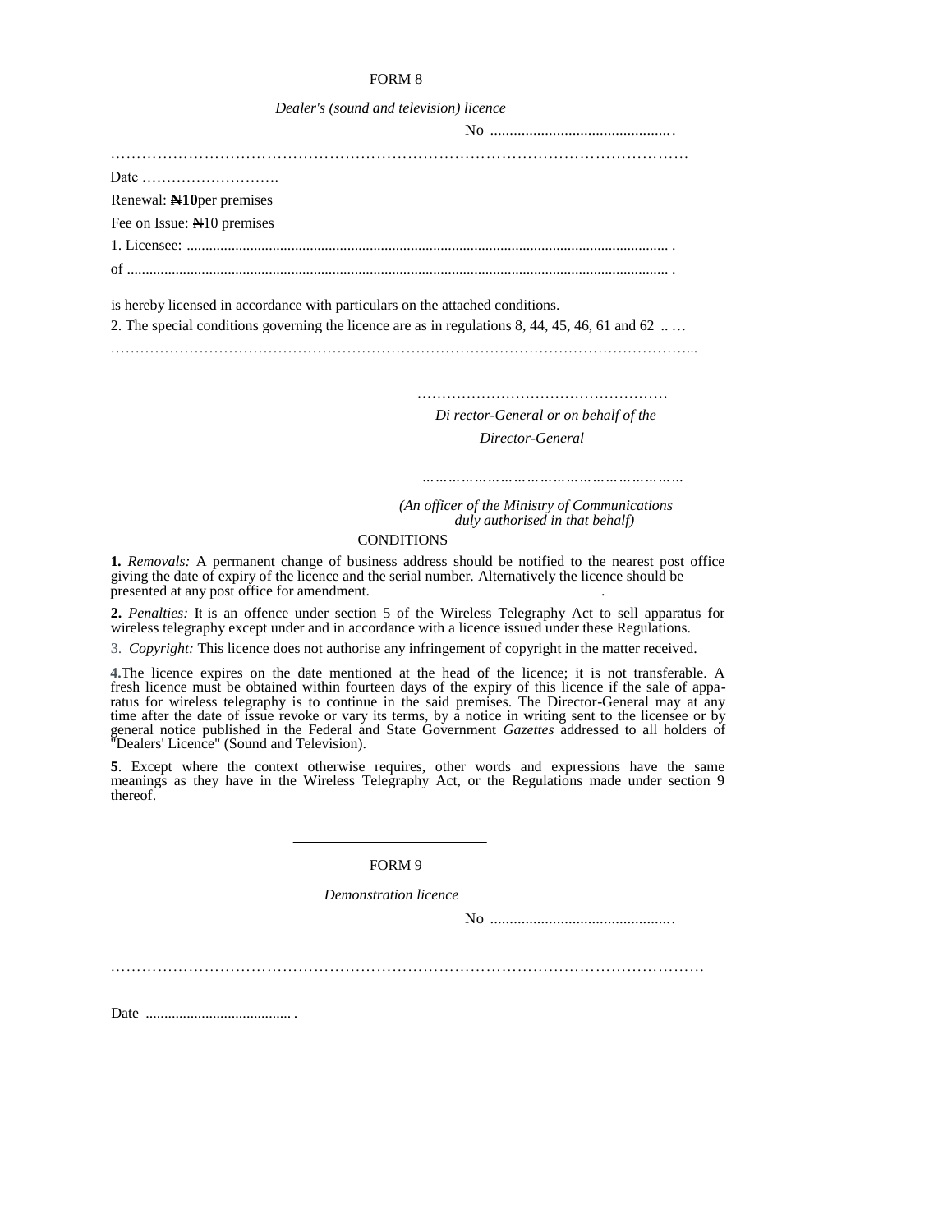| Dealer's (sound and television) licence |  |  |  |  |  |  |
|-----------------------------------------|--|--|--|--|--|--|
|-----------------------------------------|--|--|--|--|--|--|

| Date $\dots\dots\dots\dots\dots\dots\dots\dots\dots\dots$ |  |  |  |
|-----------------------------------------------------------|--|--|--|
| Renewal: N10 per premises                                 |  |  |  |
| Fee on Issue: No premises                                 |  |  |  |
|                                                           |  |  |  |
|                                                           |  |  |  |
|                                                           |  |  |  |

is hereby licensed in accordance with particulars on the attached conditions.

2. The special conditions governing the licence are as in regulations 8, 44, 45, 46, 61 and 62 ....

………………………………………………………………………………………………………...

 *Di rector-General or on behalf of the Director-General* 

 *……………………………………………………*

……………………………………………

*(An officer of the Ministry of Communications duly authorised in that behalf)* 

#### **CONDITIONS**

**1***. Removals:* A permanent change of business address should be notified to the nearest post office giving the date of expiry of the licence and the serial number. Alternatively the licence should be presented at any post office for amendment. .

**2.** *Penalties:* **It** is an offence under section 5 of the Wireless Telegraphy Act to sell apparatus for wireless telegraphy except under and in accordance with a licence issued under these Regulations.

3. *Copyright:* This licence does not authorise any infringement of copyright in the matter received.

**4.**The licence expires on the date mentioned at the head of the licence; it is not transferable. A fresh licence must be obtained within fourteen days of the expiry of this licence if the sale of apparatus for wireless telegraphy is to continue in the said premises. The Director-General may at any time after the date of issue revoke or vary its terms, by a notice in writing sent to the licensee or by general notice published in the Federal and State Government *Gazettes* addressed to all holders of "Dealers' Licence" (Sound and Television).

**5**. Except where the context otherwise requires, other words and expressions have the same meanings as they have in the Wireless Telegraphy Act, or the Regulations made under section 9 thereof.

FORM 9

*Demonstration licence* 

No ...............................................

……………………………………………………………………………………………………

Date ....................................... .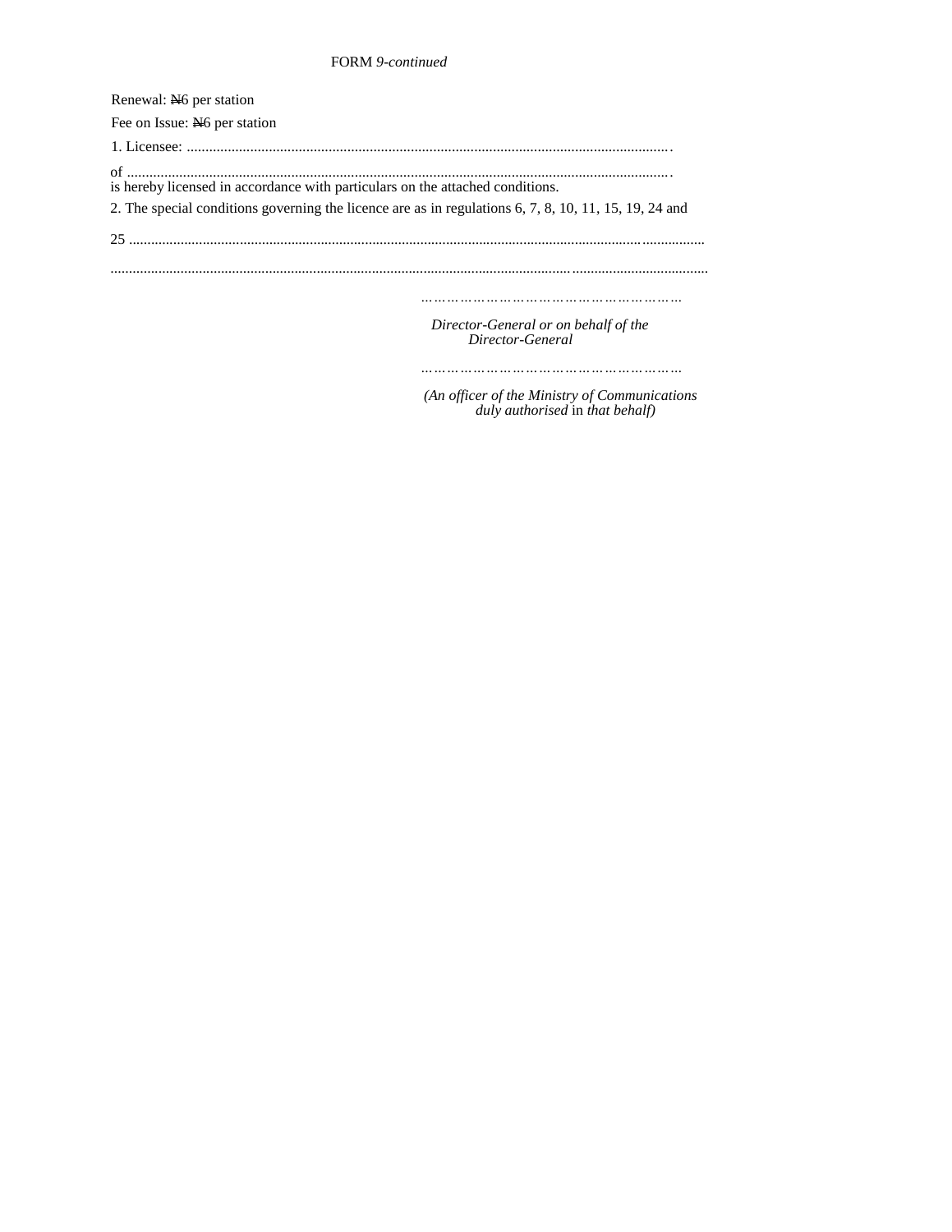# FORM *9-continued*

| Renewal: N <sub>6</sub> per station                                                                   |
|-------------------------------------------------------------------------------------------------------|
| Fee on Issue: No per station                                                                          |
|                                                                                                       |
| is hereby licensed in accordance with particulars on the attached conditions.                         |
| 2. The special conditions governing the licence are as in regulations 6, 7, 8, 10, 11, 15, 19, 24 and |
|                                                                                                       |
|                                                                                                       |
| Director-General or on behalf of the<br>Director-General                                              |

*……………………………………………………*

*(An officer of the Ministry of Communications duly authorised* in *that behalf)*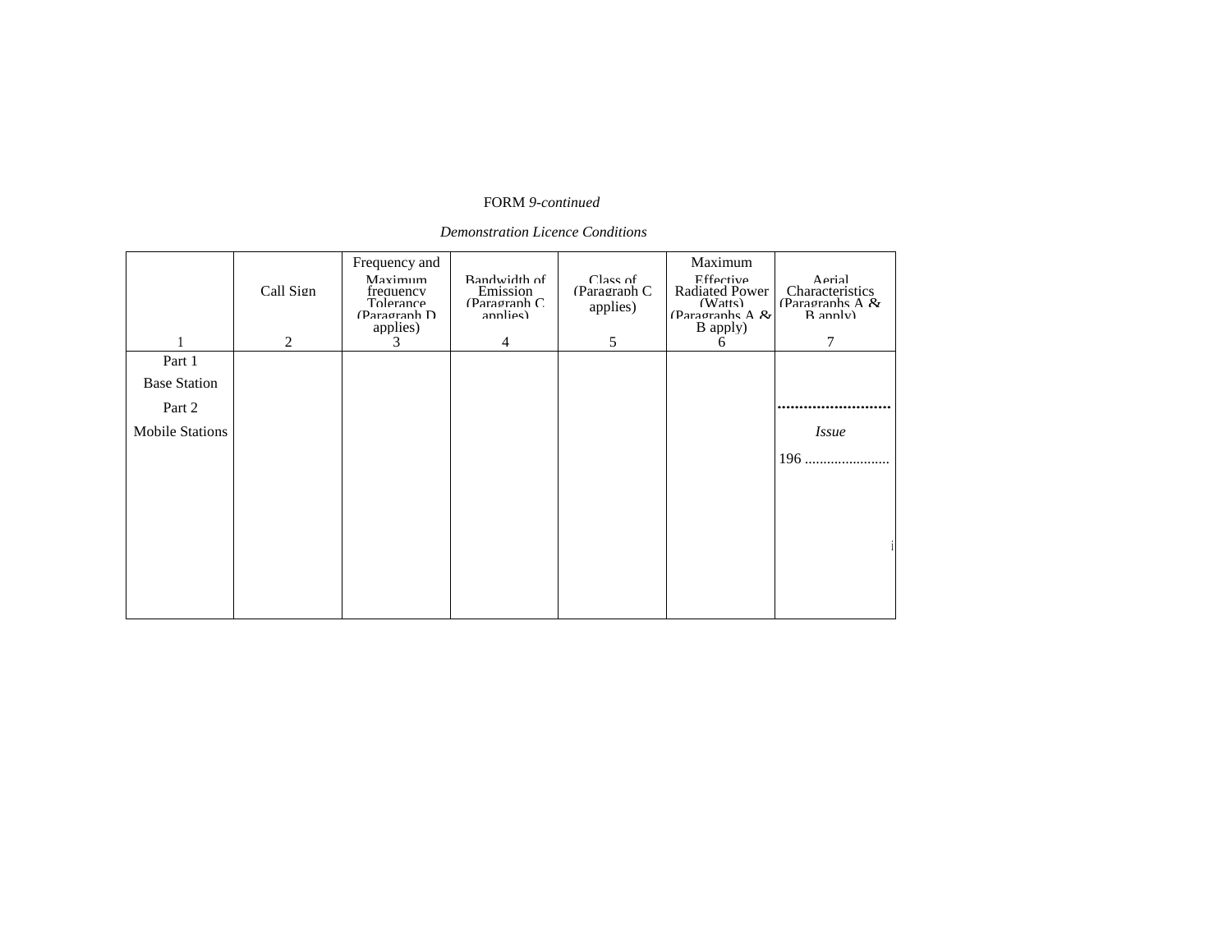# FORM *9-continued*

# *Demonstration Licence Conditions*

|                        | Call Sign | Frequency and<br>Mavimum<br>frequency<br>Tolerance<br>(Paragraph D<br>applies) | Randwidth of<br>Emission<br>(Paramman C)<br>annlies) | Class of<br>(Paragraph C<br>applies) | Maximum<br>Effective<br><b>Radiated Power</b><br>(Watts)<br>(Paragraphs A $\&$<br>B apply) | $\Delta$ erial<br>Characteristics<br>(Paragraphs A $\mathcal{R}_1$<br>R annly) |
|------------------------|-----------|--------------------------------------------------------------------------------|------------------------------------------------------|--------------------------------------|--------------------------------------------------------------------------------------------|--------------------------------------------------------------------------------|
| Part 1                 | 2         | 3                                                                              | 4                                                    | 5                                    | 6                                                                                          | 7                                                                              |
| <b>Base Station</b>    |           |                                                                                |                                                      |                                      |                                                                                            |                                                                                |
| Part 2                 |           |                                                                                |                                                      |                                      |                                                                                            |                                                                                |
| <b>Mobile Stations</b> |           |                                                                                |                                                      |                                      |                                                                                            | <i>Issue</i>                                                                   |
|                        |           |                                                                                |                                                      |                                      |                                                                                            | $196$                                                                          |
|                        |           |                                                                                |                                                      |                                      |                                                                                            |                                                                                |
|                        |           |                                                                                |                                                      |                                      |                                                                                            |                                                                                |
|                        |           |                                                                                |                                                      |                                      |                                                                                            |                                                                                |
|                        |           |                                                                                |                                                      |                                      |                                                                                            |                                                                                |
|                        |           |                                                                                |                                                      |                                      |                                                                                            |                                                                                |
|                        |           |                                                                                |                                                      |                                      |                                                                                            |                                                                                |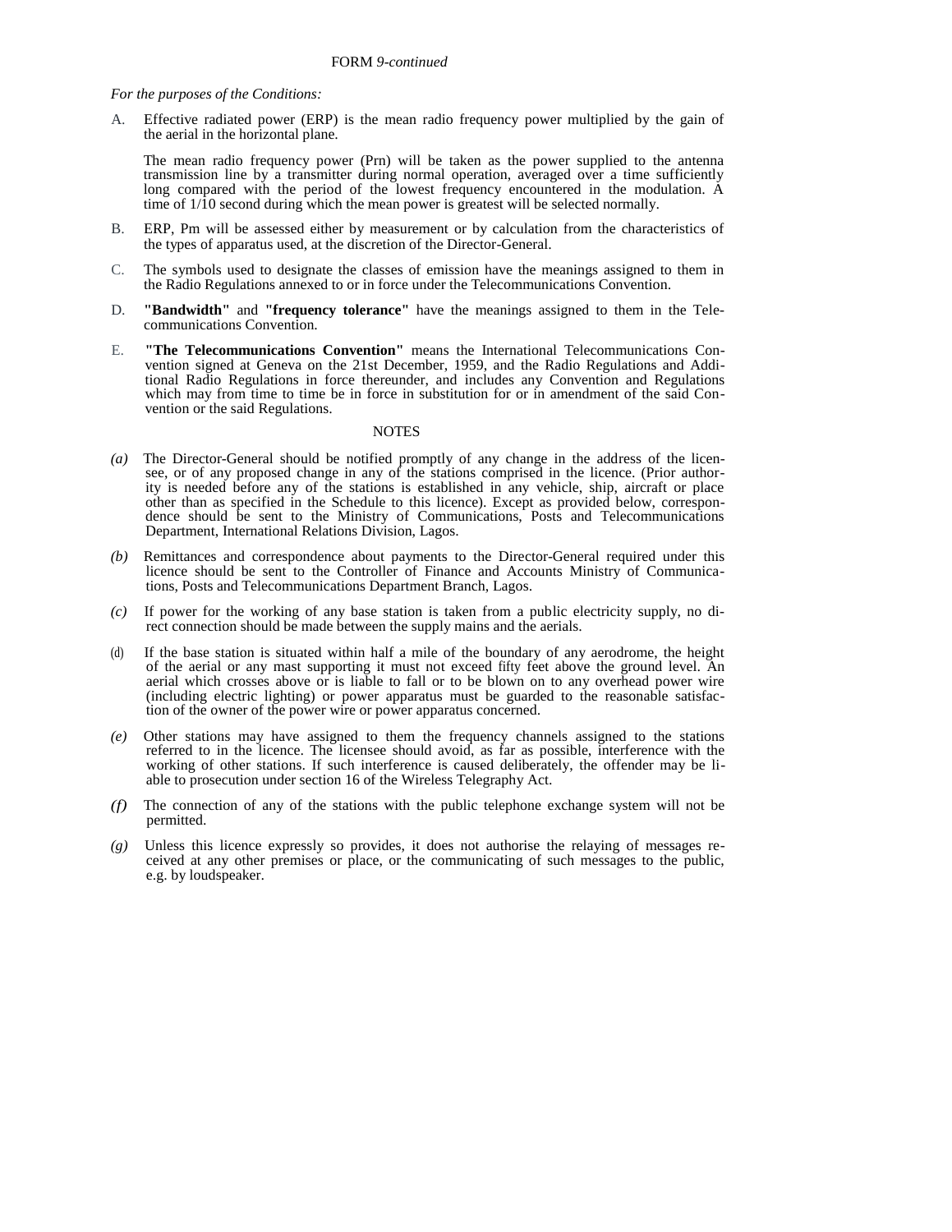#### *For the purposes of the Conditions:*

A. Effective radiated power (ERP) is the mean radio frequency power multiplied by the gain of the aerial in the horizontal plane.

The mean radio frequency power (Prn) will be taken as the power supplied to the antenna transmission line by a transmitter during normal operation, averaged over a time sufficiently long compared with the period of the lowest frequency encountered in the modulation. A time of  $1/\overline{10}$  second during which the mean power is greatest will be selected normally.

- B. ERP, Pm will be assessed either by measurement or by calculation from the characteristics of the types of apparatus used, at the discretion of the Director-General.
- C. The symbols used to designate the classes of emission have the meanings assigned to them in the Radio Regulations annexed to or in force under the Telecommunications Convention.
- D. **"Bandwidth"** and **"frequency tolerance"** have the meanings assigned to them in the Telecommunications Convention.
- E. **"The Telecommunications Convention"** means the International Telecommunications Convention signed at Geneva on the 21st December, 1959, and the Radio Regulations and Additional Radio Regulations in force thereunder, and includes any Convention and Regulations which may from time to time be in force in substitution for or in amendment of the said Convention or the said Regulations.

#### **NOTES**

- *(a)* The Director-General should be notified promptly of any change in the address of the licensee, or of any proposed change in any of the stations comprised in the licence. (Prior authority is needed before any of the stations is established in any vehicle, ship, aircraft or place other than as specified in the Schedule to this licence). Except as provided below, correspondence should be sent to the Ministry of Communications, Posts and Telecommunications Department, International Relations Division, Lagos.
- *(b)* Remittances and correspondence about payments to the Director-General required under this licence should be sent to the Controller of Finance and Accounts Ministry of Communications, Posts and Telecommunications Department Branch, Lagos.
- *(c)* If power for the working of any base station is taken from a public electricity supply, no direct connection should be made between the supply mains and the aerials.
- If the base station is situated within half a mile of the boundary of any aerodrome, the height of the aerial or any mast supporting it must not exceed fifty feet above the ground level. An aerial which crosses above or is liable to fall or to be blown on to any overhead power wire (including electric lighting) or power apparatus must be guarded to the reasonable satisfaction of the owner of the power wire or power apparatus concerned.
- *(e)* Other stations may have assigned to them the frequency channels assigned to the stations referred to in the licence. The licensee should avoid, as far as possible, interference with the working of other stations. If such interference is caused deliberately, the offender may be liable to prosecution under section 16 of the Wireless Telegraphy Act.
- *(f)* The connection of any of the stations with the public telephone exchange system will not be permitted.
- *(g)* Unless this licence expressly so provides, it does not authorise the relaying of messages received at any other premises or place, or the communicating of such messages to the public, e.g. by loudspeaker.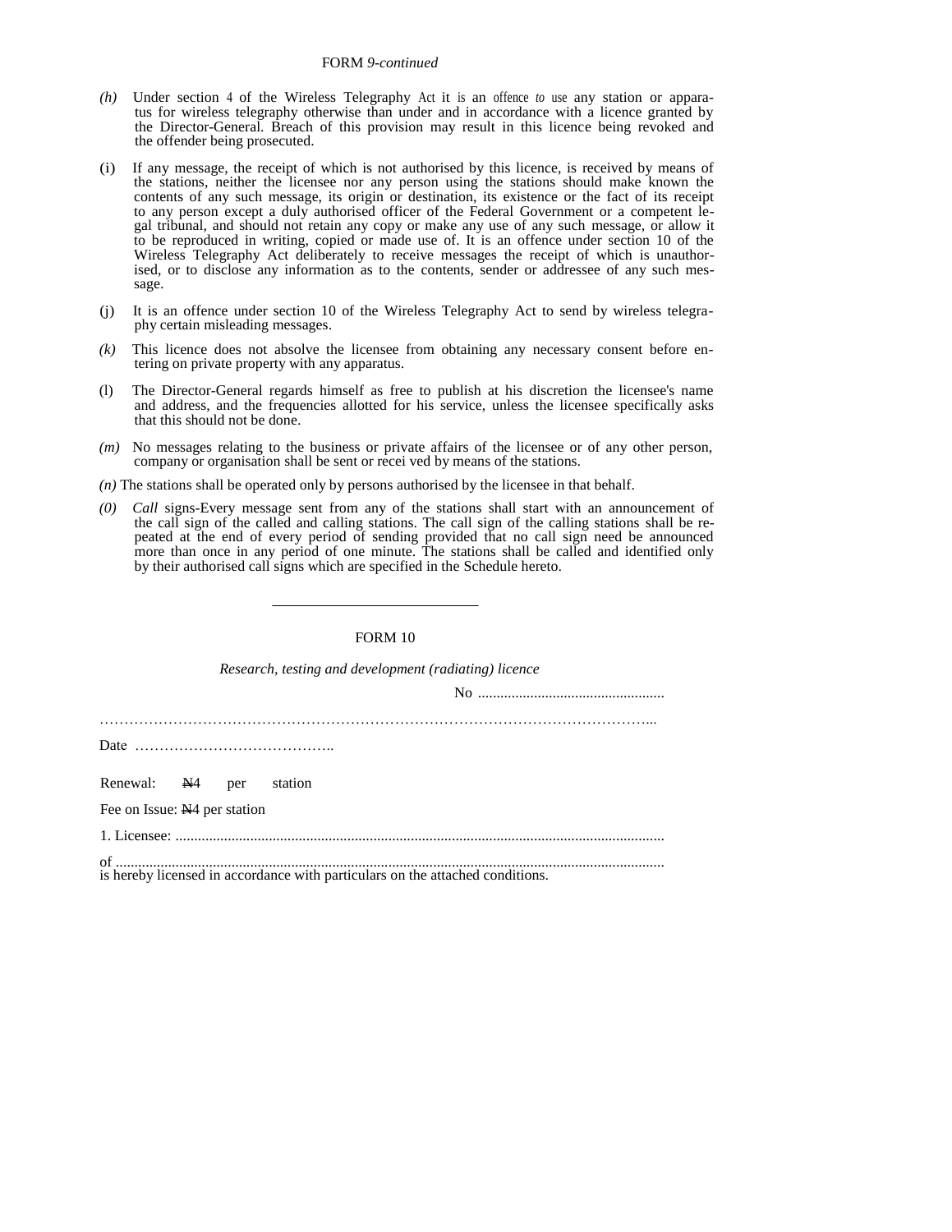#### FORM *9-continued*

- *(h)* Under section 4 of the Wireless Telegraphy Act it is an offence *to* use any station or apparatus for wireless telegraphy otherwise than under and in accordance with a licence granted by the Director-General. Breach of this provision may result in this licence being revoked and the offender being prosecuted.
- (i) If any message, the receipt of which is not authorised by this licence, is received by means of the stations, neither the licensee nor any person using the stations should make known the contents of any such message, its origin or destination, its existence or the fact of its receipt to any person except a duly authorised officer of the Federal Government or a competent legal tribunal, and should not retain any copy or make any use of any such message, or allow it to be reproduced in writing, copied or made use of. It is an offence under section 10 of the Wireless Telegraphy Act deliberately to receive messages the receipt of which is unauthorised, or to disclose any information as to the contents, sender or addressee of any such message.
- (j) It is an offence under section 10 of the Wireless Telegraphy Act to send by wireless telegraphy certain misleading messages.
- *(k)* This licence does not absolve the licensee from obtaining any necessary consent before entering on private property with any apparatus.
- (l) The Director-General regards himself as free to publish at his discretion the licensee's name and address, and the frequencies allotted for his service, unless the licensee specifically asks that this should not be done.
- *(m)* No messages relating to the business or private affairs of the licensee or of any other person, company or organisation shall be sent or recei ved by means of the stations.
- *(n)* The stations shall be operated only by persons authorised by the licensee in that behalf.
- *(0) Call* signs-Every message sent from any of the stations shall start with an announcement of the call sign of the called and calling stations. The call sign of the calling stations shall be repeated at the end of every period of sending provided that no call sign need be announced more than once in any period of one minute. The stations shall be called and identified only by their authorised call signs which are specified in the Schedule hereto.

### FORM 10

|                                          |  | Research, testing and development (radiating) licence |
|------------------------------------------|--|-------------------------------------------------------|
|                                          |  |                                                       |
|                                          |  |                                                       |
|                                          |  |                                                       |
|                                          |  |                                                       |
| Renewal: N4 per station                  |  |                                                       |
| Fee on Issue: N <sub>4</sub> per station |  |                                                       |
|                                          |  |                                                       |
|                                          |  |                                                       |

is hereby licensed in accordance with particulars on the attached conditions.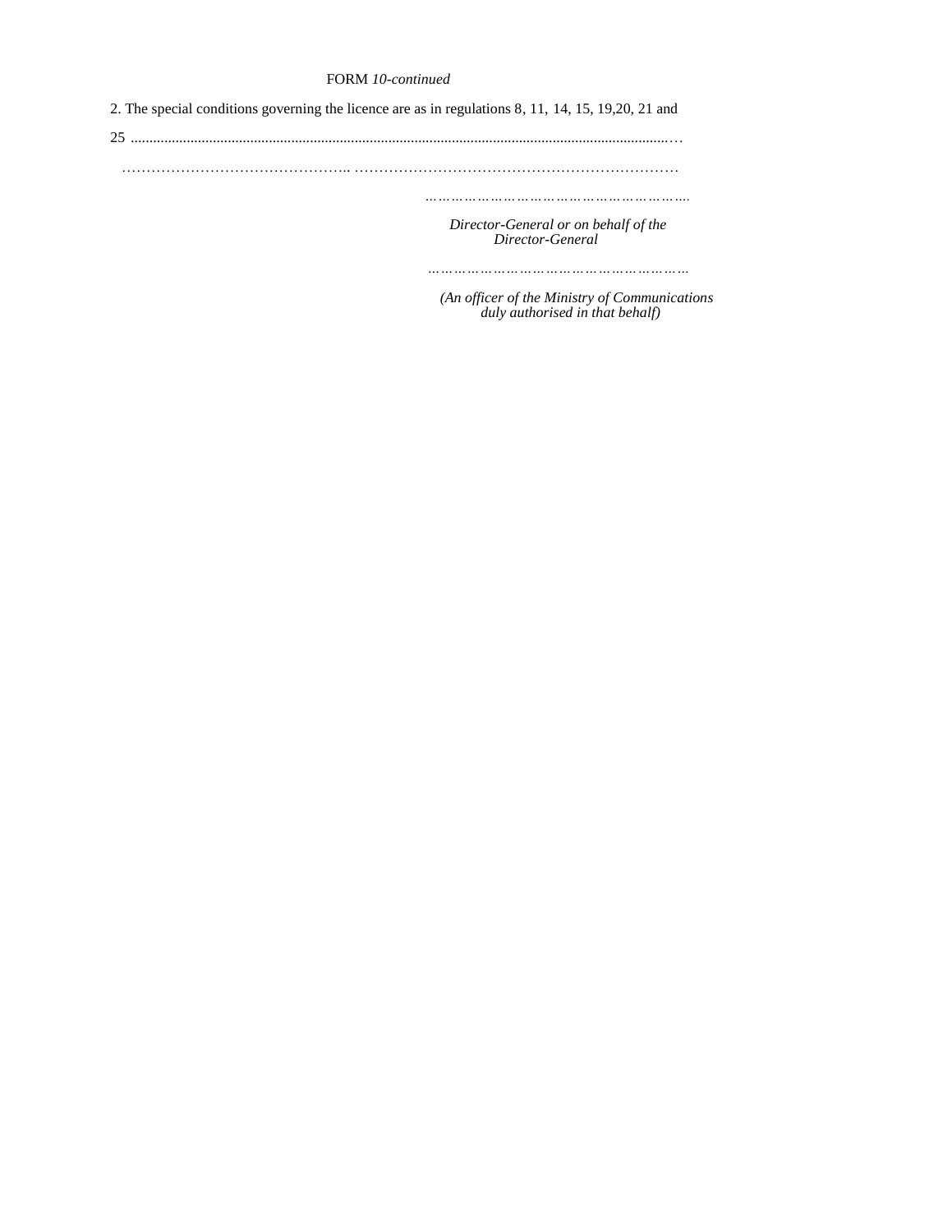# FORM *10-continued*

2. The special conditions governing the licence are as in regulations 8, 11, 14, 15, 19,20, 21 and 25 ................................................................................................................................................… ……………………………………….. ………………………………………………………… *……………………………………………………. Director-General or on behalf of the Director-General* 

 *……………………………………………………*

 *(An officer of the Ministry of Communications duly authorised in that behalf)*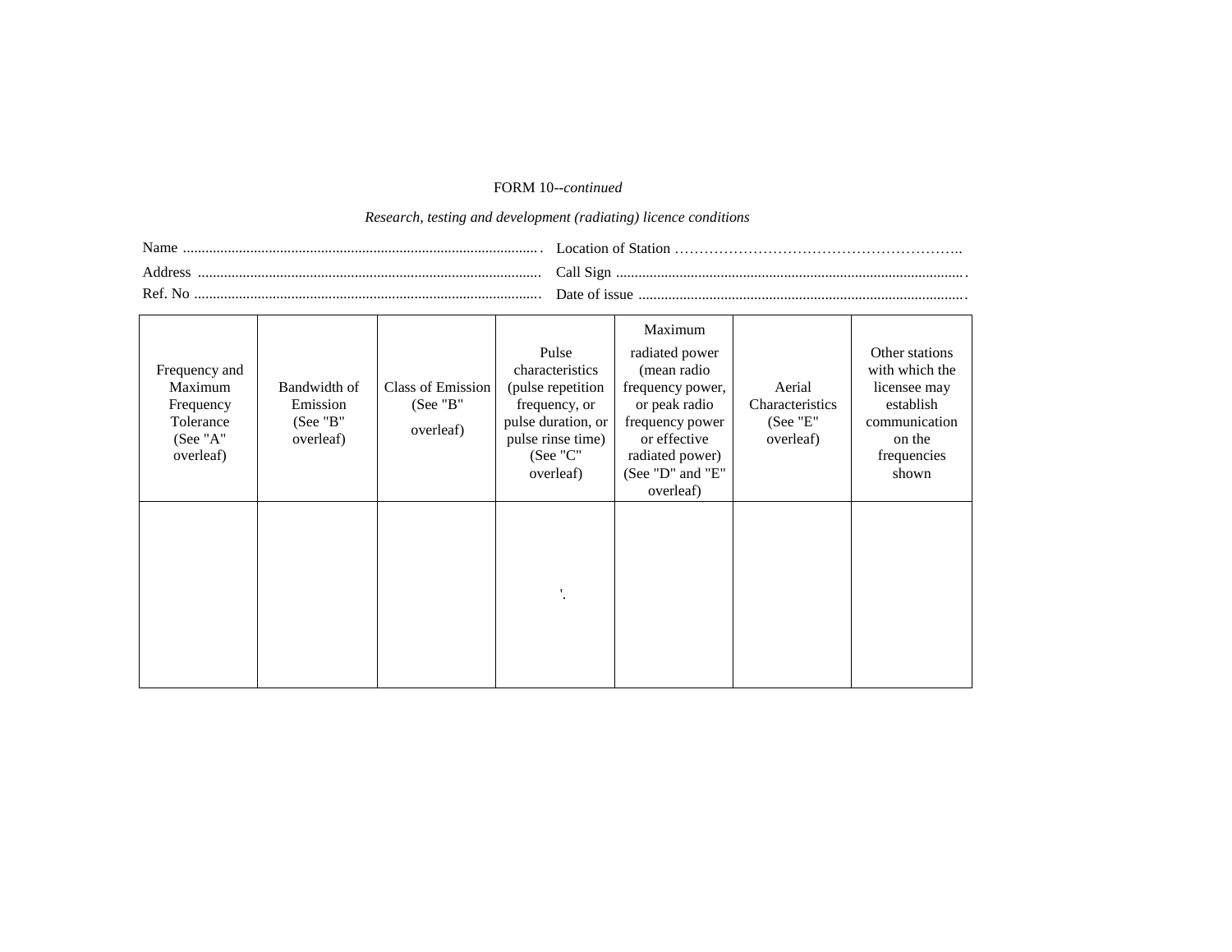# FORM 10*--continued*

# *Research, testing and development (radiating) licence conditions*

| Address |  |
|---------|--|
| Ref No  |  |

| Frequency and<br>Maximum<br>Frequency<br>Tolerance<br>(See "A"<br>overleaf) | Bandwidth of<br>Emission<br>(See "B"<br>overleaf) | Class of Emission<br>(See "B"<br>overleaf) | Pulse<br>characteristics<br>(pulse repetition<br>frequency, or<br>pulse duration, or<br>pulse rinse time)<br>(See "C"<br>overleaf) | Maximum<br>radiated power<br>(mean radio<br>frequency power,<br>or peak radio<br>frequency power<br>or effective<br>radiated power)<br>(See "D" and "E"<br>overleaf) | Aerial<br>Characteristics<br>(See "E"<br>overleaf) | Other stations<br>with which the<br>licensee may<br>establish<br>communication<br>on the<br>frequencies<br>shown |
|-----------------------------------------------------------------------------|---------------------------------------------------|--------------------------------------------|------------------------------------------------------------------------------------------------------------------------------------|----------------------------------------------------------------------------------------------------------------------------------------------------------------------|----------------------------------------------------|------------------------------------------------------------------------------------------------------------------|
|                                                                             |                                                   |                                            |                                                                                                                                    |                                                                                                                                                                      |                                                    |                                                                                                                  |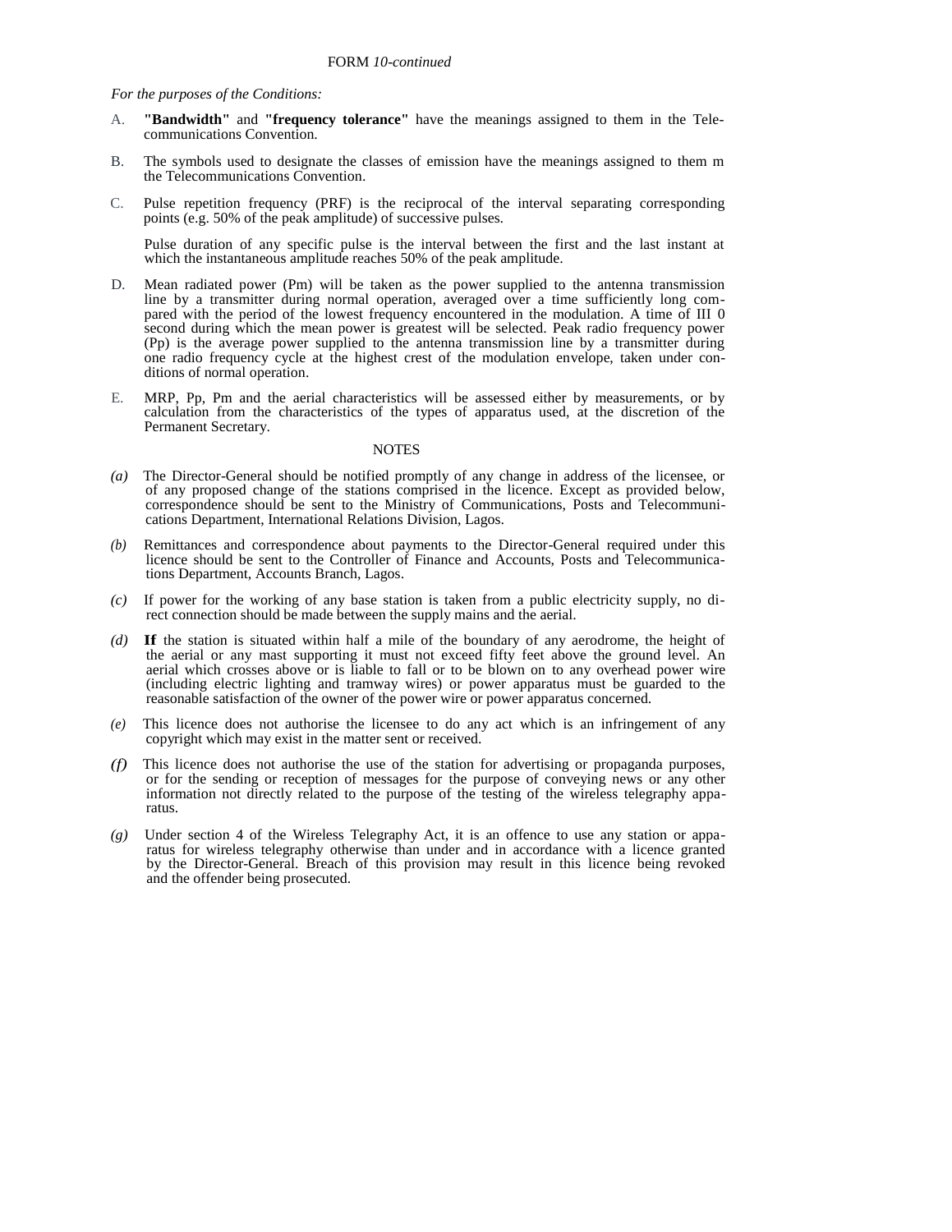*For the purposes of the Conditions:* 

- A. **"Bandwidth"** and **"frequency tolerance"** have the meanings assigned to them in the Telecommunications Convention.
- B. The symbols used to designate the classes of emission have the meanings assigned to them m the Telecommunications Convention.
- C. Pulse repetition frequency (PRF) is the reciprocal of the interval separating corresponding points (e.g. 50% of the peak amplitude) of successive pulses.

Pulse duration of any specific pulse is the interval between the first and the last instant at which the instantaneous amplitude reaches 50% of the peak amplitude.

- D. Mean radiated power (Pm) will be taken as the power supplied to the antenna transmission line by a transmitter during normal operation, averaged over a time sufficiently long compared with the period of the lowest frequency encountered in the modulation. A time of III 0 second during which the mean power is greatest will be selected. Peak radio frequency power (Pp) is the average power supplied to the antenna transmission line by a transmitter during one radio frequency cycle at the highest crest of the modulation envelope, taken under conditions of normal operation.
- E. MRP, Pp, Pm and the aerial characteristics will be assessed either by measurements, or by calculation from the characteristics of the types of apparatus used, at the discretion of the Permanent Secretary.

#### **NOTES**

- *(a)* The Director-General should be notified promptly of any change in address of the licensee, or of any proposed change of the stations comprised in the licence. Except as provided below, correspondence should be sent to the Ministry of Communications, Posts and Telecommunications Department, International Relations Division, Lagos.
- Remittances and correspondence about payments to the Director-General required under this licence should be sent to the Controller of Finance and Accounts, Posts and Telecommunications Department, Accounts Branch, Lagos.
- *(c)* If power for the working of any base station is taken from a public electricity supply, no direct connection should be made between the supply mains and the aerial.
- *(d)* **If** the station is situated within half a mile of the boundary of any aerodrome, the height of the aerial or any mast supporting it must not exceed fifty feet above the ground level. An aerial which crosses above or is liable to fall or to be blown on to any overhead power wire (including electric lighting and tramway wires) or power apparatus must be guarded to the reasonable satisfaction of the owner of the power wire or power apparatus concerned.
- *(e)* This licence does not authorise the licensee to do any act which is an infringement of any copyright which may exist in the matter sent or received.
- *(f)* This licence does not authorise the use of the station for advertising or propaganda purposes, or for the sending or reception of messages for the purpose of conveying news or any other information not directly related to the purpose of the testing of the wireless telegraphy apparatus.
- *(g)* Under section 4 of the Wireless Telegraphy Act, it is an offence to use any station or apparatus for wireless telegraphy otherwise than under and in accordance with a licence granted by the Director-General. Breach of this provision may result in this licence being revoked and the offender being prosecuted.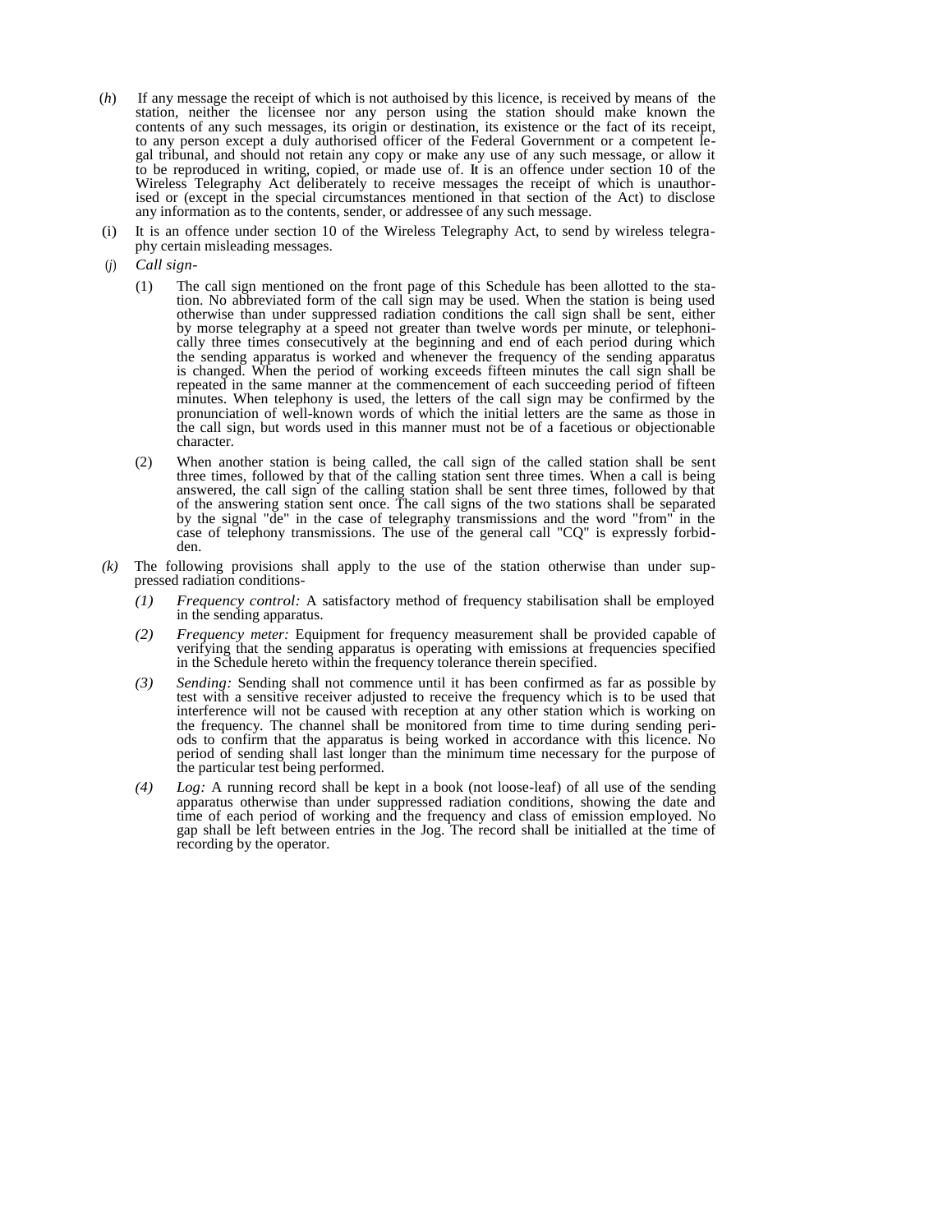- (*h*) If any message the receipt of which is not authoised by this licence, is received by means of the station, neither the licensee nor any person using the station should make known the contents of any such messages, its origin or destination, its existence or the fact of its receipt, to any person except a duly authorised officer of the Federal Government or a competent legal tribunal, and should not retain any copy or make any use of any such message, or allow it to be reproduced in writing, copied, or made use of. **It** is an offence under section 10 of the Wireless Telegraphy Act deliberately to receive messages the receipt of which is unauthorised or (except in the special circumstances mentioned in that section of the Act) to disclose any information as to the contents, sender, or addressee of any such message.
- (i) It is an offence under section 10 of the Wireless Telegraphy Act, to send by wireless telegraphy certain misleading messages.
- (*j*) *Call sign-*
	- (1) The call sign mentioned on the front page of this Schedule has been allotted to the station. No abbreviated form of the call sign may be used. When the station is being used otherwise than under suppressed radiation conditions the call sign shall be sent, either by morse telegraphy at a speed not greater than twelve words per minute, or telephonically three times consecutively at the beginning and end of each period during which the sending apparatus is worked and whenever the frequency of the sending apparatus is changed. When the period of working exceeds fifteen minutes the call sign shall be repeated in the same manner at the commencement of each succeeding period of fifteen minutes. When telephony is used, the letters of the call sign may be confirmed by the pronunciation of well-known words of which the initial letters are the same as those in the call sign, but words used in this manner must not be of a facetious or objectionable character.
	- (2) When another station is being called, the call sign of the called station shall be sent three times, followed by that of the calling station sent three times. When a call is being answered, the call sign of the calling station shall be sent three times, followed by that of the answering station sent once. The call signs of the two stations shall be separated by the signal "de" in the case of telegraphy transmissions and the word "from" in the case of telephony transmissions. The use of the general call "CQ" is expressly forbidden.
- *(k)* The following provisions shall apply to the use of the station otherwise than under suppressed radiation conditions-
	- *(1) Frequency control:* A satisfactory method of frequency stabilisation shall be employed in the sending apparatus.
	- *(2) Frequency meter:* Equipment for frequency measurement shall be provided capable of verifying that the sending apparatus is operating with emissions at frequencies specified in the Schedule hereto within the frequency tolerance therein specified.
	- *(3) Sending:* Sending shall not commence until it has been confirmed as far as possible by test with a sensitive receiver adjusted to receive the frequency which is to be used that interference will not be caused with reception at any other station which is working on the frequency. The channel shall be monitored from time to time during sending periods to confirm that the apparatus is being worked in accordance with this licence. No period of sending shall last longer than the minimum time necessary for the purpose of the particular test being performed.
	- *(4) Log:* A running record shall be kept in a book (not loose-leaf) of all use of the sending apparatus otherwise than under suppressed radiation conditions, showing the date and time of each period of working and the frequency and class of emission employed. No gap shall be left between entries in the Jog. The record shall be initialled at the time of recording by the operator.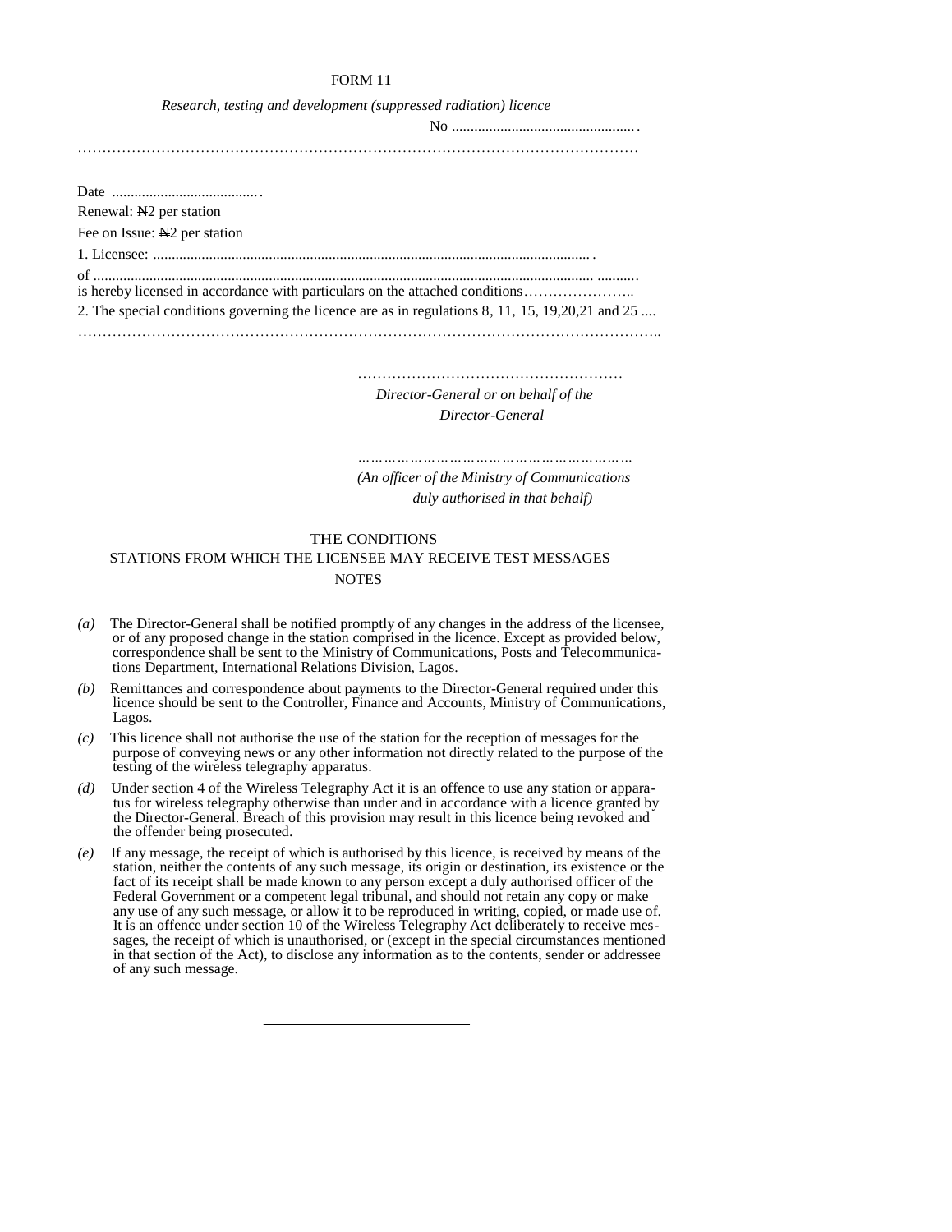| Research, testing and development (suppressed radiation) licence                                                                                                                   |
|------------------------------------------------------------------------------------------------------------------------------------------------------------------------------------|
|                                                                                                                                                                                    |
|                                                                                                                                                                                    |
|                                                                                                                                                                                    |
|                                                                                                                                                                                    |
|                                                                                                                                                                                    |
| Renewal: N <sub>2</sub> per station                                                                                                                                                |
| Fee on Issue: N <sub>2</sub> per station                                                                                                                                           |
|                                                                                                                                                                                    |
| is hereby licensed in accordance with particulars on the attached conditions<br>2. The special conditions governing the licence are as in regulations 8, 11, 15, 19, 20, 21 and 25 |
|                                                                                                                                                                                    |

………………………………………………

 *Director-General or on behalf of the Director-General* 

*………………………………………………………*

*(An officer of the Ministry of Communications duly authorised in that behalf)* 

# THE CONDITIONS STATIONS FROM WHICH THE LICENSEE MAY RECEIVE TEST MESSAGES **NOTES**

- *(a)* The Director-General shall be notified promptly of any changes in the address of the licensee, or of any proposed change in the station comprised in the licence. Except as provided below, correspondence shall be sent to the Ministry of Communications, Posts and Telecommunications Department, International Relations Division, Lagos.
- *(b)* Remittances and correspondence about payments to the Director-General required under this licence should be sent to the Controller, Finance and Accounts, Ministry of Communications, Lagos.
- *(c)* This licence shall not authorise the use of the station for the reception of messages for the purpose of conveying news or any other information not directly related to the purpose of the testing of the wireless telegraphy apparatus.
- *(d)* Under section 4 of the Wireless Telegraphy Act it is an offence to use any station or apparatus for wireless telegraphy otherwise than under and in accordance with a licence granted by the Director-General. Breach of this provision may result in this licence being revoked and the offender being prosecuted.
- *(e)* If any message, the receipt of which is authorised by this licence, is received by means of the station, neither the contents of any such message, its origin or destination, its existence or the fact of its receipt shall be made known to any person except a duly authorised officer of the Federal Government or a competent legal tribunal, and should not retain any copy or make any use of any such message, or allow it to be reproduced in writing, copied, or made use of. It is an offence under section 10 of the Wireless Telegraphy Act deliberately to receive messages, the receipt of which is unauthorised, or (except in the special circumstances mentioned in that section of the Act), to disclose any information as to the contents, sender or addressee of any such message.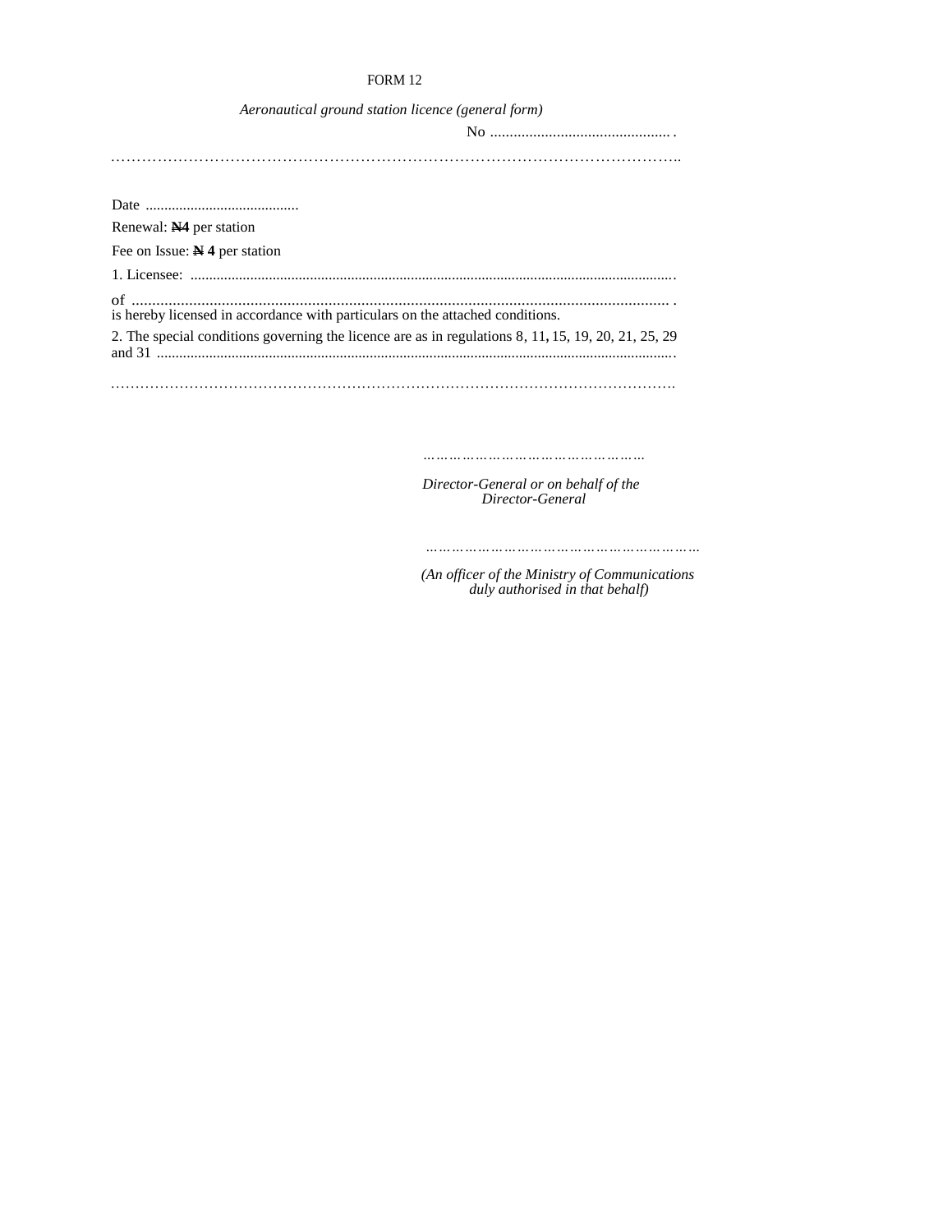| Aeronautical ground station licence (general form)                                                  |
|-----------------------------------------------------------------------------------------------------|
|                                                                                                     |
|                                                                                                     |
|                                                                                                     |
|                                                                                                     |
| Renewal: N4 per station                                                                             |
| Fee on Issue: $N$ 4 per station                                                                     |
|                                                                                                     |
| is hereby licensed in accordance with particulars on the attached conditions.                       |
| 2. The special conditions governing the licence are as in regulations 8, 11, 15, 19, 20, 21, 25, 29 |

…………………………………………………………………………………………………….

*……………………………………………*

*Director-General or on behalf of the Director-General* 

 *………………………………………………………*

 *(An officer of the Ministry of Communications duly authorised in that behalf)*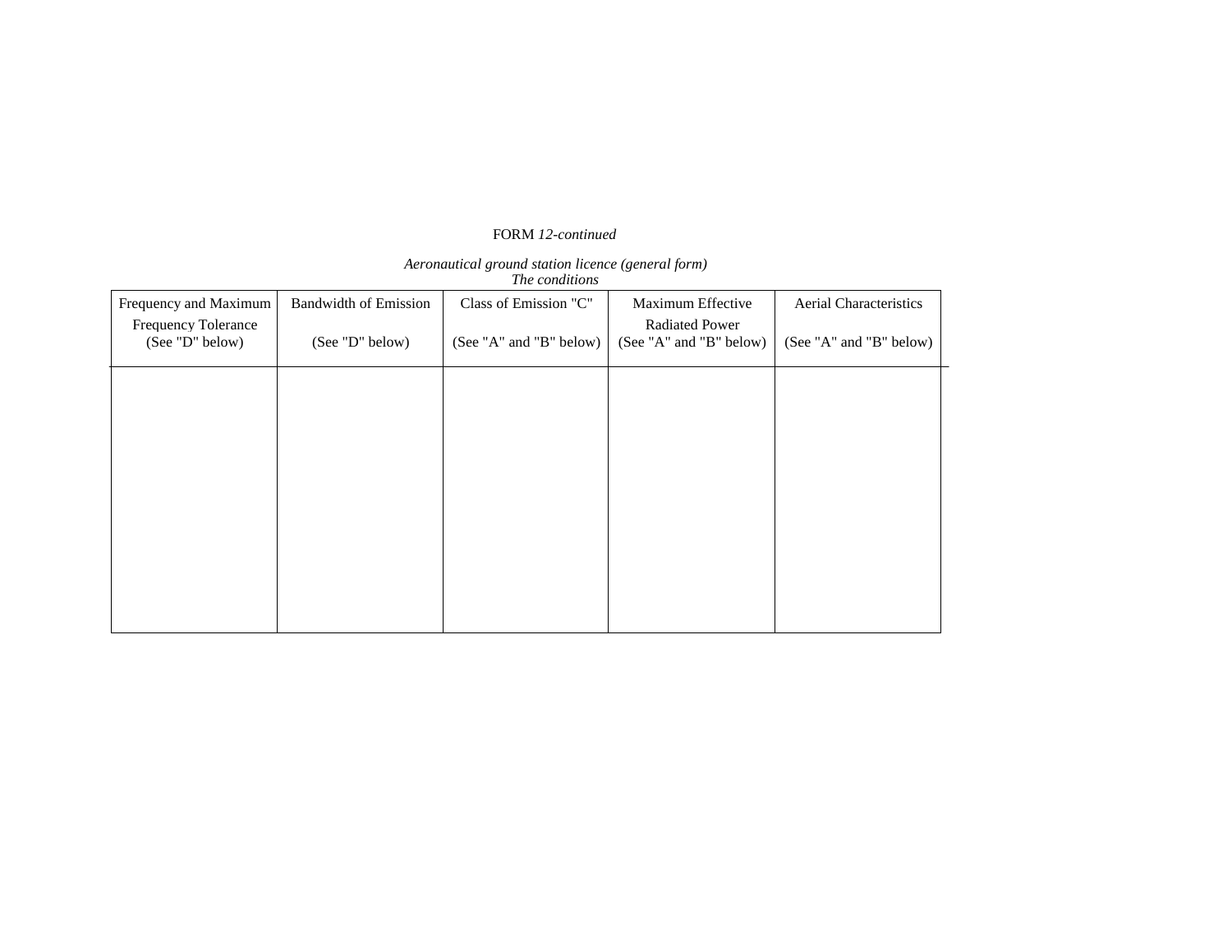# FORM *12-continued*

# *Aeronautical ground station licence (general form)*

 *The conditions* 

| Frequency and Maximum                         | <b>Bandwidth of Emission</b> | Class of Emission "C"   | Maximum Effective                                | Aerial Characteristics  |
|-----------------------------------------------|------------------------------|-------------------------|--------------------------------------------------|-------------------------|
| <b>Frequency Tolerance</b><br>(See "D" below) | (See "D" below)              | (See "A" and "B" below) | <b>Radiated Power</b><br>(See "A" and "B" below) | (See "A" and "B" below) |
|                                               |                              |                         |                                                  |                         |
|                                               |                              |                         |                                                  |                         |
|                                               |                              |                         |                                                  |                         |
|                                               |                              |                         |                                                  |                         |
|                                               |                              |                         |                                                  |                         |
|                                               |                              |                         |                                                  |                         |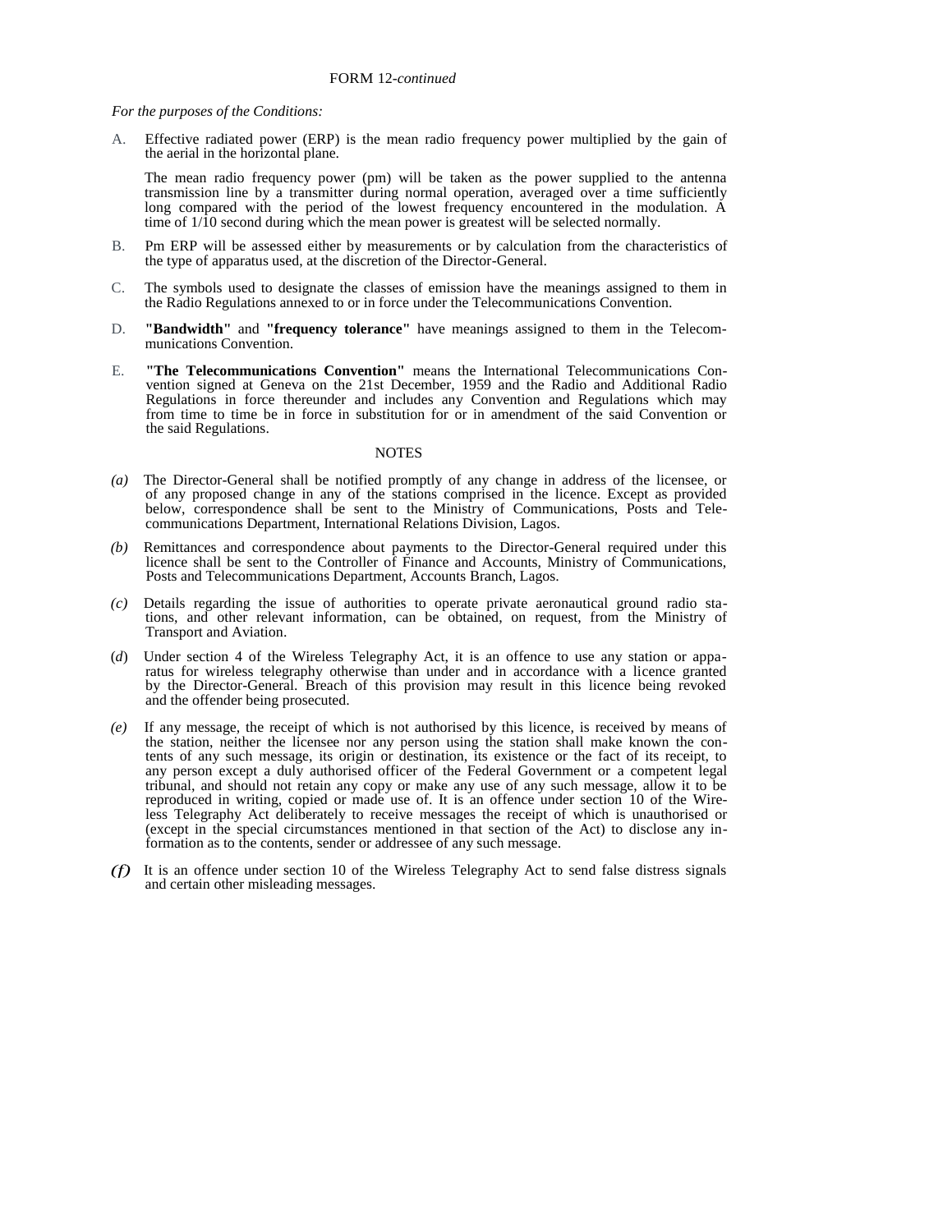*For the purposes of the Conditions:* 

A. Effective radiated power (ERP) is the mean radio frequency power multiplied by the gain of the aerial in the horizontal plane.

The mean radio frequency power (pm) will be taken as the power supplied to the antenna transmission line by a transmitter during normal operation, averaged over a time sufficiently long compared with the period of the lowest frequency encountered in the modulation. A time of  $1/\hat{1}0$  second during which the mean power is greatest will be selected normally.

- B. Pm ERP will be assessed either by measurements or by calculation from the characteristics of the type of apparatus used, at the discretion of the Director-General.
- C. The symbols used to designate the classes of emission have the meanings assigned to them in the Radio Regulations annexed to or in force under the Telecommunications Convention.
- D. **"Bandwidth"** and **"frequency tolerance"** have meanings assigned to them in the Telecommunications Convention.
- E. **"The Telecommunications Convention"** means the International Telecommunications Convention signed at Geneva on the 21st December, 1959 and the Radio and Additional Radio Regulations in force thereunder and includes any Convention and Regulations which may from time to time be in force in substitution for or in amendment of the said Convention or the said Regulations.

#### **NOTES**

- *(a)* The Director-General shall be notified promptly of any change in address of the licensee, or of any proposed change in any of the stations comprised in the licence. Except as provided below, correspondence shall be sent to the Ministry of Communications, Posts and Telecommunications Department, International Relations Division, Lagos.
- *(b)* Remittances and correspondence about payments to the Director-General required under this licence shall be sent to the Controller of Finance and Accounts, Ministry of Communications, Posts and Telecommunications Department, Accounts Branch, Lagos.
- *(c)* Details regarding the issue of authorities to operate private aeronautical ground radio stations, and other relevant information, can be obtained, on request, from the Ministry of Transport and Aviation.
- (*d*) Under section 4 of the Wireless Telegraphy Act, it is an offence to use any station or apparatus for wireless telegraphy otherwise than under and in accordance with a licence granted by the Director-General. Breach of this provision may result in this licence being revoked and the offender being prosecuted.
- *(e)* If any message, the receipt of which is not authorised by this licence, is received by means of the station, neither the licensee nor any person using the station shall make known the contents of any such message, its origin or destination, its existence or the fact of its receipt, to any person except a duly authorised officer of the Federal Government or a competent legal tribunal, and should not retain any copy or make any use of any such message, allow it to be reproduced in writing, copied or made use of. It is an offence under section 10 of the Wireless Telegraphy Act deliberately to receive messages the receipt of which is unauthorised or (except in the special circumstances mentioned in that section of the Act) to disclose any information as to the contents, sender or addressee of any such message.
- *(f)* It is an offence under section 10 of the Wireless Telegraphy Act to send false distress signals and certain other misleading messages.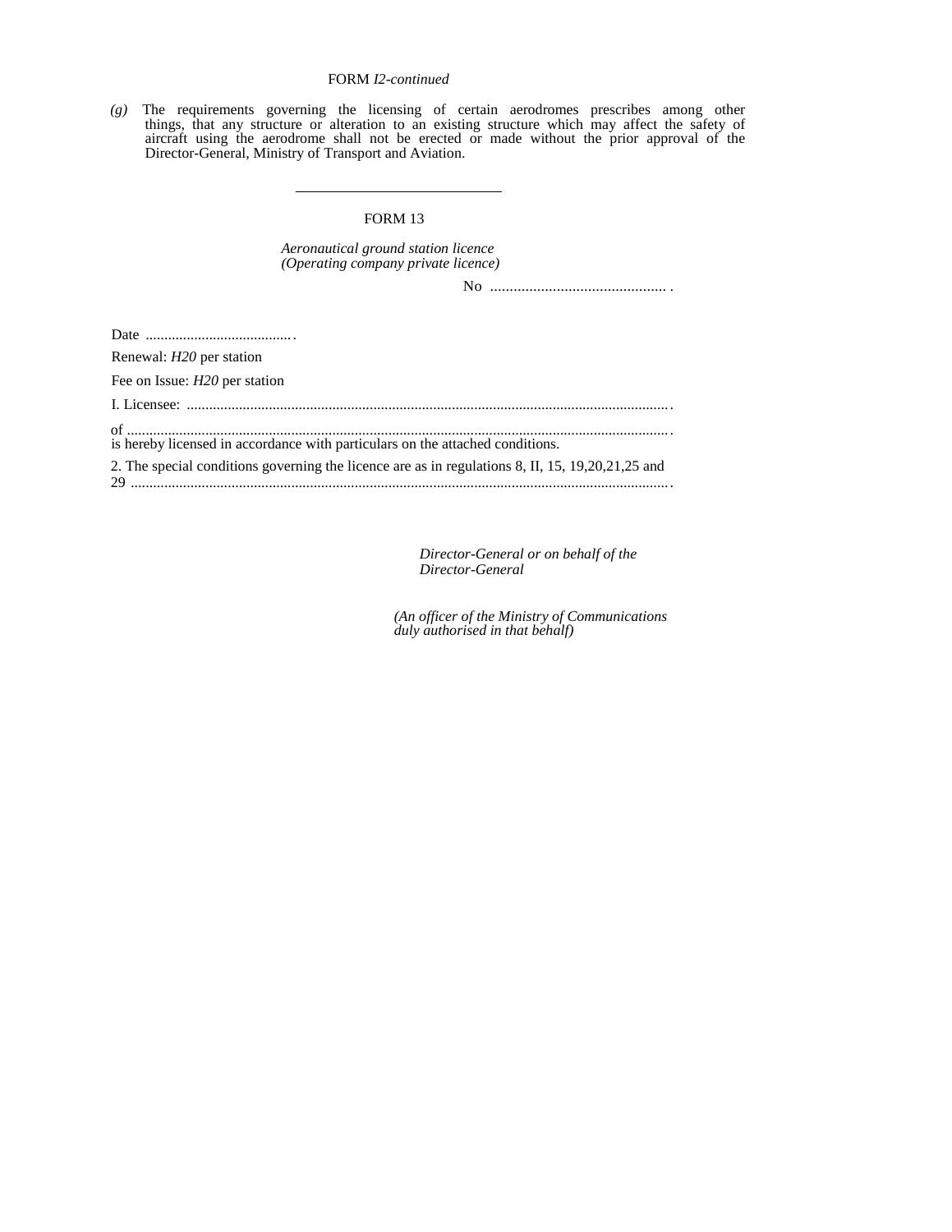# FORM *I2-continued*

*(g)* The requirements governing the licensing of certain aerodromes prescribes among other things, that any structure or alteration to an existing structure which may affect the safety of aircraft using the aerodrome shall not be erected or made without the prior approval of the Director-General, Ministry of Transport and Aviation.

#### FORM 13

*Aeronautical ground station licence (Operating company private licence)* 

No ............................................. .

Date ........................................

Renewal: *H20* per station

Fee on Issue: *H20* per station

I. Licensee: ..................................................................................................................................

of ..................................................................................................................................................

is hereby licensed in accordance with particulars on the attached conditions.

2. The special conditions governing the licence are as in regulations 8, II, 15, 19,20,21,25 and 29 .................................................................................................................................................

> *Director-General or on behalf of the Director-General*

*(An officer of the Ministry of Communications duly authorised in that behalf)*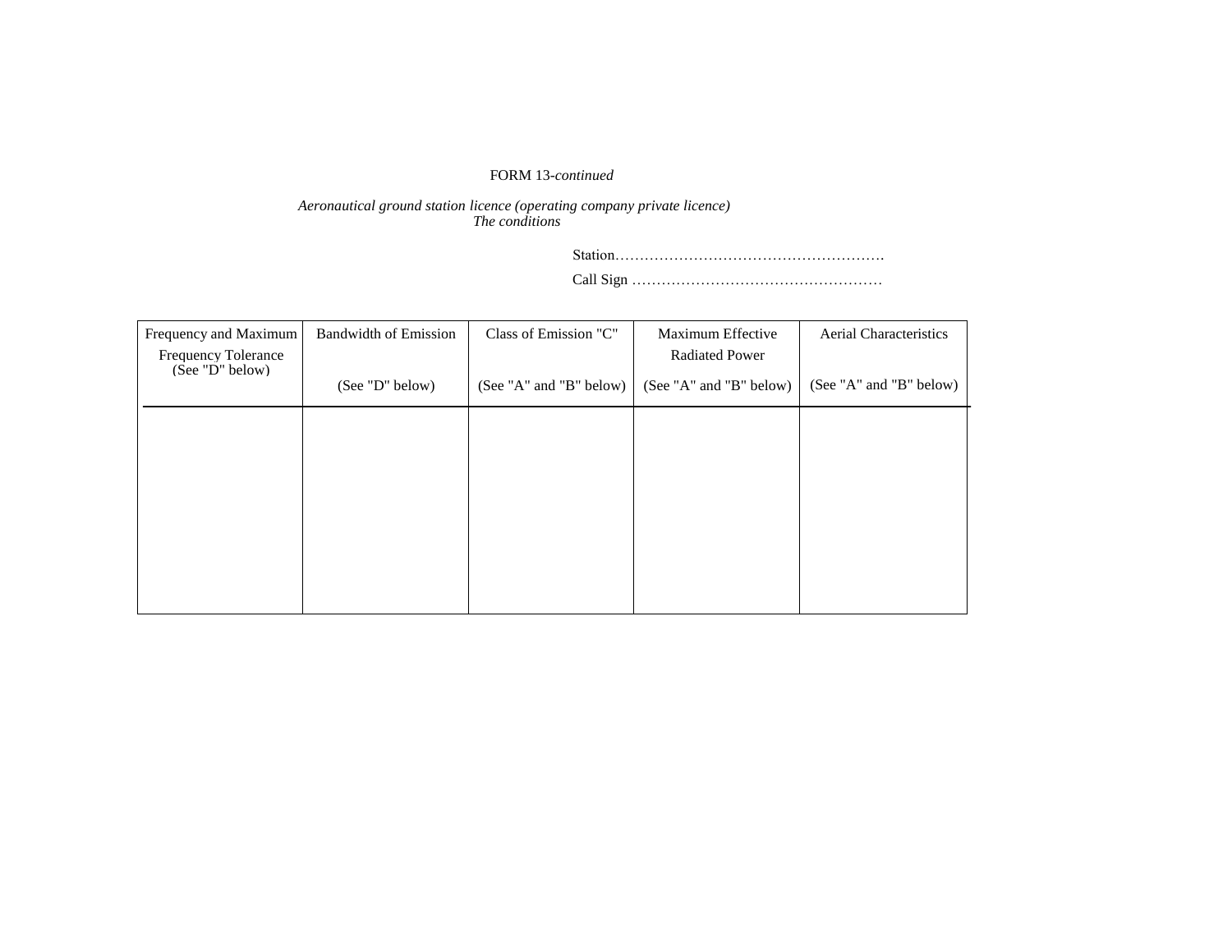# FORM 13*-continued*

*Aeronautical ground station licence (operating company private licence) The conditions* 

> Station………………………………………………. Call Sign ……………………………………………

| Frequency and Maximum<br><b>Frequency Tolerance</b> | <b>Bandwidth of Emission</b> | Class of Emission "C"   | Maximum Effective<br><b>Radiated Power</b> | <b>Aerial Characteristics</b> |
|-----------------------------------------------------|------------------------------|-------------------------|--------------------------------------------|-------------------------------|
| (See "D" below)                                     | (See "D" below)              | (See "A" and "B" below) | (See "A" and "B" below)                    | (See "A" and "B" below)       |
|                                                     |                              |                         |                                            |                               |
|                                                     |                              |                         |                                            |                               |
|                                                     |                              |                         |                                            |                               |
|                                                     |                              |                         |                                            |                               |
|                                                     |                              |                         |                                            |                               |
|                                                     |                              |                         |                                            |                               |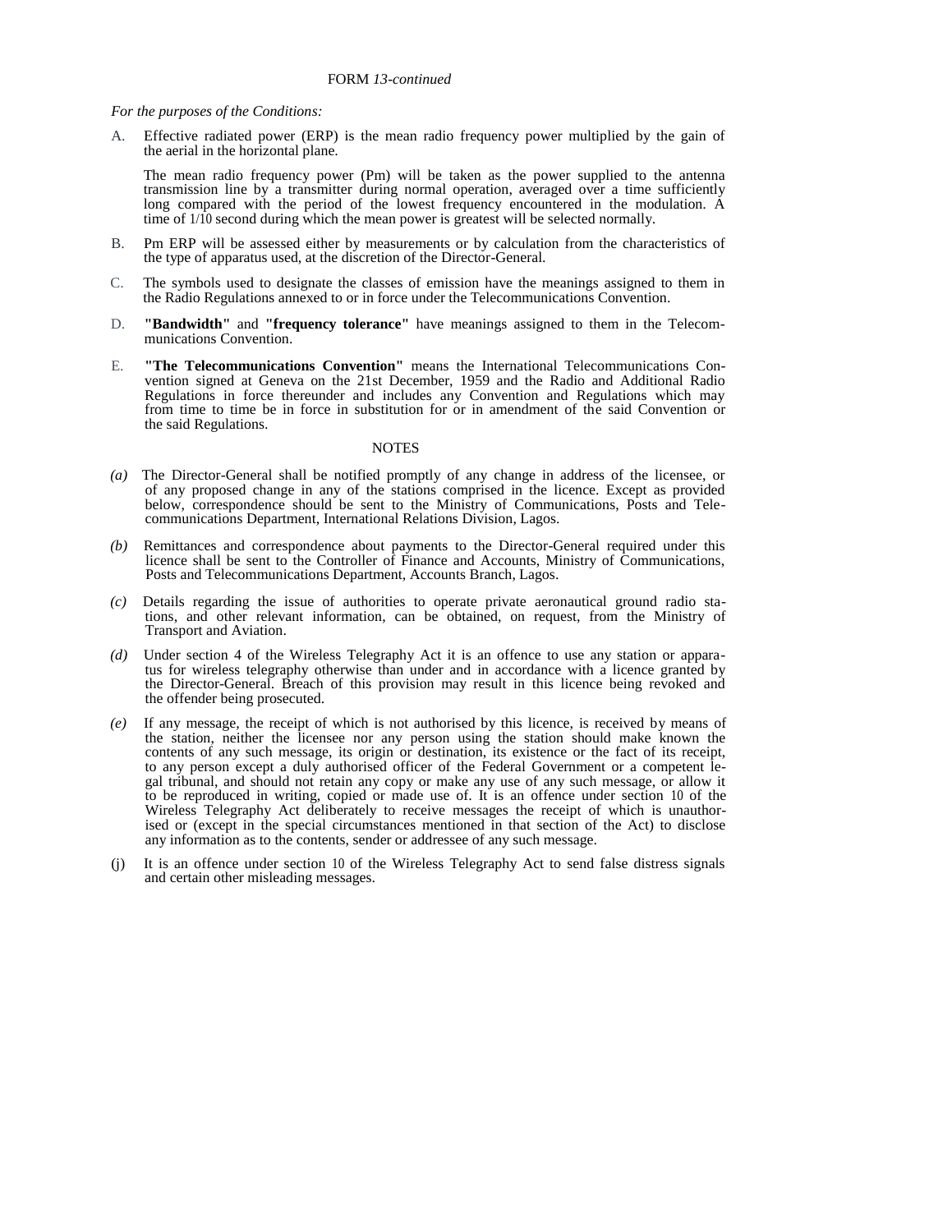*For the purposes of the Conditions:* 

A. Effective radiated power (ERP) is the mean radio frequency power multiplied by the gain of the aerial in the horizontal plane.

The mean radio frequency power (Pm) will be taken as the power supplied to the antenna transmission line by a transmitter during normal operation, averaged over a time sufficiently long compared with the period of the lowest frequency encountered in the modulation. A time of 1/10 second during which the mean power is greatest will be selected normally.

- B. Pm ERP will be assessed either by measurements or by calculation from the characteristics of the type of apparatus used, at the discretion of the Director-General.
- C. The symbols used to designate the classes of emission have the meanings assigned to them in the Radio Regulations annexed to or in force under the Telecommunications Convention.
- D. **"Bandwidth"** and **"frequency tolerance"** have meanings assigned to them in the Telecommunications Convention.
- E. **"The Telecommunications Convention"** means the International Telecommunications Convention signed at Geneva on the 21st December, 1959 and the Radio and Additional Radio Regulations in force thereunder and includes any Convention and Regulations which may from time to time be in force in substitution for or in amendment of the said Convention or the said Regulations.

#### **NOTES**

- *(a)* The Director-General shall be notified promptly of any change in address of the licensee, or of any proposed change in any of the stations comprised in the licence. Except as provided below, correspondence should be sent to the Ministry of Communications, Posts and Telecommunications Department, International Relations Division, Lagos.
- *(b)* Remittances and correspondence about payments to the Director-General required under this licence shall be sent to the Controller of Finance and Accounts, Ministry of Communications, Posts and Telecommunications Department, Accounts Branch, Lagos.
- *(c)* Details regarding the issue of authorities to operate private aeronautical ground radio stations, and other relevant information, can be obtained, on request, from the Ministry of Transport and Aviation.
- *(d)* Under section 4 of the Wireless Telegraphy Act it is an offence to use any station or apparatus for wireless telegraphy otherwise than under and in accordance with a licence granted by the Director-General. Breach of this provision may result in this licence being revoked and the offender being prosecuted.
- *(e)* If any message, the receipt of which is not authorised by this licence, is received by means of the station, neither the licensee nor any person using the station should make known the contents of any such message, its origin or destination, its existence or the fact of its receipt, to any person except a duly authorised officer of the Federal Government or a competent legal tribunal, and should not retain any copy or make any use of any such message, or allow it to be reproduced in writing, copied or made use of. It is an offence under section 10 of the Wireless Telegraphy Act deliberately to receive messages the receipt of which is unauthorised or (except in the special circumstances mentioned in that section of the Act) to disclose any information as to the contents, sender or addressee of any such message.
- (j) It is an offence under section 10 of the Wireless Telegraphy Act to send false distress signals and certain other misleading messages.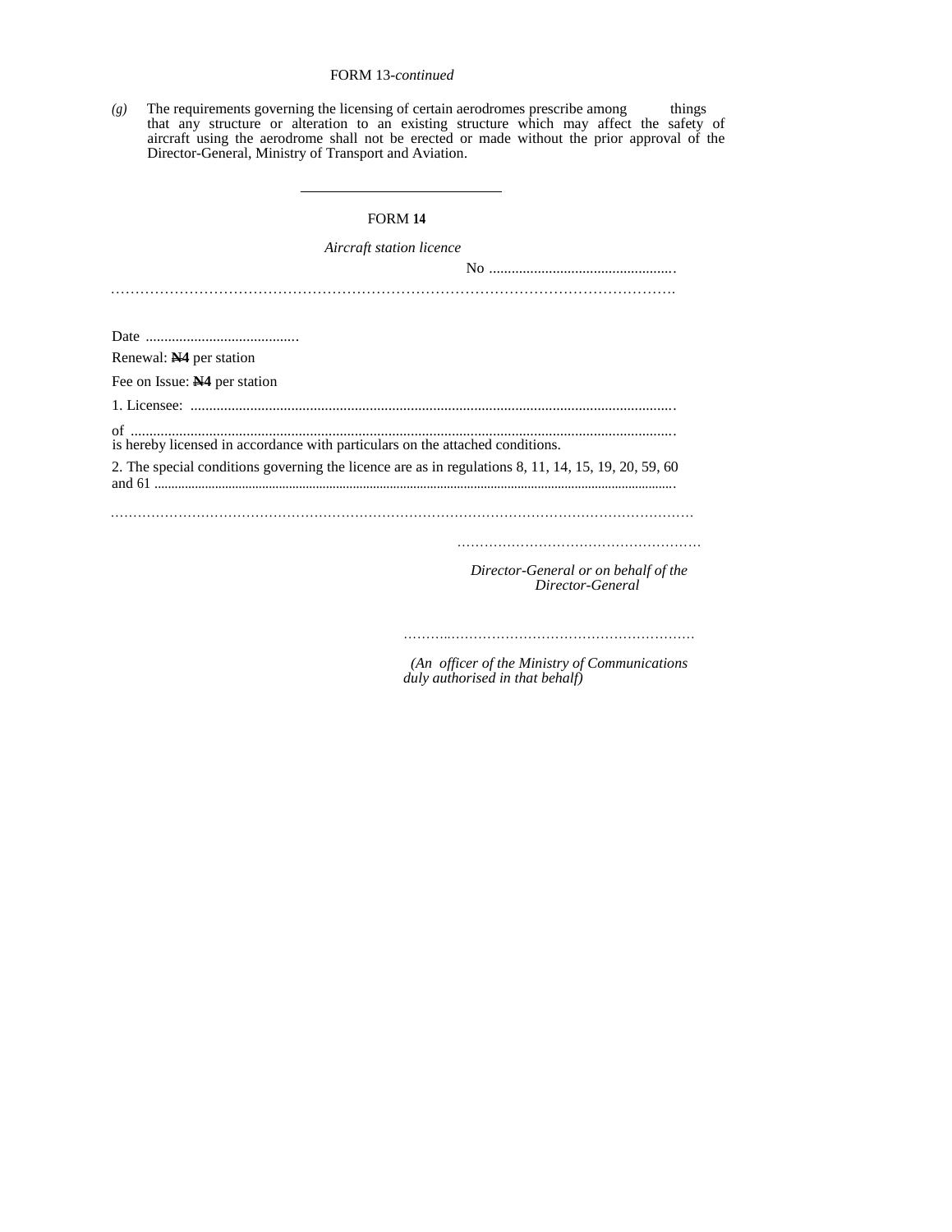# FORM 13*-continued*

*(g)* The requirements governing the licensing of certain aerodromes prescribe among things that any structure or alteration to an existing structure which may affect the safety of aircraft using the aerodrome shall not be erected or made without the prior approval of the Director-General, Ministry of Transport and Aviation.

#### FORM **14**

| Aircraft station licence                                                                            |
|-----------------------------------------------------------------------------------------------------|
|                                                                                                     |
|                                                                                                     |
|                                                                                                     |
|                                                                                                     |
| Renewal: N <sub>4</sub> per station                                                                 |
| Fee on Issue: N4 per station                                                                        |
|                                                                                                     |
| $\mathsf{of}$<br>is hereby licensed in accordance with particulars on the attached conditions.      |
| 2. The special conditions governing the licence are as in regulations 8, 11, 14, 15, 19, 20, 59, 60 |
|                                                                                                     |
| Director-General or on behalf of the                                                                |
| Director-General                                                                                    |

 *(An officer of the Ministry of Communications duly authorised in that behalf)*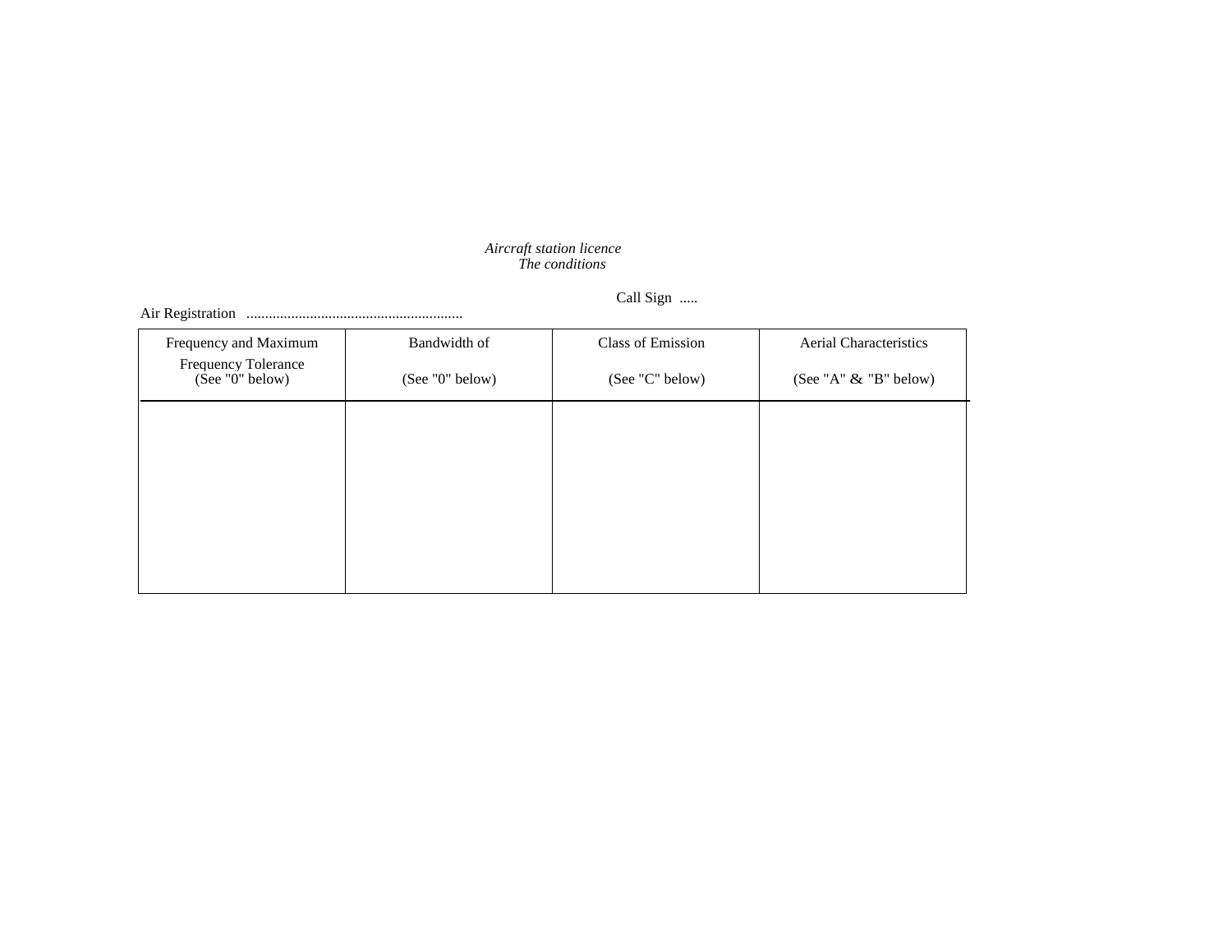#### *Aircraft station licence The conditions*

Call Sign .....

Air Registration ..........................................................

| Frequency and Maximum                  | Bandwidth of    | Class of Emission | <b>Aerial Characteristics</b> |
|----------------------------------------|-----------------|-------------------|-------------------------------|
| Frequency Tolerance<br>(See "0" below) | (See "0" below) | (See "C" below)   | (See "A" $\&$ "B" below)      |
|                                        |                 |                   |                               |
|                                        |                 |                   |                               |
|                                        |                 |                   |                               |
|                                        |                 |                   |                               |
|                                        |                 |                   |                               |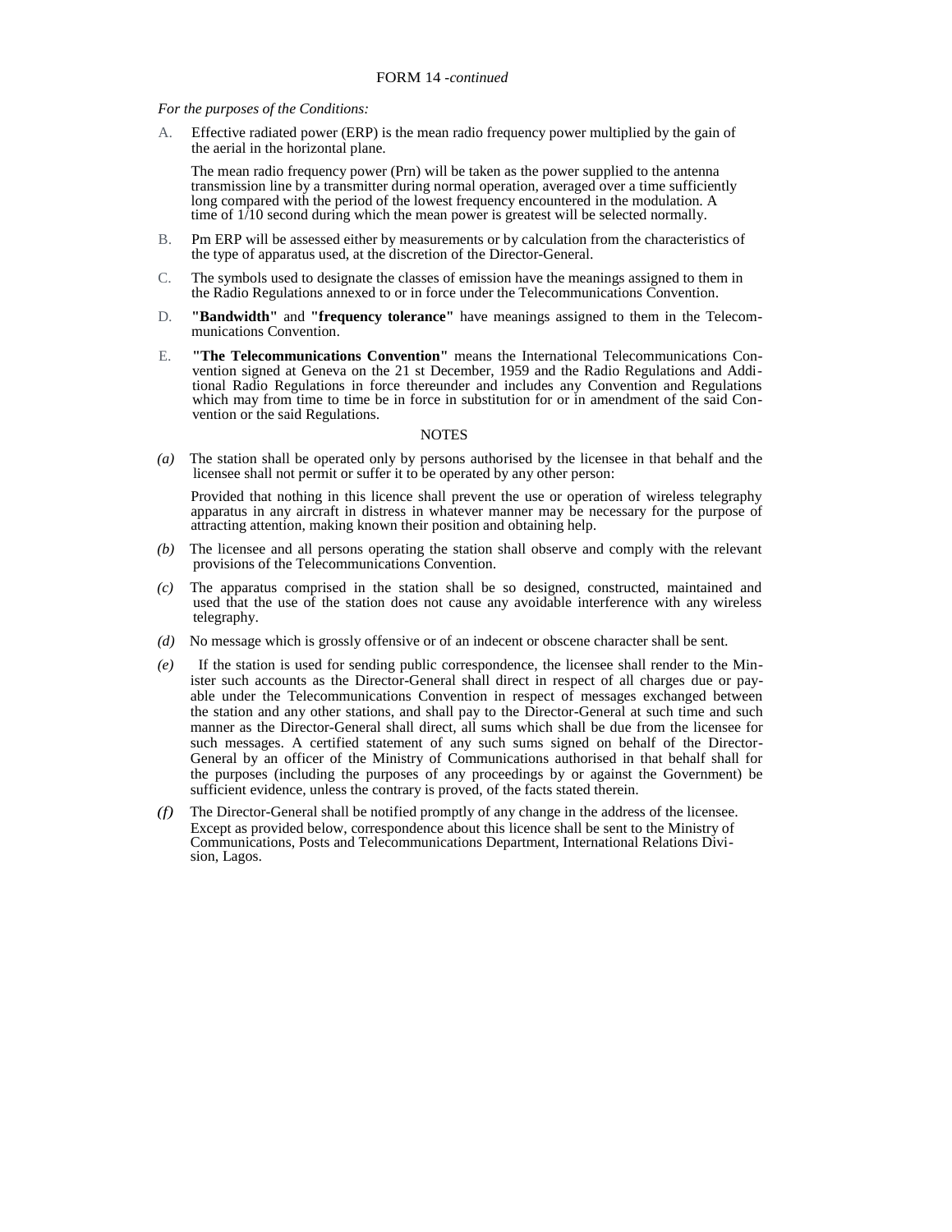#### *For the purposes of the Conditions:*

A. Effective radiated power (ERP) is the mean radio frequency power multiplied by the gain of the aerial in the horizontal plane.

The mean radio frequency power (Prn) will be taken as the power supplied to the antenna transmission line by a transmitter during normal operation, averaged over a time sufficiently long compared with the period of the lowest frequency encountered in the modulation. A time of 1/10 second during which the mean power is greatest will be selected normally.

- B. Pm ERP will be assessed either by measurements or by calculation from the characteristics of the type of apparatus used, at the discretion of the Director-General.
- C. The symbols used to designate the classes of emission have the meanings assigned to them in the Radio Regulations annexed to or in force under the Telecommunications Convention.
- D. **"Bandwidth"** and **"frequency tolerance"** have meanings assigned to them in the Telecommunications Convention.
- E. **"The Telecommunications Convention"** means the International Telecommunications Convention signed at Geneva on the 21 st December, 1959 and the Radio Regulations and Additional Radio Regulations in force thereunder and includes any Convention and Regulations which may from time to time be in force in substitution for or in amendment of the said Convention or the said Regulations.

#### **NOTES**

*(a)* The station shall be operated only by persons authorised by the licensee in that behalf and the licensee shall not permit or suffer it to be operated by any other person:

Provided that nothing in this licence shall prevent the use or operation of wireless telegraphy apparatus in any aircraft in distress in whatever manner may be necessary for the purpose of attracting attention, making known their position and obtaining help.

- *(b)* The licensee and all persons operating the station shall observe and comply with the relevant provisions of the Telecommunications Convention.
- *(c)* The apparatus comprised in the station shall be so designed, constructed, maintained and used that the use of the station does not cause any avoidable interference with any wireless telegraphy.
- *(d)* No message which is grossly offensive or of an indecent or obscene character shall be sent.
- *(e)* If the station is used for sending public correspondence, the licensee shall render to the Minister such accounts as the Director-General shall direct in respect of all charges due or payable under the Telecommunications Convention in respect of messages exchanged between the station and any other stations, and shall pay to the Director-General at such time and such manner as the Director-General shall direct, all sums which shall be due from the licensee for such messages. A certified statement of any such sums signed on behalf of the Director-General by an officer of the Ministry of Communications authorised in that behalf shall for the purposes (including the purposes of any proceedings by or against the Government) be sufficient evidence, unless the contrary is proved, of the facts stated therein.
- *(f)* The Director-General shall be notified promptly of any change in the address of the licensee. Except as provided below, correspondence about this licence shall be sent to the Ministry of Communications, Posts and Telecommunications Department, International Relations Division, Lagos.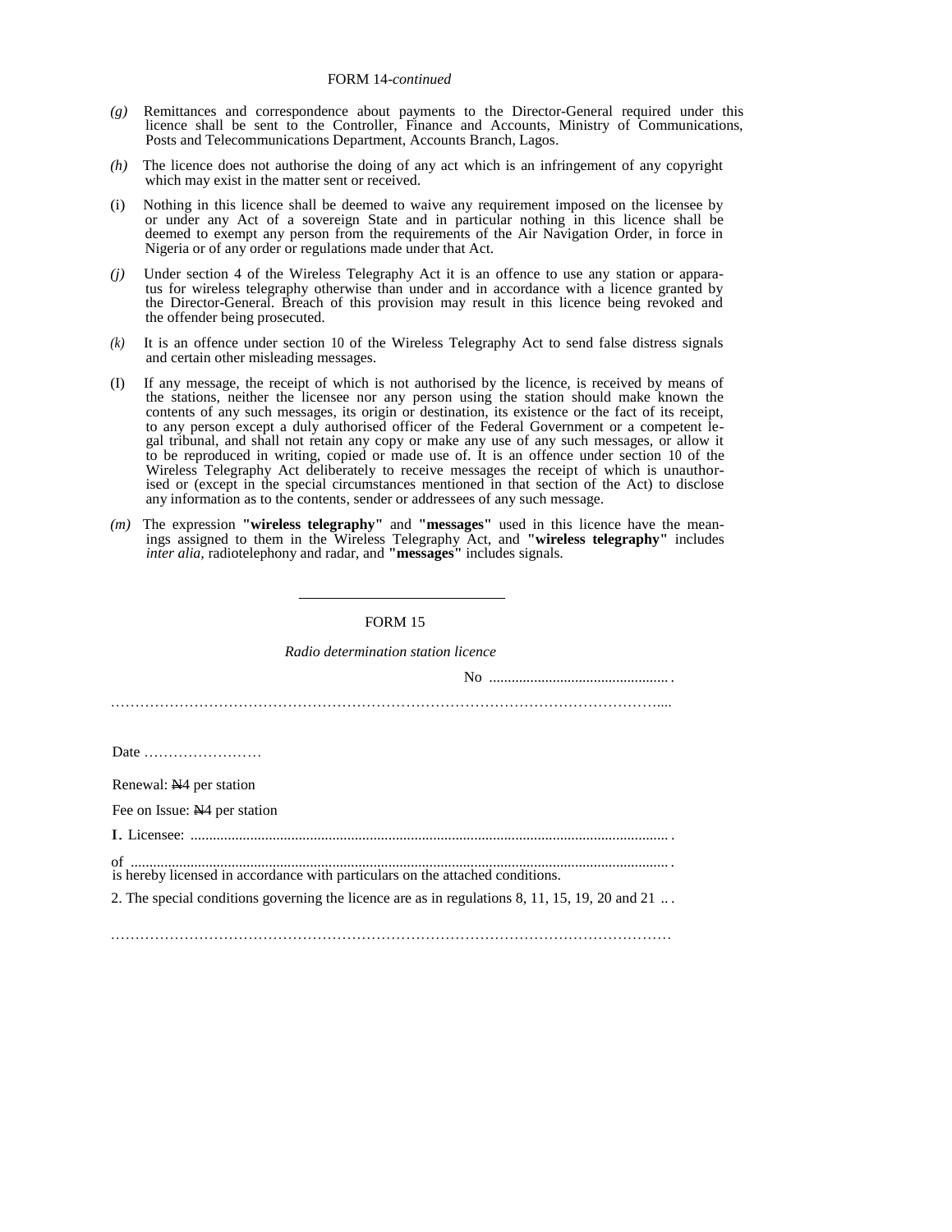- *(g)* Remittances and correspondence about payments to the Director-General required under this licence shall be sent to the Controller, Finance and Accounts, Ministry of Communications, Posts and Telecommunications Department, Accounts Branch, Lagos.
- *(h)* The licence does not authorise the doing of any act which is an infringement of any copyright which may exist in the matter sent or received.
- (i) Nothing in this licence shall be deemed to waive any requirement imposed on the licensee by or under any Act of a sovereign State and in particular nothing in this licence shall be deemed to exempt any person from the requirements of the Air Navigation Order, in force in Nigeria or of any order or regulations made under that Act.
- *(j)* Under section 4 of the Wireless Telegraphy Act it is an offence to use any station or apparatus for wireless telegraphy otherwise than under and in accordance with a licence granted by the Director-General. Breach of this provision may result in this licence being revoked and the offender being prosecuted.
- *(k)* It is an offence under section 10 of the Wireless Telegraphy Act to send false distress signals and certain other misleading messages.
- (I) If any message, the receipt of which is not authorised by the licence, is received by means of the stations, neither the licensee nor any person using the station should make known the contents of any such messages, its origin or destination, its existence or the fact of its receipt, to any person except a duly authorised officer of the Federal Government or a competent legal tribunal, and shall not retain any copy or make any use of any such messages, or allow it to be reproduced in writing, copied or made use of. It is an offence under section 10 of the Wireless Telegraphy Act deliberately to receive messages the receipt of which is unauthorised or (except in the special circumstances mentioned in that section of the Act) to disclose any information as to the contents, sender or addressees of any such message.
- *(m)* The expression **"wireless telegraphy"** and **"messages"** used in this licence have the meanings assigned to them in the Wireless Telegraphy Act, and **"wireless telegraphy"** includes *inter alia,* radiotelephony and radar, and **"messages"** includes signals.

| Radio determination station licence                                                            |
|------------------------------------------------------------------------------------------------|
|                                                                                                |
|                                                                                                |
|                                                                                                |
| Date $\dots\dots\dots\dots\dots\dots\dots\dots$                                                |
| Renewal: N <sub>4</sub> per station                                                            |
| Fee on Issue: N <sub>1</sub> 4 per station                                                     |
|                                                                                                |
| is hereby licensed in accordance with particulars on the attached conditions.                  |
| 2. The special conditions governing the licence are as in regulations 8, 11, 15, 19, 20 and 21 |
|                                                                                                |
|                                                                                                |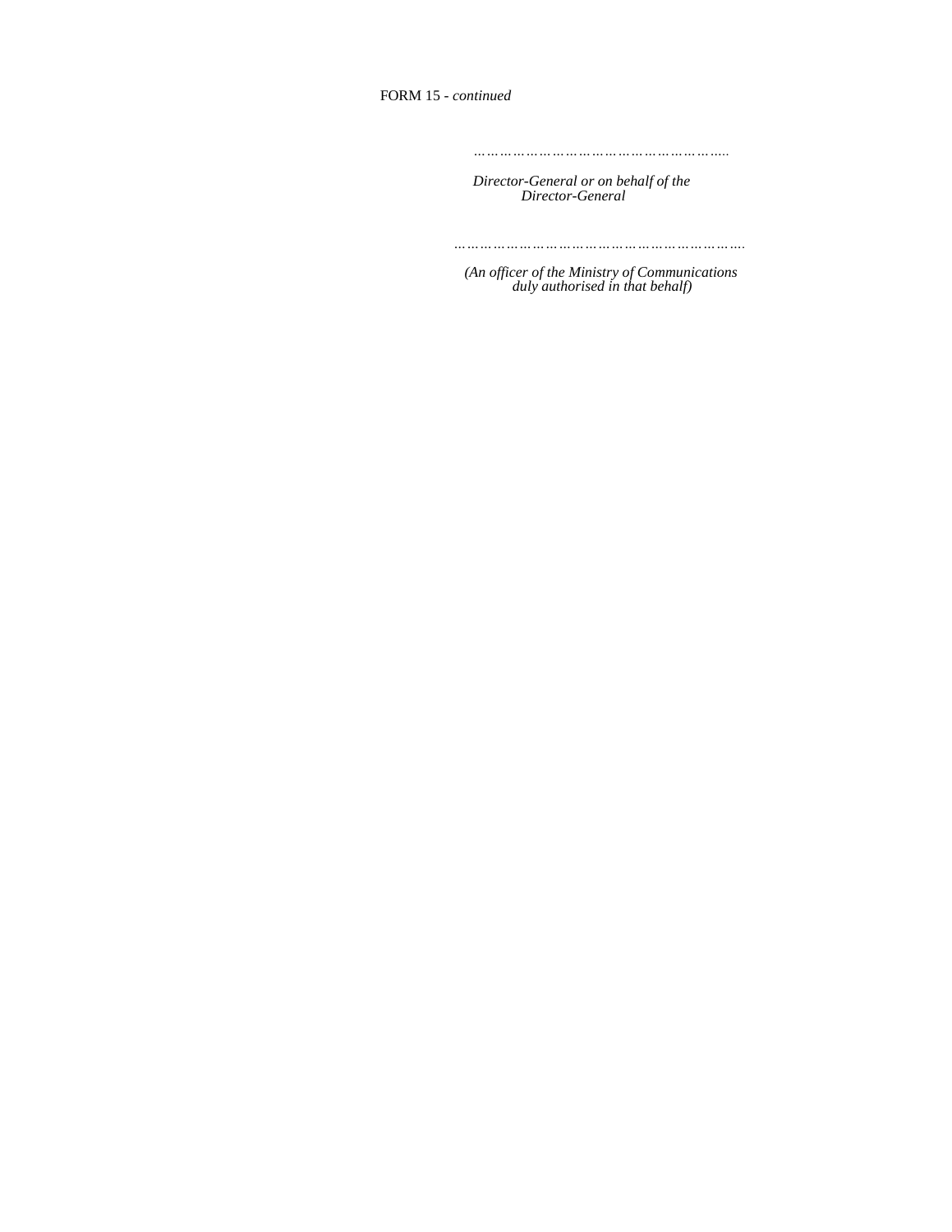FORM 15 *- continued* 

*…………………………………………………..*

*Director-General or on behalf of the Director-General* 

*………………………………………………………….*

 *(An officer of the Ministry of Communications duly authorised in that behalf)*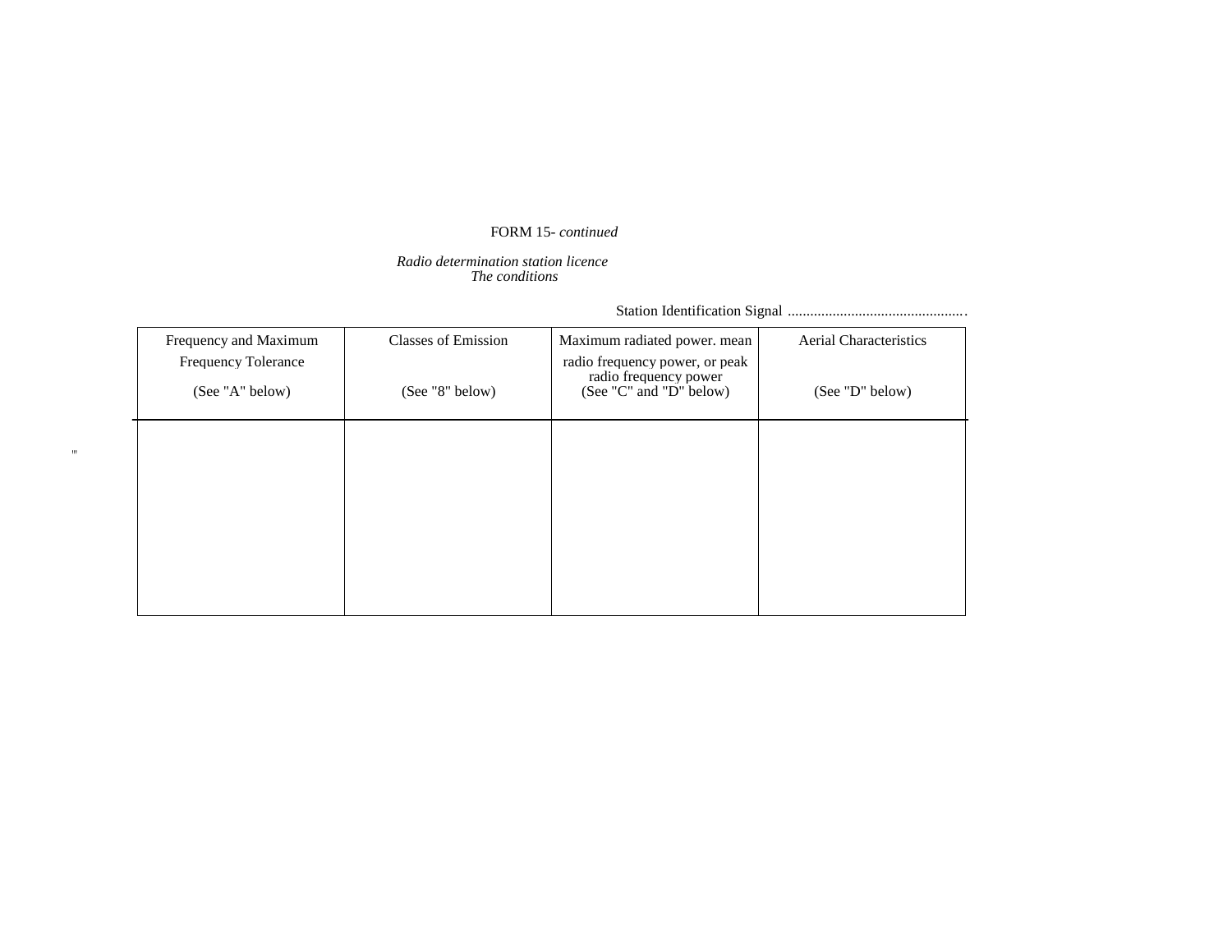# FORM 15*- continued*

### *Radio determination station licence The conditions*

 $^{\rm m}$ 

Station Identification Signal ................................................

| Frequency and Maximum<br><b>Frequency Tolerance</b><br>(See "A" below) | <b>Classes of Emission</b><br>(See "8" below) | Maximum radiated power. mean<br>radio frequency power, or peak<br>radio frequency power<br>(See "C" and "D" below) | <b>Aerial Characteristics</b><br>(See "D" below) |
|------------------------------------------------------------------------|-----------------------------------------------|--------------------------------------------------------------------------------------------------------------------|--------------------------------------------------|
|                                                                        |                                               |                                                                                                                    |                                                  |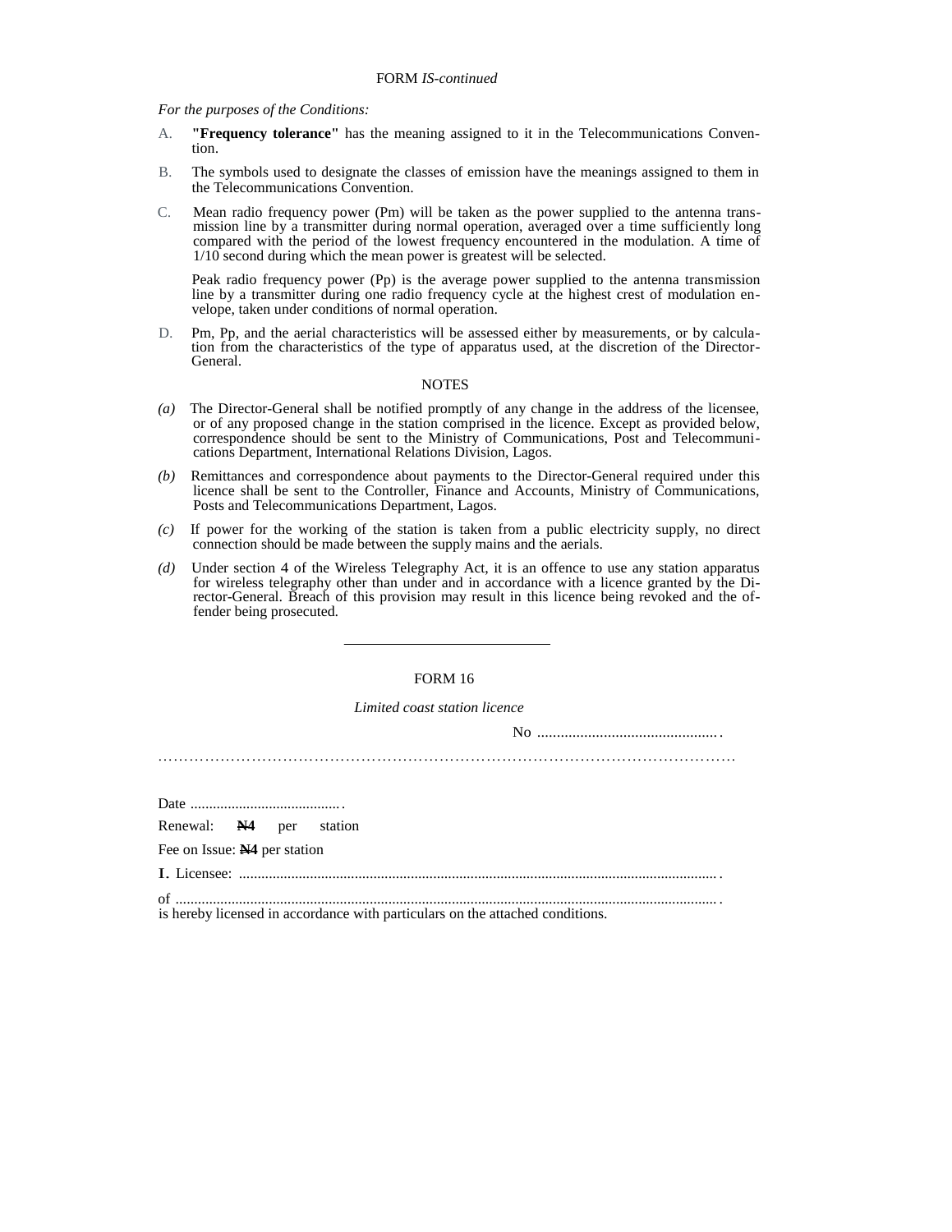*For the purposes of the Conditions:* 

- A. **"Frequency tolerance"** has the meaning assigned to it in the Telecommunications Convention.
- B. The symbols used to designate the classes of emission have the meanings assigned to them in the Telecommunications Convention.
- C. Mean radio frequency power (Pm) will be taken as the power supplied to the antenna transmission line by a transmitter during normal operation, averaged over a time sufficiently long compared with the period of the lowest frequency encountered in the modulation. A time of 1/10 second during which the mean power is greatest will be selected.

Peak radio frequency power (Pp) is the average power supplied to the antenna transmission line by a transmitter during one radio frequency cycle at the highest crest of modulation envelope, taken under conditions of normal operation.

D. Pm, Pp, and the aerial characteristics will be assessed either by measurements, or by calculation from the characteristics of the type of apparatus used, at the discretion of the Director-General.

#### **NOTES**

- (a) The Director-General shall be notified promptly of any change in the address of the licensee, or of any proposed change in the station comprised in the licence. Except as provided below, correspondence should be sent to the Ministry of Communications, Post and Telecommunications Department, International Relations Division, Lagos.
- *(b)* Remittances and correspondence about payments to the Director-General required under this licence shall be sent to the Controller, Finance and Accounts, Ministry of Communications, Posts and Telecommunications Department, Lagos.
- *(c)* If power for the working of the station is taken from a public electricity supply, no direct connection should be made between the supply mains and the aerials.
- *(d)* Under section 4 of the Wireless Telegraphy Act, it is an offence to use any station apparatus for wireless telegraphy other than under and in accordance with a licence granted by the Director-General. Breach of this provision may result in this licence being revoked and the offender being prosecuted.

#### FORM 16

*Limited coast station licence* 

No .............................................. .

…………………………………………………………………………………………………

Date ........................................ .

Renewal: **N4** per station

Fee on Issue: **N4** per station

I. Licensee: ................................................................................................................................ .

of ................................................................................................................................................. . is hereby licensed in accordance with particulars on the attached conditions.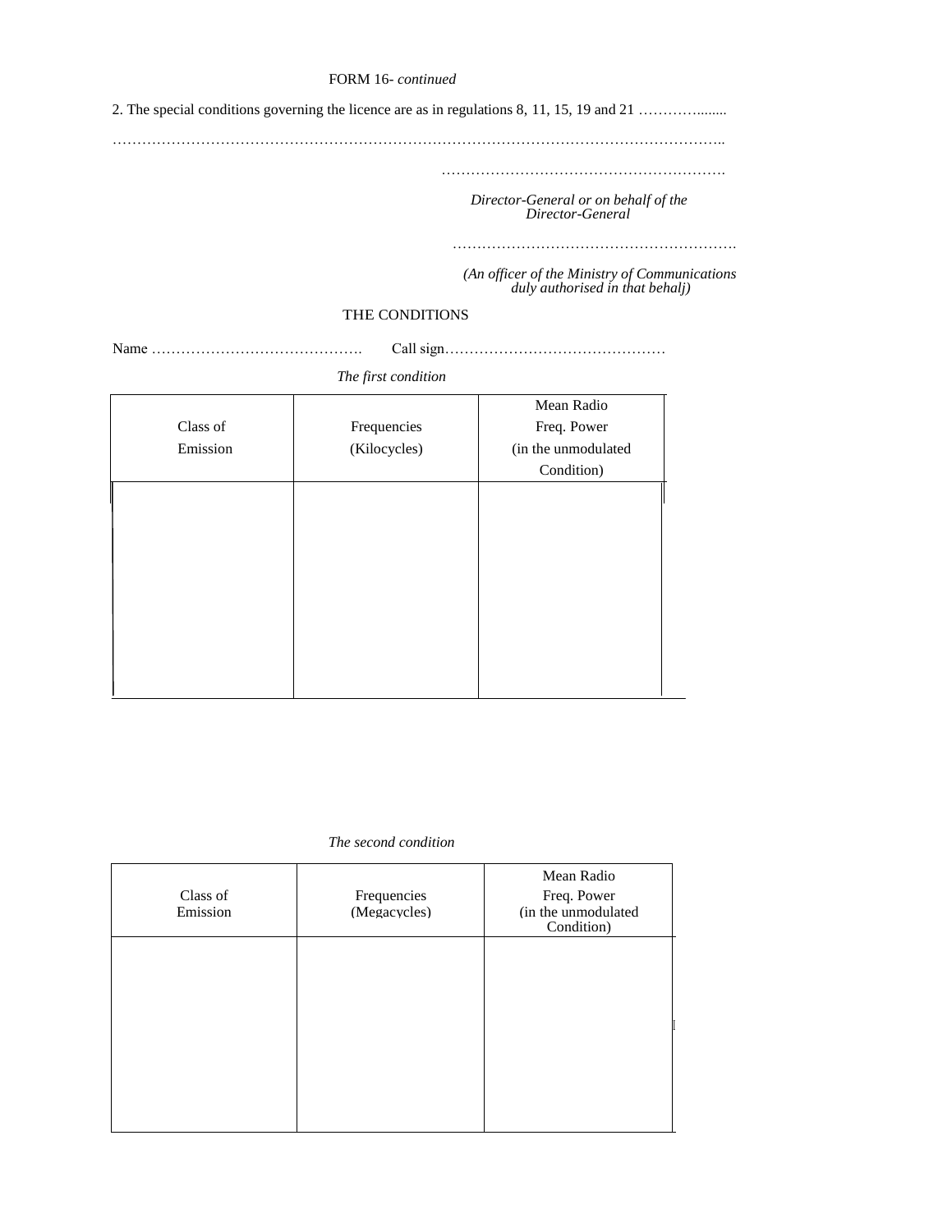### FORM 16*- continued*

2. The special conditions governing the licence are as in regulations 8, 11, 15, 19 and 21 ...................

……………………………………………………………………………………………………………..

………………………………………………….

 *Director-General or on behalf of the Director-General* 

………………………………………………….

 *(An officer of the Ministry of Communications duly authorised in that behalj)* 

# THE CONDITIONS

Name ……………………………………. Call sign………………………………………

*The first condition* 

|          |              | Mean Radio          |
|----------|--------------|---------------------|
| Class of | Frequencies  | Freq. Power         |
| Emission | (Kilocycles) | (in the unmodulated |
|          |              | Condition)          |
|          |              |                     |
|          |              |                     |
|          |              |                     |
|          |              |                     |
|          |              |                     |
|          |              |                     |
|          |              |                     |
|          |              |                     |
|          |              |                     |
|          |              |                     |

*The second condition* 

| Class of<br>Emission | Frequencies<br>(Megacycles) | Mean Radio<br>Freq. Power<br>(in the unmodulated<br>Condition) |
|----------------------|-----------------------------|----------------------------------------------------------------|
|                      |                             |                                                                |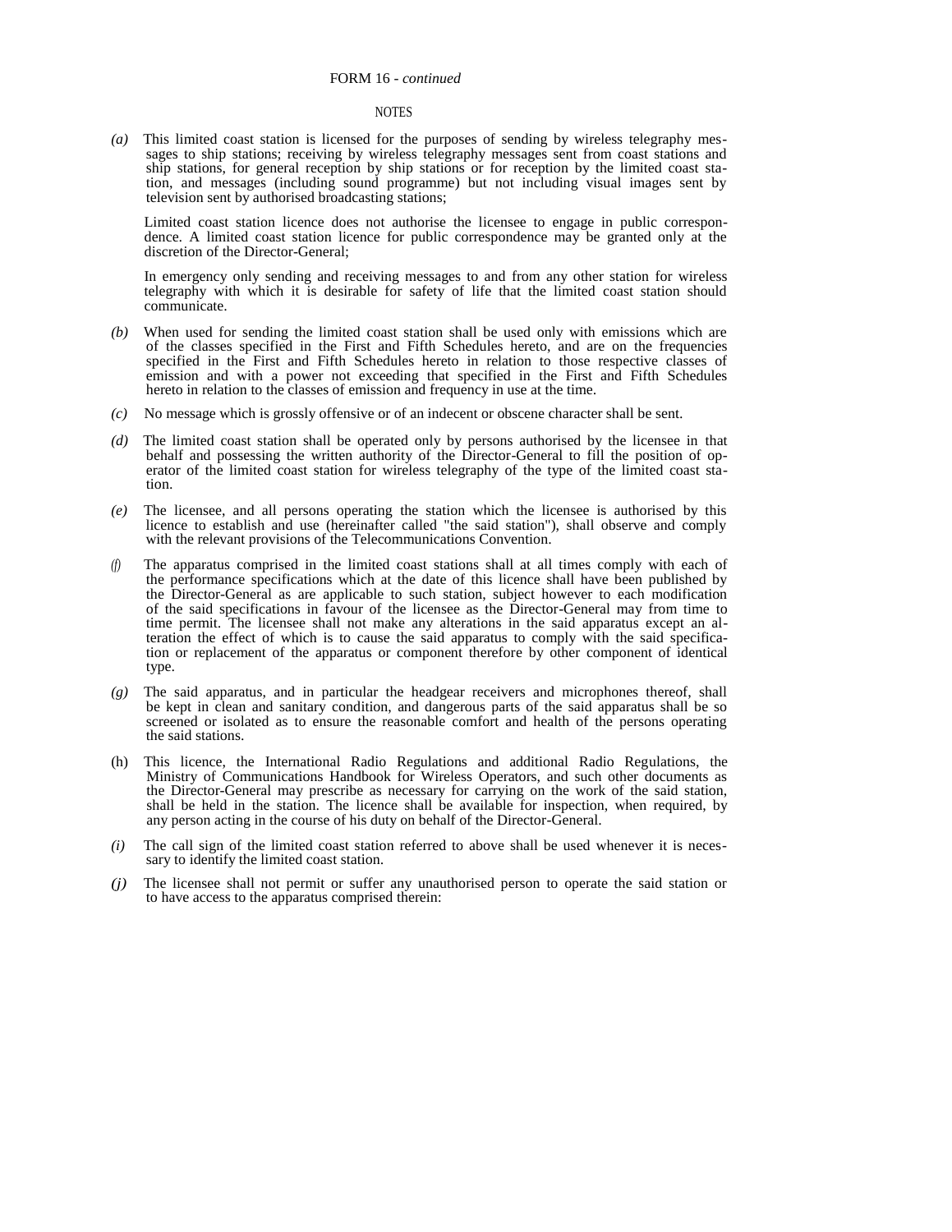#### FORM 16 *- continued*

#### **NOTES**

*(a)* This limited coast station is licensed for the purposes of sending by wireless telegraphy messages to ship stations; receiving by wireless telegraphy messages sent from coast stations and ship stations, for general reception by ship stations or for reception by the limited coast station, and messages (including sound programme) but not including visual images sent by television sent by authorised broadcasting stations;

Limited coast station licence does not authorise the licensee to engage in public correspondence. A limited coast station licence for public correspondence may be granted only at the discretion of the Director-General;

In emergency only sending and receiving messages to and from any other station for wireless telegraphy with which it is desirable for safety of life that the limited coast station should communicate.

- *(b)* When used for sending the limited coast station shall be used only with emissions which are of the classes specified in the First and Fifth Schedules hereto, and are on the frequencies specified in the First and Fifth Schedules hereto in relation to those respective classes of emission and with a power not exceeding that specified in the First and Fifth Schedules hereto in relation to the classes of emission and frequency in use at the time.
- *(c)* No message which is grossly offensive or of an indecent or obscene character shall be sent.
- *(d)* The limited coast station shall be operated only by persons authorised by the licensee in that behalf and possessing the written authority of the Director-General to fill the position of operator of the limited coast station for wireless telegraphy of the type of the limited coast station.
- *(e)* The licensee, and all persons operating the station which the licensee is authorised by this licence to establish and use (hereinafter called "the said station"), shall observe and comply with the relevant provisions of the Telecommunications Convention.
- *(f)* The apparatus comprised in the limited coast stations shall at all times comply with each of the performance specifications which at the date of this licence shall have been published by the Director-General as are applicable to such station, subject however to each modification of the said specifications in favour of the licensee as the Director-General may from time to time permit. The licensee shall not make any alterations in the said apparatus except an alteration the effect of which is to cause the said apparatus to comply with the said specification or replacement of the apparatus or component therefore by other component of identical type.
- *(g)* The said apparatus, and in particular the headgear receivers and microphones thereof, shall be kept in clean and sanitary condition, and dangerous parts of the said apparatus shall be so screened or isolated as to ensure the reasonable comfort and health of the persons operating the said stations.
- (h) This licence, the International Radio Regulations and additional Radio Regulations, the Ministry of Communications Handbook for Wireless Operators, and such other documents as the Director-General may prescribe as necessary for carrying on the work of the said station, shall be held in the station. The licence shall be available for inspection, when required, by any person acting in the course of his duty on behalf of the Director-General.
- *(i)* The call sign of the limited coast station referred to above shall be used whenever it is necessary to identify the limited coast station.
- *(j)* The licensee shall not permit or suffer any unauthorised person to operate the said station or to have access to the apparatus comprised therein: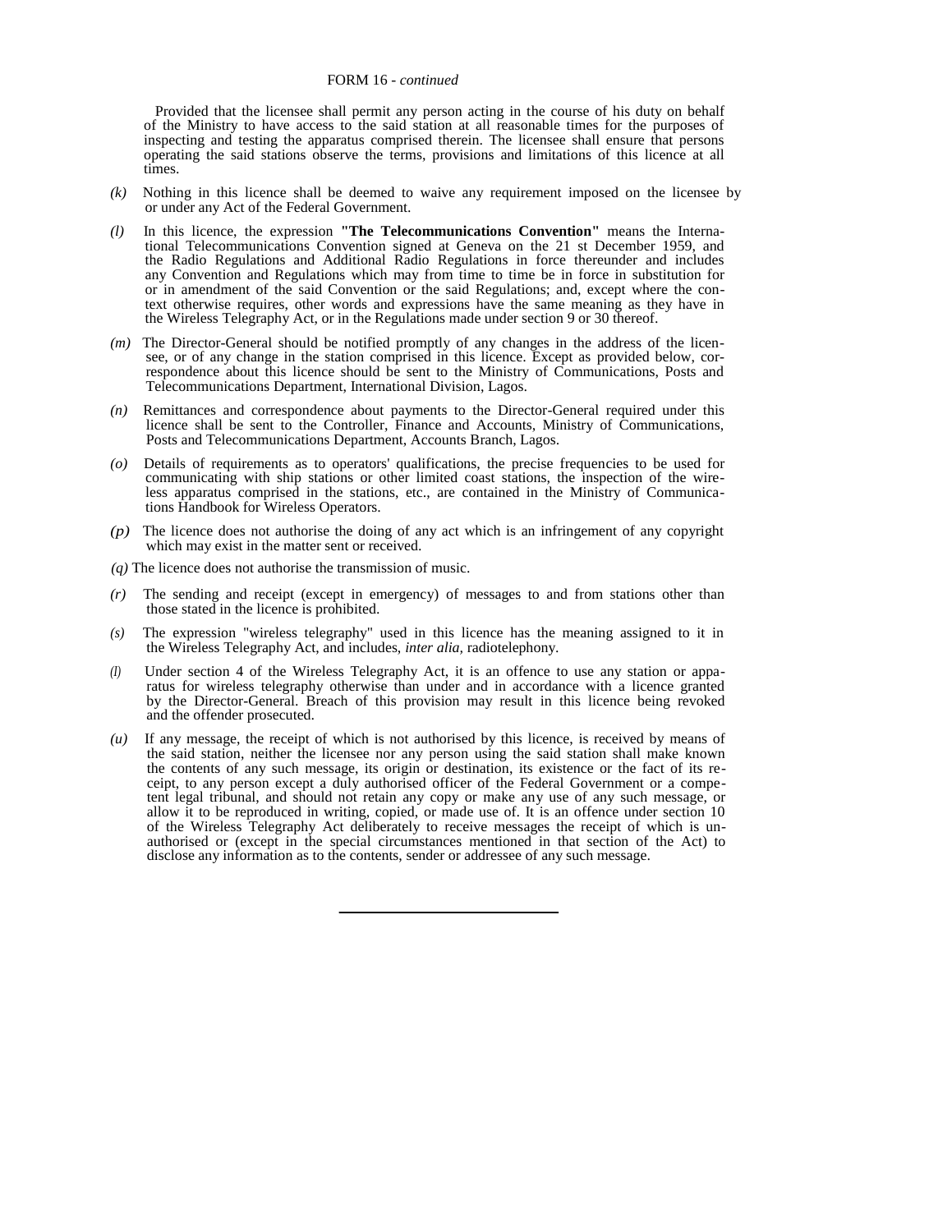Provided that the licensee shall permit any person acting in the course of his duty on behalf of the Ministry to have access to the said station at all reasonable times for the purposes of inspecting and testing the apparatus comprised therein. The licensee shall ensure that persons operating the said stations observe the terms, provisions and limitations of this licence at all times.

- *(k)* Nothing in this licence shall be deemed to waive any requirement imposed on the licensee by or under any Act of the Federal Government.
- *(l)* In this licence, the expression **"The Telecommunications Convention"** means the International Telecommunications Convention signed at Geneva on the 21 st December 1959, and the Radio Regulations and Additional Radio Regulations in force thereunder and includes any Convention and Regulations which may from time to time be in force in substitution for or in amendment of the said Convention or the said Regulations; and, except where the context otherwise requires, other words and expressions have the same meaning as they have in the Wireless Telegraphy Act, or in the Regulations made under section 9 or 30 thereof.
- *(m)* The Director-General should be notified promptly of any changes in the address of the licensee, or of any change in the station comprised in this licence. Except as provided below, correspondence about this licence should be sent to the Ministry of Communications, Posts and Telecommunications Department, International Division, Lagos.
- *(n)* Remittances and correspondence about payments to the Director-General required under this licence shall be sent to the Controller, Finance and Accounts, Ministry of Communications, Posts and Telecommunications Department, Accounts Branch, Lagos.
- *(o)* Details of requirements as to operators' qualifications, the precise frequencies to be used for communicating with ship stations or other limited coast stations, the inspection of the wireless apparatus comprised in the stations, etc., are contained in the Ministry of Communications Handbook for Wireless Operators.
- *(p)* The licence does not authorise the doing of any act which is an infringement of any copyright which may exist in the matter sent or received.
- *(q)* The licence does not authorise the transmission of music.
- *(r)* The sending and receipt (except in emergency) of messages to and from stations other than those stated in the licence is prohibited.
- *(s)* The expression "wireless telegraphy" used in this licence has the meaning assigned to it in the Wireless Telegraphy Act, and includes, *inter alia,* radiotelephony.
- *(I)* Under section 4 of the Wireless Telegraphy Act, it is an offence to use any station or apparatus for wireless telegraphy otherwise than under and in accordance with a licence granted by the Director-General. Breach of this provision may result in this licence being revoked and the offender prosecuted.
- *(u)* If any message, the receipt of which is not authorised by this licence, is received by means of the said station, neither the licensee nor any person using the said station shall make known the contents of any such message, its origin or destination, its existence or the fact of its receipt, to any person except a duly authorised officer of the Federal Government or a competent legal tribunal, and should not retain any copy or make any use of any such message, or allow it to be reproduced in writing, copied, or made use of. It is an offence under section 10 of the Wireless Telegraphy Act deliberately to receive messages the receipt of which is unauthorised or (except in the special circumstances mentioned in that section of the Act) to disclose any information as to the contents, sender or addressee of any such message.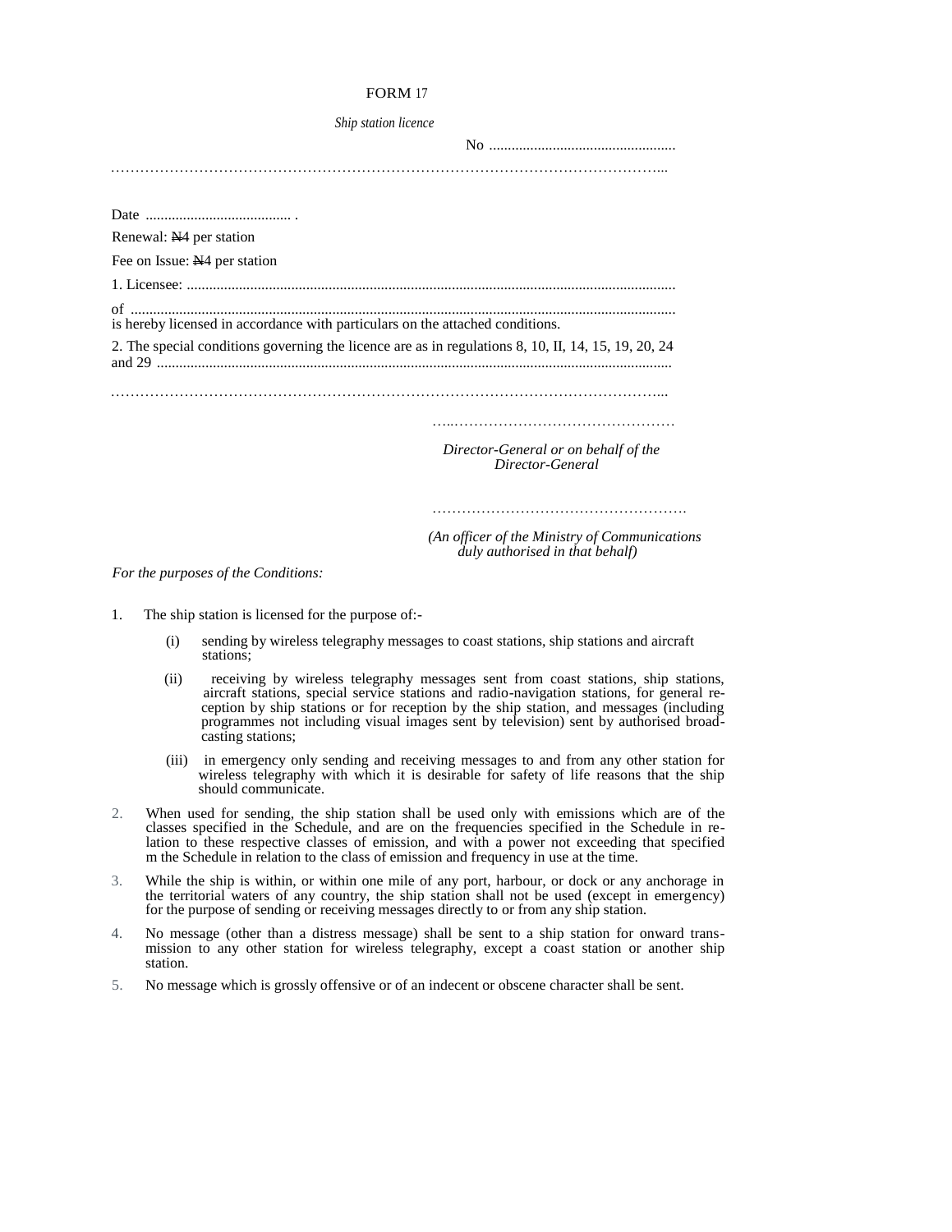### FORM 17

*Ship station licence* 

No .................................................. …………………………………………………………………………………………………...

| Renewal: N <sub>4</sub> per station                                                                 |                                                                                   |
|-----------------------------------------------------------------------------------------------------|-----------------------------------------------------------------------------------|
| Fee on Issue: N <sub>4</sub> per station                                                            |                                                                                   |
|                                                                                                     |                                                                                   |
| of<br>is hereby licensed in accordance with particulars on the attached conditions.                 |                                                                                   |
| 2. The special conditions governing the licence are as in regulations 8, 10, II, 14, 15, 19, 20, 24 |                                                                                   |
|                                                                                                     |                                                                                   |
|                                                                                                     | Director-General or on behalf of the<br>Director-General                          |
|                                                                                                     |                                                                                   |
|                                                                                                     | (An officer of the Ministry of Communications)<br>duly authorised in that behalf) |

*For the purposes of the Conditions:* 

- 1. The ship station is licensed for the purpose of:-
	- (i) sending by wireless telegraphy messages to coast stations, ship stations and aircraft stations;
	- (ii) receiving by wireless telegraphy messages sent from coast stations, ship stations, aircraft stations, special service stations and radio-navigation stations, for general re ception by ship stations or for reception by the ship station, and messages (including programmes not including visual images sent by television) sent by authorised broad casting stations;
	- (iii) in emergency only sending and receiving messages to and from any other station for wireless telegraphy with which it is desirable for safety of life reasons that the ship should communicate.
- 2. When used for sending, the ship station shall be used only with emissions which are of the classes specified in the Schedule, and are on the frequencies specified in the Schedule in relation to these respective classes of emission, and with a power not exceeding that specified m the Schedule in relation to the class of emission and frequency in use at the time.
- 3. While the ship is within, or within one mile of any port, harbour, or dock or any anchorage in the territorial waters of any country, the ship station shall not be used (except in emergency) for the purpose of sending or receiving messages directly to or from any ship station.
- 4. No message (other than a distress message) shall be sent to a ship station for onward transmission to any other station for wireless telegraphy, except a coast station or another ship station.
- 5. No message which is grossly offensive or of an indecent or obscene character shall be sent.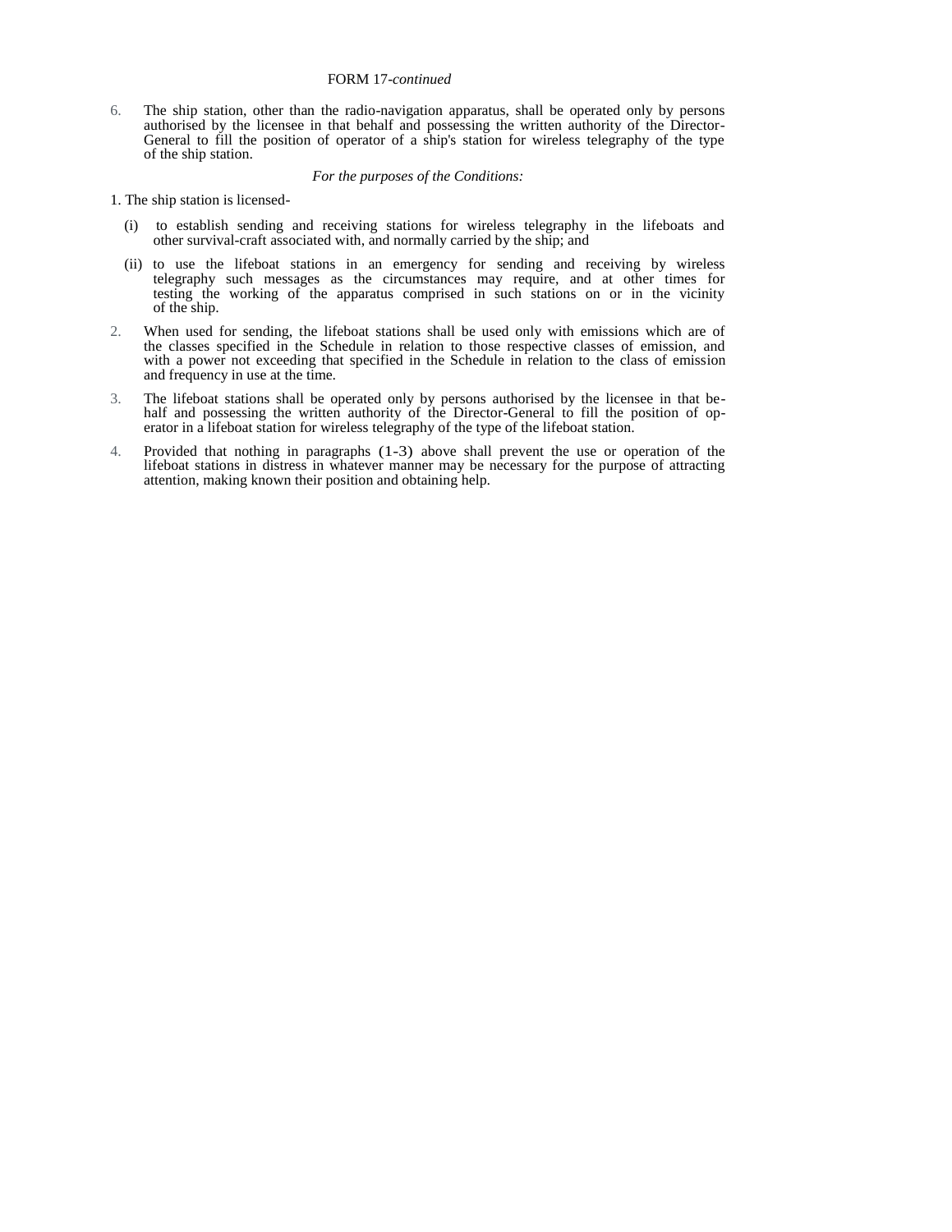### FORM 17*-continued*

6. The ship station, other than the radio-navigation apparatus, shall be operated only by persons authorised by the licensee in that behalf and possessing the written authority of the Director-General to fill the position of operator of a ship's station for wireless telegraphy of the type of the ship station.

#### *For the purposes of the Conditions:*

- 1. The ship station is licensed-
	- (i) to establish sending and receiving stations for wireless telegraphy in the lifeboats and other survival-craft associated with, and normally carried by the ship; and
	- (ii) to use the lifeboat stations in an emergency for sending and receiving by wireless telegraphy such messages as the circumstances may require, and at other times for testing the working of the apparatus comprised in such stations on or in the vicinity of the ship.
- 2. When used for sending, the lifeboat stations shall be used only with emissions which are of the classes specified in the Schedule in relation to those respective classes of emission, and with a power not exceeding that specified in the Schedule in relation to the class of emission and frequency in use at the time.
- 3. The lifeboat stations shall be operated only by persons authorised by the licensee in that behalf and possessing the written authority of the Director-General to fill the position of operator in a lifeboat station for wireless telegraphy of the type of the lifeboat station.
- 4. Provided that nothing in paragraphs (1-3) above shall prevent the use or operation of the lifeboat stations in distress in whatever manner may be necessary for the purpose of attracting attention, making known their position and obtaining help.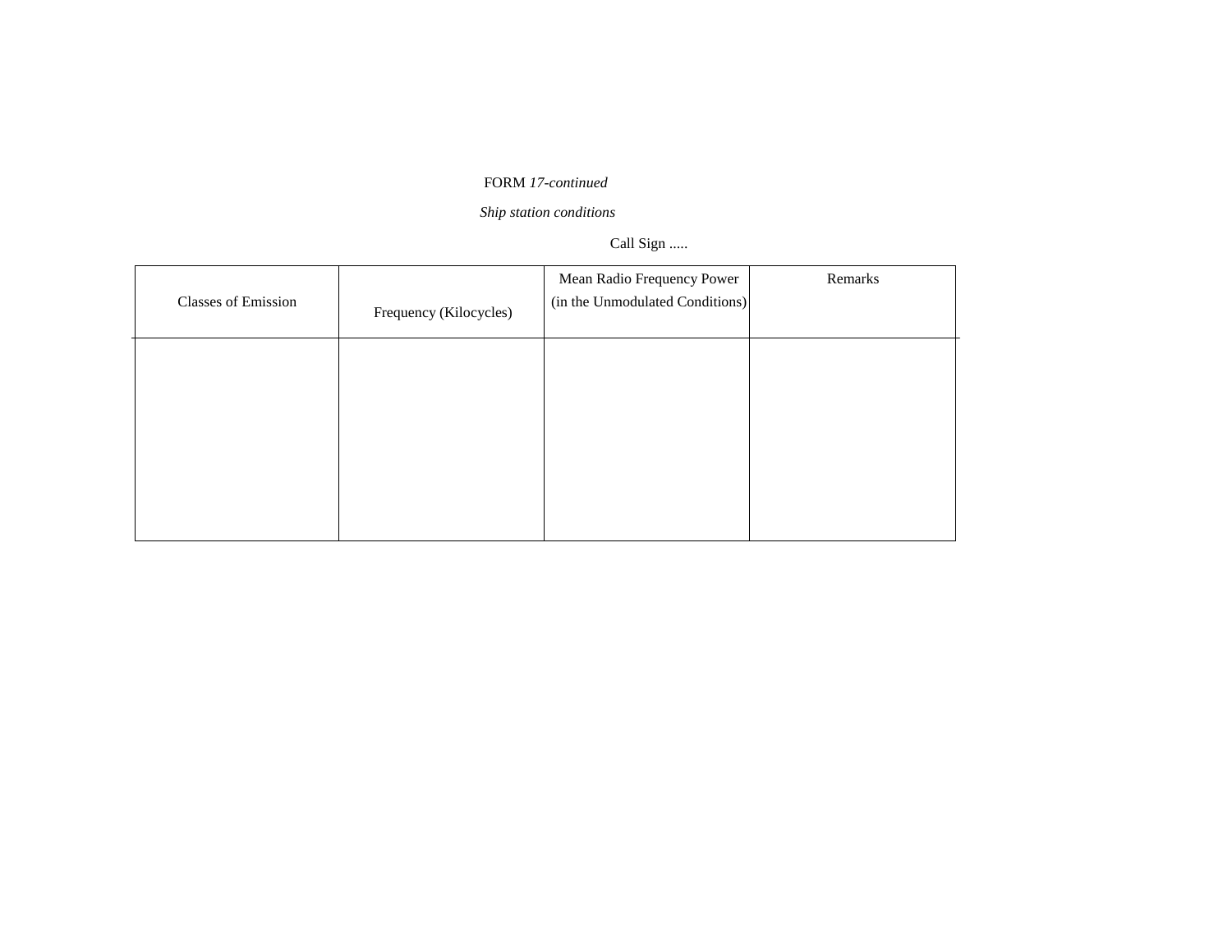# FORM *17-continued*

*Ship station conditions* 

# Call Sign .....

| <b>Classes of Emission</b> | Frequency (Kilocycles) | Mean Radio Frequency Power<br>(in the Unmodulated Conditions) | Remarks |
|----------------------------|------------------------|---------------------------------------------------------------|---------|
|                            |                        |                                                               |         |
|                            |                        |                                                               |         |
|                            |                        |                                                               |         |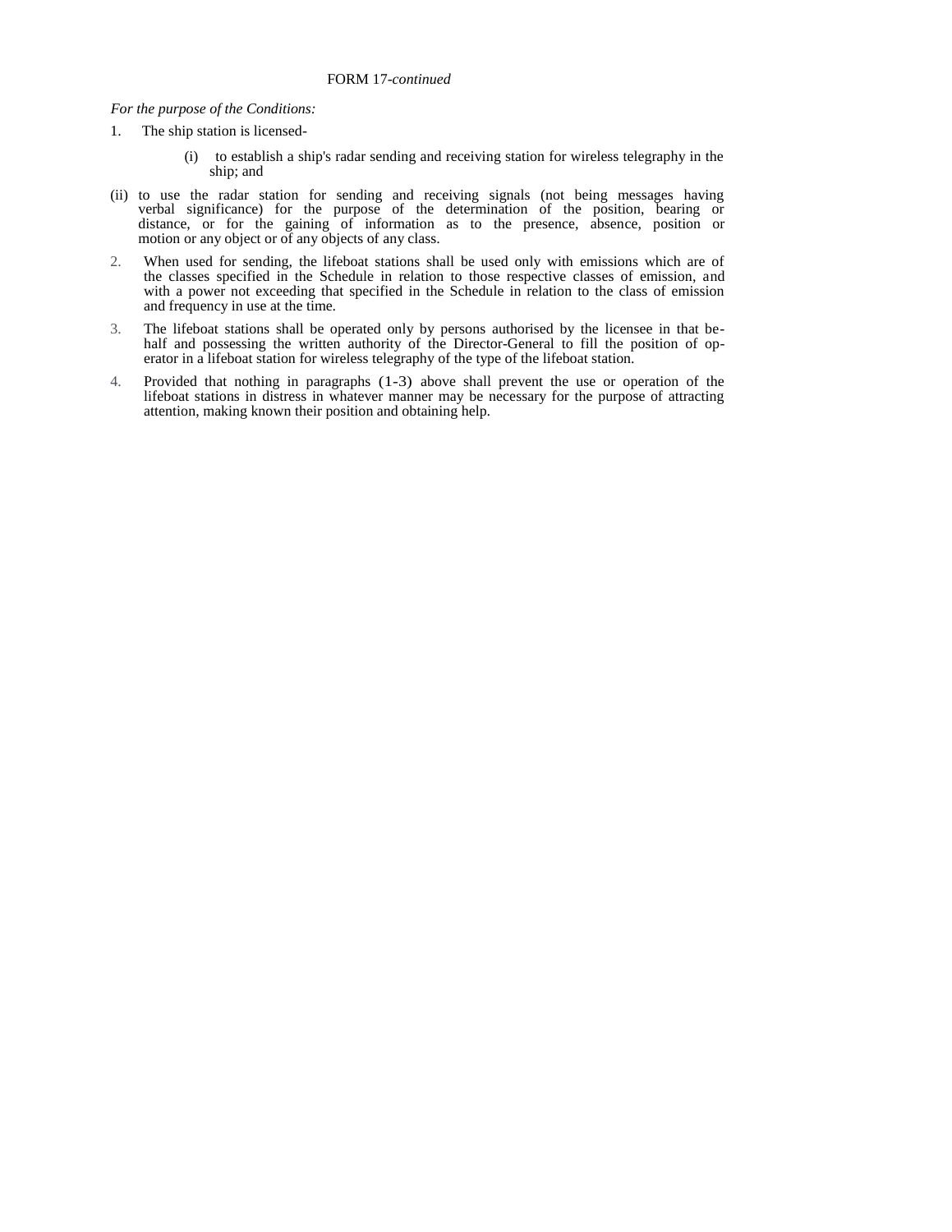# *For the purpose of the Conditions:*

- 1. The ship station is licensed-
	- (i) to establish a ship's radar sending and receiving station for wireless telegraphy in the ship; and
- (ii) to use the radar station for sending and receiving signals (not being messages having verbal significance) for the purpose of the determination of the position, bearing or distance, or for the gaining of information as to the presence, absence, position or motion or any object or of any objects of any class.
- 2. When used for sending, the lifeboat stations shall be used only with emissions which are of the classes specified in the Schedule in relation to those respective classes of emission, and with a power not exceeding that specified in the Schedule in relation to the class of emission and frequency in use at the time.
- 3. The lifeboat stations shall be operated only by persons authorised by the licensee in that behalf and possessing the written authority of the Director-General to fill the position of operator in a lifeboat station for wireless telegraphy of the type of the lifeboat station.
- 4. Provided that nothing in paragraphs (1-3) above shall prevent the use or operation of the lifeboat stations in distress in whatever manner may be necessary for the purpose of attracting attention, making known their position and obtaining help.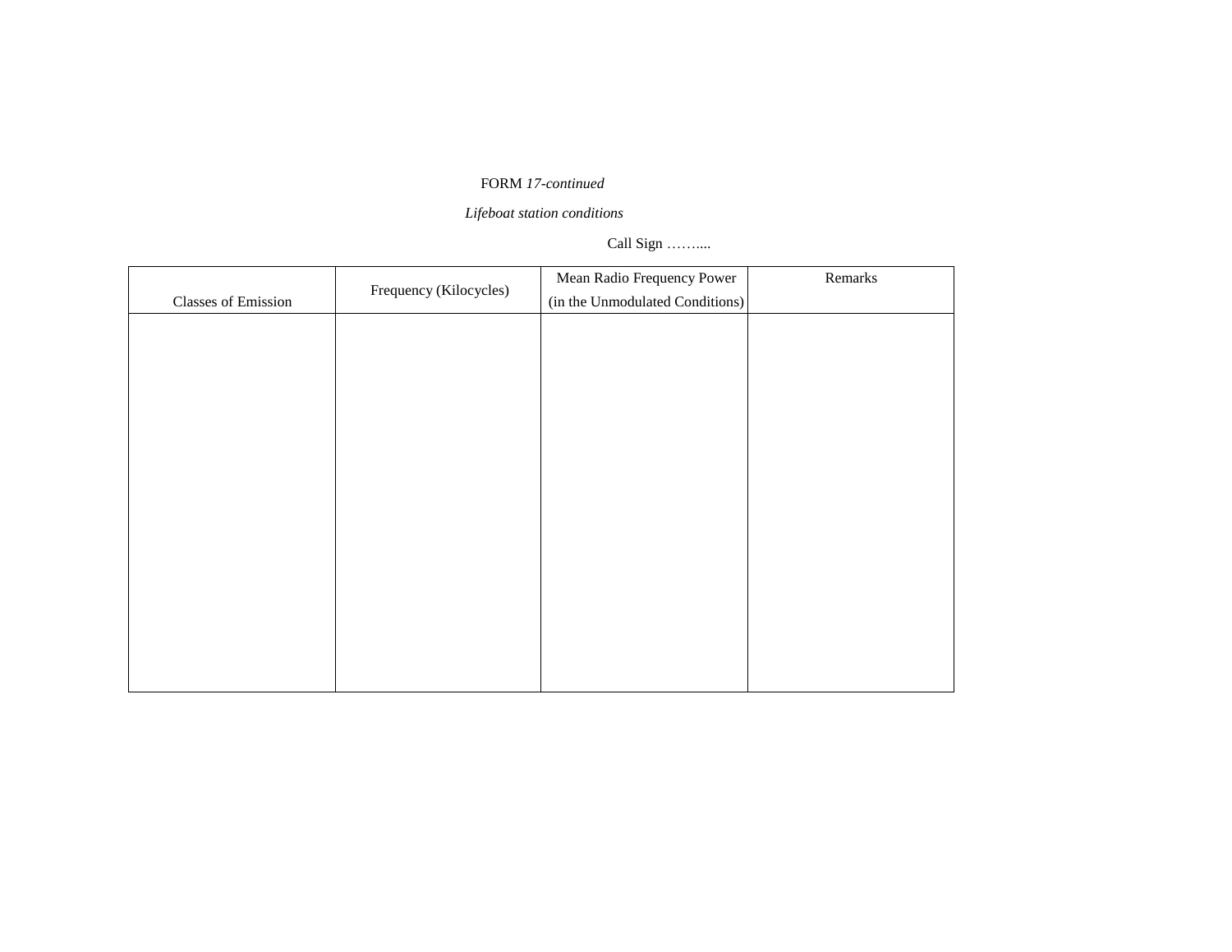# FORM *17-continued*

*Lifeboat station conditions* 

# Call Sign ……....

|                     | Frequency (Kilocycles) | Mean Radio Frequency Power      | Remarks |
|---------------------|------------------------|---------------------------------|---------|
| Classes of Emission |                        | (in the Unmodulated Conditions) |         |
|                     |                        |                                 |         |
|                     |                        |                                 |         |
|                     |                        |                                 |         |
|                     |                        |                                 |         |
|                     |                        |                                 |         |
|                     |                        |                                 |         |
|                     |                        |                                 |         |
|                     |                        |                                 |         |
|                     |                        |                                 |         |
|                     |                        |                                 |         |
|                     |                        |                                 |         |
|                     |                        |                                 |         |
|                     |                        |                                 |         |
|                     |                        |                                 |         |
|                     |                        |                                 |         |
|                     |                        |                                 |         |
|                     |                        |                                 |         |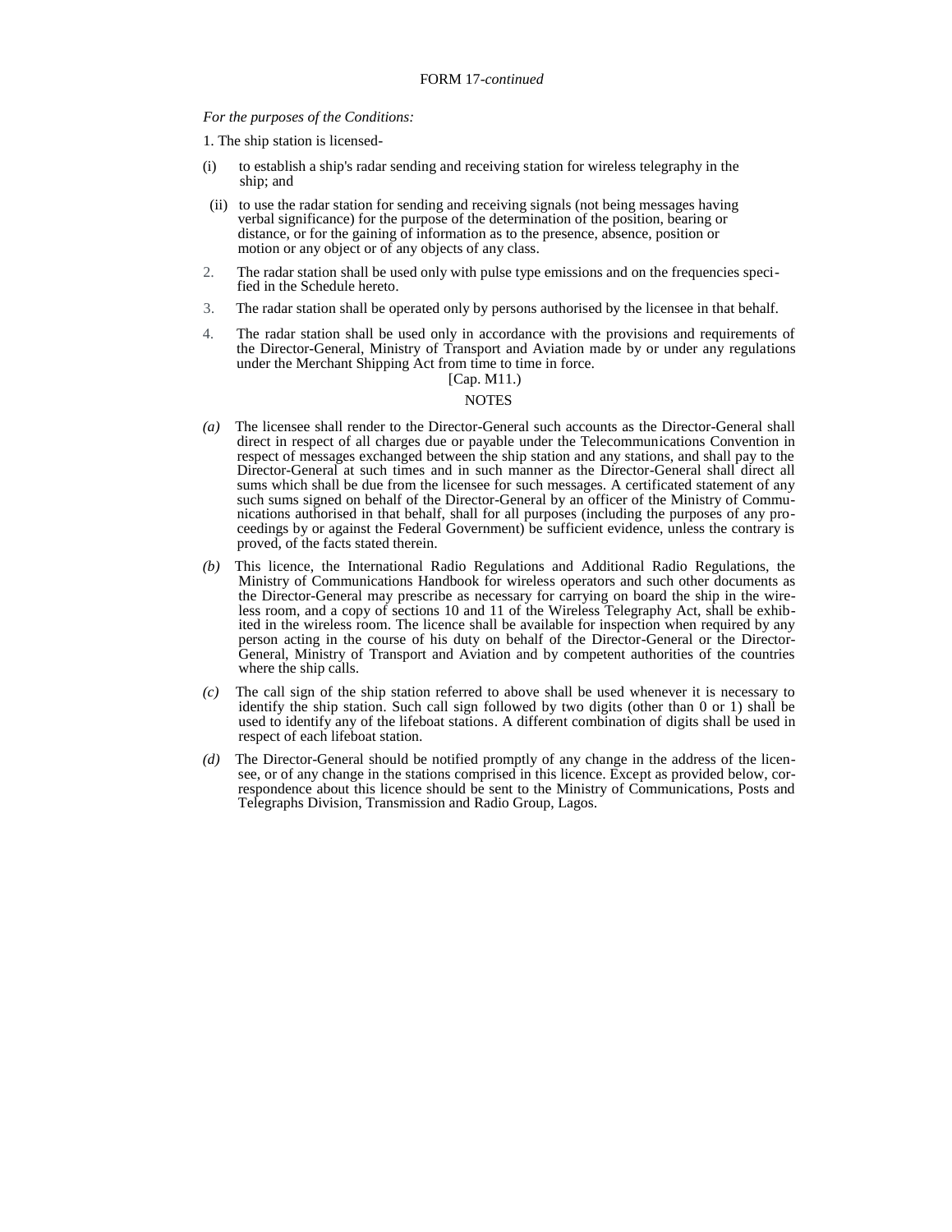#### *For the purposes of the Conditions:*

1. The ship station is licensed-

- (i) to establish a ship's radar sending and receiving station for wireless telegraphy in the ship; and
- (ii) to use the radar station for sending and receiving signals (not being messages having verbal significance) for the purpose of the determination of the position, bearing or distance, or for the gaining of information as to the presence, absence, position or motion or any object or of any objects of any class.
- 2. The radar station shall be used only with pulse type emissions and on the frequencies specified in the Schedule hereto.
- 3. The radar station shall be operated only by persons authorised by the licensee in that behalf.
- 4. The radar station shall be used only in accordance with the provisions and requirements of the Director-General, Ministry of Transport and Aviation made by or under any regulations under the Merchant Shipping Act from time to time in force. [Cap. M11.)

- *(a)* The licensee shall render to the Director-General such accounts as the Director-General shall direct in respect of all charges due or payable under the Telecommunications Convention in respect of messages exchanged between the ship station and any stations, and shall pay to the Director-General at such times and in such manner as the Director-General shall direct all sums which shall be due from the licensee for such messages. A certificated statement of any such sums signed on behalf of the Director-General by an officer of the Ministry of Communications authorised in that behalf, shall for all purposes (including the purposes of any proceedings by or against the Federal Government) be sufficient evidence, unless the contrary is proved, of the facts stated therein.
- *(b)* This licence, the International Radio Regulations and Additional Radio Regulations, the Ministry of Communications Handbook for wireless operators and such other documents as the Director-General may prescribe as necessary for carrying on board the ship in the wireless room, and a copy of sections 10 and 11 of the Wireless Telegraphy Act, shall be exhibited in the wireless room. The licence shall be available for inspection when required by any person acting in the course of his duty on behalf of the Director-General or the Director-General, Ministry of Transport and Aviation and by competent authorities of the countries where the ship calls.
- *(c)* The call sign of the ship station referred to above shall be used whenever it is necessary to identify the ship station. Such call sign followed by two digits (other than 0 or 1) shall be used to identify any of the lifeboat stations. A different combination of digits shall be used in respect of each lifeboat station.
- *(d)* The Director-General should be notified promptly of any change in the address of the licensee, or of any change in the stations comprised in this licence. Except as provided below, correspondence about this licence should be sent to the Ministry of Communications, Posts and Telegraphs Division, Transmission and Radio Group, Lagos.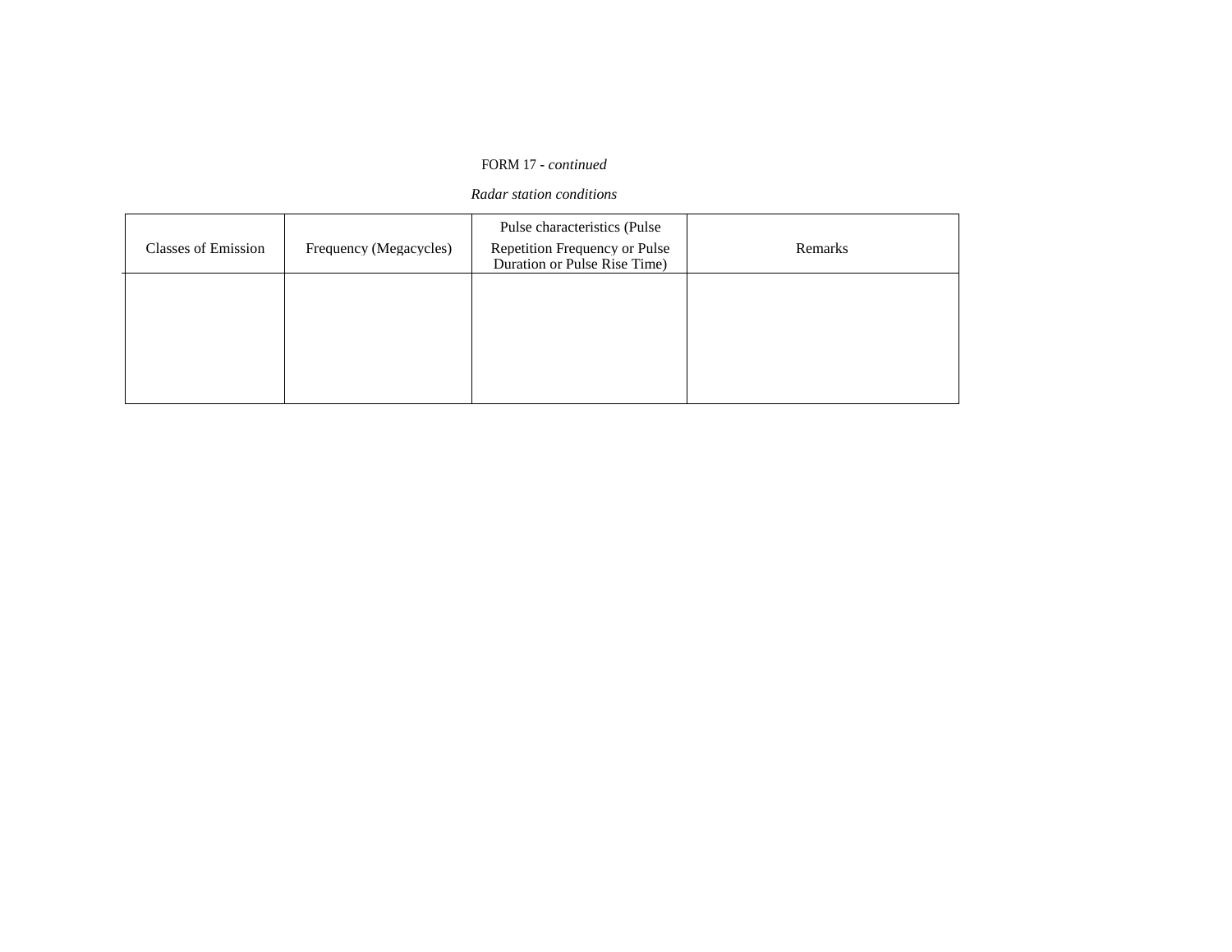# FORM 17 *- continued*

# *Radar station conditions*

| <b>Classes of Emission</b> | Frequency (Megacycles) | Pulse characteristics (Pulse<br>Repetition Frequency or Pulse<br>Duration or Pulse Rise Time) | Remarks |
|----------------------------|------------------------|-----------------------------------------------------------------------------------------------|---------|
|                            |                        |                                                                                               |         |
|                            |                        |                                                                                               |         |
|                            |                        |                                                                                               |         |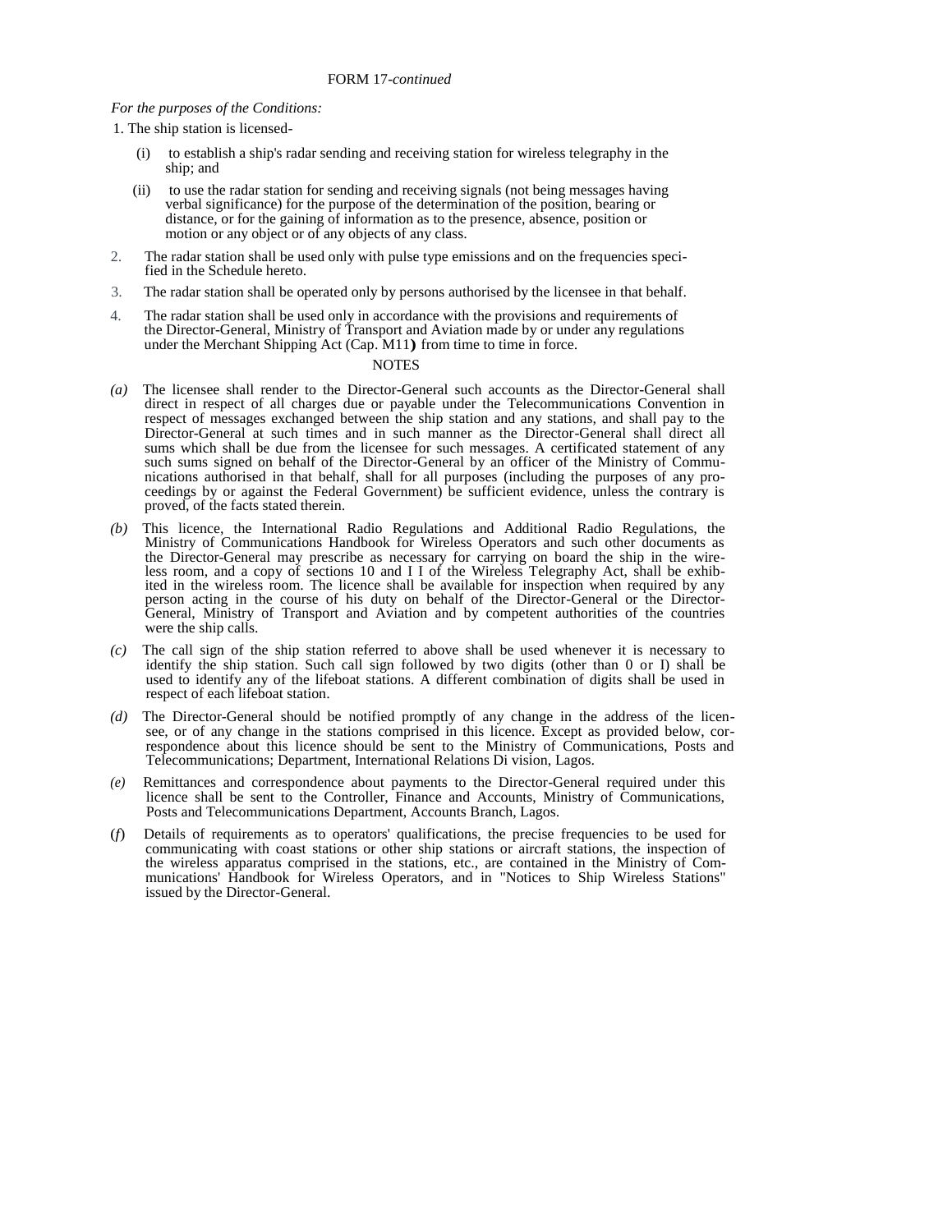#### *For the purposes of the Conditions:*

1. The ship station is licensed-

- (i) to establish a ship's radar sending and receiving station for wireless telegraphy in the ship; and
- (ii) to use the radar station for sending and receiving signals (not being messages having verbal significance) for the purpose of the determination of the position, bearing or distance, or for the gaining of information as to the presence, absence, position or motion or any object or of any objects of any class.
- 2. The radar station shall be used only with pulse type emissions and on the frequencies specified in the Schedule hereto.
- 3. The radar station shall be operated only by persons authorised by the licensee in that behalf.
- 4. The radar station shall be used only in accordance with the provisions and requirements of the Director-General, Ministry of Transport and Aviation made by or under any regulations under the Merchant Shipping Act (Cap. M11**)** from time to time in force.

- *(a)* The licensee shall render to the Director-General such accounts as the Director-General shall direct in respect of all charges due or payable under the Telecommunications Convention in respect of messages exchanged between the ship station and any stations, and shall pay to the Director-General at such times and in such manner as the Director-General shall direct all sums which shall be due from the licensee for such messages. A certificated statement of any such sums signed on behalf of the Director-General by an officer of the Ministry of Communications authorised in that behalf, shall for all purposes (including the purposes of any proceedings by or against the Federal Government) be sufficient evidence, unless the contrary is proved, of the facts stated therein.
- *(b)* This licence, the International Radio Regulations and Additional Radio Regulations, the Ministry of Communications Handbook for Wireless Operators and such other documents as the Director-General may prescribe as necessary for carrying on board the ship in the wireless room, and a copy of sections 10 and I I of the Wireless Telegraphy Act, shall be exhibited in the wireless room. The licence shall be available for inspection when required by any person acting in the course of his duty on behalf of the Director-General or the Director-General, Ministry of Transport and Aviation and by competent authorities of the countries were the ship calls.
- *(c)* The call sign of the ship station referred to above shall be used whenever it is necessary to identify the ship station. Such call sign followed by two digits (other than 0 or I) shall be used to identify any of the lifeboat stations. A different combination of digits shall be used in respect of each lifeboat station.
- *(d)* The Director-General should be notified promptly of any change in the address of the licensee, or of any change in the stations comprised in this licence. Except as provided below, correspondence about this licence should be sent to the Ministry of Communications, Posts and Telecommunications; Department, International Relations Di vision, Lagos.
- Remittances and correspondence about payments to the Director-General required under this licence shall be sent to the Controller, Finance and Accounts, Ministry of Communications, Posts and Telecommunications Department, Accounts Branch, Lagos.
- (*f*) Details of requirements as to operators' qualifications, the precise frequencies to be used for communicating with coast stations or other ship stations or aircraft stations, the inspection of the wireless apparatus comprised in the stations, etc., are contained in the Ministry of Communications' Handbook for Wireless Operators, and in "Notices to Ship Wireless Stations" issued by the Director-General.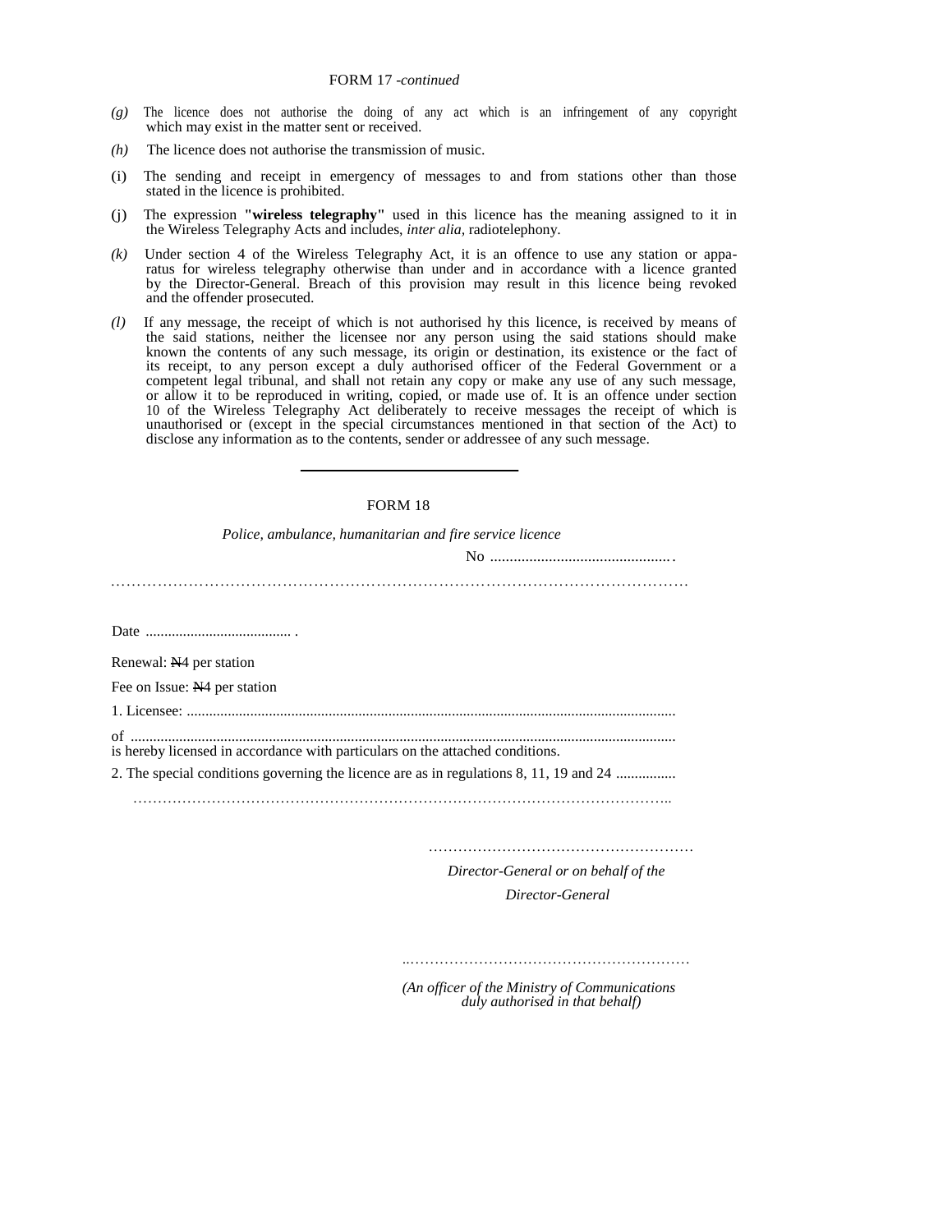- *(g)* The licence does not authorise the doing of any act which is an infringement of any copyright which may exist in the matter sent or received.
- *(h)* The licence does not authorise the transmission of music.
- (i) The sending and receipt in emergency of messages to and from stations other than those stated in the licence is prohibited.
- (j) The expression **"wireless telegraphy"** used in this licence has the meaning assigned to it in the Wireless Telegraphy Acts and includes, *inter alia,* radiotelephony.
- *(k)* Under section 4 of the Wireless Telegraphy Act, it is an offence to use any station or apparatus for wireless telegraphy otherwise than under and in accordance with a licence granted by the Director-General. Breach of this provision may result in this licence being revoked and the offender prosecuted.
- *(l)* If any message, the receipt of which is not authorised hy this licence, is received by means of the said stations, neither the licensee nor any person using the said stations should make known the contents of any such message, its origin or destination, its existence or the fact of its receipt, to any person except a duly authorised officer of the Federal Government or a competent legal tribunal, and shall not retain any copy or make any use of any such message, or allow it to be reproduced in writing, copied, or made use of. It is an offence under section 10 of the Wireless Telegraphy Act deliberately to receive messages the receipt of which is unauthorised or (except in the special circumstances mentioned in that section of the Act) to disclose any information as to the contents, sender or addressee of any such message.

#### FORM 18

*Police, ambulance, humanitarian and fire service licence* 

No .............................................. .

…………………………………………………………………………………………………

Date ....................................... .

Renewal: N4 per station

Fee on Issue: N4 per station

1. Licensee: ...................................................................................................................................

of ..................................................................................................................................................

is hereby licensed in accordance with particulars on the attached conditions.

2. The special conditions governing the licence are as in regulations 8, 11, 19 and 24 ................

………………………………………………………………………………………………..

………………………………………………

 *Director-General or on behalf of the Director-General* 

..…………………………………………………

*(An officer of the Ministry of Communications duly authorised in that behalf)*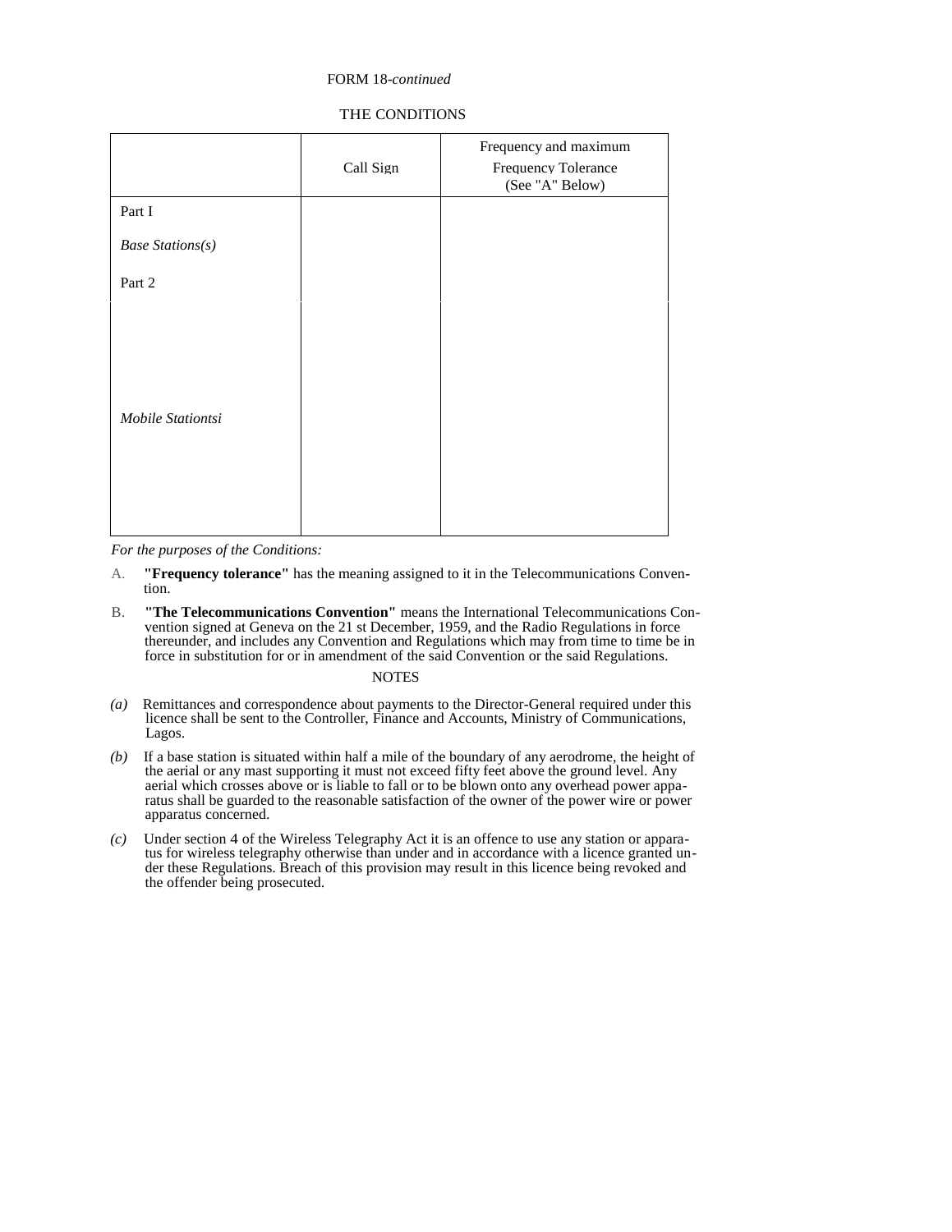### FORM 18*-continued*

# THE CONDITIONS

|                         | Call Sign | Frequency and maximum<br>Frequency Tolerance<br>(See "A" Below) |
|-------------------------|-----------|-----------------------------------------------------------------|
| Part I                  |           |                                                                 |
| <b>Base Stations(s)</b> |           |                                                                 |
| Part 2                  |           |                                                                 |
| Mobile Stationtsi       |           |                                                                 |

*For the purposes of the Conditions:* 

- A. **"Frequency tolerance"** has the meaning assigned to it in the Telecommunications Convention.
- B. **"The Telecommunications Convention"** means the International Telecommunications Convention signed at Geneva on the 21 st December, 1959, and the Radio Regulations in force thereunder, and includes any Convention and Regulations which may from time to time be in force in substitution for or in amendment of the said Convention or the said Regulations.

- *(a)* Remittances and correspondence about payments to the Director-General required under this licence shall be sent to the Controller, Finance and Accounts, Ministry of Communications, Lagos.
- *(b)* If a base station is situated within half a mile of the boundary of any aerodrome, the height of the aerial or any mast supporting it must not exceed fifty feet above the ground level. Any aerial which crosses above or is liable to fall or to be blown onto any overhead power apparatus shall be guarded to the reasonable satisfaction of the owner of the power wire or power apparatus concerned.
- *(c)* Under section 4 of the Wireless Telegraphy Act it is an offence to use any station or apparatus for wireless telegraphy otherwise than under and in accordance with a licence granted under these Regulations. Breach of this provision may result in this licence being revoked and the offender being prosecuted.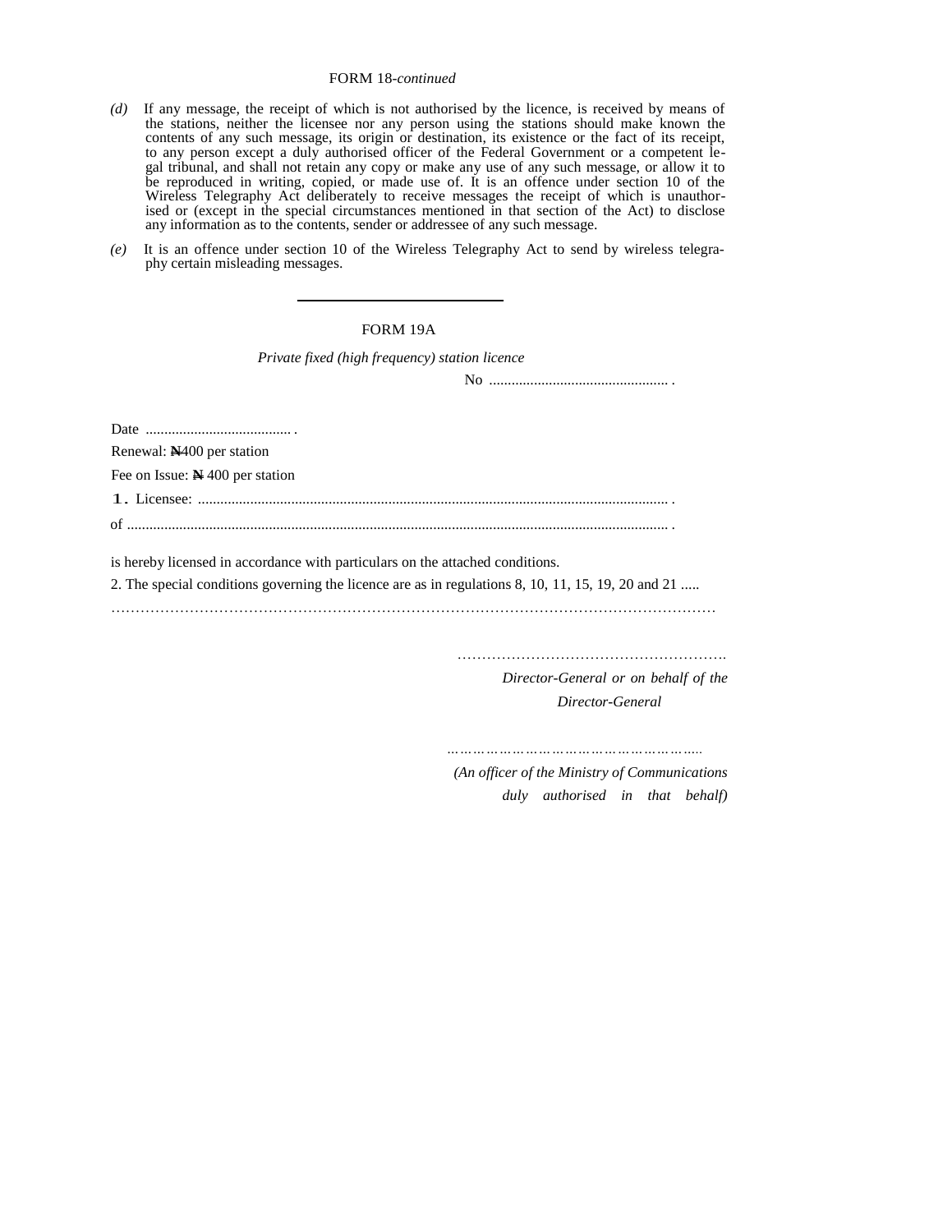# FORM 18*-continued*

- *(d)* If any message, the receipt of which is not authorised by the licence, is received by means of the stations, neither the licensee nor any person using the stations should make known the contents of any such message, its origin or destination, its existence or the fact of its receipt, to any person except a duly authorised officer of the Federal Government or a competent legal tribunal, and shall not retain any copy or make any use of any such message, or allow it to be reproduced in writing, copied, or made use of. It is an offence under section 10 of the Wireless Telegraphy Act deliberately to receive messages the receipt of which is unauthorised or (except in the special circumstances mentioned in that section of the Act) to disclose any information as to the contents, sender or addressee of any such message.
- *(e)* It is an offence under section 10 of the Wireless Telegraphy Act to send by wireless telegraphy certain misleading messages.

### FORM 19A

*Private fixed (high frequency) station licence* 

No ................................................ .

Date ....................................... .

Renewal: **N**400 per station

Fee on Issue: **N** 400 per station

1. Licensee: .............................................................................................................................. .

of ................................................................................................................................................. .

is hereby licensed in accordance with particulars on the attached conditions.

2. The special conditions governing the licence are as in regulations 8, 10, 11, 15, 19, 20 and 21 .....

……………………………………………….

*Director-General or on behalf of the Director-General* 

*…………………………………………………..*

 *(An officer of the Ministry of Communications duly authorised in that behalf)*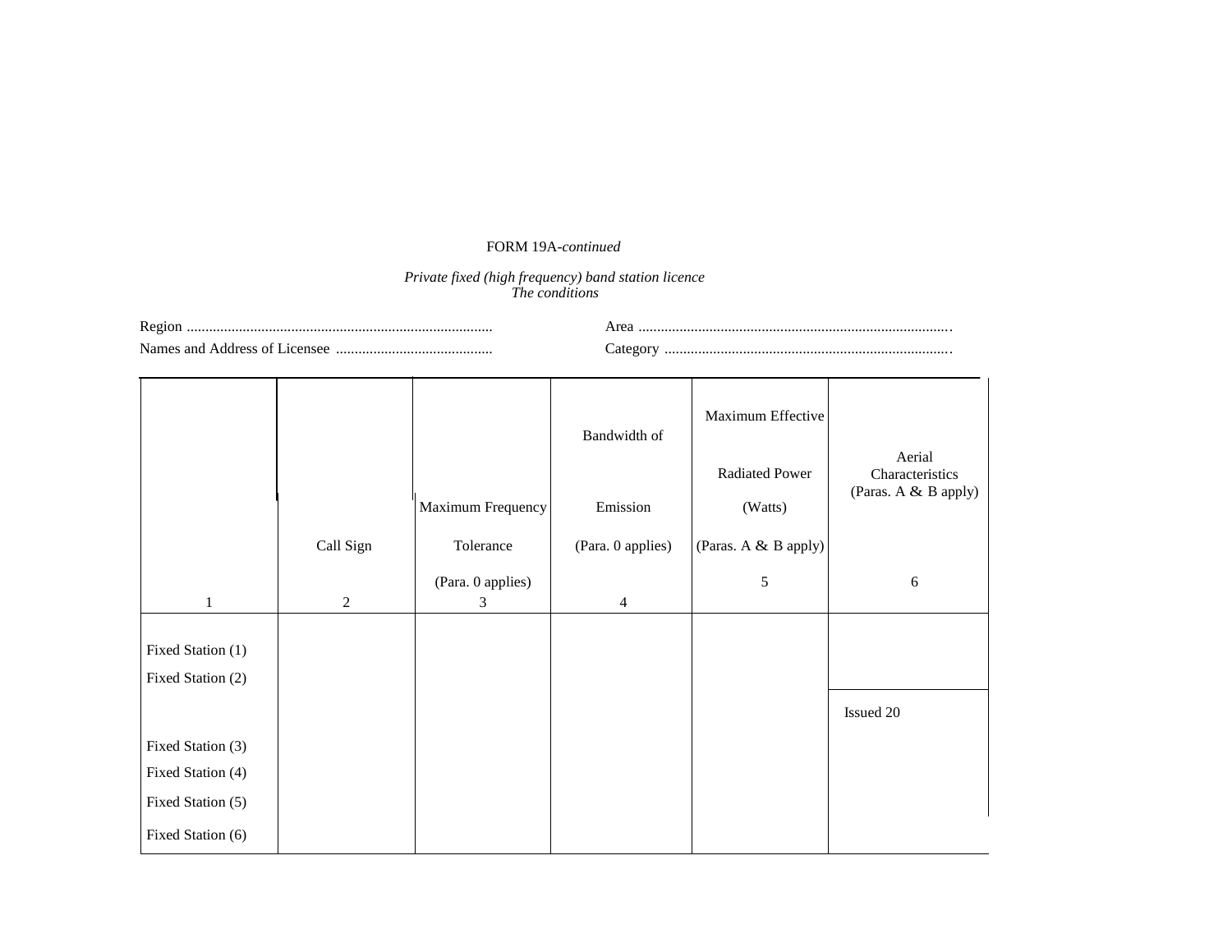# FORM 19A*-continued*

#### *Private fixed (high frequency) band station licence The conditions*

Region .................................................................................. Names and Address of Licensee .......................................... Area .................................................................................... Category .............................................................................

|                   |              | Maximum Frequency      | Bandwidth of<br>Emission | Maximum Effective<br><b>Radiated Power</b><br>(Watts) | Aerial<br>Characteristics<br>(Paras. A & B apply) |
|-------------------|--------------|------------------------|--------------------------|-------------------------------------------------------|---------------------------------------------------|
|                   | Call Sign    | Tolerance              | (Para. 0 applies)        | (Paras. A & B apply)                                  |                                                   |
| $\mathbf{1}$      | $\mathbf{2}$ | (Para. 0 applies)<br>3 | $\overline{4}$           | $\sqrt{5}$                                            | 6                                                 |
|                   |              |                        |                          |                                                       |                                                   |
| Fixed Station (1) |              |                        |                          |                                                       |                                                   |
| Fixed Station (2) |              |                        |                          |                                                       |                                                   |
|                   |              |                        |                          |                                                       | Issued 20                                         |
| Fixed Station (3) |              |                        |                          |                                                       |                                                   |
| Fixed Station (4) |              |                        |                          |                                                       |                                                   |
| Fixed Station (5) |              |                        |                          |                                                       |                                                   |
| Fixed Station (6) |              |                        |                          |                                                       |                                                   |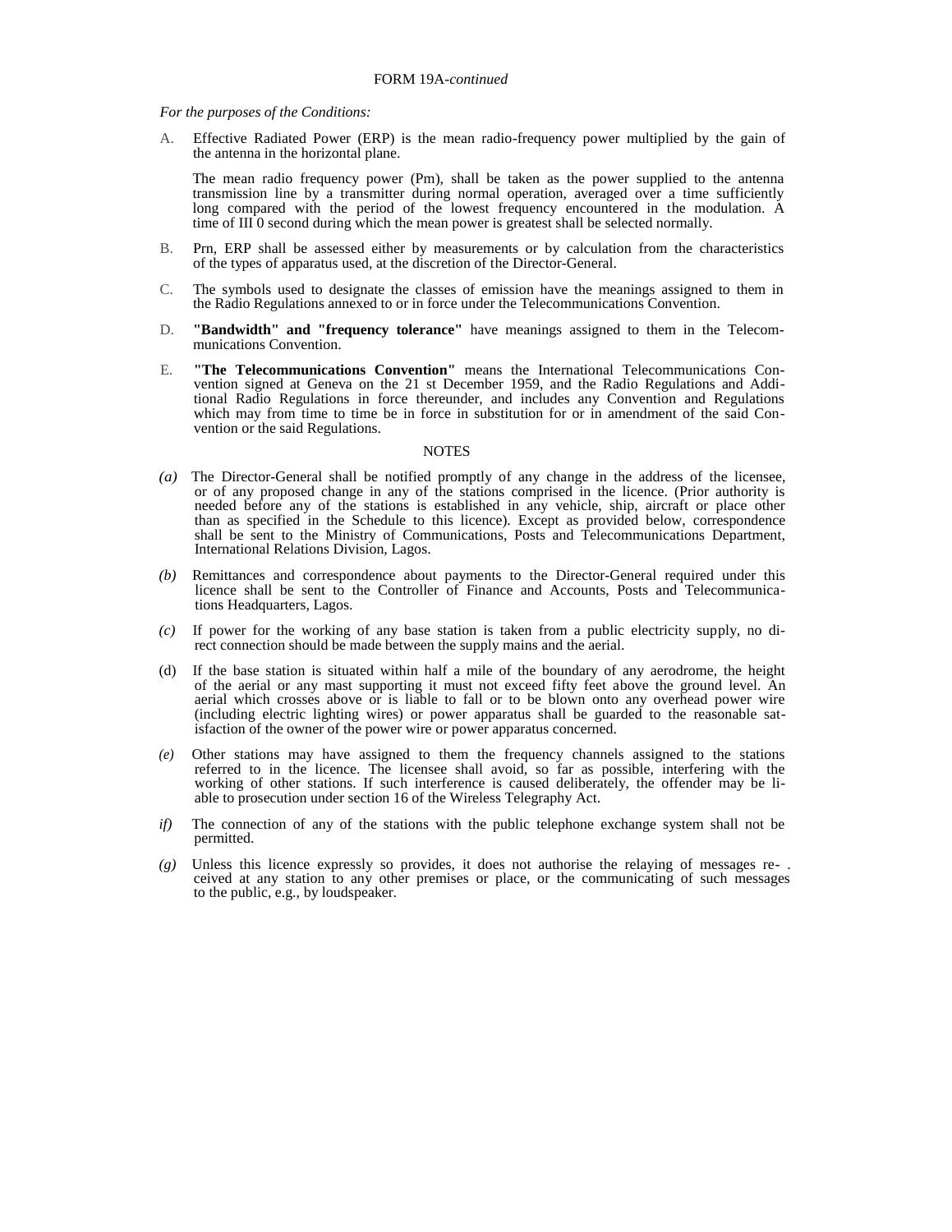*For the purposes of the Conditions:* 

A. Effective Radiated Power (ERP) is the mean radio-frequency power multiplied by the gain of the antenna in the horizontal plane.

The mean radio frequency power (Pm), shall be taken as the power supplied to the antenna transmission line by a transmitter during normal operation, averaged over a time sufficiently long compared with the period of the lowest frequency encountered in the modulation. A time of  $III$  0 second during which the mean power is greatest shall be selected normally.

- B. Prn, ERP shall be assessed either by measurements or by calculation from the characteristics of the types of apparatus used, at the discretion of the Director-General.
- C. The symbols used to designate the classes of emission have the meanings assigned to them in the Radio Regulations annexed to or in force under the Telecommunications Convention.
- D. **"Bandwidth" and "frequency tolerance"** have meanings assigned to them in the Telecommunications Convention.
- E. **"The Telecommunications Convention"** means the International Telecommunications Convention signed at Geneva on the 21 st December 1959, and the Radio Regulations and Additional Radio Regulations in force thereunder, and includes any Convention and Regulations which may from time to time be in force in substitution for or in amendment of the said Convention or the said Regulations.

- (a) The Director-General shall be notified promptly of any change in the address of the licensee, or of any proposed change in any of the stations comprised in the licence. (Prior authority is needed before any of the stations is established in any vehicle, ship, aircraft or place other than as specified in the Schedule to this licence). Except as provided below, correspondence shall be sent to the Ministry of Communications, Posts and Telecommunications Department, International Relations Division, Lagos.
- *(b)* Remittances and correspondence about payments to the Director-General required under this licence shall be sent to the Controller of Finance and Accounts, Posts and Telecommunications Headquarters, Lagos.
- *(c)* If power for the working of any base station is taken from a public electricity supply, no direct connection should be made between the supply mains and the aerial.
- (d) If the base station is situated within half a mile of the boundary of any aerodrome, the height of the aerial or any mast supporting it must not exceed fifty feet above the ground level. An aerial which crosses above or is liable to fall or to be blown onto any overhead power wire (including electric lighting wires) or power apparatus shall be guarded to the reasonable satisfaction of the owner of the power wire or power apparatus concerned.
- *(e)* Other stations may have assigned to them the frequency channels assigned to the stations referred to in the licence. The licensee shall avoid, so far as possible, interfering with the working of other stations. If such interference is caused deliberately, the offender may be liable to prosecution under section 16 of the Wireless Telegraphy Act.
- *if*) The connection of any of the stations with the public telephone exchange system shall not be permitted.
- *(g)* Unless this licence expressly so provides, it does not authorise the relaying of messages re- . ceived at any station to any other premises or place, or the communicating of such messages to the public, e.g., by loudspeaker.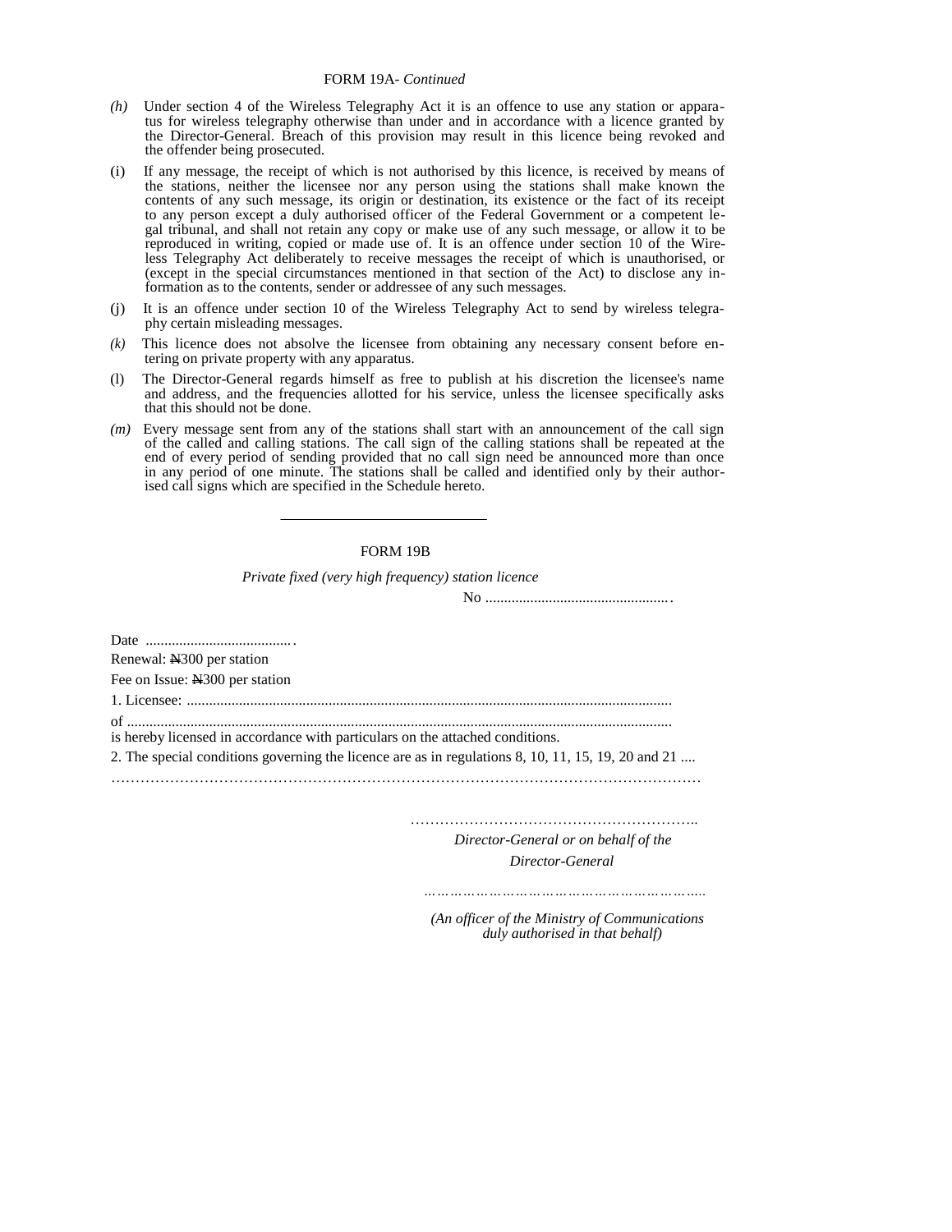- *(h)* Under section 4 of the Wireless Telegraphy Act it is an offence to use any station or apparatus for wireless telegraphy otherwise than under and in accordance with a licence granted by the Director-General. Breach of this provision may result in this licence being revoked and the offender being prosecuted.
- (i) If any message, the receipt of which is not authorised by this licence, is received by means of the stations, neither the licensee nor any person using the stations shall make known the contents of any such message, its origin or destination, its existence or the fact of its receipt to any person except a duly authorised officer of the Federal Government or a competent legal tribunal, and shall not retain any copy or make use of any such message, or allow it to be reproduced in writing, copied or made use of. It is an offence under section 10 of the Wireless Telegraphy Act deliberately to receive messages the receipt of which is unauthorised, or (except in the special circumstances mentioned in that section of the Act) to disclose any information as to the contents, sender or addressee of any such messages.
- (j) It is an offence under section 10 of the Wireless Telegraphy Act to send by wireless telegraphy certain misleading messages.
- *(k)* This licence does not absolve the licensee from obtaining any necessary consent before entering on private property with any apparatus.
- (l) The Director-General regards himself as free to publish at his discretion the licensee's name and address, and the frequencies allotted for his service, unless the licensee specifically asks that this should not be done.
- *(m)* Every message sent from any of the stations shall start with an announcement of the call sign of the called and calling stations. The call sign of the calling stations shall be repeated at the end of every period of sending provided that no call sign need be announced more than once in any period of one minute. The stations shall be called and identified only by their authorised call signs which are specified in the Schedule hereto.

#### FORM 19B

*Private fixed (very high frequency) station licence* 

No ..................................................

Date ........................................ Renewal: N300 per station Fee on Issue: N<sub>300</sub> per station 1. Licensee: .................................................................................................................................. of .................................................................................................................................................. is hereby licensed in accordance with particulars on the attached conditions. 2. The special conditions governing the licence are as in regulations 8, 10, 11, 15, 19, 20 and 21 .... …………………………………………………………………………………………………………

> ………………………………………………….. *Director-General or on behalf of the*

> > *Director-General*

 *……………………………………………………….. (An officer of the Ministry of Communications* 

 *duly authorised in that behalf)*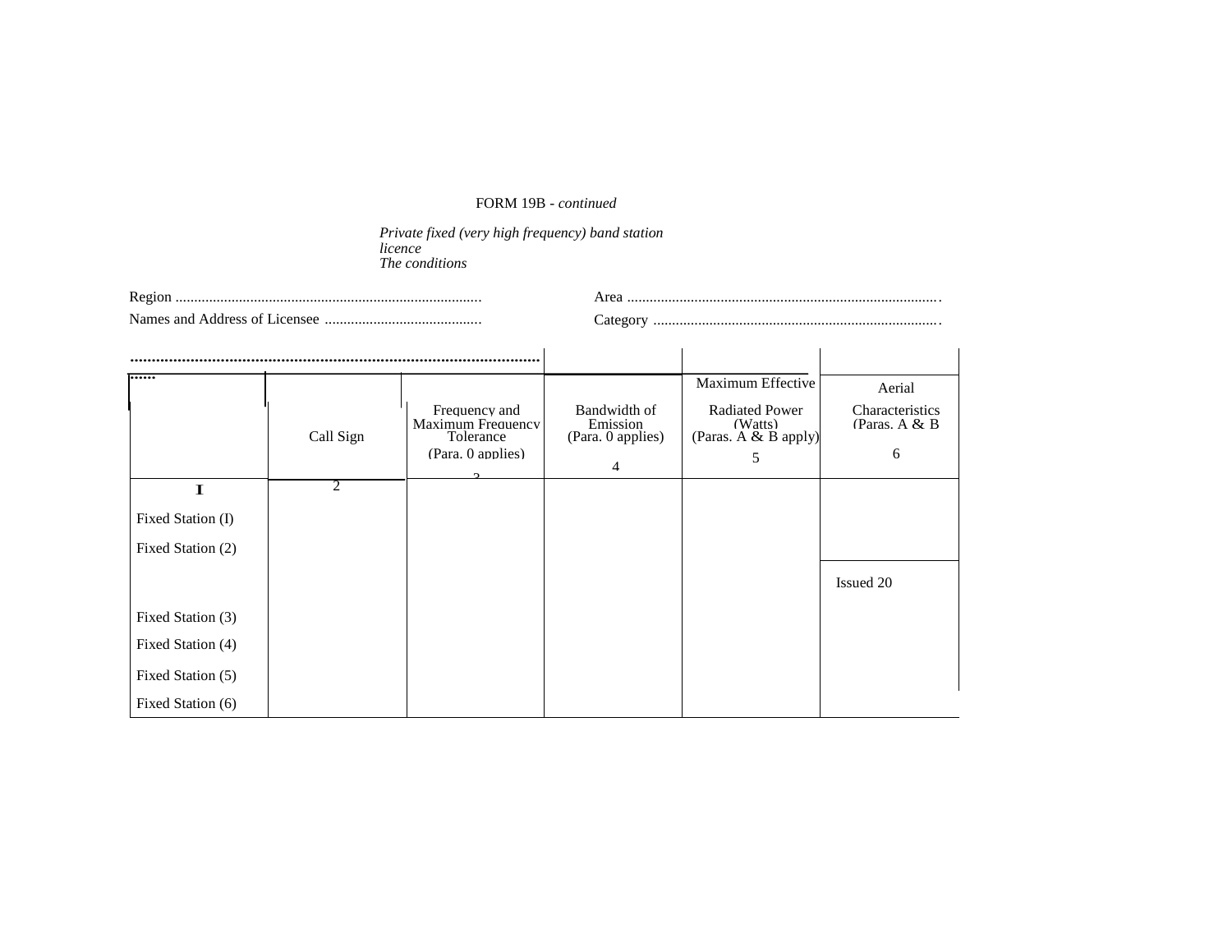# FORM 19B - *continued*

*Private fixed (very high frequency) band station licence The conditions* 

| Regio                                  |    |
|----------------------------------------|----|
| <b>Names</b><br>adress<br>and.<br>mser | ЯΓ |

|                                                                                                                      | Call Sign      | Frequency and<br>Maximum Frequency<br>Tolerance<br>(Para. 0 applies) | Bandwidth of<br>Emission<br>(Para. 0 applies)<br>4 | Maximum Effective<br><b>Radiated Power</b><br>(Watts)<br>(Paras. A & B apply)<br>5 | Aerial<br>Characteristics<br>(Paras. $A & B$<br>6 |
|----------------------------------------------------------------------------------------------------------------------|----------------|----------------------------------------------------------------------|----------------------------------------------------|------------------------------------------------------------------------------------|---------------------------------------------------|
| $\mathbf I$<br>Fixed Station (I)<br>Fixed Station (2)<br>Fixed Station (3)<br>Fixed Station (4)<br>Fixed Station (5) | $\overline{2}$ | $\sim$                                                               |                                                    |                                                                                    | Issued 20                                         |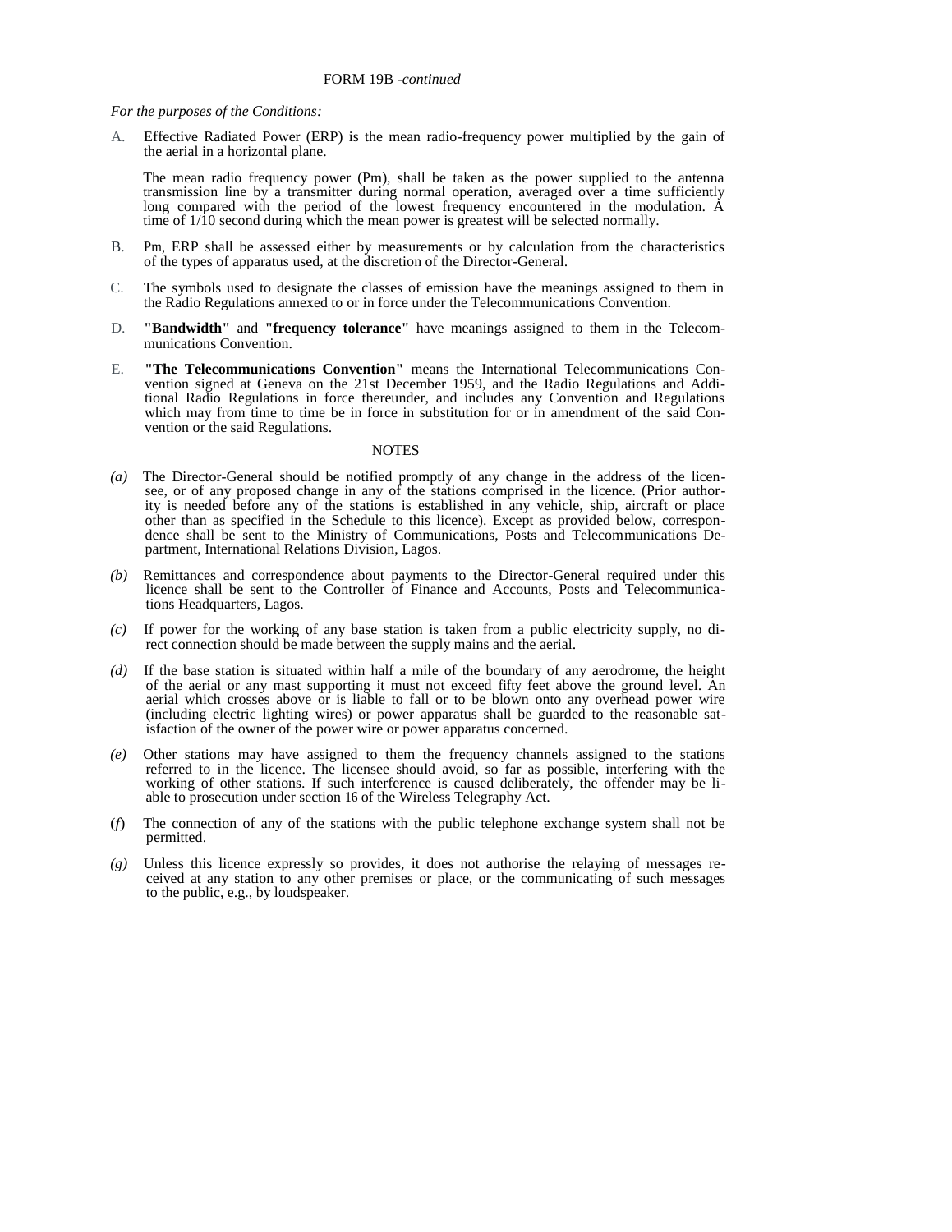*For the purposes of the Conditions:* 

A. Effective Radiated Power (ERP) is the mean radio-frequency power multiplied by the gain of the aerial in a horizontal plane.

The mean radio frequency power (Pm), shall be taken as the power supplied to the antenna transmission line by a transmitter during normal operation, averaged over a time sufficiently long compared with the period of the lowest frequency encountered in the modulation. A time of  $1/\overline{10}$  second during which the mean power is greatest will be selected normally.

- B. Pm, ERP shall be assessed either by measurements or by calculation from the characteristics of the types of apparatus used, at the discretion of the Director-General.
- C. The symbols used to designate the classes of emission have the meanings assigned to them in the Radio Regulations annexed to or in force under the Telecommunications Convention.
- D. **"Bandwidth"** and **"frequency tolerance"** have meanings assigned to them in the Telecommunications Convention.
- E. **"The Telecommunications Convention"** means the International Telecommunications Convention signed at Geneva on the 21st December 1959, and the Radio Regulations and Additional Radio Regulations in force thereunder, and includes any Convention and Regulations which may from time to time be in force in substitution for or in amendment of the said Convention or the said Regulations.

- *(a)* The Director-General should be notified promptly of any change in the address of the licensee, or of any proposed change in any of the stations comprised in the licence. (Prior authority is needed before any of the stations is established in any vehicle, ship, aircraft or place other than as specified in the Schedule to this licence). Except as provided below, correspondence shall be sent to the Ministry of Communications, Posts and Telecommunications Department, International Relations Division, Lagos.
- *(b)* Remittances and correspondence about payments to the Director-General required under this licence shall be sent to the Controller of Finance and Accounts, Posts and Telecommunications Headquarters, Lagos.
- *(c)* If power for the working of any base station is taken from a public electricity supply, no direct connection should be made between the supply mains and the aerial.
- *(d)* If the base station is situated within half a mile of the boundary of any aerodrome, the height of the aerial or any mast supporting it must not exceed fifty feet above the ground level. An aerial which crosses above or is liable to fall or to be blown onto any overhead power wire (including electric lighting wires) or power apparatus shall be guarded to the reasonable satisfaction of the owner of the power wire or power apparatus concerned.
- *(e)* Other stations may have assigned to them the frequency channels assigned to the stations referred to in the licence. The licensee should avoid, so far as possible, interfering with the working of other stations. If such interference is caused deliberately, the offender may be liable to prosecution under section 16 of the Wireless Telegraphy Act.
- (*f*) The connection of any of the stations with the public telephone exchange system shall not be permitted.
- *(g)* Unless this licence expressly so provides, it does not authorise the relaying of messages received at any station to any other premises or place, or the communicating of such messages to the public, e.g., by loudspeaker.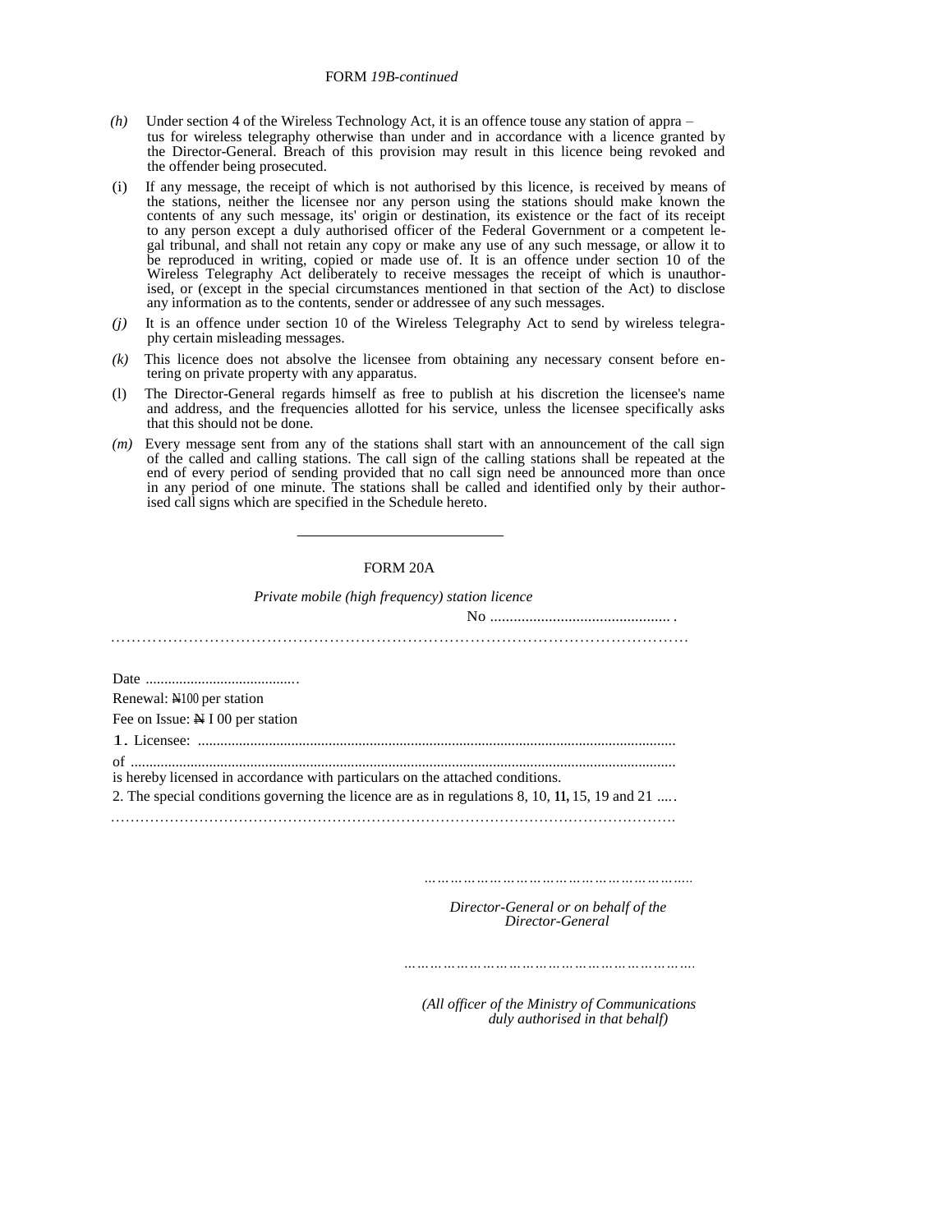### FORM *19B-continued*

- *(h)* Under section 4 of the Wireless Technology Act, it is an offence touse any station of appra tus for wireless telegraphy otherwise than under and in accordance with a licence granted by the Director-General. Breach of this provision may result in this licence being revoked and the offender being prosecuted.
- (i) If any message, the receipt of which is not authorised by this licence, is received by means of the stations, neither the licensee nor any person using the stations should make known the contents of any such message, its' origin or destination, its existence or the fact of its receipt to any person except a duly authorised officer of the Federal Government or a competent legal tribunal, and shall not retain any copy or make any use of any such message, or allow it to be reproduced in writing, copied or made use of. It is an offence under section 10 of the Wireless Telegraphy Act deliberately to receive messages the receipt of which is unauthorised, or (except in the special circumstances mentioned in that section of the Act) to disclose any information as to the contents, sender or addressee of any such messages.
- *(j)* It is an offence under section 10 of the Wireless Telegraphy Act to send by wireless telegraphy certain misleading messages.
- *(k)* This licence does not absolve the licensee from obtaining any necessary consent before entering on private property with any apparatus.
- (l) The Director-General regards himself as free to publish at his discretion the licensee's name and address, and the frequencies allotted for his service, unless the licensee specifically asks that this should not be done.
- *(m)* Every message sent from any of the stations shall start with an announcement of the call sign of the called and calling stations. The call sign of the calling stations shall be repeated at the end of every period of sending provided that no call sign need be announced more than once in any period of one minute. The stations shall be called and identified only by their authorised call signs which are specified in the Schedule hereto.

# FORM 20A

*Private mobile (high frequency) station licence* 

 $N<sub>0</sub>$ 

………………………………………………………………………………………………… Date ......................................... Renewal: N100 per station Fee on Issue: N I 00 per station 1. Licensee: ................................................................................................................................ of .................................................................................................................................................. is hereby licensed in accordance with particulars on the attached conditions. 2. The special conditions governing the licence are as in regulations 8, 10, **11,** 15, 19 and 21 ..... …………………………………………………………………………………………………….

*……………………………………………………..*

 *Director-General or on behalf of the Director-General* 

*………………………………………………………….*

 *(All officer of the Ministry of Communications duly authorised in that behalf)*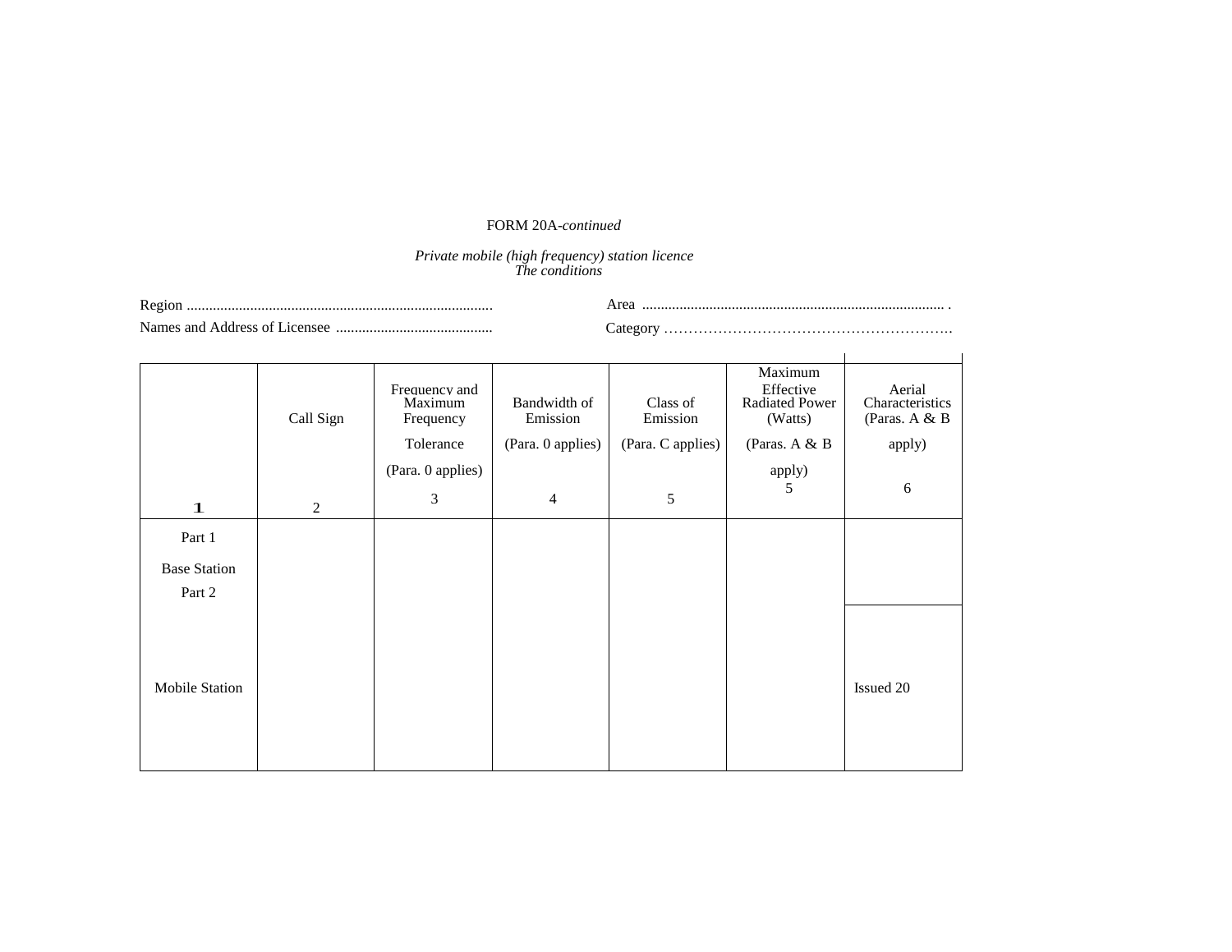# FORM 20A*-continued*

### *Private mobile (high frequency) station licence The conditions*

| Regior                        |          |
|-------------------------------|----------|
| Names and Address of Licensee | category |

|                     | Call Sign | Frequency and<br>Maximum<br>Frequency | Bandwidth of<br>Emission | Class of<br>Emission | Maximum<br>Effective<br><b>Radiated Power</b><br>(Watts) | Aerial<br>Characteristics<br>(Paras. A & B |
|---------------------|-----------|---------------------------------------|--------------------------|----------------------|----------------------------------------------------------|--------------------------------------------|
|                     |           | Tolerance                             | (Para. 0 applies)        | (Para. C applies)    | (Paras. $A & B$                                          | apply)                                     |
|                     |           | (Para. 0 applies)                     |                          |                      | apply)                                                   |                                            |
| 1                   | 2         | 3                                     | $\overline{4}$           | 5                    | 5                                                        | 6                                          |
| Part 1              |           |                                       |                          |                      |                                                          |                                            |
| <b>Base Station</b> |           |                                       |                          |                      |                                                          |                                            |
| Part 2              |           |                                       |                          |                      |                                                          |                                            |
| Mobile Station      |           |                                       |                          |                      |                                                          | Issued 20                                  |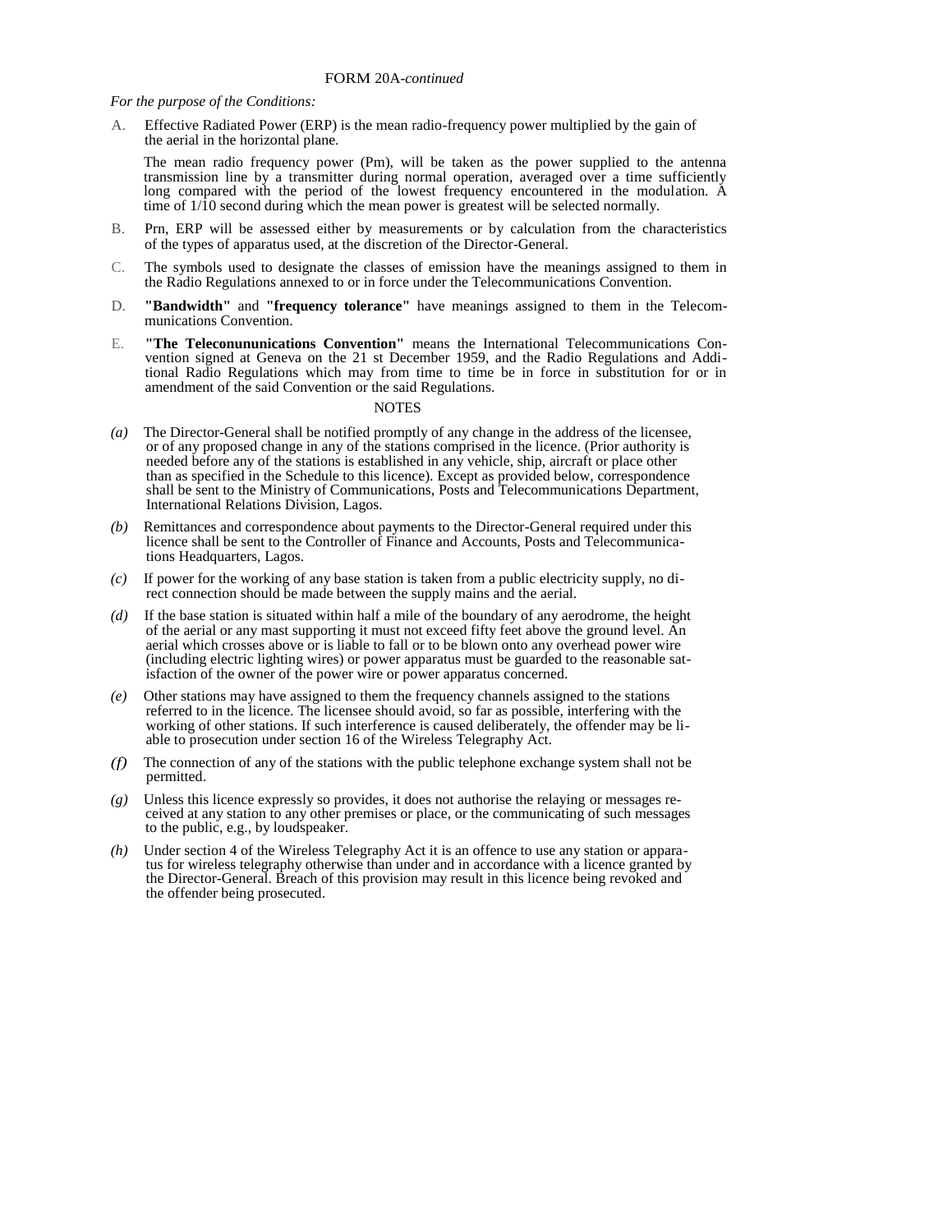*For the purpose of the Conditions:*

A. Effective Radiated Power (ERP) is the mean radio-frequency power multiplied by the gain of the aerial in the horizontal plane.

The mean radio frequency power (Pm), will be taken as the power supplied to the antenna transmission line by a transmitter during normal operation, averaged over a time sufficiently long compared with the period of the lowest frequency encountered in the modulation. A time of  $1/\hat{1}0$  second during which the mean power is greatest will be selected normally.

- B. Prn, ERP will be assessed either by measurements or by calculation from the characteristics of the types of apparatus used, at the discretion of the Director-General.
- C. The symbols used to designate the classes of emission have the meanings assigned to them in the Radio Regulations annexed to or in force under the Telecommunications Convention.
- D. **"Bandwidth"** and **"frequency tolerance"** have meanings assigned to them in the Telecommunications Convention.
- E. **"The Teleconununications Convention"** means the International Telecommunications Convention signed at Geneva on the 21 st December 1959, and the Radio Regulations and Additional Radio Regulations which may from time to time be in force in substitution for or in amendment of the said Convention or the said Regulations.

- *(a)* The Director-General shall be notified promptly of any change in the address of the licensee, or of any proposed change in any of the stations comprised in the licence. (Prior authority is needed before any of the stations is established in any vehicle, ship, aircraft or place other than as specified in the Schedule to this licence). Except as provided below, correspondence shall be sent to the Ministry of Communications, Posts and Telecommunications Department, International Relations Division, Lagos.
- *(b)* Remittances and correspondence about payments to the Director-General required under this licence shall be sent to the Controller of Finance and Accounts, Posts and Telecommunications Headquarters, Lagos.
- *(c)* If power for the working of any base station is taken from a public electricity supply, no direct connection should be made between the supply mains and the aerial.
- *(d)* If the base station is situated within half a mile of the boundary of any aerodrome, the height of the aerial or any mast supporting it must not exceed fifty feet above the ground level. An aerial which crosses above or is liable to fall or to be blown onto any overhead power wire (including electric lighting wires) or power apparatus must be guarded to the reasonable satisfaction of the owner of the power wire or power apparatus concerned.
- *(e)* Other stations may have assigned to them the frequency channels assigned to the stations referred to in the licence. The licensee should avoid, so far as possible, interfering with the working of other stations. If such interference is caused deliberately, the offender may be liable to prosecution under section 16 of the Wireless Telegraphy Act.
- *(f)* The connection of any of the stations with the public telephone exchange system shall not be permitted.
- *(g)* Unless this licence expressly so provides, it does not authorise the relaying or messages received at any station to any other premises or place, or the communicating of such messages to the public, e.g., by loudspeaker.
- *(h)* Under section 4 of the Wireless Telegraphy Act it is an offence to use any station or apparatus for wireless telegraphy otherwise than under and in accordance with a licence granted by the Director-General. Breach of this provision may result in this licence being revoked and the offender being prosecuted.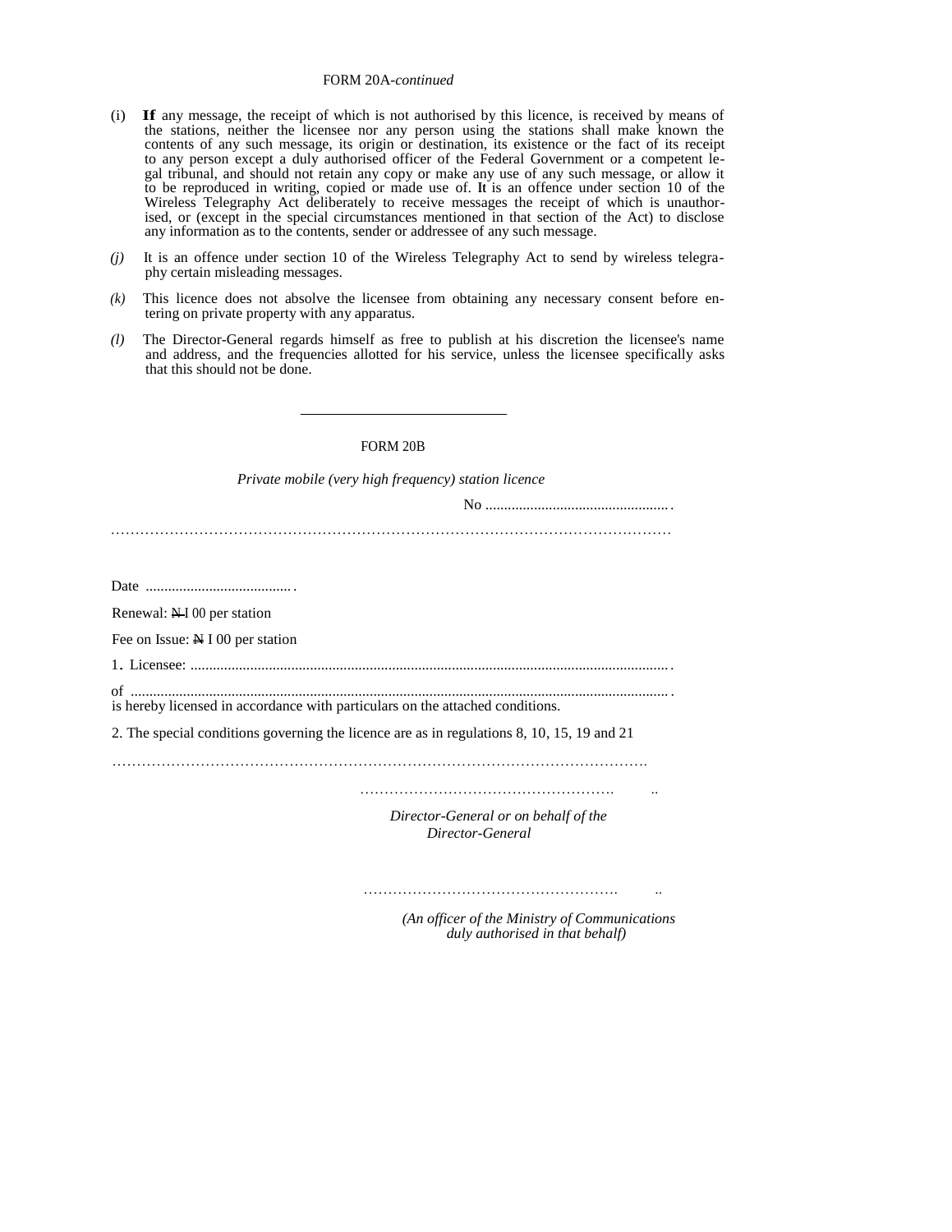#### FORM 20A-*continued*

- (i) **If** any message, the receipt of which is not authorised by this licence, is received by means of the stations, neither the licensee nor any person using the stations shall make known the contents of any such message, its origin or destination, its existence or the fact of its receipt to any person except a duly authorised officer of the Federal Government or a competent legal tribunal, and should not retain any copy or make any use of any such message, or allow it to be reproduced in writing, copied or made use of. **It** is an offence under section 10 of the Wireless Telegraphy Act deliberately to receive messages the receipt of which is unauthorised, or (except in the special circumstances mentioned in that section of the Act) to disclose any information as to the contents, sender or addressee of any such message.
- *(j)* It is an offence under section 10 of the Wireless Telegraphy Act to send by wireless telegraphy certain misleading messages.
- *(k)* This licence does not absolve the licensee from obtaining any necessary consent before entering on private property with any apparatus.
- *(l)* The Director-General regards himself as free to publish at his discretion the licensee's name and address, and the frequencies allotted for his service, unless the licensee specifically asks that this should not be done.

#### FORM 20B

*Private mobile (very high frequency) station licence* 

No ................................................. .

Date ....................................... .

Renewal: N I 00 per station

Fee on Issue: N I 00 per station

1. Licensee: ................................................................................................................................ .

of ................................................................................................................................................ . is hereby licensed in accordance with particulars on the attached conditions.

2. The special conditions governing the licence are as in regulations 8, 10, 15, 19 and 21

……………………………………………………………………………………………….

……………………………………………. ..

 *Director-General or on behalf of the Director-General* 

……………………………………………. ..

 *(An officer of the Ministry of Communications duly authorised in that behalf)*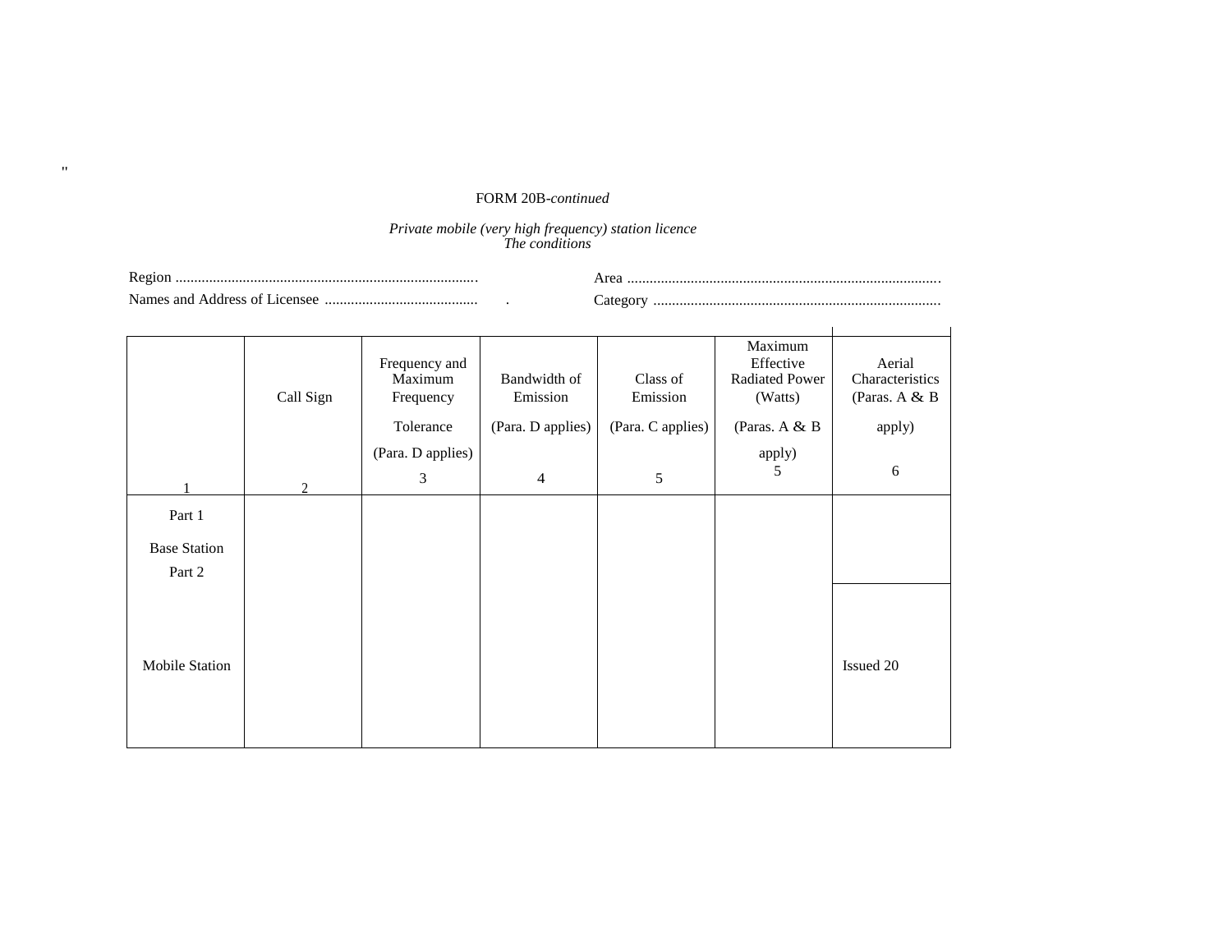# FORM 20B*-continued*

"

#### *Private mobile (very high frequency) station licence The conditions*

| Ð                                                               |    |
|-----------------------------------------------------------------|----|
| . .<br>Names<br>. anc<br>. $\triangle$ Address $\subset$<br>٠nc | ян |

|                       | Call Sign      | Frequency and<br>Maximum<br>Frequency | Bandwidth of<br>Emission | Class of<br>Emission | Maximum<br>Effective<br><b>Radiated Power</b><br>(Watts) | Aerial<br>Characteristics<br>(Paras. A $&$ B |
|-----------------------|----------------|---------------------------------------|--------------------------|----------------------|----------------------------------------------------------|----------------------------------------------|
|                       |                | Tolerance                             | (Para. D applies)        | (Para. C applies)    | (Paras. A $&$ B                                          | apply)                                       |
|                       |                | (Para. D applies)                     |                          |                      | apply)                                                   |                                              |
|                       | $\overline{2}$ | 3                                     | $\overline{4}$           | 5                    | 5                                                        | 6                                            |
| Part 1                |                |                                       |                          |                      |                                                          |                                              |
| <b>Base Station</b>   |                |                                       |                          |                      |                                                          |                                              |
| Part 2                |                |                                       |                          |                      |                                                          |                                              |
| <b>Mobile Station</b> |                |                                       |                          |                      |                                                          | Issued 20                                    |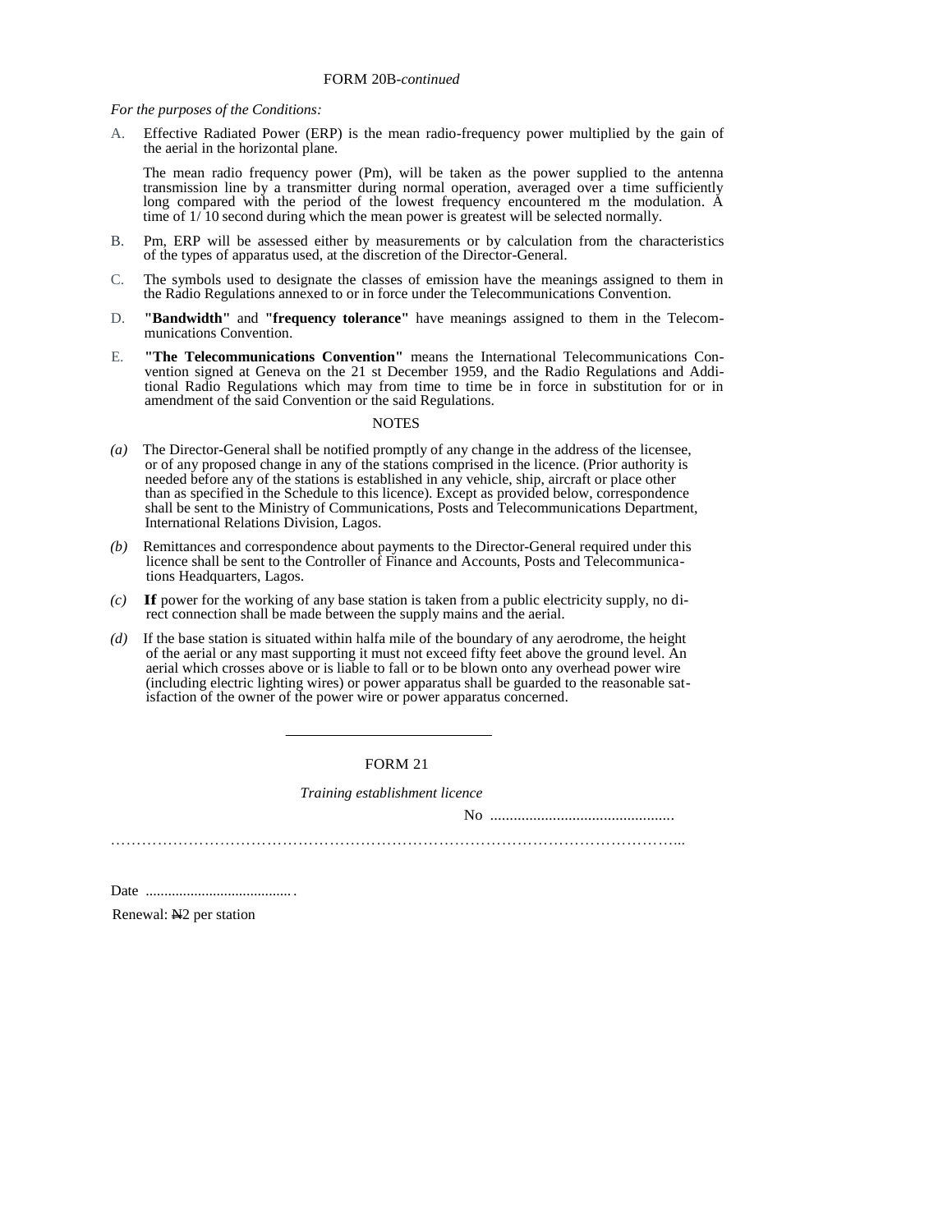*For the purposes of the Conditions:* 

A. Effective Radiated Power (ERP) is the mean radio-frequency power multiplied by the gain of the aerial in the horizontal plane.

The mean radio frequency power (Pm), will be taken as the power supplied to the antenna transmission line by a transmitter during normal operation, averaged over a time sufficiently long compared with the period of the lowest frequency encountered m the modulation. A time of  $1/10$  second during which the mean power is greatest will be selected normally.

- B. Pm, ERP will be assessed either by measurements or by calculation from the characteristics of the types of apparatus used, at the discretion of the Director-General.
- C. The symbols used to designate the classes of emission have the meanings assigned to them in the Radio Regulations annexed to or in force under the Telecommunications Convention.
- D. **"Bandwidth"** and **"frequency tolerance"** have meanings assigned to them in the Telecommunications Convention.
- E. **"The Telecommunications Convention"** means the International Telecommunications Convention signed at Geneva on the 21 st December 1959, and the Radio Regulations and Additional Radio Regulations which may from time to time be in force in substitution for or in amendment of the said Convention or the said Regulations.

#### **NOTES**

- *(a)* The Director-General shall be notified promptly of any change in the address of the licensee, or of any proposed change in any of the stations comprised in the licence. (Prior authority is needed before any of the stations is established in any vehicle, ship, aircraft or place other than as specified in the Schedule to this licence). Except as provided below, correspondence shall be sent to the Ministry of Communications, Posts and Telecommunications Department, International Relations Division, Lagos.
- *(b)* Remittances and correspondence about payments to the Director-General required under this licence shall be sent to the Controller of Finance and Accounts, Posts and Telecommunications Headquarters, Lagos.
- *(c)* **If** power for the working of any base station is taken from a public electricity supply, no direct connection shall be made between the supply mains and the aerial.
- *(d)* If the base station is situated within halfa mile of the boundary of any aerodrome, the height of the aerial or any mast supporting it must not exceed fifty feet above the ground level. An aerial which crosses above or is liable to fall or to be blown onto any overhead power wire (including electric lighting wires) or power apparatus shall be guarded to the reasonable satisfaction of the owner of the power wire or power apparatus concerned.

FORM 21

*Training establishment licence* 

No ...............................................

………………………………………………………………………………………………...

Date ....................................... .

Renewal: N2 per station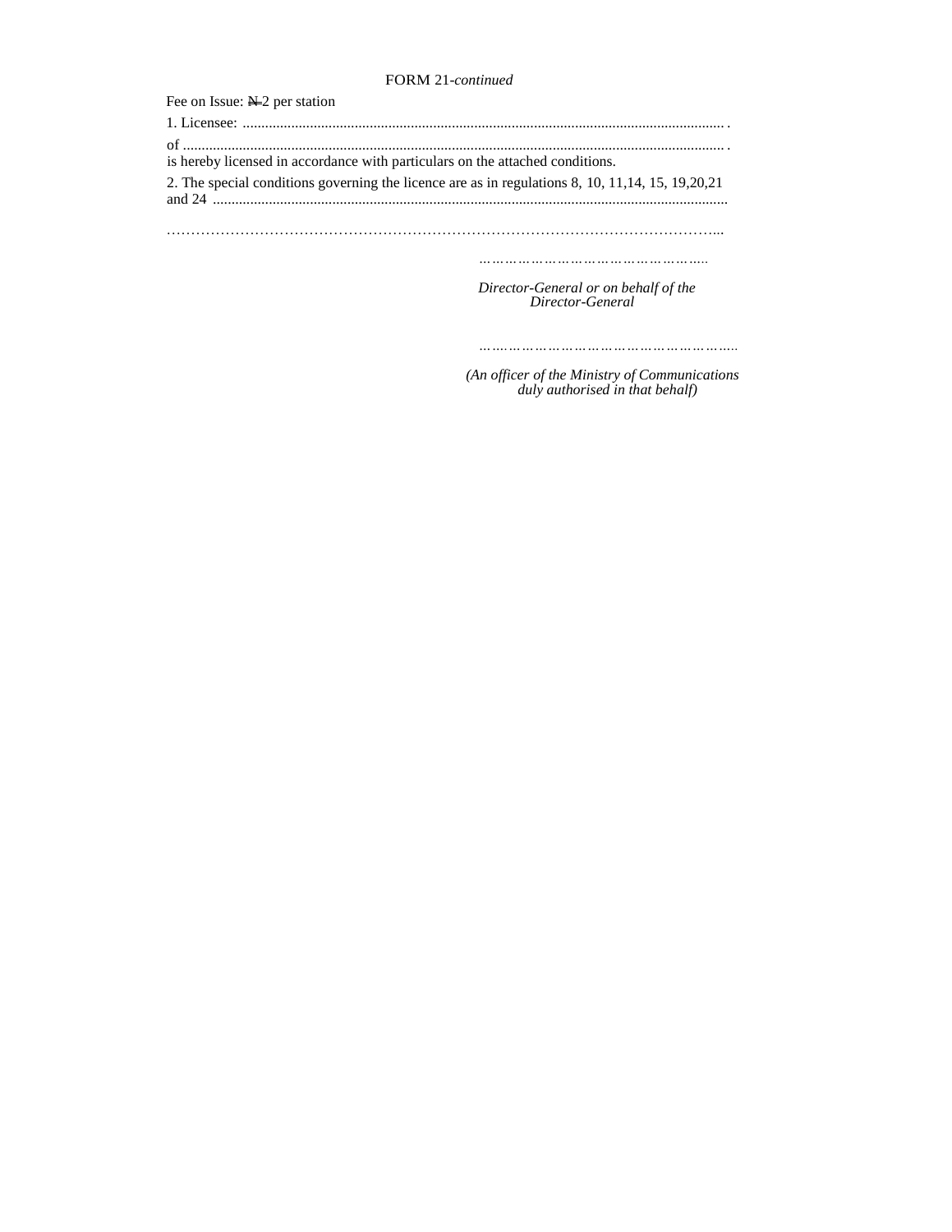# FORM 21*-continued*

| Fee on Issue: $N=2$ per station                                                                     |
|-----------------------------------------------------------------------------------------------------|
|                                                                                                     |
| is hereby licensed in accordance with particulars on the attached conditions.                       |
| 2. The special conditions governing the licence are as in regulations 8, 10, 11, 14, 15, 19, 20, 21 |
|                                                                                                     |
|                                                                                                     |
|                                                                                                     |
|                                                                                                     |

*Director-General or on behalf of the Director-General* 

*…….……………………………………………..*

 *(An officer of the Ministry of Communications duly authorised in that behalf)*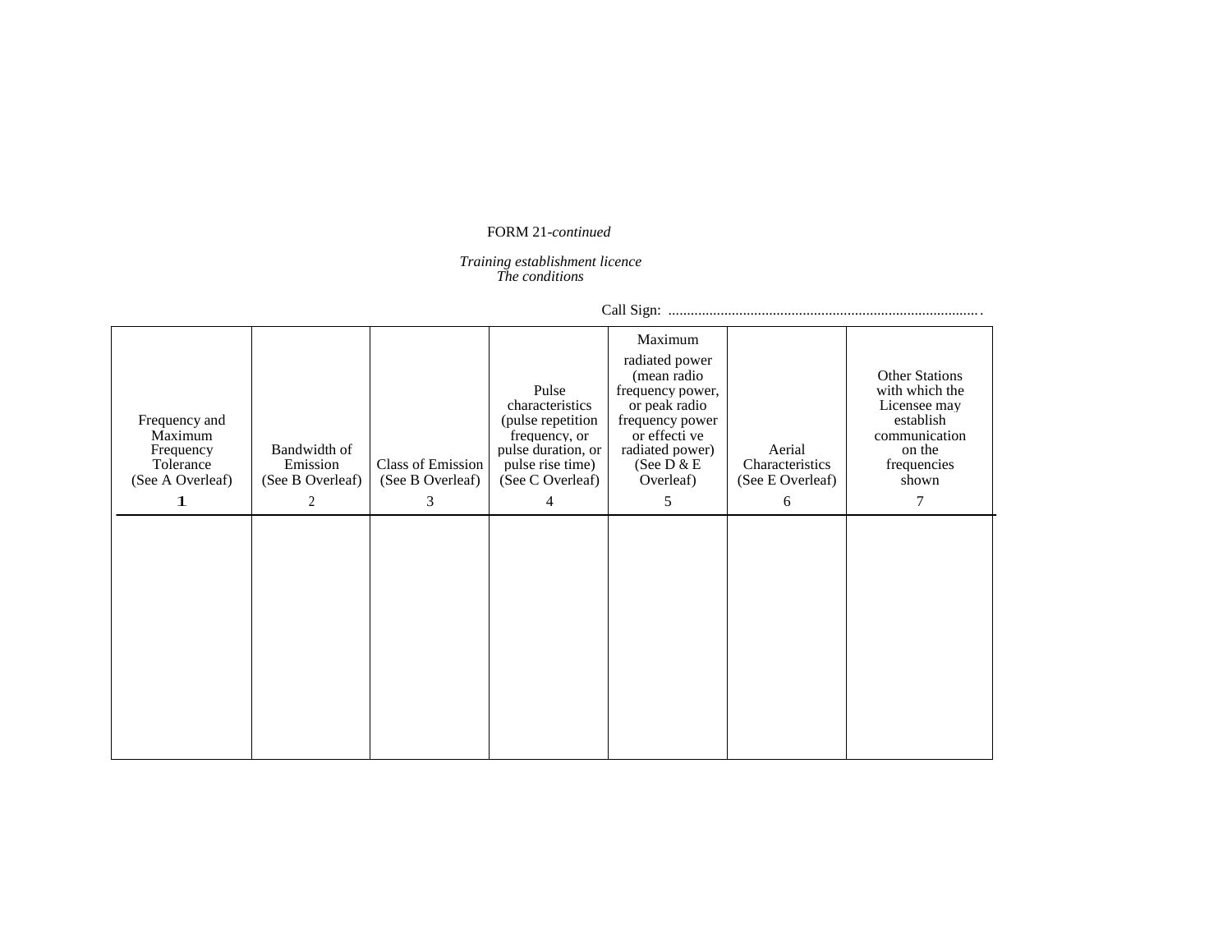# FORM 21*-continued*

#### *Training establishment licence The conditions*

Call Sign: ................................................................................... .

| Frequency and<br>Maximum<br>Frequency<br>Tolerance<br>(See A Overleaf)<br>1 | Bandwidth of<br>Emission<br>(See B Overleaf)<br>2 | Class of Emission<br>(See B Overleaf)<br>3 | Pulse<br>characteristics<br>(pulse repetition)<br>frequency, or<br>pulse duration, or<br>pulse rise time)<br>(See C Overleaf)<br>4 | Maximum<br>radiated power<br>(mean radio<br>frequency power,<br>or peak radio<br>frequency power<br>or effecti ve<br>radiated power)<br>(See $D & E$<br>Overleaf)<br>5 | Aerial<br>Characteristics<br>(See E Overleaf)<br>6 | <b>Other Stations</b><br>with which the<br>Licensee may<br>establish<br>communication<br>on the<br>frequencies<br>shown<br>7 |
|-----------------------------------------------------------------------------|---------------------------------------------------|--------------------------------------------|------------------------------------------------------------------------------------------------------------------------------------|------------------------------------------------------------------------------------------------------------------------------------------------------------------------|----------------------------------------------------|------------------------------------------------------------------------------------------------------------------------------|
|                                                                             |                                                   |                                            |                                                                                                                                    |                                                                                                                                                                        |                                                    |                                                                                                                              |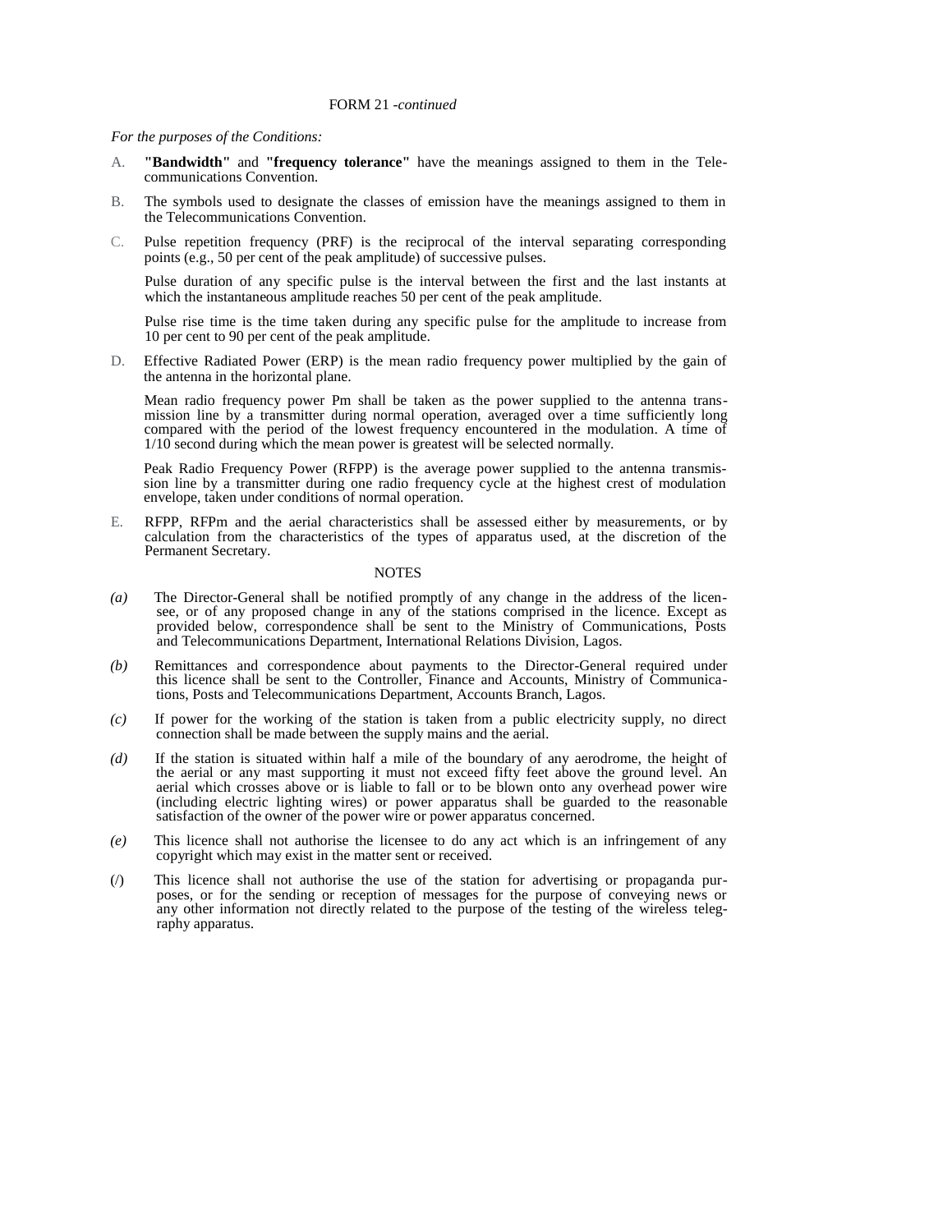#### *For the purposes of the Conditions:*

- A. **"Bandwidth"** and **"frequency tolerance"** have the meanings assigned to them in the Telecommunications Convention.
- B. The symbols used to designate the classes of emission have the meanings assigned to them in the Telecommunications Convention.
- C. Pulse repetition frequency (PRF) is the reciprocal of the interval separating corresponding points (e.g., 50 per cent of the peak amplitude) of successive pulses.

Pulse duration of any specific pulse is the interval between the first and the last instants at which the instantaneous amplitude reaches 50 per cent of the peak amplitude.

Pulse rise time is the time taken during any specific pulse for the amplitude to increase from 10 per cent to 90 per cent of the peak amplitude.

D. Effective Radiated Power (ERP) is the mean radio frequency power multiplied by the gain of the antenna in the horizontal plane.

Mean radio frequency power Pm shall be taken as the power supplied to the antenna transmission line by a transmitter during normal operation, averaged over a time sufficiently long compared with the period of the lowest frequency encountered in the modulation. A time of 1/10 second during which the mean power is greatest will be selected normally.

Peak Radio Frequency Power (RFPP) is the average power supplied to the antenna transmission line by a transmitter during one radio frequency cycle at the highest crest of modulation envelope, taken under conditions of normal operation.

E. RFPP, RFPm and the aerial characteristics shall be assessed either by measurements, or by calculation from the characteristics of the types of apparatus used, at the discretion of the Permanent Secretary.

- *(a)* The Director-General shall be notified promptly of any change in the address of the licensee, or of any proposed change in any of the stations comprised in the licence. Except as provided below, correspondence shall be sent to the Ministry of Communications, Posts and Telecommunications Department, International Relations Division, Lagos.
- *(b)* Remittances and correspondence about payments to the Director-General required under this licence shall be sent to the Controller, Finance and Accounts, Ministry of Communications, Posts and Telecommunications Department, Accounts Branch, Lagos.
- *(c)* If power for the working of the station is taken from a public electricity supply, no direct connection shall be made between the supply mains and the aerial.
- *(d)* If the station is situated within half a mile of the boundary of any aerodrome, the height of the aerial or any mast supporting it must not exceed fifty feet above the ground level. An aerial which crosses above or is liable to fall or to be blown onto any overhead power wire (including electric lighting wires) or power apparatus shall be guarded to the reasonable satisfaction of the owner of the power wire or power apparatus concerned.
- *(e)* This licence shall not authorise the licensee to do any act which is an infringement of any copyright which may exist in the matter sent or received.
- (/) This licence shall not authorise the use of the station for advertising or propaganda purposes, or for the sending or reception of messages for the purpose of conveying news or any other information not directly related to the purpose of the testing of the wireless telegraphy apparatus.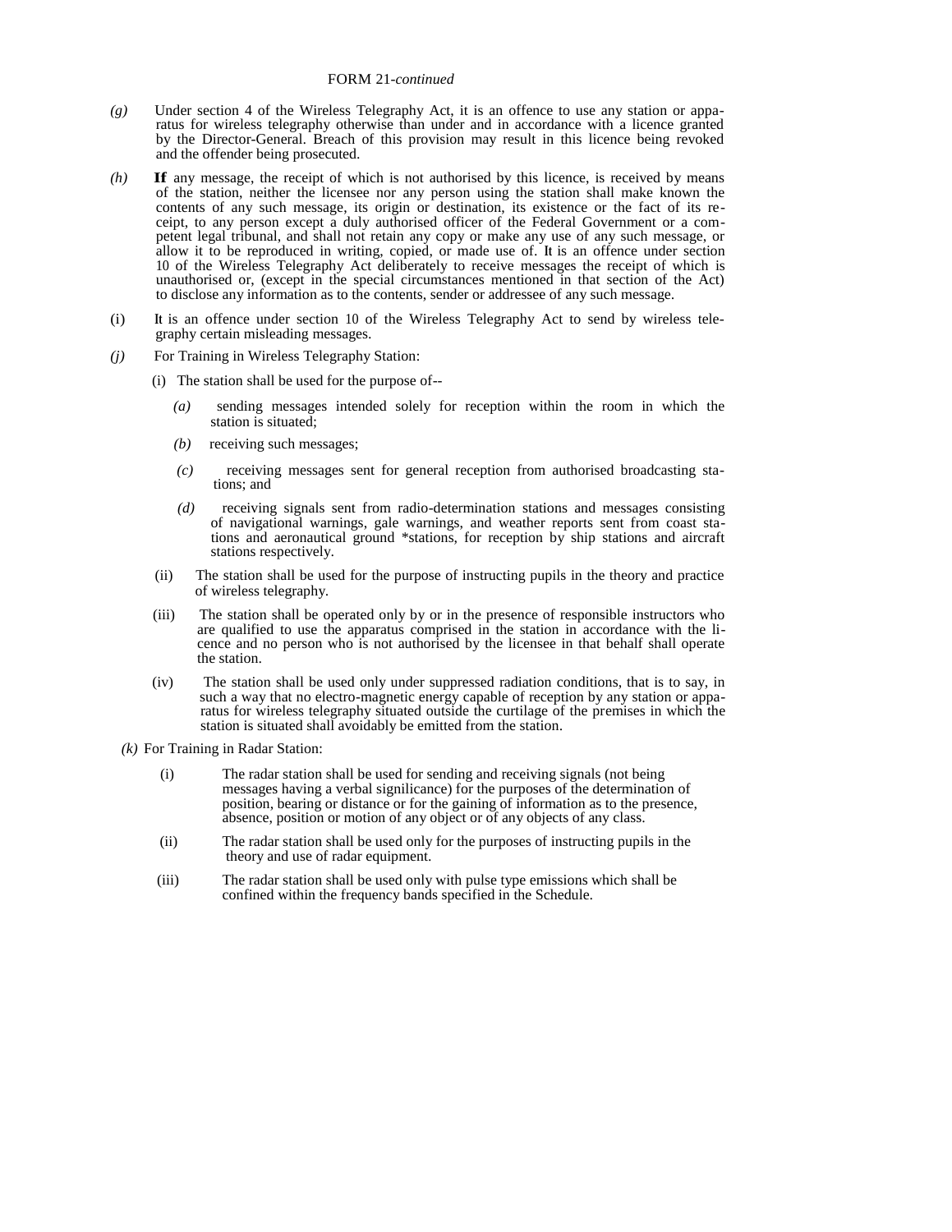- *(g)* Under section 4 of the Wireless Telegraphy Act, it is an offence to use any station or apparatus for wireless telegraphy otherwise than under and in accordance with a licence granted by the Director-General. Breach of this provision may result in this licence being revoked and the offender being prosecuted.
- *(h)* **If** any message, the receipt of which is not authorised by this licence, is received by means of the station, neither the licensee nor any person using the station shall make known the contents of any such message, its origin or destination, its existence or the fact of its receipt, to any person except a duly authorised officer of the Federal Government or a competent legal tribunal, and shall not retain any copy or make any use of any such message, or allow it to be reproduced in writing, copied, or made use of. **It** is an offence under section 10 of the Wireless Telegraphy Act deliberately to receive messages the receipt of which is unauthorised or, (except in the special circumstances mentioned in that section of the Act) to disclose any information as to the contents, sender or addressee of any such message.
- (i) **It** is an offence under section 10 of the Wireless Telegraphy Act to send by wireless telegraphy certain misleading messages.
- *(j)* For Training in Wireless Telegraphy Station:
	- (i) The station shall be used for the purpose of--
		- *(a)* sending messages intended solely for reception within the room in which the station is situated;
		- *(b)* receiving such messages;
		- *(c)* receiving messages sent for general reception from authorised broadcasting sta tions; and
		- *(d)* receiving signals sent from radio-determination stations and messages consisting of navigational warnings, gale warnings, and weather reports sent from coast sta tions and aeronautical ground \*stations, for reception by ship stations and aircraft stations respectively.
	- (ii) The station shall be used for the purpose of instructing pupils in the theory and practice of wireless telegraphy.
	- (iii) The station shall be operated only by or in the presence of responsible instructors who are qualified to use the apparatus comprised in the station in accordance with the li cence and no person who is not authorised by the licensee in that behalf shall operate the station.
	- (iv) The station shall be used only under suppressed radiation conditions, that is to say, in such a way that no electro-magnetic energy capable of reception by any station or appa ratus for wireless telegraphy situated outside the curtilage of the premises in which the station is situated shall avoidably be emitted from the station.
	- *(k)* For Training in Radar Station:
		- (i) The radar station shall be used for sending and receiving signals (not being messages having a verbal signilicance) for the purposes of the determination of position, bearing or distance or for the gaining of information as to the presence, absence, position or motion of any object or of any objects of any class.
		- (ii) The radar station shall be used only for the purposes of instructing pupils in the theory and use of radar equipment.
		- (iii) The radar station shall be used only with pulse type emissions which shall be confined within the frequency bands specified in the Schedule.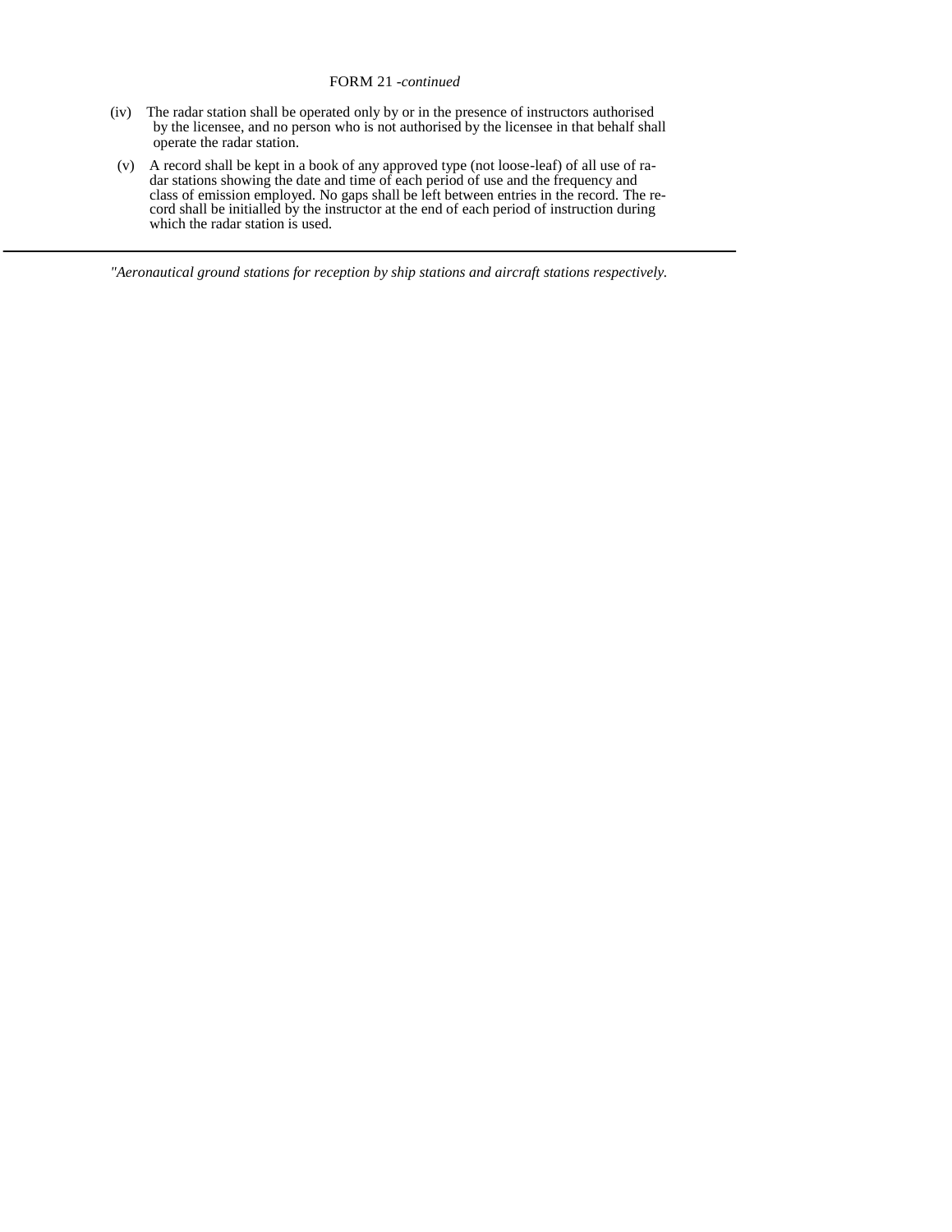### FORM 21 *-continued*

- (iv) The radar station shall be operated only by or in the presence of instructors authorised by the licensee, and no person who is not authorised by the licensee in that behalf shall operate the radar station.
- (v) A record shall be kept in a book of any approved type (not loose-leaf) of all use of ra dar stations showing the date and time of each period of use and the frequency and class of emission employed. No gaps shall be left between entries in the record. The re cord shall be initialled by the instructor at the end of each period of instruction during which the radar station is used.

*"Aeronautical ground stations for reception by ship stations and aircraft stations respectively.*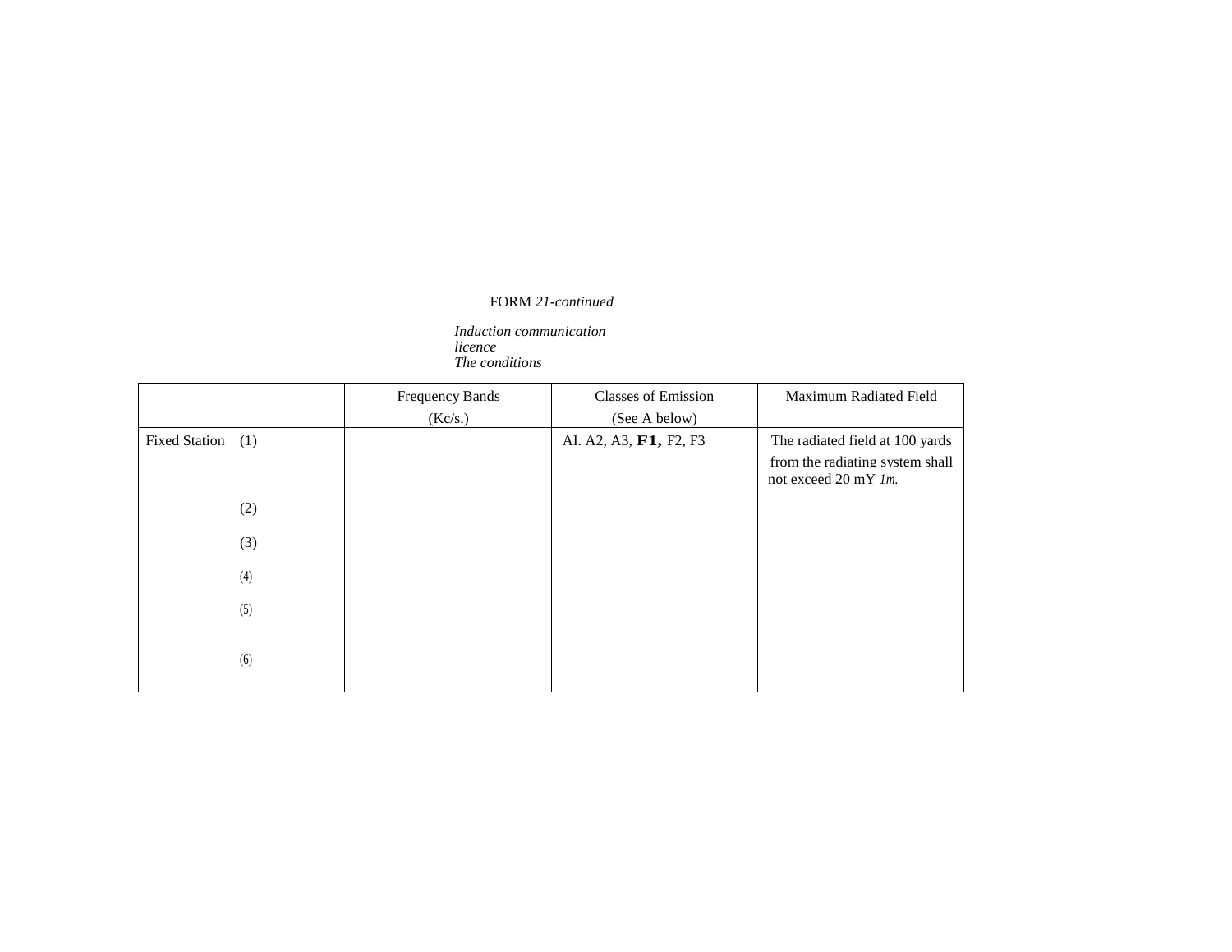# FORM *21-continued*

*Induction communication licence The conditions* 

|                             | <b>Frequency Bands</b> | <b>Classes of Emission</b> | Maximum Radiated Field                                                                               |
|-----------------------------|------------------------|----------------------------|------------------------------------------------------------------------------------------------------|
|                             | (Kc/s.)                | (See A below)              |                                                                                                      |
| <b>Fixed Station</b><br>(1) |                        | AI. A2, A3, F1, F2, F3     | The radiated field at 100 yards<br>from the radiating system shall<br>not exceed $20 \text{ mY}$ lm. |
| (2)                         |                        |                            |                                                                                                      |
| (3)                         |                        |                            |                                                                                                      |
| (4)                         |                        |                            |                                                                                                      |
| (5)                         |                        |                            |                                                                                                      |
| (6)                         |                        |                            |                                                                                                      |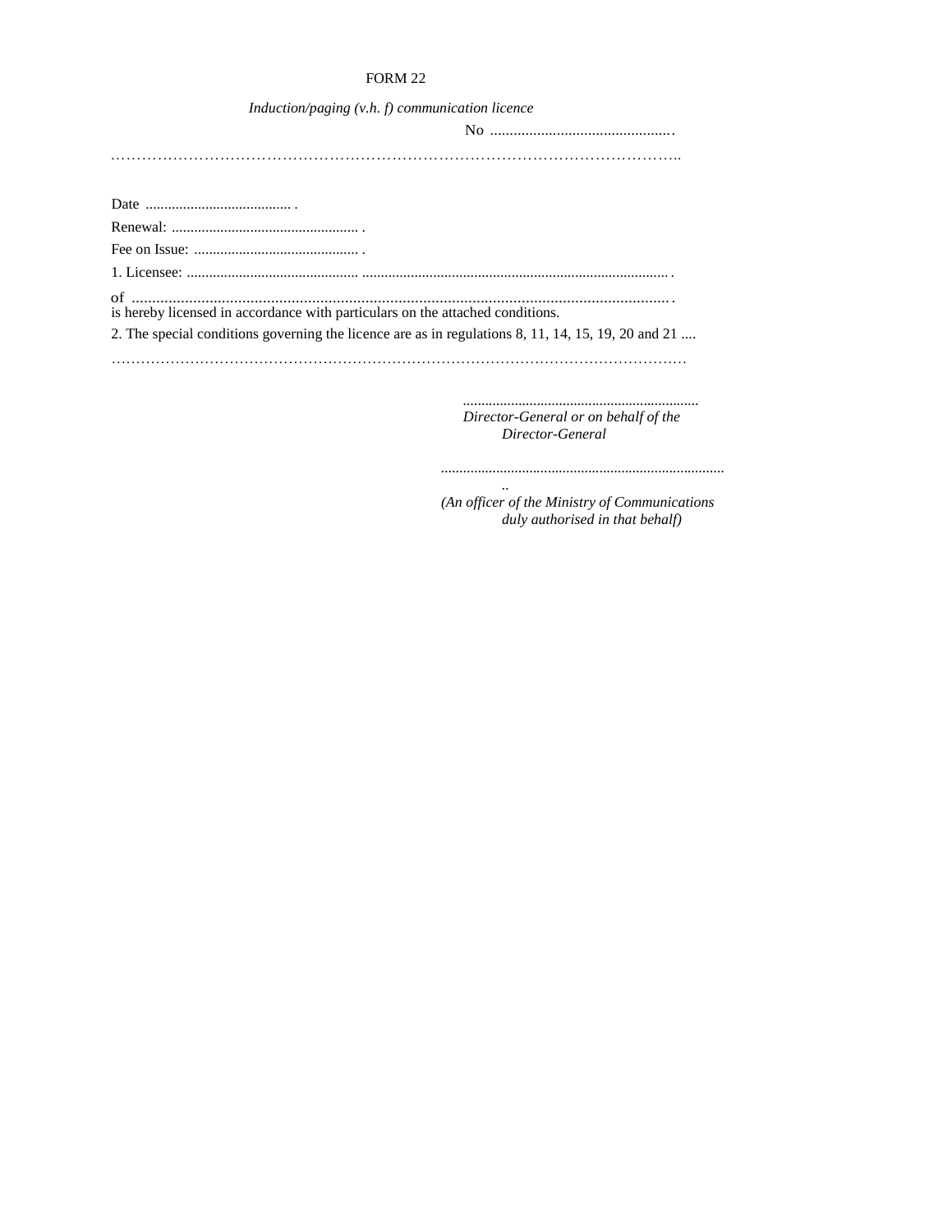# FORM 22

| Induction/paging $(v.h. f)$ communication licence                                                  |
|----------------------------------------------------------------------------------------------------|
|                                                                                                    |
|                                                                                                    |
|                                                                                                    |
|                                                                                                    |
|                                                                                                    |
|                                                                                                    |
|                                                                                                    |
| is hereby licensed in accordance with particulars on the attached conditions.                      |
| 2. The special conditions governing the licence are as in regulations 8, 11, 14, 15, 19, 20 and 21 |

………………………………………………………………………………………………………

*................................................................ Director-General or on behalf of the Director-General* 

*.. (An officer of the Ministry of Communications duly authorised in that behalf)* 

*.............................................................................*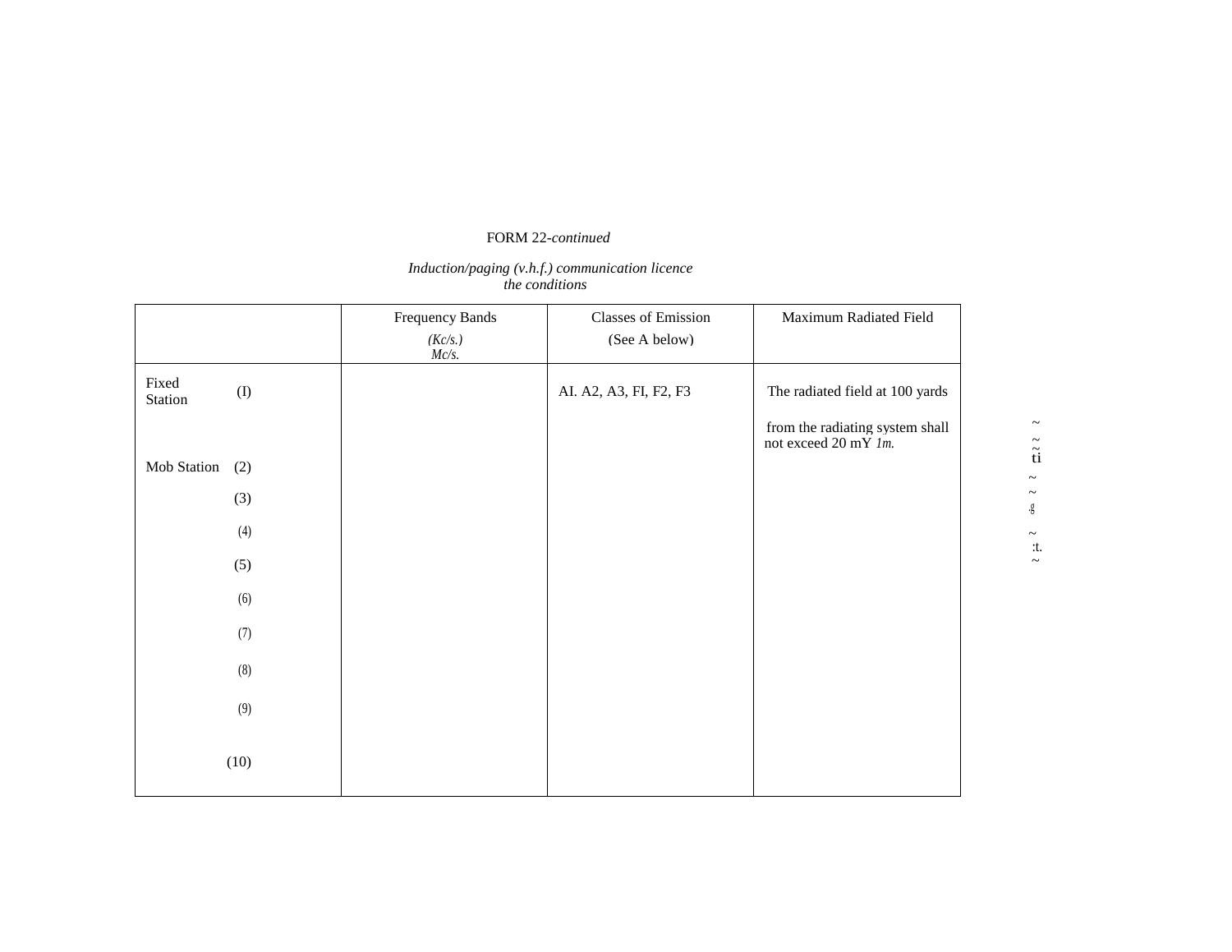# FORM 22*-continued*

### *Induction/paging (v.h.f.) communication licence the conditions*

|                  |           | Frequency Bands     | <b>Classes of Emission</b> | Maximum Radiated Field                                  |
|------------------|-----------|---------------------|----------------------------|---------------------------------------------------------|
|                  |           | (Kc/s.)<br>$Mc/s$ . | (See A below)              |                                                         |
| Fixed<br>Station | $\rm (I)$ |                     | AI. A2, A3, FI, F2, F3     | The radiated field at 100 yards                         |
|                  |           |                     |                            | from the radiating system shall<br>not exceed 20 mY 1m. |
| Mob Station      | (2)       |                     |                            |                                                         |
|                  | (3)       |                     |                            |                                                         |
|                  | (4)       |                     |                            |                                                         |
|                  | (5)       |                     |                            |                                                         |
|                  | (6)       |                     |                            |                                                         |
|                  | (7)       |                     |                            |                                                         |
|                  | (8)       |                     |                            |                                                         |
|                  | (9)       |                     |                            |                                                         |
|                  | (10)      |                     |                            |                                                         |

 $\thicksim$  $\tilde{\ddot{t}}$  $\ddot{\phantom{1}}$  $\sim$ .g  $\thicksim$ :t.

 $\thicksim$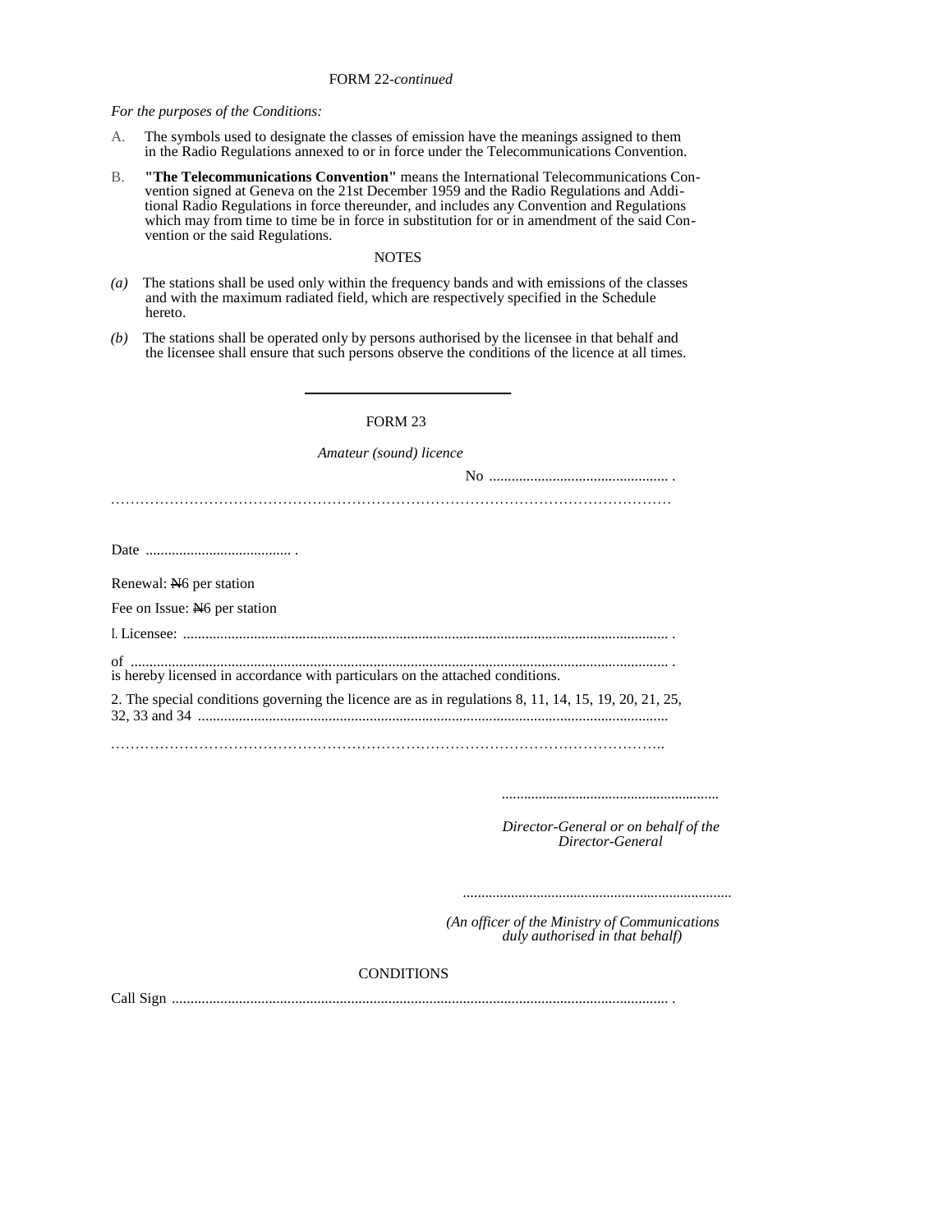# FORM 22*-continued*

*For the purposes of the Conditions:* 

- A. The symbols used to designate the classes of emission have the meanings assigned to them in the Radio Regulations annexed to or in force under the Telecommunications Convention.
- B. **"The Telecommunications Convention"** means the International Telecommunications Convention signed at Geneva on the 21st December 1959 and the Radio Regulations and Additional Radio Regulations in force thereunder, and includes any Convention and Regulations which may from time to time be in force in substitution for or in amendment of the said Convention or the said Regulations.

# **NOTES**

- *(a)* The stations shall be used only within the frequency bands and with emissions of the classes and with the maximum radiated field, which are respectively specified in the Schedule hereto.
- *(b)* The stations shall be operated only by persons authorised by the licensee in that behalf and the licensee shall ensure that such persons observe the conditions of the licence at all times.

# FORM 23

*Amateur (sound) licence* 

| Renewal: N <sub>6</sub> per station                                                                  |  |
|------------------------------------------------------------------------------------------------------|--|
| Fee on Issue: No per station                                                                         |  |
|                                                                                                      |  |
| is hereby licensed in accordance with particulars on the attached conditions.                        |  |
| 2. The special conditions governing the licence are as in regulations 8, 11, 14, 15, 19, 20, 21, 25, |  |
|                                                                                                      |  |

*...........................................................*

*Director-General or on behalf of the Director-General* 

*.........................................................................*

*(An officer of the Ministry of Communications duly authorised in that behalf)* 

# **CONDITIONS**

Call Sign ..................................................................................................................................... .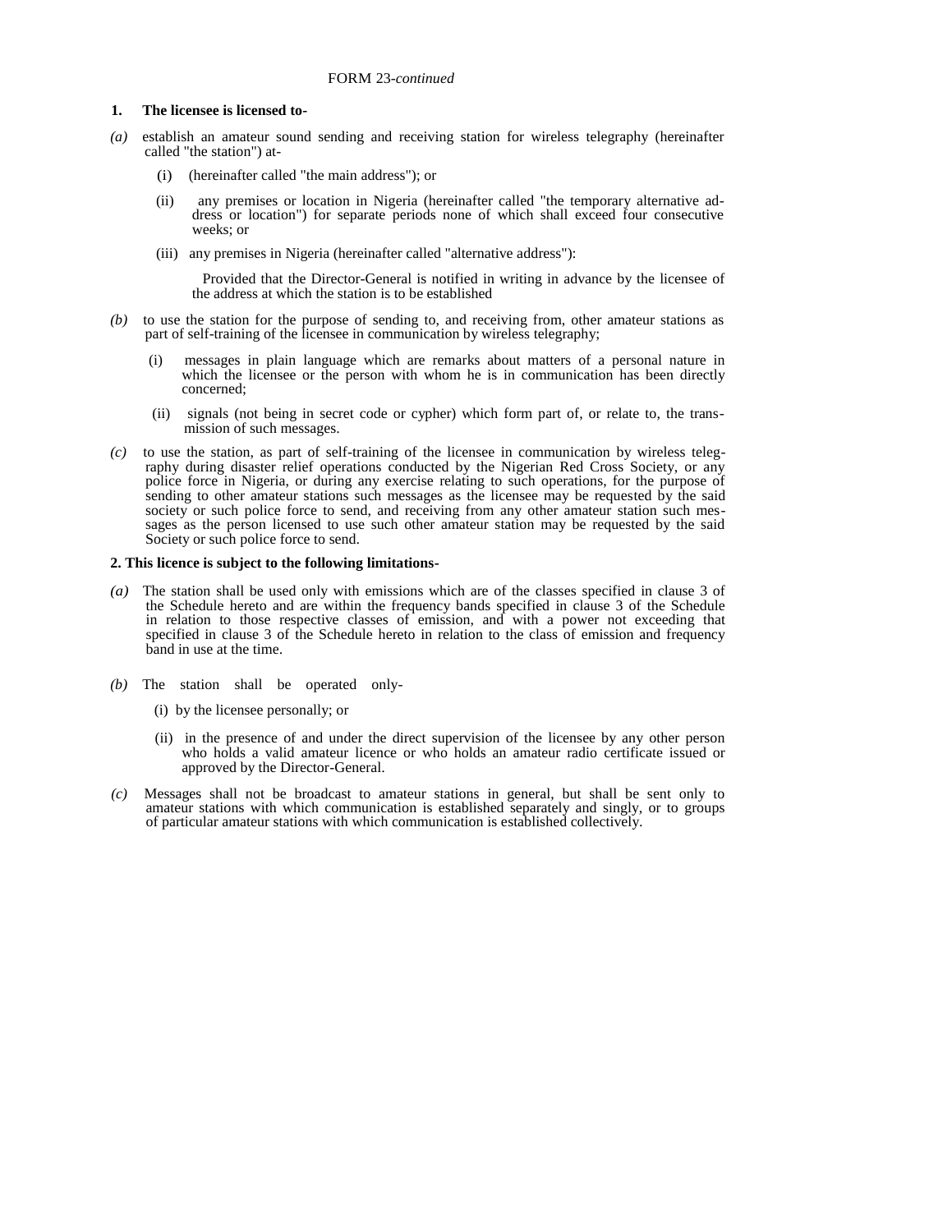### **1. The licensee is licensed to-**

- *(a)* establish an amateur sound sending and receiving station for wireless telegraphy (hereinafter called "the station") at-
	- (i) (hereinafter called "the main address"); or
	- (ii) any premises or location in Nigeria (hereinafter called "the temporary alternative ad dress or location") for separate periods none of which shall exceed four consecutive weeks; or
	- (iii) any premises in Nigeria (hereinafter called "alternative address"):

 Provided that the Director-General is notified in writing in advance by the licensee of the address at which the station is to be established

- *(b)* to use the station for the purpose of sending to, and receiving from, other amateur stations as part of self-training of the licensee in communication by wireless telegraphy;
	- messages in plain language which are remarks about matters of a personal nature in which the licensee or the person with whom he is in communication has been directly concerned;
	- (ii) signals (not being in secret code or cypher) which form part of, or relate to, the transmission of such messages.
- *(c)* to use the station, as part of self-training of the licensee in communication by wireless telegraphy during disaster relief operations conducted by the Nigerian Red Cross Society, or any police force in Nigeria, or during any exercise relating to such operations, for the purpose of sending to other amateur stations such messages as the licensee may be requested by the said society or such police force to send, and receiving from any other amateur station such messages as the person licensed to use such other amateur station may be requested by the said Society or such police force to send.

#### **2. This licence is subject to the following limitations-**

- *(a)* The station shall be used only with emissions which are of the classes specified in clause 3 of the Schedule hereto and are within the frequency bands specified in clause 3 of the Schedule in relation to those respective classes of emission, and with a power not exceeding that specified in clause 3 of the Schedule hereto in relation to the class of emission and frequency band in use at the time.
- *(b)* The station shall be operated only-
	- (i) by the licensee personally; or
	- (ii) in the presence of and under the direct supervision of the licensee by any other person who holds a valid amateur licence or who holds an amateur radio certificate issued or approved by the Director-General.
- *(c)* Messages shall not be broadcast to amateur stations in general, but shall be sent only to amateur stations with which communication is established separately and singly, or to groups of particular amateur stations with which communication is established collectively.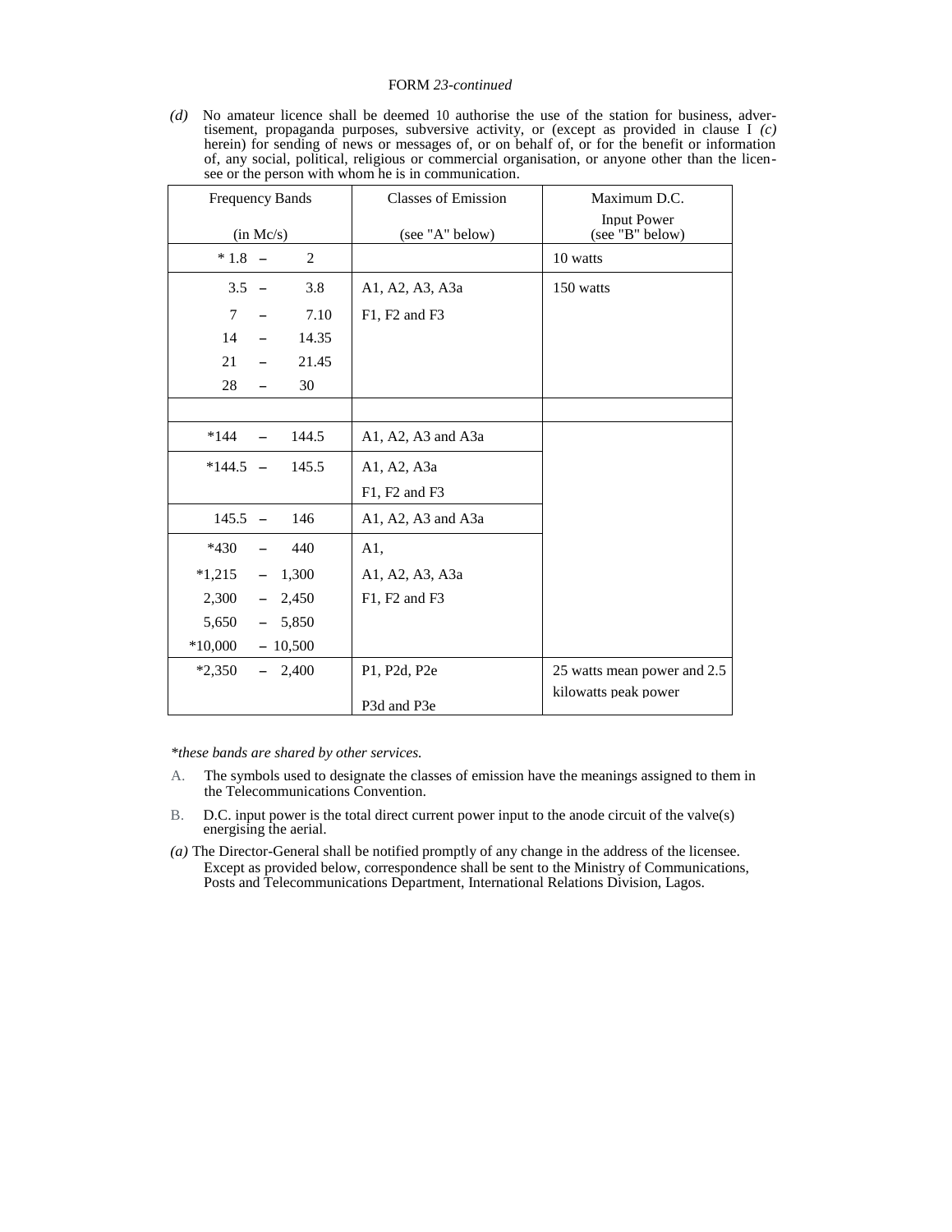### FORM *23-continued*

*(d)* No amateur licence shall be deemed 10 authorise the use of the station for business, advertisement, propaganda purposes, subversive activity, or (except as provided in clause I *(c)*  herein) for sending of news or messages of, or on behalf of, or for the benefit or information of, any social, political, religious or commercial organisation, or anyone other than the licensee or the person with whom he is in communication.

| <b>Frequency Bands</b>               | <b>Classes of Emission</b> | Maximum D.C.                          |
|--------------------------------------|----------------------------|---------------------------------------|
| (in Mc/s)                            | (see "A" below)            | <b>Input Power</b><br>(see "B" below) |
| $*1.8 -$<br>2                        |                            | 10 watts                              |
| $3.5 -$<br>3.8                       | A1, A2, A3, A3a            | 150 watts                             |
| 7.10<br>$\tau$                       | F1, F2 and F3              |                                       |
| 14<br>14.35<br>$\equiv$              |                            |                                       |
| 21.45<br>21                          |                            |                                       |
| 28<br>30<br>$\overline{\phantom{m}}$ |                            |                                       |
|                                      |                            |                                       |
| *144<br>144.5                        | A1, A2, A3 and A3a         |                                       |
| $*144.5 -$<br>145.5                  | A1, A2, A3a                |                                       |
|                                      | F1, F2 and F3              |                                       |
| $145.5 -$<br>146                     | A1, A2, A3 and A3a         |                                       |
| $*430$<br>440                        | A1,                        |                                       |
| $*1,215$<br>$-1,300$                 | A1, A2, A3, A3a            |                                       |
| 2,300<br>$-2,450$                    | F1, F2 and F3              |                                       |
| 5,650<br>$-5,850$                    |                            |                                       |
| $*10,000$<br>$-10,500$               |                            |                                       |
| $*2,350$<br>$-2,400$                 | P1, P2d, P2e               | 25 watts mean power and 2.5           |
|                                      | P3d and P3e                | kilowatts peak power                  |

*\*these bands are shared by other services.* 

- A. The symbols used to designate the classes of emission have the meanings assigned to them in the Telecommunications Convention.
- B. D.C. input power is the total direct current power input to the anode circuit of the valve(s) energising the aerial.
- *(a)* The Director-General shall be notified promptly of any change in the address of the licensee. Except as provided below, correspondence shall be sent to the Ministry of Communications, Posts and Telecommunications Department, International Relations Division, Lagos.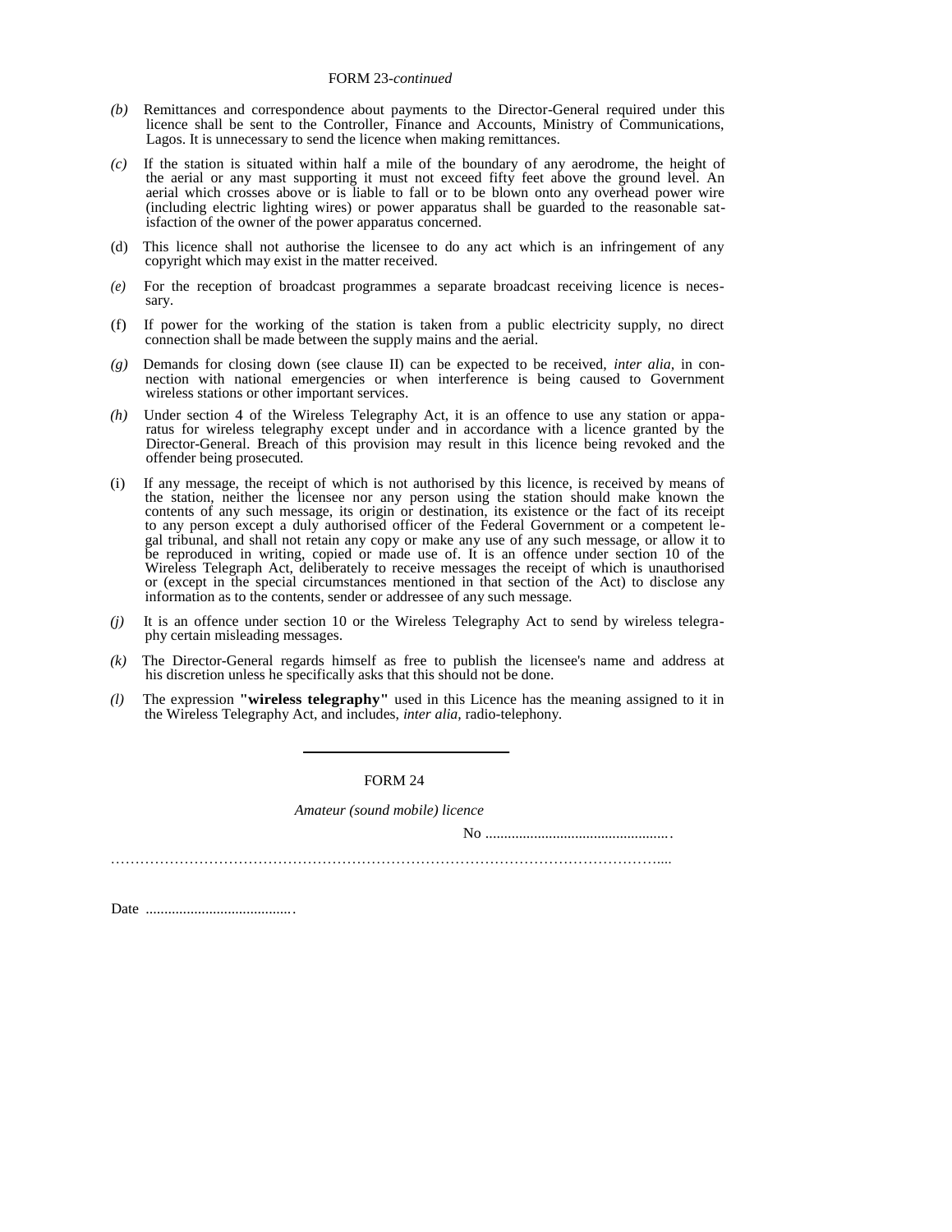### FORM 23*-continued*

- *(b)* Remittances and correspondence about payments to the Director-General required under this licence shall be sent to the Controller, Finance and Accounts, Ministry of Communications, Lagos. It is unnecessary to send the licence when making remittances.
- *(c)* If the station is situated within half a mile of the boundary of any aerodrome, the height of the aerial or any mast supporting it must not exceed fifty feet above the ground level. An aerial which crosses above or is liable to fall or to be blown onto any overhead power wire (including electric lighting wires) or power apparatus shall be guarded to the reasonable satisfaction of the owner of the power apparatus concerned.
- (d) This licence shall not authorise the licensee to do any act which is an infringement of any copyright which may exist in the matter received.
- *(e)* For the reception of broadcast programmes a separate broadcast receiving licence is necessary.
- (f) If power for the working of the station is taken from a public electricity supply, no direct connection shall be made between the supply mains and the aerial.
- *(g)* Demands for closing down (see clause II) can be expected to be received, *inter alia,* in connection with national emergencies or when interference is being caused to Government wireless stations or other important services.
- *(h)* Under section 4 of the Wireless Telegraphy Act, it is an offence to use any station or apparatus for wireless telegraphy except under and in accordance with a licence granted by the Director-General. Breach of this provision may result in this licence being revoked and the offender being prosecuted.
- If any message, the receipt of which is not authorised by this licence, is received by means of the station, neither the licensee nor any person using the station should make known the contents of any such message, its origin or destination, its existence or the fact of its receipt to any person except a duly authorised officer of the Federal Government or a competent legal tribunal, and shall not retain any copy or make any use of any such message, or allow it to be reproduced in writing, copied or made use of. It is an offence under section 10 of the Wireless Telegraph Act, deliberately to receive messages the receipt of which is unauthorised or (except in the special circumstances mentioned in that section of the Act) to disclose any information as to the contents, sender or addressee of any such message.
- *(j)* It is an offence under section 10 or the Wireless Telegraphy Act to send by wireless telegraphy certain misleading messages.
- *(k)* The Director-General regards himself as free to publish the licensee's name and address at his discretion unless he specifically asks that this should not be done.
- *(l)* The expression **"wireless telegraphy"** used in this Licence has the meaning assigned to it in the Wireless Telegraphy Act, and includes, *inter alia,* radio-telephony.

FORM 24

*Amateur (sound mobile) licence* 

No ..................................................

…………………………………………………………………………………………………....

Date ........................................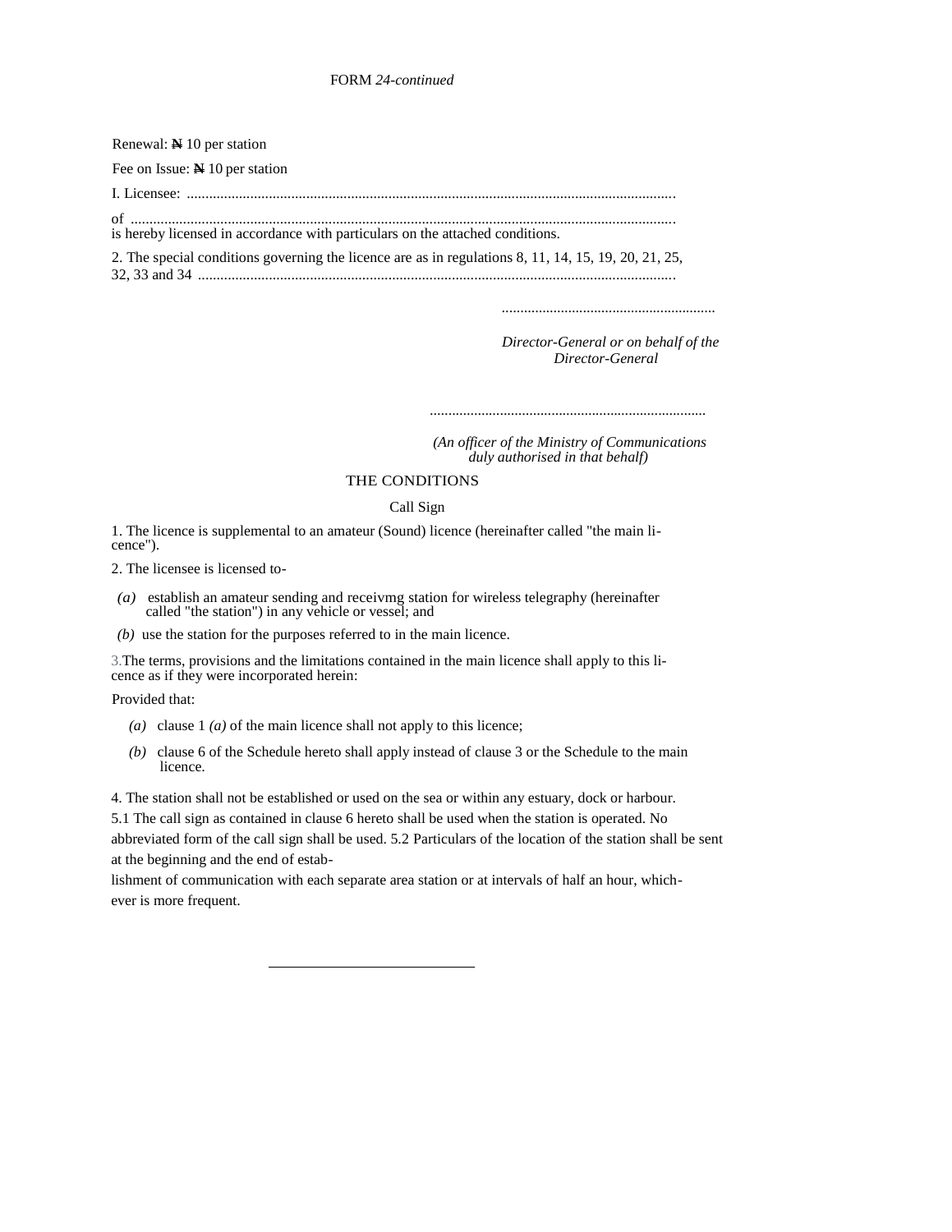| Renewal: $\mathbb{N}$ 10 per station                                                                 |
|------------------------------------------------------------------------------------------------------|
| Fee on Issue: $\mathbb N$ 10 per station                                                             |
|                                                                                                      |
| is hereby licensed in accordance with particulars on the attached conditions.                        |
| 2. The special conditions governing the licence are as in regulations 8, 11, 14, 15, 19, 20, 21, 25, |

*Director-General or on behalf of the Director-General* 

*..........................................................*

*...........................................................................*

 *(An officer of the Ministry of Communications duly authorised in that behalf)* 

# THE CONDITIONS

# Call Sign

1. The licence is supplemental to an amateur (Sound) licence (hereinafter called "the main licence").

2. The licensee is licensed to-

- *(a)* establish an amateur sending and receivmg station for wireless telegraphy (hereinafter called "the station") in any vehicle or vessel; and
- *(b)* use the station for the purposes referred to in the main licence.

3.The terms, provisions and the limitations contained in the main licence shall apply to this licence as if they were incorporated herein:

Provided that:

- *(a)* clause 1 *(a)* of the main licence shall not apply to this licence;
- *(b)* clause 6 of the Schedule hereto shall apply instead of clause 3 or the Schedule to the main licence.

4. The station shall not be established or used on the sea or within any estuary, dock or harbour.

5.1 The call sign as contained in clause 6 hereto shall be used when the station is operated. No abbreviated form of the call sign shall be used. 5.2 Particulars of the location of the station shall be sent at the beginning and the end of estab-

lishment of communication with each separate area station or at intervals of half an hour, whichever is more frequent.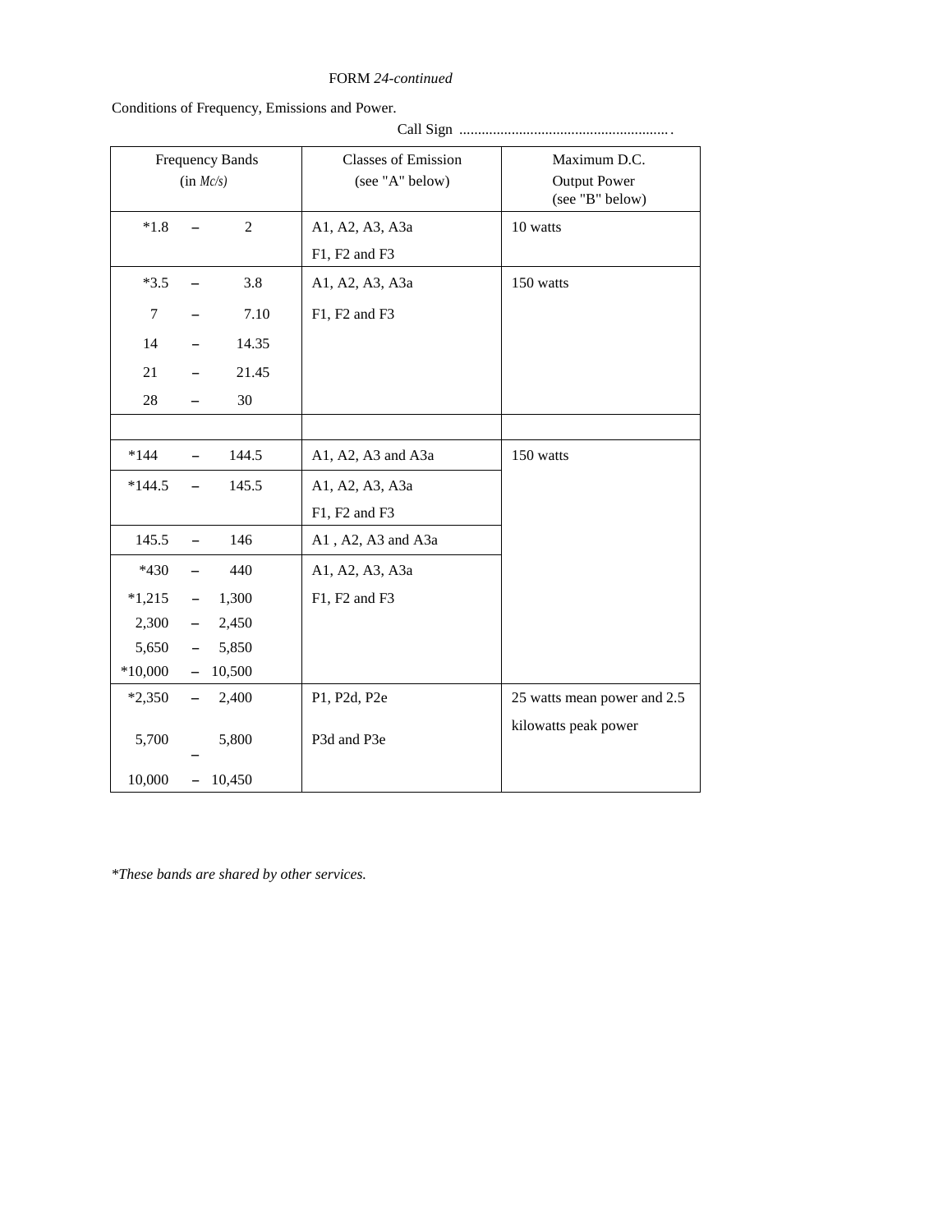# FORM *24-continued*

Call Sign ........................................................ .

Conditions of Frequency, Emissions and Power.

|                | $(in$ $Mc/s)$            | <b>Frequency Bands</b> | <b>Classes of Emission</b><br>(see "A" below) | Maximum D.C.<br><b>Output Power</b><br>(see "B" below) |
|----------------|--------------------------|------------------------|-----------------------------------------------|--------------------------------------------------------|
| $*1.8$         |                          | $\overline{c}$         | A1, A2, A3, A3a<br>F1, F2 and F3              | 10 watts                                               |
| $*3.5$         |                          | 3.8                    | A1, A2, A3, A3a                               | 150 watts                                              |
| $\overline{7}$ |                          | 7.10                   | F1, F2 and F3                                 |                                                        |
| 14             | $\overline{\phantom{0}}$ | 14.35                  |                                               |                                                        |
| 21             |                          | 21.45                  |                                               |                                                        |
| 28             |                          | 30                     |                                               |                                                        |
|                |                          |                        |                                               |                                                        |
| $*144$         |                          | 144.5                  | A1, A2, A3 and A3a                            | 150 watts                                              |
| $*144.5$       |                          | 145.5                  | A1, A2, A3, A3a                               |                                                        |
|                |                          |                        | F1, F2 and F3                                 |                                                        |
| 145.5          |                          | 146                    | A1, A2, A3 and A3a                            |                                                        |
| $*430$         |                          | 440                    | A1, A2, A3, A3a                               |                                                        |
| $*1,215$       | $\qquad \qquad -$        | 1,300                  | F1, F2 and F3                                 |                                                        |
| 2,300          | -                        | 2,450                  |                                               |                                                        |
| 5,650          | $\overline{\phantom{a}}$ | 5,850                  |                                               |                                                        |
| $*10,000$      | $\equiv$                 | 10,500                 |                                               |                                                        |
| $*2,350$       |                          | 2,400                  | P1, P2d, P2e                                  | 25 watts mean power and 2.5                            |
| 5,700          |                          | 5,800                  | P3d and P3e                                   | kilowatts peak power                                   |
| 10,000         | $\overline{\phantom{0}}$ | 10,450                 |                                               |                                                        |

*\*These bands are shared by other services.*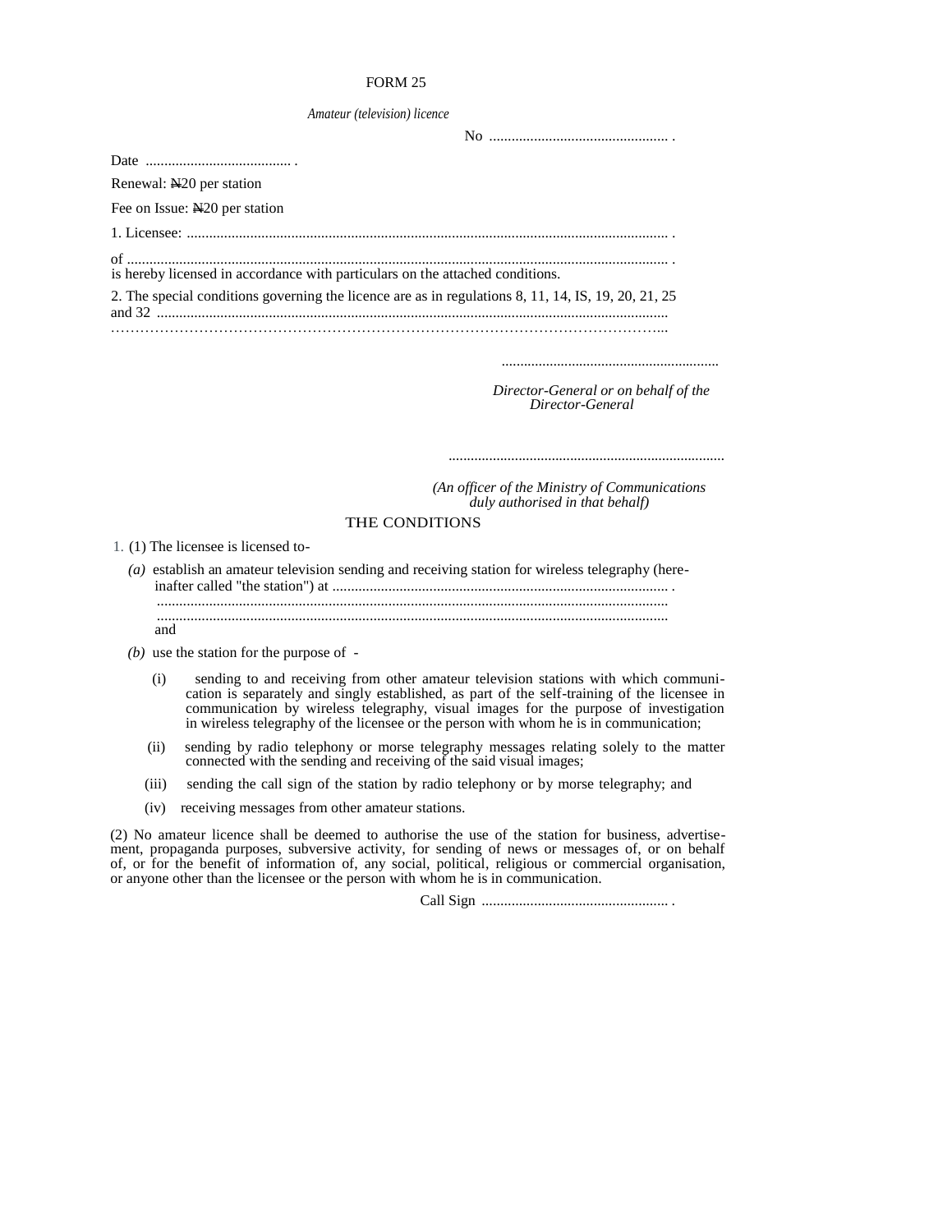### FORM 25

| Amateur (television) licence |  |  |  |
|------------------------------|--|--|--|
|------------------------------|--|--|--|

| Renewal: N <sub>20</sub> per station                                                                |  |
|-----------------------------------------------------------------------------------------------------|--|
| Fee on Issue: N <sub>20</sub> per station                                                           |  |
|                                                                                                     |  |
| is hereby licensed in accordance with particulars on the attached conditions.                       |  |
| 2. The special conditions governing the licence are as in regulations 8, 11, 14, IS, 19, 20, 21, 25 |  |
|                                                                                                     |  |

 *Director-General or on behalf of the Director-General* 

 *...........................................................................*

*...........................................................*

 *(An officer of the Ministry of Communications duly authorised in that behalf)* 

## THE CONDITIONS

1. (1) The licensee is licensed to-

*(a)* establish an amateur television sending and receiving station for wireless telegraphy (hereinafter called "the station") at .......................................................................................... .

......................................................................................................................................... .........................................................................................................................................

- and
- *(b)* use the station for the purpose of
	- (i) sending to and receiving from other amateur television stations with which communi cation is separately and singly established, as part of the self-training of the licensee in communication by wireless telegraphy, visual images for the purpose of investigation in wireless telegraphy of the licensee or the person with whom he is in communication;
- (ii) sending by radio telephony or morse telegraphy messages relating solely to the matter connected with the sending and receiving of the said visual images;
	- (iii) sending the call sign of the station by radio telephony or by morse telegraphy; and
	- (iv) receiving messages from other amateur stations.

(2) No amateur licence shall be deemed to authorise the use of the station for business, advertisement, propaganda purposes, subversive activity, for sending of news or messages of, or on behalf of, or for the benefit of information of, any social, political, religious or commercial organisation, or anyone other than the licensee or the person with whom he is in communication.

Call Sign .................................................. .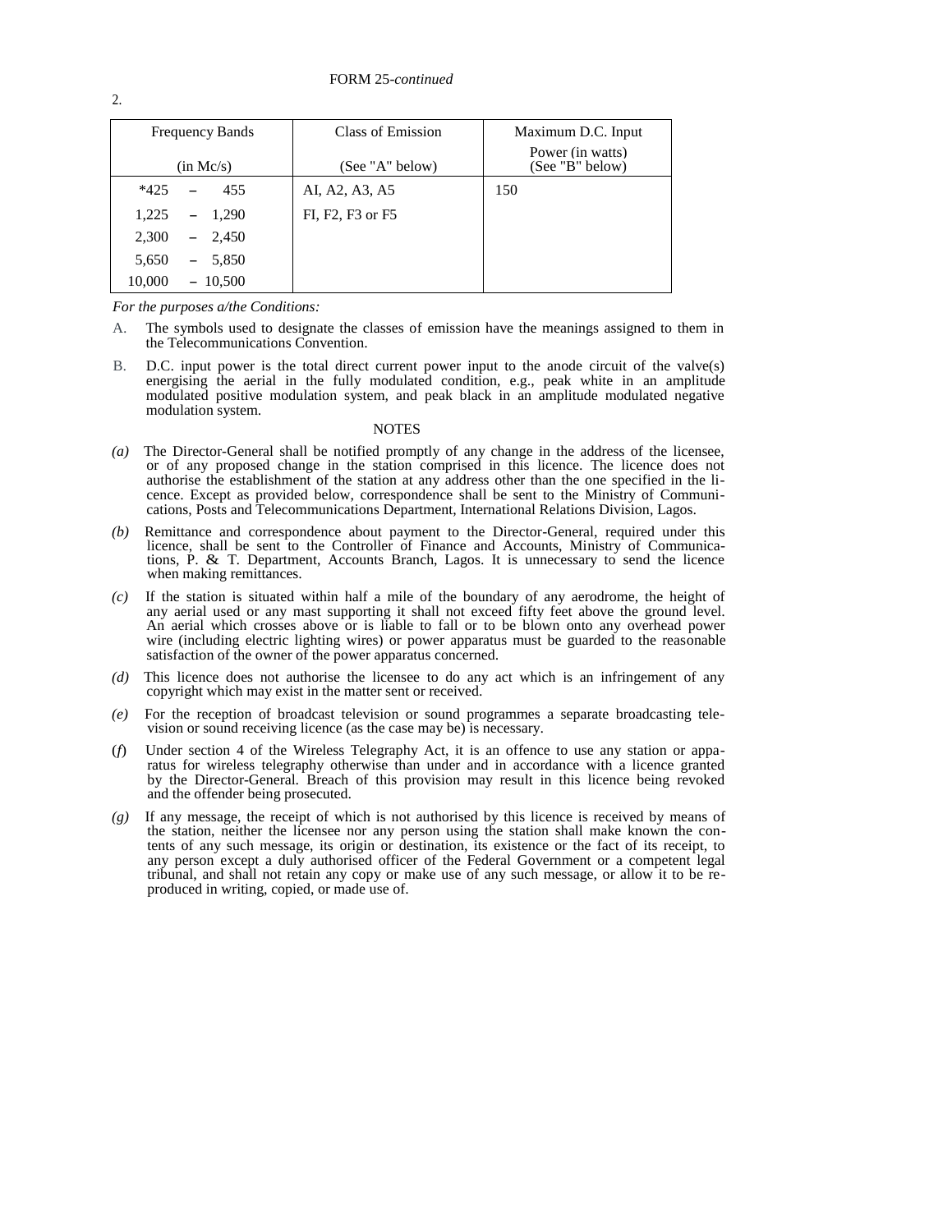| <b>Frequency Bands</b> | Class of Emission | Maximum D.C. Input                  |
|------------------------|-------------------|-------------------------------------|
| (in Mc/s)              | (See "A" below)   | Power (in watts)<br>(See "B" below) |
| $*425$<br>455          | AI, A2, A3, A5    | 150                                 |
| 1,225<br>$-1,290$      | FI, F2, F3 or F5  |                                     |
| 2,300<br>$-2,450$      |                   |                                     |
| 5,650<br>5,850<br>$-$  |                   |                                     |
| 10,000<br>$-10,500$    |                   |                                     |

*For the purposes a/the Conditions:* 

- A. The symbols used to designate the classes of emission have the meanings assigned to them in the Telecommunications Convention.
- B. D.C. input power is the total direct current power input to the anode circuit of the valve(s) energising the aerial in the fully modulated condition, e.g., peak white in an amplitude modulated positive modulation system, and peak black in an amplitude modulated negative modulation system.

#### NOTES

- *(a)* The Director-General shall be notified promptly of any change in the address of the licensee, or of any proposed change in the station comprised in this licence. The licence does not authorise the establishment of the station at any address other than the one specified in the licence. Except as provided below, correspondence shall be sent to the Ministry of Communications, Posts and Telecommunications Department, International Relations Division, Lagos.
- *(b)* Remittance and correspondence about payment to the Director-General, required under this licence, shall be sent to the Controller of Finance and Accounts, Ministry of Communications, P. & T. Department, Accounts Branch, Lagos. It is unnecessary to send the licence when making remittances.
- *(c)* If the station is situated within half a mile of the boundary of any aerodrome, the height of any aerial used or any mast supporting it shall not exceed fifty feet above the ground level. An aerial which crosses above or is liable to fall or to be blown onto any overhead power wire (including electric lighting wires) or power apparatus must be guarded to the reasonable satisfaction of the owner of the power apparatus concerned.
- *(d)* This licence does not authorise the licensee to do any act which is an infringement of any copyright which may exist in the matter sent or received.
- *(e)* For the reception of broadcast television or sound programmes a separate broadcasting television or sound receiving licence (as the case may be) is necessary.
- (*f*) Under section 4 of the Wireless Telegraphy Act, it is an offence to use any station or apparatus for wireless telegraphy otherwise than under and in accordance with a licence granted by the Director-General. Breach of this provision may result in this licence being revoked and the offender being prosecuted.
- *(g)* If any message, the receipt of which is not authorised by this licence is received by means of the station, neither the licensee nor any person using the station shall make known the contents of any such message, its origin or destination, its existence or the fact of its receipt, to any person except a duly authorised officer of the Federal Government or a competent legal tribunal, and shall not retain any copy or make use of any such message, or allow it to be reproduced in writing, copied, or made use of.

2.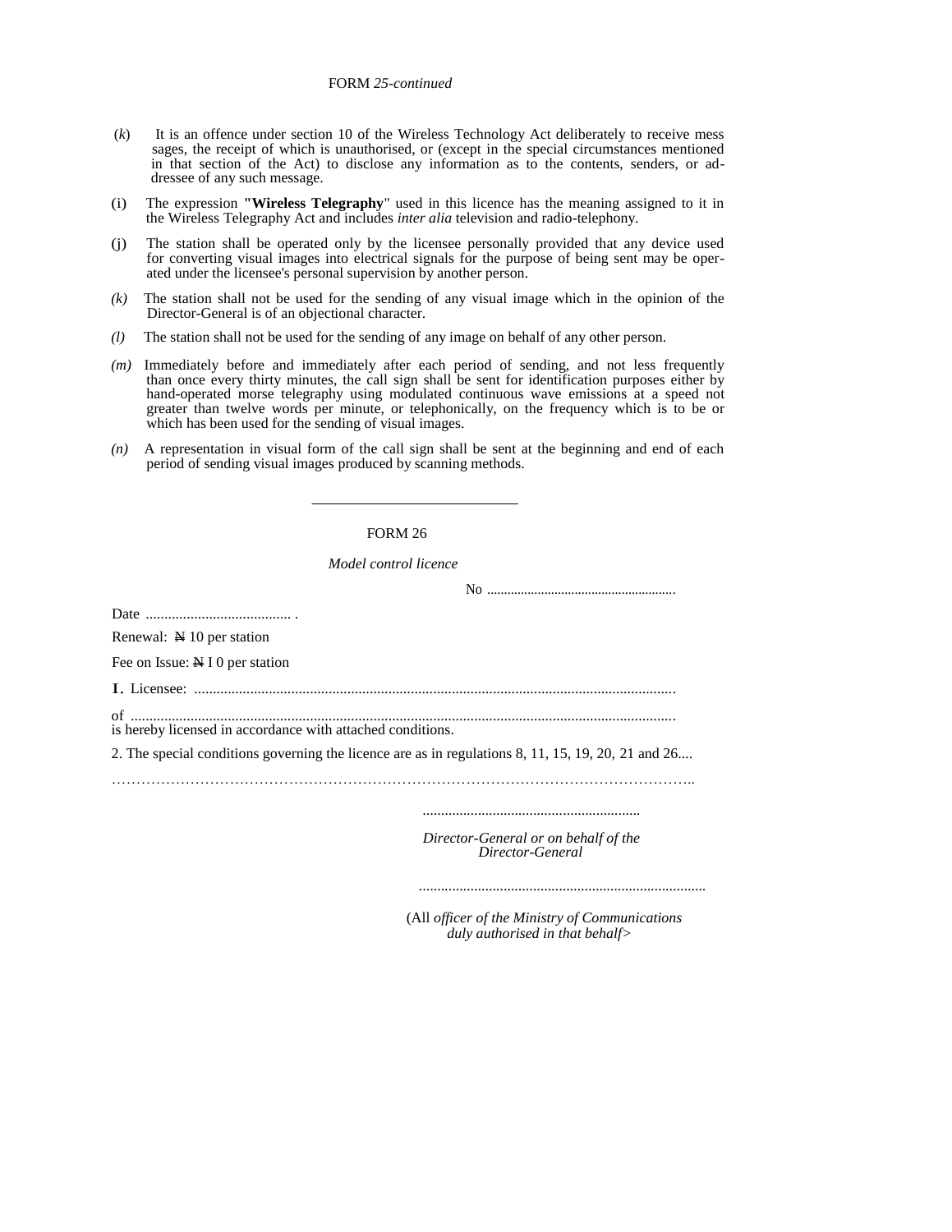### FORM *25-continued*

- (*k*) It is an offence under section 10 of the Wireless Technology Act deliberately to receive mess sages, the receipt of which is unauthorised, or (except in the special circumstances mentioned in that section of the Act) to disclose any information as to the contents, senders, or ad dressee of any such message.
- (i) The expression **"Wireless Telegraphy**" used in this licence has the meaning assigned to it in the Wireless Telegraphy Act and includes *inter alia* television and radio-telephony.
- (j) The station shall be operated only by the licensee personally provided that any device used for converting visual images into electrical signals for the purpose of being sent may be operated under the licensee's personal supervision by another person.
- *(k)* The station shall not be used for the sending of any visual image which in the opinion of the Director-General is of an objectional character.
- *(l)* The station shall not be used for the sending of any image on behalf of any other person.
- *(m)* Immediately before and immediately after each period of sending, and not less frequently than once every thirty minutes, the call sign shall be sent for identification purposes either by hand-operated morse telegraphy using modulated continuous wave emissions at a speed not greater than twelve words per minute, or telephonically, on the frequency which is to be or which has been used for the sending of visual images.
- *(n)* A representation in visual form of the call sign shall be sent at the beginning and end of each period of sending visual images produced by scanning methods.

## FORM 26

*Model control licence* 

| is hereby licensed in accordance with attached conditions.                                         |
|----------------------------------------------------------------------------------------------------|
| 2. The special conditions governing the licence are as in regulations 8, 11, 15, 19, 20, 21 and 26 |
|                                                                                                    |
|                                                                                                    |
| Director-General or on behalf of the<br>Director-General                                           |
|                                                                                                    |

(All *officer of the Ministry of Communications duly authorised in that behalf>* 

*..............................................................................*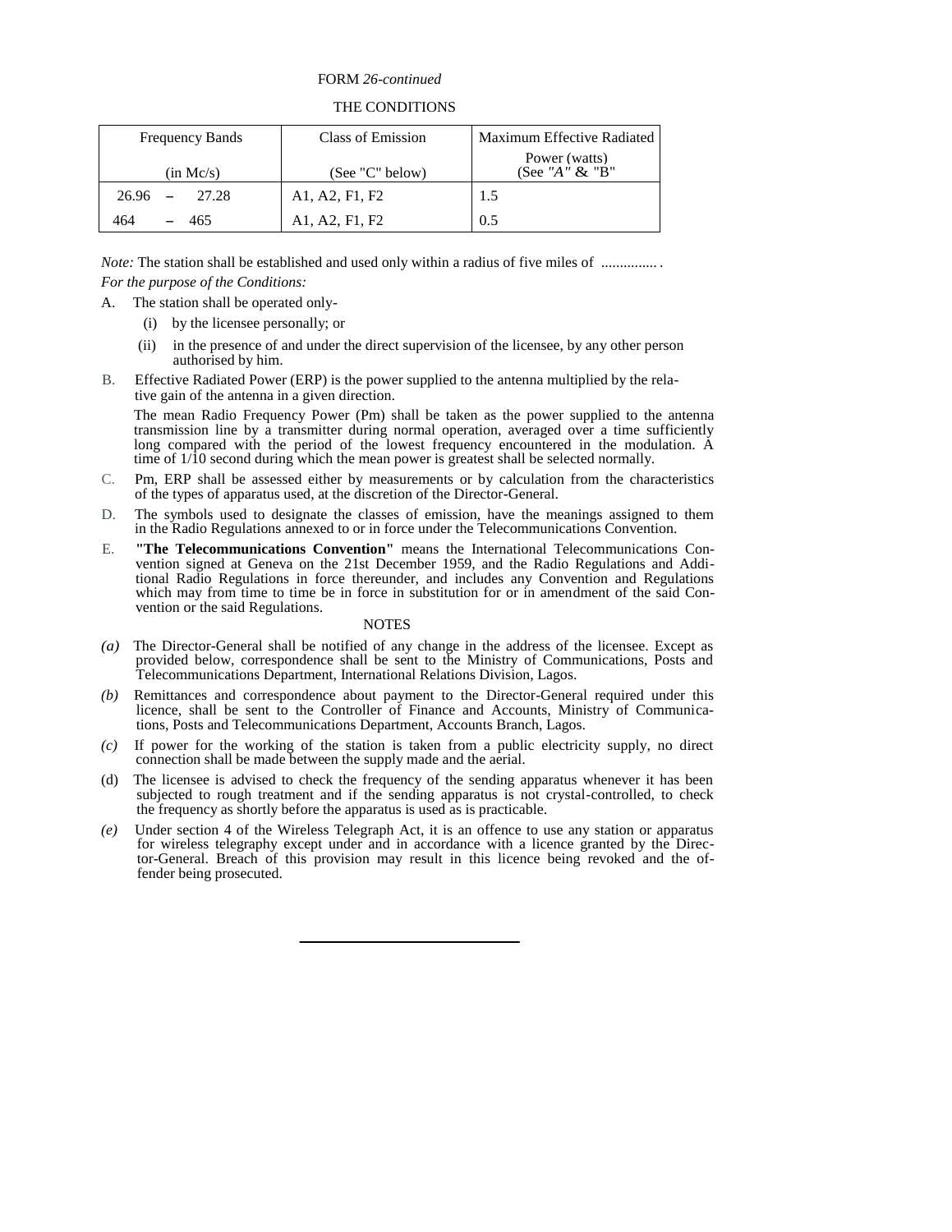## FORM *26-continued*

## THE CONDITIONS

| <b>Frequency Bands</b>       | Class of Emission | Maximum Effective Radiated                 |
|------------------------------|-------------------|--------------------------------------------|
| (in Mc/s)                    | (See "C" below)   | Power (watts)<br>(See " $A$ " $\&$ " $B$ " |
| 26.96<br>27.28<br>$\sim$ $-$ | A1, A2, F1, F2    | 1.5                                        |
| 464<br>465                   | A1, A2, F1, F2    | 0.5                                        |

*Note:* The station shall be established and used only within a radius of five miles of ................ *For the purpose of the Conditions:* 

A. The station shall be operated only-

- (i) by the licensee personally; or
- (ii) in the presence of and under the direct supervision of the licensee, by any other person authorised by him.
- B. Effective Radiated Power (ERP) is the power supplied to the antenna multiplied by the relative gain of the antenna in a given direction.

The mean Radio Frequency Power (Pm) shall be taken as the power supplied to the antenna transmission line by a transmitter during normal operation, averaged over a time sufficiently long compared with the period of the lowest frequency encountered in the modulation. A time of  $1/\overline{10}$  second during which the mean power is greatest shall be selected normally.

- C. Pm, ERP shall be assessed either by measurements or by calculation from the characteristics of the types of apparatus used, at the discretion of the Director-General.
- D. The symbols used to designate the classes of emission, have the meanings assigned to them in the Radio Regulations annexed to or in force under the Telecommunications Convention.
- E. **"The Telecommunications Convention"** means the International Telecommunications Convention signed at Geneva on the 21st December 1959, and the Radio Regulations and Additional Radio Regulations in force thereunder, and includes any Convention and Regulations which may from time to time be in force in substitution for or in amendment of the said Convention or the said Regulations.

### **NOTES**

- *(a)* The Director-General shall be notified of any change in the address of the licensee. Except as provided below, correspondence shall be sent to the Ministry of Communications, Posts and Telecommunications Department, International Relations Division, Lagos.
- *(b)* Remittances and correspondence about payment to the Director-General required under this licence, shall be sent to the Controller of Finance and Accounts, Ministry of Communications, Posts and Telecommunications Department, Accounts Branch, Lagos.
- *(c)* If power for the working of the station is taken from a public electricity supply, no direct connection shall be made between the supply made and the aerial.
- (d) The licensee is advised to check the frequency of the sending apparatus whenever it has been subjected to rough treatment and if the sending apparatus is not crystal-controlled, to check the frequency as shortly before the apparatus is used as is practicable.
- *(e)* Under section 4 of the Wireless Telegraph Act, it is an offence to use any station or apparatus for wireless telegraphy except under and in accordance with a licence granted by the Director-General. Breach of this provision may result in this licence being revoked and the offender being prosecuted.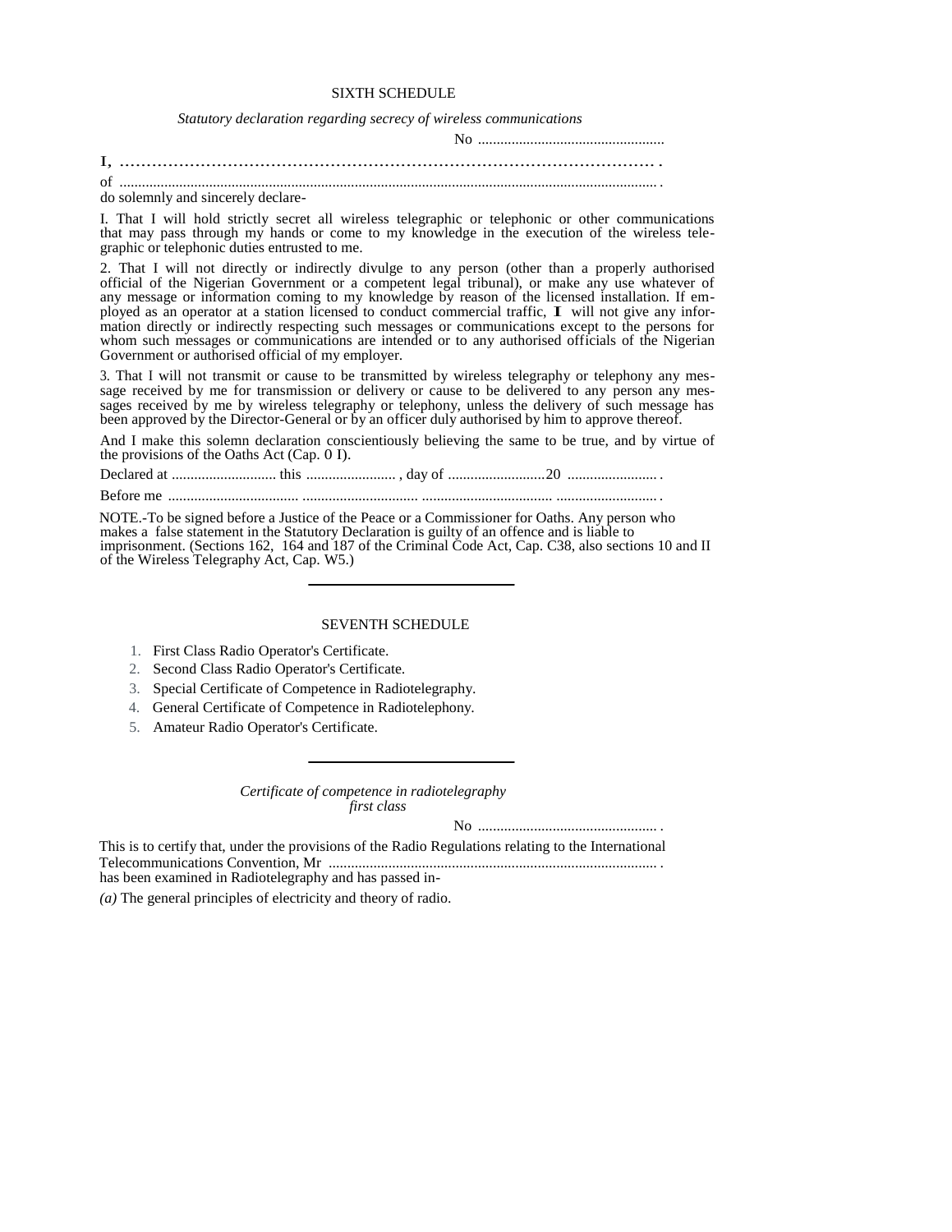## SIXTH SCHEDULE

*Statutory declaration regarding secrecy of wireless communications* 

| of |  |
|----|--|

do solemnly and sincerely declare-

I. That I will hold strictly secret all wireless telegraphic or telephonic or other communications that may pass through my hands or come to my knowledge in the execution of the wireless telegraphic or telephonic duties entrusted to me.

2. That I will not directly or indirectly divulge to any person (other than a properly authorised official of the Nigerian Government or a competent legal tribunal), or make any use whatever of any message or information coming to my knowledge by reason of the licensed installation. If employed as an operator at a station licensed to conduct commercial traffic, I will not give any information directly or indirectly respecting such messages or communications except to the persons for whom such messages or communications are intended or to any authorised officials of the Nigerian Government or authorised official of my employer.

3. That I will not transmit or cause to be transmitted by wireless telegraphy or telephony any message received by me for transmission or delivery or cause to be delivered to any person any messages received by me by wireless telegraphy or telephony, unless the delivery of such message has been approved by the Director-General or by an officer duly authorised by him to approve thereof.

And I make this solemn declaration conscientiously believing the same to be true, and by virtue of the provisions of the Oaths Act (Cap. 0 I).

Declared at ............................ this ........................ , day of ..........................20 ........................ .

Before me ................................... ............................... ................................... ........................... .

NOTE.-To be signed before a Justice of the Peace or a Commissioner for Oaths. Any person who makes a false statement in the Statutory Declaration is guilty of an offence and is liable to imprisonment. (Sections 162, 164 and 187 of the Criminal Code Act, Cap. C38, also sections 10 and II of the Wireless Telegraphy Act, Cap. W5.)

#### SEVENTH SCHEDULE

- 1. First Class Radio Operator's Certificate.
- 2. Second Class Radio Operator's Certificate.
- 3. Special Certificate of Competence in Radiotelegraphy.
- 4. General Certificate of Competence in Radiotelephony.
- 5. Amateur Radio Operator's Certificate.

*Certificate of competence in radiotelegraphy first class* 

No ................................................ .

This is to certify that, under the provisions of the Radio Regulations relating to the International Telecommunications Convention, Mr ........................................................................................ . has been examined in Radiotelegraphy and has passed in-

*(a)* The general principles of electricity and theory of radio.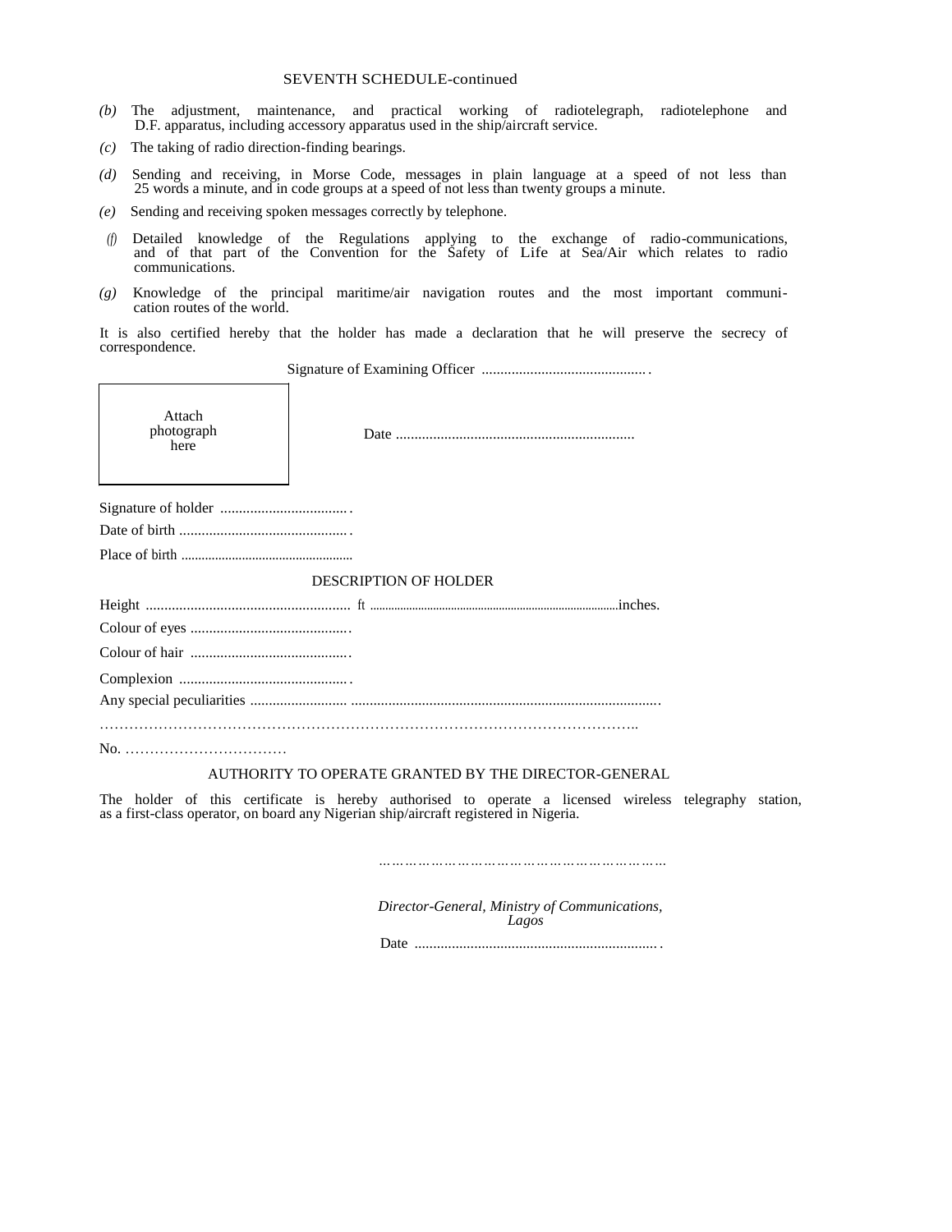- *(b)* The adjustment, maintenance, and practical working of radiotelegraph, radiotelephone and D.F. apparatus, including accessory apparatus used in the ship/aircraft service.
- *(c)* The taking of radio direction-finding bearings.
- *(d)* Sending and receiving, in Morse Code, messages in plain language at a speed of not less than 25 words a minute, and in code groups at a speed of not less than twenty groups a minute.
- *(e)* Sending and receiving spoken messages correctly by telephone.
- *(f)* Detailed knowledge of the Regulations applying to the exchange of radio-communications, and of that part of the Convention for the Safety of Life at Sea/Air which relates to radio communications.
- *(g)* Knowledge of the principal maritime/air navigation routes and the most important communication routes of the world.

It is also certified hereby that the holder has made a declaration that he will preserve the secrecy of correspondence.

Signature of Examining Officer ............................................ .

| Attach<br>photograph<br>here |  |  |  |  |
|------------------------------|--|--|--|--|
|                              |  |  |  |  |
|                              |  |  |  |  |
|                              |  |  |  |  |
| <b>DESCRIPTION OF HOLDER</b> |  |  |  |  |
|                              |  |  |  |  |
|                              |  |  |  |  |
|                              |  |  |  |  |
|                              |  |  |  |  |
|                              |  |  |  |  |
|                              |  |  |  |  |

## AUTHORITY TO OPERATE GRANTED BY THE DIRECTOR-GENERAL

The holder of this certificate is hereby authorised to operate a licensed wireless telegraphy station, as a first-class operator, on board any Nigerian ship/aircraft registered in Nigeria.

*…………………………………………………………*

*Director-General, Ministry of Communications, Lagos* 

Date ................................................................. .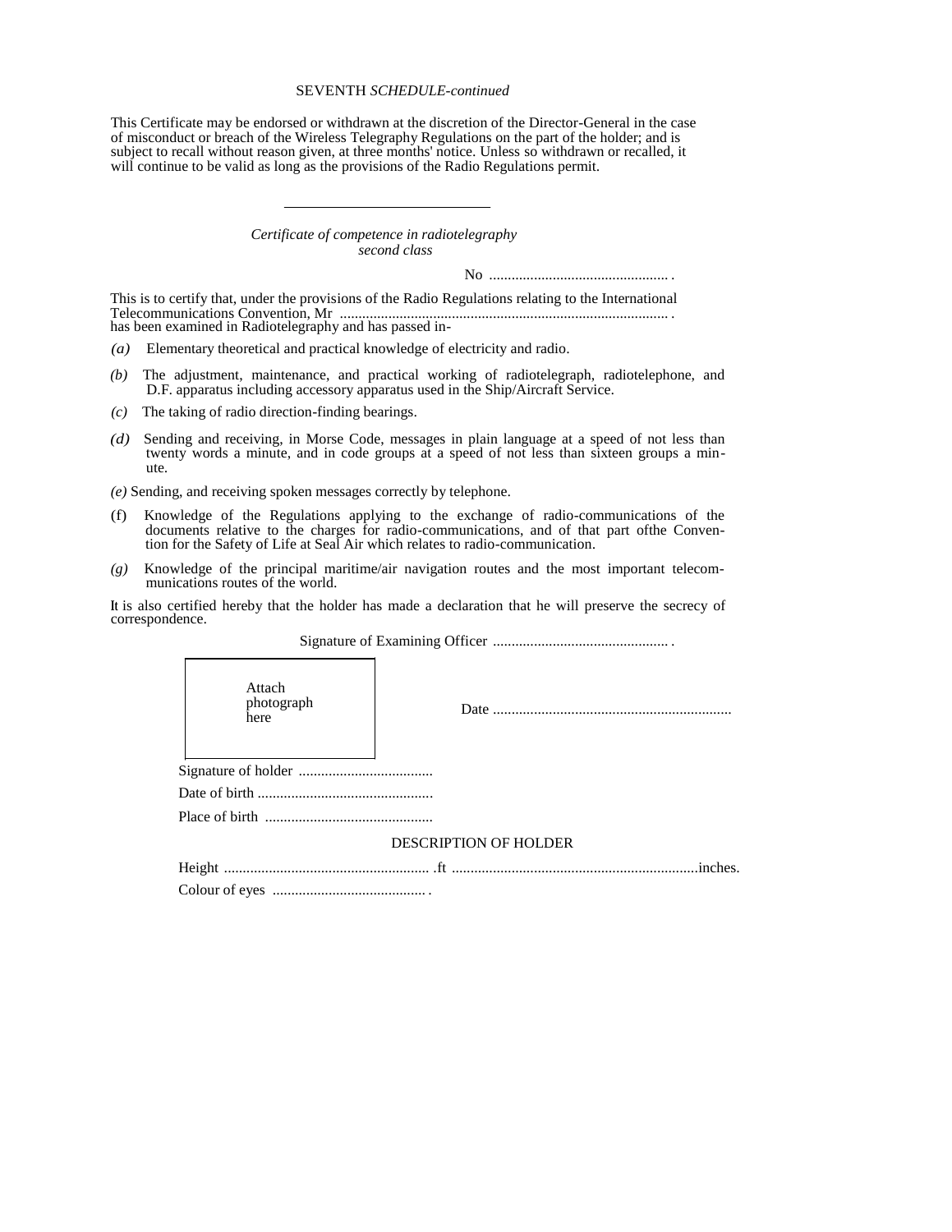This Certificate may be endorsed or withdrawn at the discretion of the Director-General in the case of misconduct or breach of the Wireless Telegraphy Regulations on the part of the holder; and is subject to recall without reason given, at three months' notice. Unless so withdrawn or recalled, it will continue to be valid as long as the provisions of the Radio Regulations permit.

#### *Certificate of competence in radiotelegraphy second class*

No ................................................ .

This is to certify that, under the provisions of the Radio Regulations relating to the International Telecommunications Convention, Mr ........................................................................................ . has been examined in Radiotelegraphy and has passed in-

*(a)* Elementary theoretical and practical knowledge of electricity and radio.

- *(b)* The adjustment, maintenance, and practical working of radiotelegraph, radiotelephone, and D.F. apparatus including accessory apparatus used in the Ship/Aircraft Service.
- *(c)* The taking of radio direction-finding bearings.
- *(d)* Sending and receiving, in Morse Code, messages in plain language at a speed of not less than twenty words a minute, and in code groups at a speed of not less than sixteen groups a minute.

*(e)* Sending, and receiving spoken messages correctly by telephone.

- (f) Knowledge of the Regulations applying to the exchange of radio-communications of the documents relative to the charges for radio-communications, and of that part ofthe Convention for the Safety of Life at Seal Air which relates to radio-communication.
- *(g)* Knowledge of the principal maritime/air navigation routes and the most important telecommunications routes of the world.

**It** is also certified hereby that the holder has made a declaration that he will preserve the secrecy of correspondence.

| Attach<br>photograph<br>here |  |  |
|------------------------------|--|--|
|                              |  |  |
|                              |  |  |
|                              |  |  |
| <b>DESCRIPTION OF HOLDER</b> |  |  |
|                              |  |  |
|                              |  |  |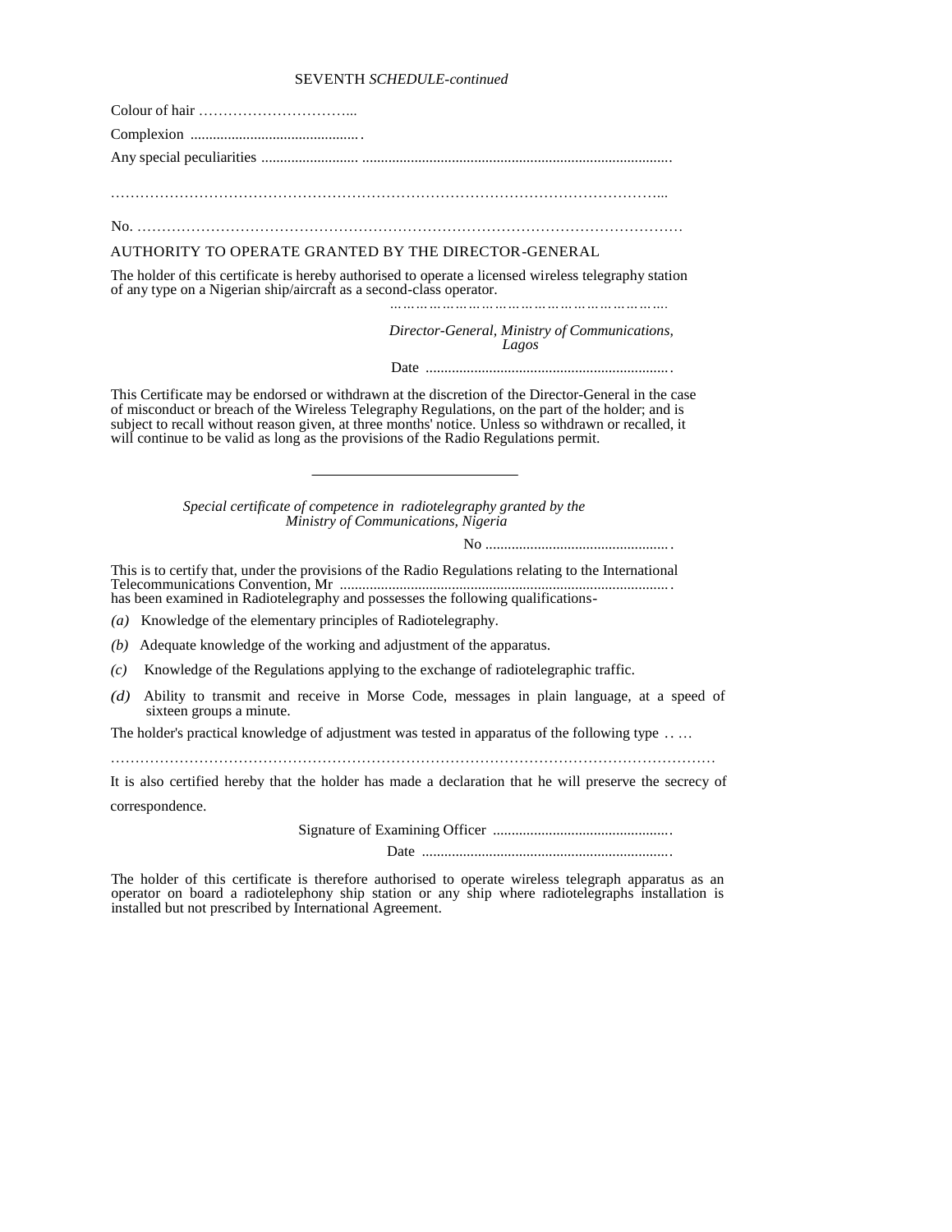| AUTHORITY TO OPERATE GRANTED BY THE DIRECTOR-GENERAL                                                                                                                                                                                                                                                                                                                                                     |
|----------------------------------------------------------------------------------------------------------------------------------------------------------------------------------------------------------------------------------------------------------------------------------------------------------------------------------------------------------------------------------------------------------|
| The holder of this certificate is hereby authorised to operate a licensed wireless telegraphy station<br>of any type on a Nigerian ship/aircraft as a second-class operator.                                                                                                                                                                                                                             |
| Director-General, Ministry of Communications,<br>Lagos                                                                                                                                                                                                                                                                                                                                                   |
|                                                                                                                                                                                                                                                                                                                                                                                                          |
| This Certificate may be endorsed or withdrawn at the discretion of the Director-General in the case<br>of misconduct or breach of the Wireless Telegraphy Regulations, on the part of the holder; and is<br>subject to recall without reason given, at three months' notice. Unless so withdrawn or recalled, it<br>will continue to be valid as long as the provisions of the Radio Regulations permit. |
| Special certificate of competence in radiotelegraphy granted by the<br>Ministry of Communications, Nigeria                                                                                                                                                                                                                                                                                               |
| This is to certify that, under the provisions of the Radio Regulations relating to the International<br>has been examined in Radiotelegraphy and possesses the following qualifications-                                                                                                                                                                                                                 |
| (a) Knowledge of the elementary principles of Radiotelegraphy.                                                                                                                                                                                                                                                                                                                                           |
| Adequate knowledge of the working and adjustment of the apparatus.<br>(b)                                                                                                                                                                                                                                                                                                                                |
| Knowledge of the Regulations applying to the exchange of radiotelegraphic traffic.<br>(c)                                                                                                                                                                                                                                                                                                                |
| Ability to transmit and receive in Morse Code, messages in plain language, at a speed of<br>(d)<br>sixteen groups a minute.                                                                                                                                                                                                                                                                              |
| The holder's practical knowledge of adjustment was tested in apparatus of the following type                                                                                                                                                                                                                                                                                                             |
| It is also certified hereby that the holder has made a declaration that he will preserve the secrecy of<br>correspondence.                                                                                                                                                                                                                                                                               |
|                                                                                                                                                                                                                                                                                                                                                                                                          |
|                                                                                                                                                                                                                                                                                                                                                                                                          |

The holder of this certificate is therefore authorised to operate wireless telegraph apparatus as an operator on board a radiotelephony ship station or any ship where radiotelegraphs installation is installed but not prescribed by International Agreement.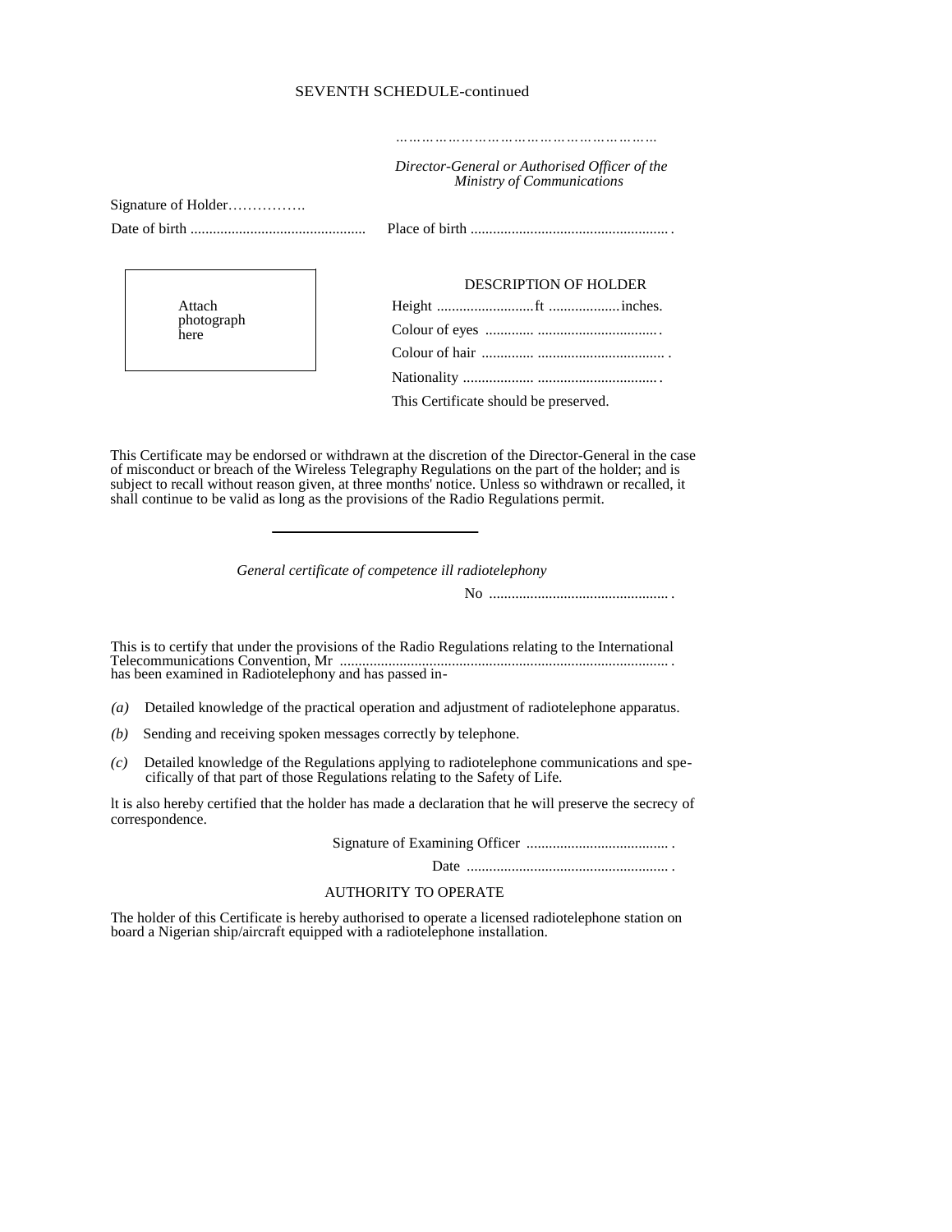## *Director-General or Authorised Officer of the Ministry of Communications*

*……………………………………………………*

Signature of Holder……………. Date of birth ............................................... Place of birth ..................................................... . Attach DESCRIPTION OF HOLDER Height ..........................ft ...................inches.

| Attach     |  |
|------------|--|
| photograph |  |
| here       |  |

| DESCRIPTION OF HOLDER                 |
|---------------------------------------|
|                                       |
|                                       |
|                                       |
|                                       |
| This Certificate should be preserved. |

This Certificate may be endorsed or withdrawn at the discretion of the Director-General in the case of misconduct or breach of the Wireless Telegraphy Regulations on the part of the holder; and is subject to recall without reason given, at three months' notice. Unless so withdrawn or recalled, it shall continue to be valid as long as the provisions of the Radio Regulations permit.

*General certificate of competence ill radiotelephony* 

No ................................................ .

This is to certify that under the provisions of the Radio Regulations relating to the International Telecommunications Convention, Mr ........................................................................................ . has been examined in Radiotelephony and has passed in-

- *(a)* Detailed knowledge of the practical operation and adjustment of radiotelephone apparatus.
- *(b)* Sending and receiving spoken messages correctly by telephone.
- *(c)* Detailed knowledge of the Regulations applying to radiotelephone communications and specifically of that part of those Regulations relating to the Safety of Life.

lt is also hereby certified that the holder has made a declaration that he will preserve the secrecy of correspondence.

Signature of Examining Officer ...................................... .

Date ...................................................... .

## AUTHORITY TO OPERATE

The holder of this Certificate is hereby authorised to operate a licensed radiotelephone station on board a Nigerian ship/aircraft equipped with a radiotelephone installation.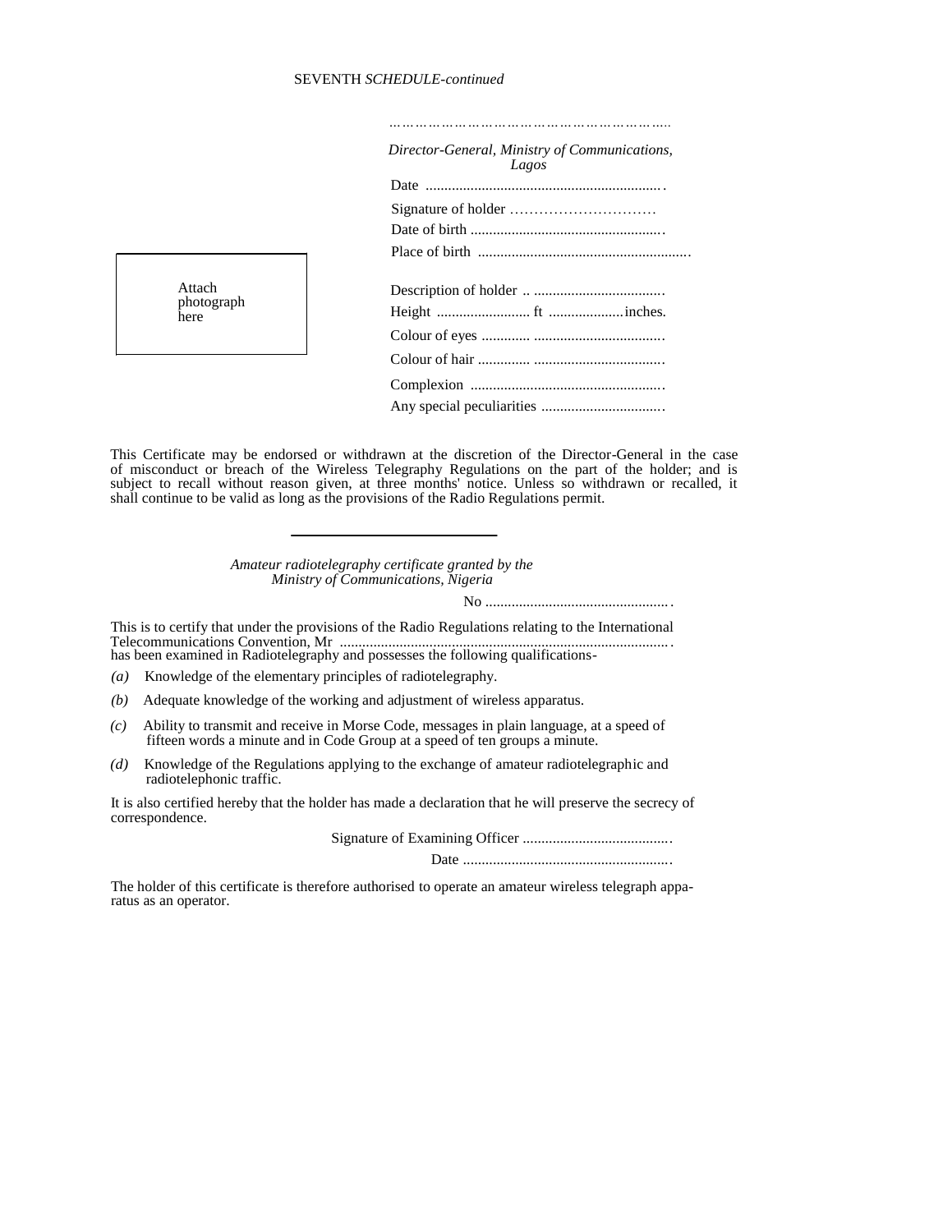| Director-General, Ministry of Communications,<br>Lagos |
|--------------------------------------------------------|
|                                                        |
|                                                        |
|                                                        |
|                                                        |
|                                                        |
|                                                        |
|                                                        |
|                                                        |
|                                                        |
|                                                        |
|                                                        |



This Certificate may be endorsed or withdrawn at the discretion of the Director-General in the case of misconduct or breach of the Wireless Telegraphy Regulations on the part of the holder; and is subject to recall without reason given, at three months' notice. Unless so withdrawn or recalled, it shall continue to be valid as long as the provisions of the Radio Regulations permit.

> *Amateur radiotelegraphy certificate granted by the Ministry of Communications, Nigeria*

> > No ................................................. .

This is to certify that under the provisions of the Radio Regulations relating to the International Telecommunications Convention, Mr ........................................................................................ . has been examined in Radiotelegraphy and possesses the following qualifications-

*(a)* Knowledge of the elementary principles of radiotelegraphy.

- *(b)* Adequate knowledge of the working and adjustment of wireless apparatus.
- *(c)* Ability to transmit and receive in Morse Code, messages in plain language, at a speed of fifteen words a minute and in Code Group at a speed of ten groups a minute.
- *(d)* Knowledge of the Regulations applying to the exchange of amateur radiotelegraphic and radiotelephonic traffic.

It is also certified hereby that the holder has made a declaration that he will preserve the secrecy of correspondence.

Signature of Examining Officer ........................................

Date ........................................................

The holder of this certificate is therefore authorised to operate an amateur wireless telegraph apparatus as an operator.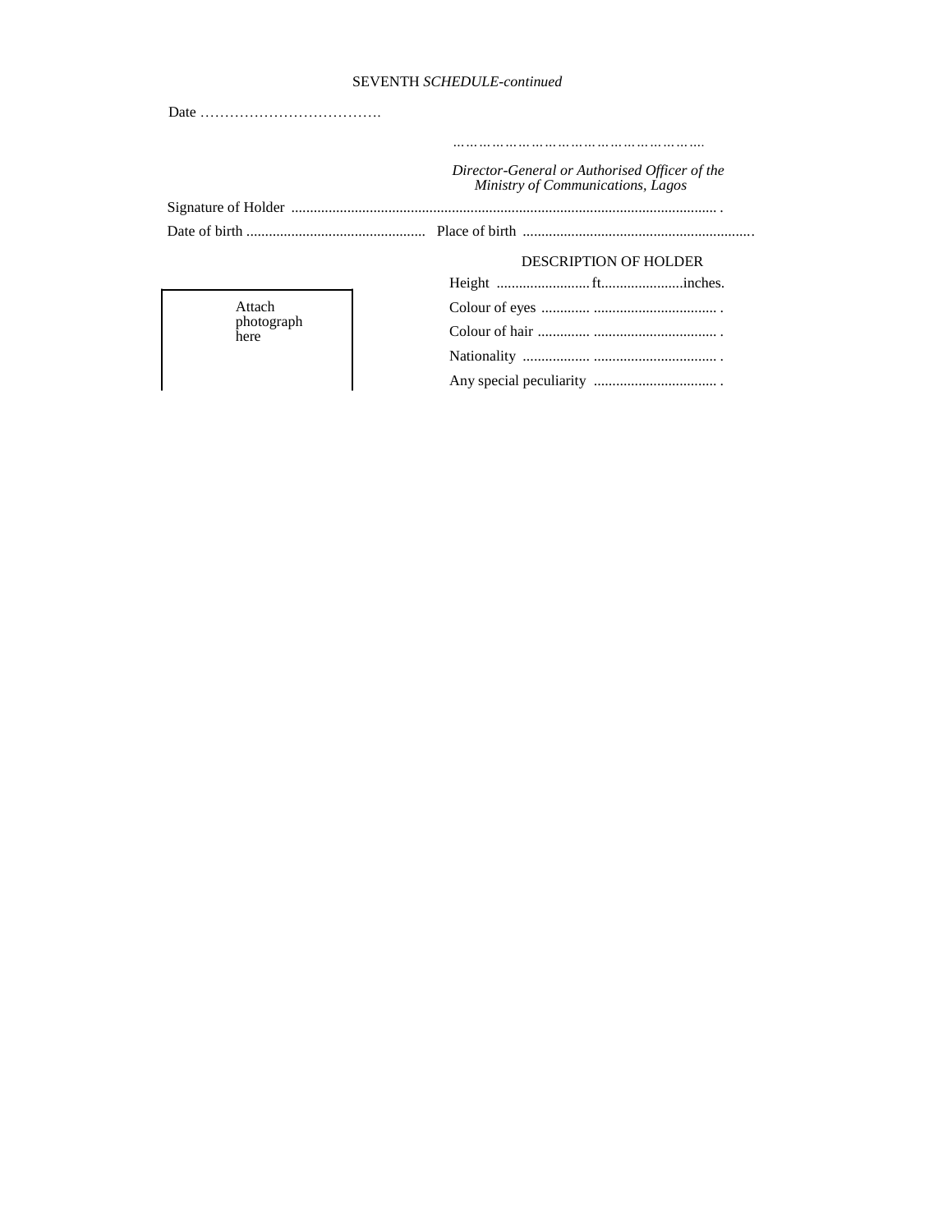|                    | Director-General or Authorised Officer of the<br>Ministry of Communications, Lagos |
|--------------------|------------------------------------------------------------------------------------|
|                    |                                                                                    |
|                    |                                                                                    |
|                    | DESCRIPTION OF HOLDER                                                              |
|                    |                                                                                    |
|                    |                                                                                    |
| Attach             |                                                                                    |
| photograph<br>here |                                                                                    |
|                    |                                                                                    |